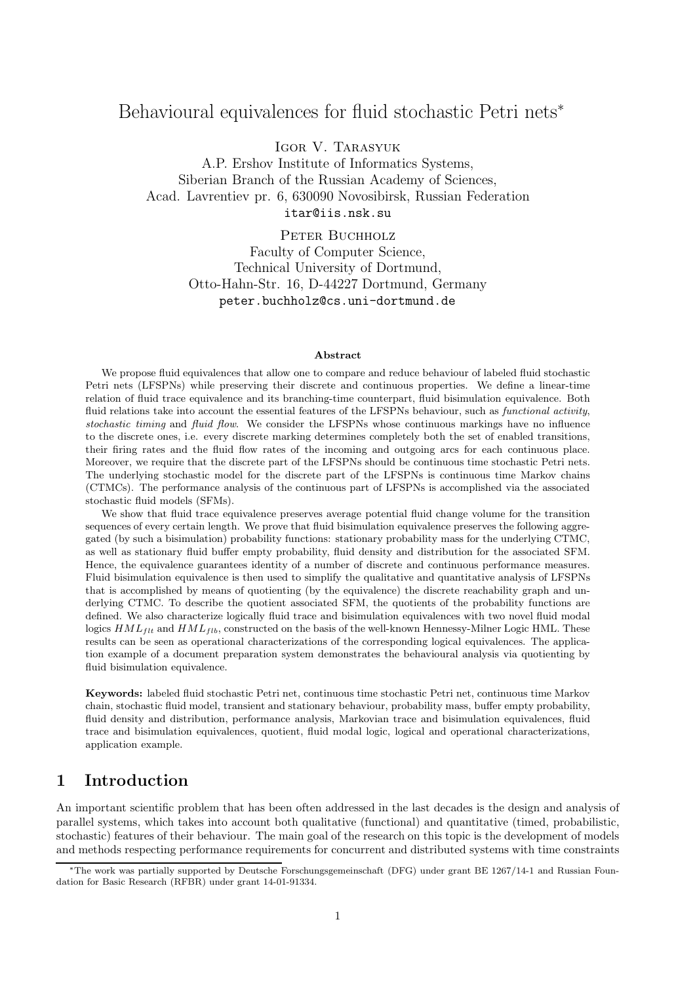# Behavioural equivalences for fluid stochastic Petri nets<sup>∗</sup>

Igor V. Tarasyuk

A.P. Ershov Institute of Informatics Systems, Siberian Branch of the Russian Academy of Sciences, Acad. Lavrentiev pr. 6, 630090 Novosibirsk, Russian Federation itar@iis.nsk.su

> PETER BUCHHOLZ Faculty of Computer Science, Technical University of Dortmund, Otto-Hahn-Str. 16, D-44227 Dortmund, Germany peter.buchholz@cs.uni-dortmund.de

#### Abstract

We propose fluid equivalences that allow one to compare and reduce behaviour of labeled fluid stochastic Petri nets (LFSPNs) while preserving their discrete and continuous properties. We define a linear-time relation of fluid trace equivalence and its branching-time counterpart, fluid bisimulation equivalence. Both fluid relations take into account the essential features of the LFSPNs behaviour, such as *functional activity*, stochastic timing and fluid flow. We consider the LFSPNs whose continuous markings have no influence to the discrete ones, i.e. every discrete marking determines completely both the set of enabled transitions, their firing rates and the fluid flow rates of the incoming and outgoing arcs for each continuous place. Moreover, we require that the discrete part of the LFSPNs should be continuous time stochastic Petri nets. The underlying stochastic model for the discrete part of the LFSPNs is continuous time Markov chains (CTMCs). The performance analysis of the continuous part of LFSPNs is accomplished via the associated stochastic fluid models (SFMs).

We show that fluid trace equivalence preserves average potential fluid change volume for the transition sequences of every certain length. We prove that fluid bisimulation equivalence preserves the following aggregated (by such a bisimulation) probability functions: stationary probability mass for the underlying CTMC, as well as stationary fluid buffer empty probability, fluid density and distribution for the associated SFM. Hence, the equivalence guarantees identity of a number of discrete and continuous performance measures. Fluid bisimulation equivalence is then used to simplify the qualitative and quantitative analysis of LFSPNs that is accomplished by means of quotienting (by the equivalence) the discrete reachability graph and underlying CTMC. To describe the quotient associated SFM, the quotients of the probability functions are defined. We also characterize logically fluid trace and bisimulation equivalences with two novel fluid modal logics  $HML_{ft}$  and  $HML_{fib}$ , constructed on the basis of the well-known Hennessy-Milner Logic HML. These results can be seen as operational characterizations of the corresponding logical equivalences. The application example of a document preparation system demonstrates the behavioural analysis via quotienting by fluid bisimulation equivalence.

Keywords: labeled fluid stochastic Petri net, continuous time stochastic Petri net, continuous time Markov chain, stochastic fluid model, transient and stationary behaviour, probability mass, buffer empty probability, fluid density and distribution, performance analysis, Markovian trace and bisimulation equivalences, fluid trace and bisimulation equivalences, quotient, fluid modal logic, logical and operational characterizations, application example.

# 1 Introduction

An important scientific problem that has been often addressed in the last decades is the design and analysis of parallel systems, which takes into account both qualitative (functional) and quantitative (timed, probabilistic, stochastic) features of their behaviour. The main goal of the research on this topic is the development of models and methods respecting performance requirements for concurrent and distributed systems with time constraints

<sup>∗</sup>The work was partially supported by Deutsche Forschungsgemeinschaft (DFG) under grant BE 1267/14-1 and Russian Foundation for Basic Research (RFBR) under grant 14-01-91334.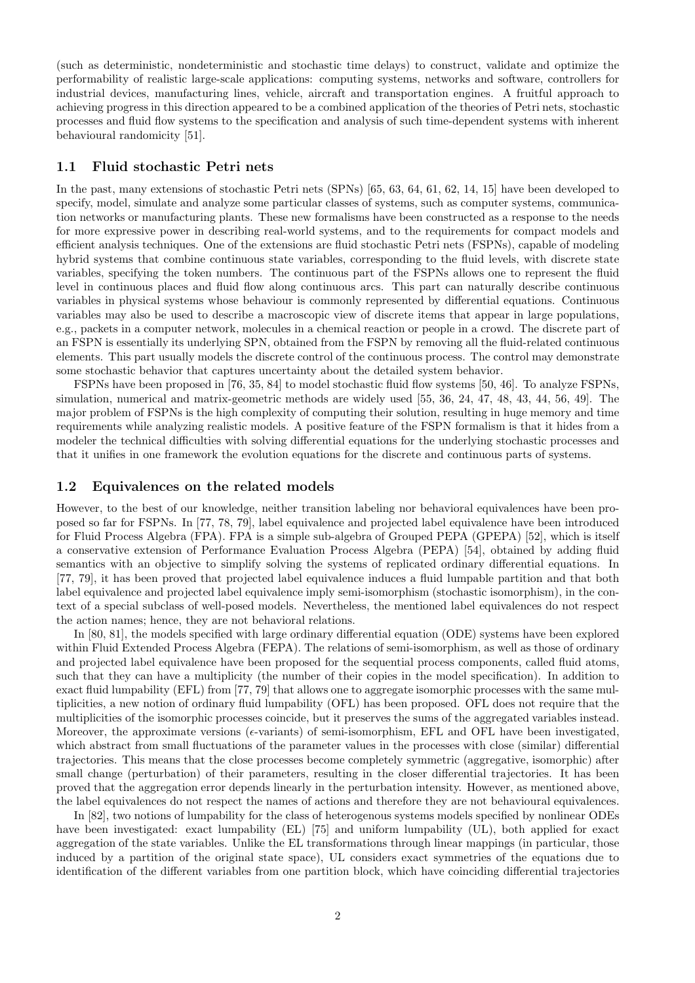(such as deterministic, nondeterministic and stochastic time delays) to construct, validate and optimize the performability of realistic large-scale applications: computing systems, networks and software, controllers for industrial devices, manufacturing lines, vehicle, aircraft and transportation engines. A fruitful approach to achieving progress in this direction appeared to be a combined application of the theories of Petri nets, stochastic processes and fluid flow systems to the specification and analysis of such time-dependent systems with inherent behavioural randomicity [51].

#### 1.1 Fluid stochastic Petri nets

In the past, many extensions of stochastic Petri nets (SPNs) [65, 63, 64, 61, 62, 14, 15] have been developed to specify, model, simulate and analyze some particular classes of systems, such as computer systems, communication networks or manufacturing plants. These new formalisms have been constructed as a response to the needs for more expressive power in describing real-world systems, and to the requirements for compact models and efficient analysis techniques. One of the extensions are fluid stochastic Petri nets (FSPNs), capable of modeling hybrid systems that combine continuous state variables, corresponding to the fluid levels, with discrete state variables, specifying the token numbers. The continuous part of the FSPNs allows one to represent the fluid level in continuous places and fluid flow along continuous arcs. This part can naturally describe continuous variables in physical systems whose behaviour is commonly represented by differential equations. Continuous variables may also be used to describe a macroscopic view of discrete items that appear in large populations, e.g., packets in a computer network, molecules in a chemical reaction or people in a crowd. The discrete part of an FSPN is essentially its underlying SPN, obtained from the FSPN by removing all the fluid-related continuous elements. This part usually models the discrete control of the continuous process. The control may demonstrate some stochastic behavior that captures uncertainty about the detailed system behavior.

FSPNs have been proposed in [76, 35, 84] to model stochastic fluid flow systems [50, 46]. To analyze FSPNs, simulation, numerical and matrix-geometric methods are widely used [55, 36, 24, 47, 48, 43, 44, 56, 49]. The major problem of FSPNs is the high complexity of computing their solution, resulting in huge memory and time requirements while analyzing realistic models. A positive feature of the FSPN formalism is that it hides from a modeler the technical difficulties with solving differential equations for the underlying stochastic processes and that it unifies in one framework the evolution equations for the discrete and continuous parts of systems.

#### 1.2 Equivalences on the related models

However, to the best of our knowledge, neither transition labeling nor behavioral equivalences have been proposed so far for FSPNs. In [77, 78, 79], label equivalence and projected label equivalence have been introduced for Fluid Process Algebra (FPA). FPA is a simple sub-algebra of Grouped PEPA (GPEPA) [52], which is itself a conservative extension of Performance Evaluation Process Algebra (PEPA) [54], obtained by adding fluid semantics with an objective to simplify solving the systems of replicated ordinary differential equations. In [77, 79], it has been proved that projected label equivalence induces a fluid lumpable partition and that both label equivalence and projected label equivalence imply semi-isomorphism (stochastic isomorphism), in the context of a special subclass of well-posed models. Nevertheless, the mentioned label equivalences do not respect the action names; hence, they are not behavioral relations.

In [80, 81], the models specified with large ordinary differential equation (ODE) systems have been explored within Fluid Extended Process Algebra (FEPA). The relations of semi-isomorphism, as well as those of ordinary and projected label equivalence have been proposed for the sequential process components, called fluid atoms, such that they can have a multiplicity (the number of their copies in the model specification). In addition to exact fluid lumpability (EFL) from [77, 79] that allows one to aggregate isomorphic processes with the same multiplicities, a new notion of ordinary fluid lumpability (OFL) has been proposed. OFL does not require that the multiplicities of the isomorphic processes coincide, but it preserves the sums of the aggregated variables instead. Moreover, the approximate versions ( $\epsilon$ -variants) of semi-isomorphism, EFL and OFL have been investigated, which abstract from small fluctuations of the parameter values in the processes with close (similar) differential trajectories. This means that the close processes become completely symmetric (aggregative, isomorphic) after small change (perturbation) of their parameters, resulting in the closer differential trajectories. It has been proved that the aggregation error depends linearly in the perturbation intensity. However, as mentioned above, the label equivalences do not respect the names of actions and therefore they are not behavioural equivalences.

In [82], two notions of lumpability for the class of heterogenous systems models specified by nonlinear ODEs have been investigated: exact lumpability (EL) [75] and uniform lumpability (UL), both applied for exact aggregation of the state variables. Unlike the EL transformations through linear mappings (in particular, those induced by a partition of the original state space), UL considers exact symmetries of the equations due to identification of the different variables from one partition block, which have coinciding differential trajectories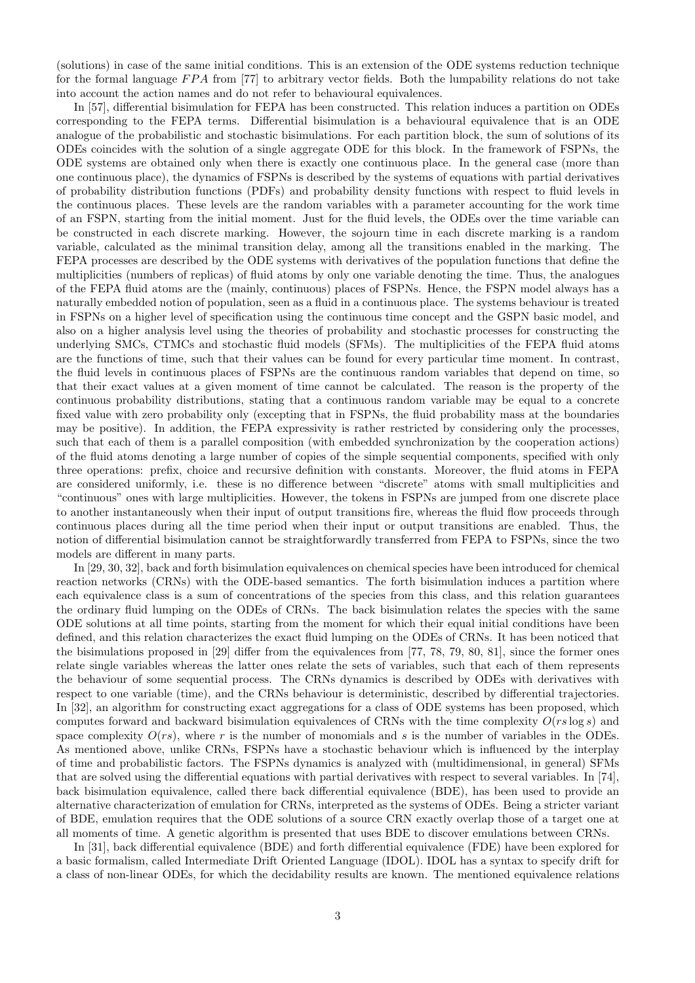(solutions) in case of the same initial conditions. This is an extension of the ODE systems reduction technique for the formal language  $FPA$  from [77] to arbitrary vector fields. Both the lumpability relations do not take into account the action names and do not refer to behavioural equivalences.

In [57], differential bisimulation for FEPA has been constructed. This relation induces a partition on ODEs corresponding to the FEPA terms. Differential bisimulation is a behavioural equivalence that is an ODE analogue of the probabilistic and stochastic bisimulations. For each partition block, the sum of solutions of its ODEs coincides with the solution of a single aggregate ODE for this block. In the framework of FSPNs, the ODE systems are obtained only when there is exactly one continuous place. In the general case (more than one continuous place), the dynamics of FSPNs is described by the systems of equations with partial derivatives of probability distribution functions (PDFs) and probability density functions with respect to fluid levels in the continuous places. These levels are the random variables with a parameter accounting for the work time of an FSPN, starting from the initial moment. Just for the fluid levels, the ODEs over the time variable can be constructed in each discrete marking. However, the sojourn time in each discrete marking is a random variable, calculated as the minimal transition delay, among all the transitions enabled in the marking. The FEPA processes are described by the ODE systems with derivatives of the population functions that define the multiplicities (numbers of replicas) of fluid atoms by only one variable denoting the time. Thus, the analogues of the FEPA fluid atoms are the (mainly, continuous) places of FSPNs. Hence, the FSPN model always has a naturally embedded notion of population, seen as a fluid in a continuous place. The systems behaviour is treated in FSPNs on a higher level of specification using the continuous time concept and the GSPN basic model, and also on a higher analysis level using the theories of probability and stochastic processes for constructing the underlying SMCs, CTMCs and stochastic fluid models (SFMs). The multiplicities of the FEPA fluid atoms are the functions of time, such that their values can be found for every particular time moment. In contrast, the fluid levels in continuous places of FSPNs are the continuous random variables that depend on time, so that their exact values at a given moment of time cannot be calculated. The reason is the property of the continuous probability distributions, stating that a continuous random variable may be equal to a concrete fixed value with zero probability only (excepting that in FSPNs, the fluid probability mass at the boundaries may be positive). In addition, the FEPA expressivity is rather restricted by considering only the processes, such that each of them is a parallel composition (with embedded synchronization by the cooperation actions) of the fluid atoms denoting a large number of copies of the simple sequential components, specified with only three operations: prefix, choice and recursive definition with constants. Moreover, the fluid atoms in FEPA are considered uniformly, i.e. these is no difference between "discrete" atoms with small multiplicities and "continuous" ones with large multiplicities. However, the tokens in FSPNs are jumped from one discrete place to another instantaneously when their input of output transitions fire, whereas the fluid flow proceeds through continuous places during all the time period when their input or output transitions are enabled. Thus, the notion of differential bisimulation cannot be straightforwardly transferred from FEPA to FSPNs, since the two models are different in many parts.

In [29, 30, 32], back and forth bisimulation equivalences on chemical species have been introduced for chemical reaction networks (CRNs) with the ODE-based semantics. The forth bisimulation induces a partition where each equivalence class is a sum of concentrations of the species from this class, and this relation guarantees the ordinary fluid lumping on the ODEs of CRNs. The back bisimulation relates the species with the same ODE solutions at all time points, starting from the moment for which their equal initial conditions have been defined, and this relation characterizes the exact fluid lumping on the ODEs of CRNs. It has been noticed that the bisimulations proposed in [29] differ from the equivalences from [77, 78, 79, 80, 81], since the former ones relate single variables whereas the latter ones relate the sets of variables, such that each of them represents the behaviour of some sequential process. The CRNs dynamics is described by ODEs with derivatives with respect to one variable (time), and the CRNs behaviour is deterministic, described by differential trajectories. In [32], an algorithm for constructing exact aggregations for a class of ODE systems has been proposed, which computes forward and backward bisimulation equivalences of CRNs with the time complexity  $O(rs \log s)$  and space complexity  $O(rs)$ , where r is the number of monomials and s is the number of variables in the ODEs. As mentioned above, unlike CRNs, FSPNs have a stochastic behaviour which is influenced by the interplay of time and probabilistic factors. The FSPNs dynamics is analyzed with (multidimensional, in general) SFMs that are solved using the differential equations with partial derivatives with respect to several variables. In [74], back bisimulation equivalence, called there back differential equivalence (BDE), has been used to provide an alternative characterization of emulation for CRNs, interpreted as the systems of ODEs. Being a stricter variant of BDE, emulation requires that the ODE solutions of a source CRN exactly overlap those of a target one at all moments of time. A genetic algorithm is presented that uses BDE to discover emulations between CRNs.

In [31], back differential equivalence (BDE) and forth differential equivalence (FDE) have been explored for a basic formalism, called Intermediate Drift Oriented Language (IDOL). IDOL has a syntax to specify drift for a class of non-linear ODEs, for which the decidability results are known. The mentioned equivalence relations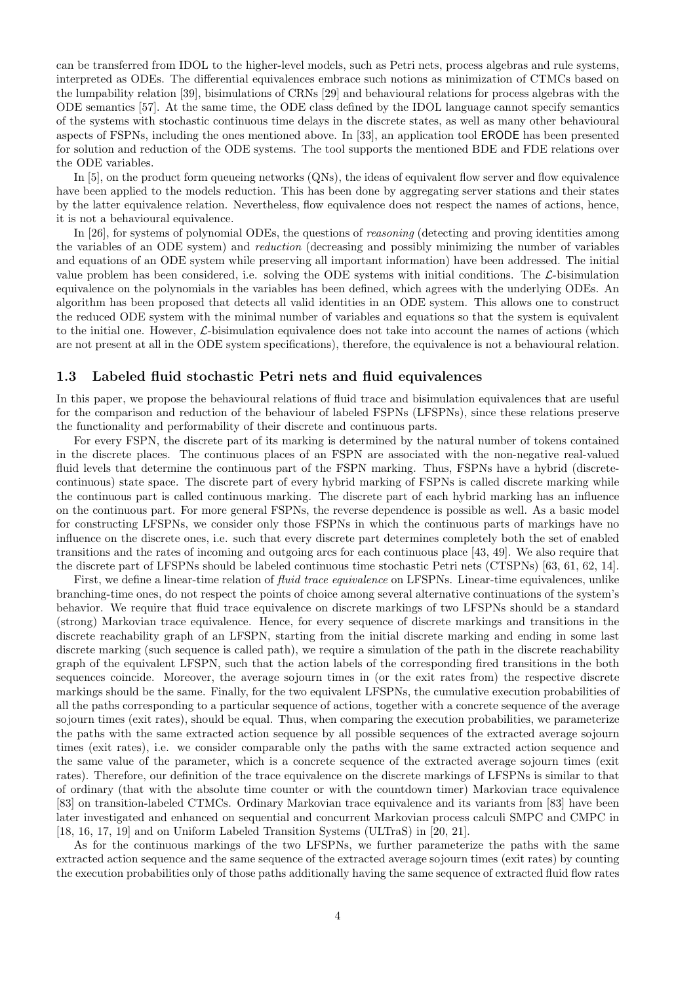can be transferred from IDOL to the higher-level models, such as Petri nets, process algebras and rule systems, interpreted as ODEs. The differential equivalences embrace such notions as minimization of CTMCs based on the lumpability relation [39], bisimulations of CRNs [29] and behavioural relations for process algebras with the ODE semantics [57]. At the same time, the ODE class defined by the IDOL language cannot specify semantics of the systems with stochastic continuous time delays in the discrete states, as well as many other behavioural aspects of FSPNs, including the ones mentioned above. In [33], an application tool ERODE has been presented for solution and reduction of the ODE systems. The tool supports the mentioned BDE and FDE relations over the ODE variables.

In [5], on the product form queueing networks (QNs), the ideas of equivalent flow server and flow equivalence have been applied to the models reduction. This has been done by aggregating server stations and their states by the latter equivalence relation. Nevertheless, flow equivalence does not respect the names of actions, hence, it is not a behavioural equivalence.

In [26], for systems of polynomial ODEs, the questions of reasoning (detecting and proving identities among the variables of an ODE system) and reduction (decreasing and possibly minimizing the number of variables and equations of an ODE system while preserving all important information) have been addressed. The initial value problem has been considered, i.e. solving the ODE systems with initial conditions. The L-bisimulation equivalence on the polynomials in the variables has been defined, which agrees with the underlying ODEs. An algorithm has been proposed that detects all valid identities in an ODE system. This allows one to construct the reduced ODE system with the minimal number of variables and equations so that the system is equivalent to the initial one. However,  $\mathcal{L}$ -bisimulation equivalence does not take into account the names of actions (which are not present at all in the ODE system specifications), therefore, the equivalence is not a behavioural relation.

#### 1.3 Labeled fluid stochastic Petri nets and fluid equivalences

In this paper, we propose the behavioural relations of fluid trace and bisimulation equivalences that are useful for the comparison and reduction of the behaviour of labeled FSPNs (LFSPNs), since these relations preserve the functionality and performability of their discrete and continuous parts.

For every FSPN, the discrete part of its marking is determined by the natural number of tokens contained in the discrete places. The continuous places of an FSPN are associated with the non-negative real-valued fluid levels that determine the continuous part of the FSPN marking. Thus, FSPNs have a hybrid (discretecontinuous) state space. The discrete part of every hybrid marking of FSPNs is called discrete marking while the continuous part is called continuous marking. The discrete part of each hybrid marking has an influence on the continuous part. For more general FSPNs, the reverse dependence is possible as well. As a basic model for constructing LFSPNs, we consider only those FSPNs in which the continuous parts of markings have no influence on the discrete ones, i.e. such that every discrete part determines completely both the set of enabled transitions and the rates of incoming and outgoing arcs for each continuous place [43, 49]. We also require that the discrete part of LFSPNs should be labeled continuous time stochastic Petri nets (CTSPNs) [63, 61, 62, 14].

First, we define a linear-time relation of *fluid trace equivalence* on LFSPNs. Linear-time equivalences, unlike branching-time ones, do not respect the points of choice among several alternative continuations of the system's behavior. We require that fluid trace equivalence on discrete markings of two LFSPNs should be a standard (strong) Markovian trace equivalence. Hence, for every sequence of discrete markings and transitions in the discrete reachability graph of an LFSPN, starting from the initial discrete marking and ending in some last discrete marking (such sequence is called path), we require a simulation of the path in the discrete reachability graph of the equivalent LFSPN, such that the action labels of the corresponding fired transitions in the both sequences coincide. Moreover, the average sojourn times in (or the exit rates from) the respective discrete markings should be the same. Finally, for the two equivalent LFSPNs, the cumulative execution probabilities of all the paths corresponding to a particular sequence of actions, together with a concrete sequence of the average sojourn times (exit rates), should be equal. Thus, when comparing the execution probabilities, we parameterize the paths with the same extracted action sequence by all possible sequences of the extracted average sojourn times (exit rates), i.e. we consider comparable only the paths with the same extracted action sequence and the same value of the parameter, which is a concrete sequence of the extracted average sojourn times (exit rates). Therefore, our definition of the trace equivalence on the discrete markings of LFSPNs is similar to that of ordinary (that with the absolute time counter or with the countdown timer) Markovian trace equivalence [83] on transition-labeled CTMCs. Ordinary Markovian trace equivalence and its variants from [83] have been later investigated and enhanced on sequential and concurrent Markovian process calculi SMPC and CMPC in [18, 16, 17, 19] and on Uniform Labeled Transition Systems (ULTraS) in [20, 21].

As for the continuous markings of the two LFSPNs, we further parameterize the paths with the same extracted action sequence and the same sequence of the extracted average sojourn times (exit rates) by counting the execution probabilities only of those paths additionally having the same sequence of extracted fluid flow rates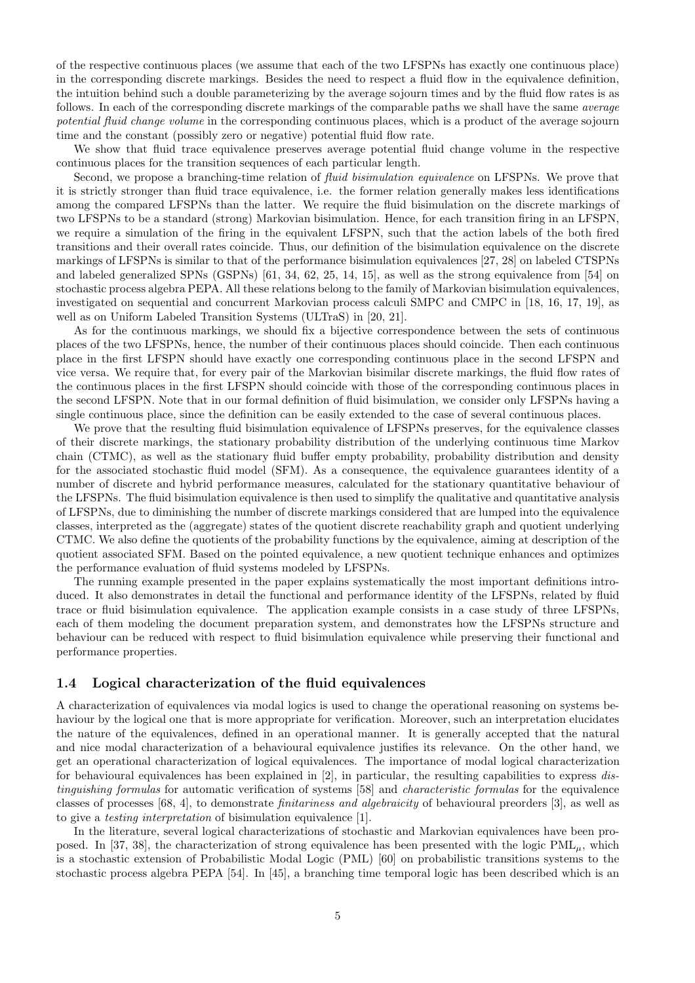of the respective continuous places (we assume that each of the two LFSPNs has exactly one continuous place) in the corresponding discrete markings. Besides the need to respect a fluid flow in the equivalence definition, the intuition behind such a double parameterizing by the average sojourn times and by the fluid flow rates is as follows. In each of the corresponding discrete markings of the comparable paths we shall have the same average potential fluid change volume in the corresponding continuous places, which is a product of the average sojourn time and the constant (possibly zero or negative) potential fluid flow rate.

We show that fluid trace equivalence preserves average potential fluid change volume in the respective continuous places for the transition sequences of each particular length.

Second, we propose a branching-time relation of *fluid bisimulation equivalence* on LFSPNs. We prove that it is strictly stronger than fluid trace equivalence, i.e. the former relation generally makes less identifications among the compared LFSPNs than the latter. We require the fluid bisimulation on the discrete markings of two LFSPNs to be a standard (strong) Markovian bisimulation. Hence, for each transition firing in an LFSPN, we require a simulation of the firing in the equivalent LFSPN, such that the action labels of the both fired transitions and their overall rates coincide. Thus, our definition of the bisimulation equivalence on the discrete markings of LFSPNs is similar to that of the performance bisimulation equivalences [27, 28] on labeled CTSPNs and labeled generalized SPNs (GSPNs) [61, 34, 62, 25, 14, 15], as well as the strong equivalence from [54] on stochastic process algebra PEPA. All these relations belong to the family of Markovian bisimulation equivalences, investigated on sequential and concurrent Markovian process calculi SMPC and CMPC in [18, 16, 17, 19], as well as on Uniform Labeled Transition Systems (ULTraS) in [20, 21].

As for the continuous markings, we should fix a bijective correspondence between the sets of continuous places of the two LFSPNs, hence, the number of their continuous places should coincide. Then each continuous place in the first LFSPN should have exactly one corresponding continuous place in the second LFSPN and vice versa. We require that, for every pair of the Markovian bisimilar discrete markings, the fluid flow rates of the continuous places in the first LFSPN should coincide with those of the corresponding continuous places in the second LFSPN. Note that in our formal definition of fluid bisimulation, we consider only LFSPNs having a single continuous place, since the definition can be easily extended to the case of several continuous places.

We prove that the resulting fluid bisimulation equivalence of LFSPNs preserves, for the equivalence classes of their discrete markings, the stationary probability distribution of the underlying continuous time Markov chain (CTMC), as well as the stationary fluid buffer empty probability, probability distribution and density for the associated stochastic fluid model (SFM). As a consequence, the equivalence guarantees identity of a number of discrete and hybrid performance measures, calculated for the stationary quantitative behaviour of the LFSPNs. The fluid bisimulation equivalence is then used to simplify the qualitative and quantitative analysis of LFSPNs, due to diminishing the number of discrete markings considered that are lumped into the equivalence classes, interpreted as the (aggregate) states of the quotient discrete reachability graph and quotient underlying CTMC. We also define the quotients of the probability functions by the equivalence, aiming at description of the quotient associated SFM. Based on the pointed equivalence, a new quotient technique enhances and optimizes the performance evaluation of fluid systems modeled by LFSPNs.

The running example presented in the paper explains systematically the most important definitions introduced. It also demonstrates in detail the functional and performance identity of the LFSPNs, related by fluid trace or fluid bisimulation equivalence. The application example consists in a case study of three LFSPNs, each of them modeling the document preparation system, and demonstrates how the LFSPNs structure and behaviour can be reduced with respect to fluid bisimulation equivalence while preserving their functional and performance properties.

#### 1.4 Logical characterization of the fluid equivalences

A characterization of equivalences via modal logics is used to change the operational reasoning on systems behaviour by the logical one that is more appropriate for verification. Moreover, such an interpretation elucidates the nature of the equivalences, defined in an operational manner. It is generally accepted that the natural and nice modal characterization of a behavioural equivalence justifies its relevance. On the other hand, we get an operational characterization of logical equivalences. The importance of modal logical characterization for behavioural equivalences has been explained in [2], in particular, the resulting capabilities to express distinguishing formulas for automatic verification of systems [58] and characteristic formulas for the equivalence classes of processes [68, 4], to demonstrate finitariness and algebraicity of behavioural preorders [3], as well as to give a testing interpretation of bisimulation equivalence [1].

In the literature, several logical characterizations of stochastic and Markovian equivalences have been proposed. In [37, 38], the characterization of strong equivalence has been presented with the logic  $\text{PML}_u$ , which is a stochastic extension of Probabilistic Modal Logic (PML) [60] on probabilistic transitions systems to the stochastic process algebra PEPA [54]. In [45], a branching time temporal logic has been described which is an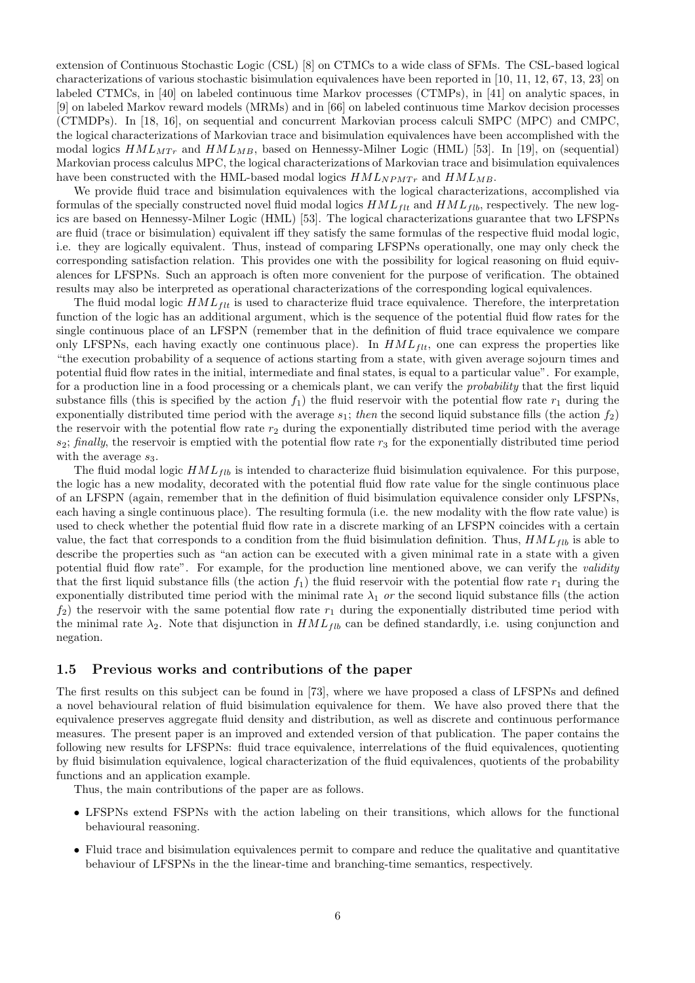extension of Continuous Stochastic Logic (CSL) [8] on CTMCs to a wide class of SFMs. The CSL-based logical characterizations of various stochastic bisimulation equivalences have been reported in [10, 11, 12, 67, 13, 23] on labeled CTMCs, in [40] on labeled continuous time Markov processes (CTMPs), in [41] on analytic spaces, in [9] on labeled Markov reward models (MRMs) and in [66] on labeled continuous time Markov decision processes (CTMDPs). In [18, 16], on sequential and concurrent Markovian process calculi SMPC (MPC) and CMPC, the logical characterizations of Markovian trace and bisimulation equivalences have been accomplished with the modal logics  $HML_{MTr}$  and  $HML_{MB}$ , based on Hennessy-Milner Logic (HML) [53]. In [19], on (sequential) Markovian process calculus MPC, the logical characterizations of Markovian trace and bisimulation equivalences have been constructed with the HML-based modal logics  $HML_{NPMTr}$  and  $HML_{MB}$ .

We provide fluid trace and bisimulation equivalences with the logical characterizations, accomplished via formulas of the specially constructed novel fluid modal logics  $HML_{flt}$  and  $HML_{flb}$ , respectively. The new logics are based on Hennessy-Milner Logic (HML) [53]. The logical characterizations guarantee that two LFSPNs are fluid (trace or bisimulation) equivalent iff they satisfy the same formulas of the respective fluid modal logic, i.e. they are logically equivalent. Thus, instead of comparing LFSPNs operationally, one may only check the corresponding satisfaction relation. This provides one with the possibility for logical reasoning on fluid equivalences for LFSPNs. Such an approach is often more convenient for the purpose of verification. The obtained results may also be interpreted as operational characterizations of the corresponding logical equivalences.

The fluid modal logic  $HML_{\text{f}tt}$  is used to characterize fluid trace equivalence. Therefore, the interpretation function of the logic has an additional argument, which is the sequence of the potential fluid flow rates for the single continuous place of an LFSPN (remember that in the definition of fluid trace equivalence we compare only LFSPNs, each having exactly one continuous place). In  $HML_{flt}$ , one can express the properties like "the execution probability of a sequence of actions starting from a state, with given average sojourn times and potential fluid flow rates in the initial, intermediate and final states, is equal to a particular value". For example, for a production line in a food processing or a chemicals plant, we can verify the probability that the first liquid substance fills (this is specified by the action  $f_1$ ) the fluid reservoir with the potential flow rate  $r_1$  during the exponentially distributed time period with the average  $s_1$ ; then the second liquid substance fills (the action  $f_2$ ) the reservoir with the potential flow rate  $r_2$  during the exponentially distributed time period with the average  $s_2$ ; finally, the reservoir is emptied with the potential flow rate  $r_3$  for the exponentially distributed time period with the average  $s_3$ .

The fluid modal logic  $HML_{fib}$  is intended to characterize fluid bisimulation equivalence. For this purpose, the logic has a new modality, decorated with the potential fluid flow rate value for the single continuous place of an LFSPN (again, remember that in the definition of fluid bisimulation equivalence consider only LFSPNs, each having a single continuous place). The resulting formula (i.e. the new modality with the flow rate value) is used to check whether the potential fluid flow rate in a discrete marking of an LFSPN coincides with a certain value, the fact that corresponds to a condition from the fluid bisimulation definition. Thus,  $HML_{flb}$  is able to describe the properties such as "an action can be executed with a given minimal rate in a state with a given potential fluid flow rate". For example, for the production line mentioned above, we can verify the validity that the first liquid substance fills (the action  $f_1$ ) the fluid reservoir with the potential flow rate  $r_1$  during the exponentially distributed time period with the minimal rate  $\lambda_1$  or the second liquid substance fills (the action  $f_2$ ) the reservoir with the same potential flow rate  $r_1$  during the exponentially distributed time period with the minimal rate  $\lambda_2$ . Note that disjunction in  $HML_{fib}$  can be defined standardly, i.e. using conjunction and negation.

#### 1.5 Previous works and contributions of the paper

The first results on this subject can be found in [73], where we have proposed a class of LFSPNs and defined a novel behavioural relation of fluid bisimulation equivalence for them. We have also proved there that the equivalence preserves aggregate fluid density and distribution, as well as discrete and continuous performance measures. The present paper is an improved and extended version of that publication. The paper contains the following new results for LFSPNs: fluid trace equivalence, interrelations of the fluid equivalences, quotienting by fluid bisimulation equivalence, logical characterization of the fluid equivalences, quotients of the probability functions and an application example.

Thus, the main contributions of the paper are as follows.

- LFSPNs extend FSPNs with the action labeling on their transitions, which allows for the functional behavioural reasoning.
- Fluid trace and bisimulation equivalences permit to compare and reduce the qualitative and quantitative behaviour of LFSPNs in the the linear-time and branching-time semantics, respectively.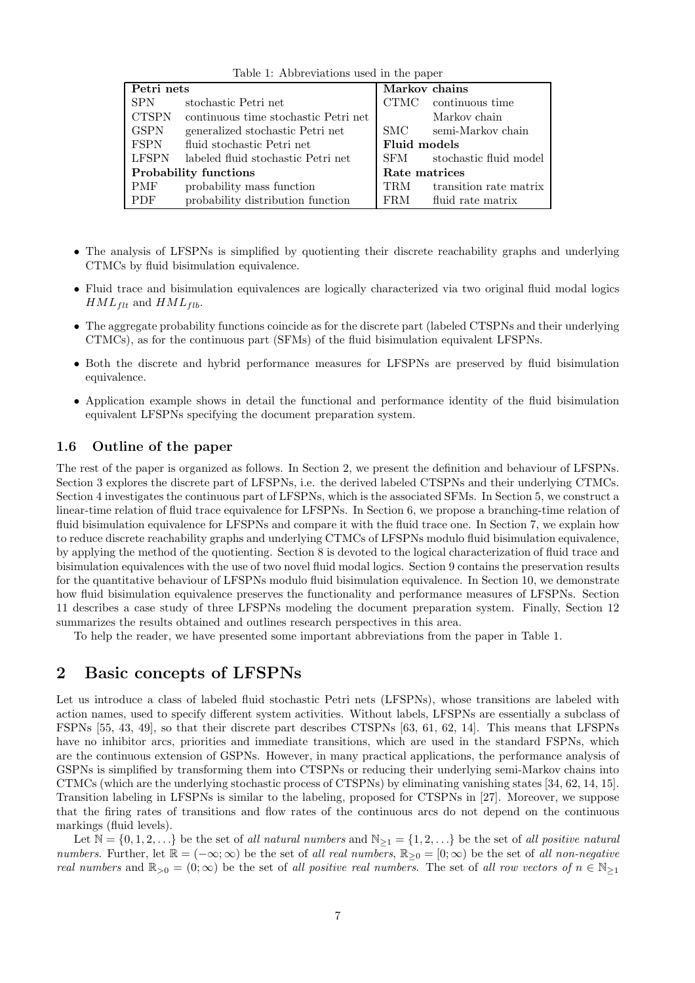|  | Table 1: Abbreviations used in the paper |  |  |  |  |
|--|------------------------------------------|--|--|--|--|
|--|------------------------------------------|--|--|--|--|

| Petri nets                   |                                      | Markov chains |                        |  |
|------------------------------|--------------------------------------|---------------|------------------------|--|
| <b>SPN</b>                   | stochastic Petri net                 | CTMC .        | continuous time        |  |
| <b>CTSPN</b>                 | continuous time stochastic Petri net |               | Markov chain           |  |
| <b>GSPN</b>                  | generalized stochastic Petri net     | SMC –         | semi-Markov chain      |  |
| <b>FSPN</b>                  | fluid stochastic Petri net           | Fluid models  |                        |  |
| <b>LFSPN</b>                 | labeled fluid stochastic Petri net   | SFM –         | stochastic fluid model |  |
| <b>Probability functions</b> |                                      | Rate matrices |                        |  |
| <b>PMF</b>                   | probability mass function            | <b>TRM</b>    | transition rate matrix |  |
| <b>PDF</b>                   | probability distribution function    | FRM           | fluid rate matrix      |  |

- The analysis of LFSPNs is simplified by quotienting their discrete reachability graphs and underlying CTMCs by fluid bisimulation equivalence.
- Fluid trace and bisimulation equivalences are logically characterized via two original fluid modal logics  $HML_{\text{flt}}$  and  $HML_{\text{flb}}$ .
- The aggregate probability functions coincide as for the discrete part (labeled CTSPNs and their underlying CTMCs), as for the continuous part (SFMs) of the fluid bisimulation equivalent LFSPNs.
- Both the discrete and hybrid performance measures for LFSPNs are preserved by fluid bisimulation equivalence.
- Application example shows in detail the functional and performance identity of the fluid bisimulation equivalent LFSPNs specifying the document preparation system.

#### 1.6 Outline of the paper

The rest of the paper is organized as follows. In Section 2, we present the definition and behaviour of LFSPNs. Section 3 explores the discrete part of LFSPNs, i.e. the derived labeled CTSPNs and their underlying CTMCs. Section 4 investigates the continuous part of LFSPNs, which is the associated SFMs. In Section 5, we construct a linear-time relation of fluid trace equivalence for LFSPNs. In Section 6, we propose a branching-time relation of fluid bisimulation equivalence for LFSPNs and compare it with the fluid trace one. In Section 7, we explain how to reduce discrete reachability graphs and underlying CTMCs of LFSPNs modulo fluid bisimulation equivalence, by applying the method of the quotienting. Section 8 is devoted to the logical characterization of fluid trace and bisimulation equivalences with the use of two novel fluid modal logics. Section 9 contains the preservation results for the quantitative behaviour of LFSPNs modulo fluid bisimulation equivalence. In Section 10, we demonstrate how fluid bisimulation equivalence preserves the functionality and performance measures of LFSPNs. Section 11 describes a case study of three LFSPNs modeling the document preparation system. Finally, Section 12 summarizes the results obtained and outlines research perspectives in this area.

To help the reader, we have presented some important abbreviations from the paper in Table 1.

# 2 Basic concepts of LFSPNs

Let us introduce a class of labeled fluid stochastic Petri nets (LFSPNs), whose transitions are labeled with action names, used to specify different system activities. Without labels, LFSPNs are essentially a subclass of FSPNs [55, 43, 49], so that their discrete part describes CTSPNs [63, 61, 62, 14]. This means that LFSPNs have no inhibitor arcs, priorities and immediate transitions, which are used in the standard FSPNs, which are the continuous extension of GSPNs. However, in many practical applications, the performance analysis of GSPNs is simplified by transforming them into CTSPNs or reducing their underlying semi-Markov chains into CTMCs (which are the underlying stochastic process of CTSPNs) by eliminating vanishing states [34, 62, 14, 15]. Transition labeling in LFSPNs is similar to the labeling, proposed for CTSPNs in [27]. Moreover, we suppose that the firing rates of transitions and flow rates of the continuous arcs do not depend on the continuous markings (fluid levels).

Let  $\mathbb{N} = \{0, 1, 2, \ldots\}$  be the set of all natural numbers and  $\mathbb{N}_{\geq 1} = \{1, 2, \ldots\}$  be the set of all positive natural numbers. Further, let  $\mathbb{R} = (-\infty; \infty)$  be the set of all real numbers,  $\mathbb{R}_{\geq 0} = [0; \infty)$  be the set of all non-negative real numbers and  $\mathbb{R}_{>0} = (0;\infty)$  be the set of all positive real numbers. The set of all row vectors of  $n \in \mathbb{N}_{\geq 1}$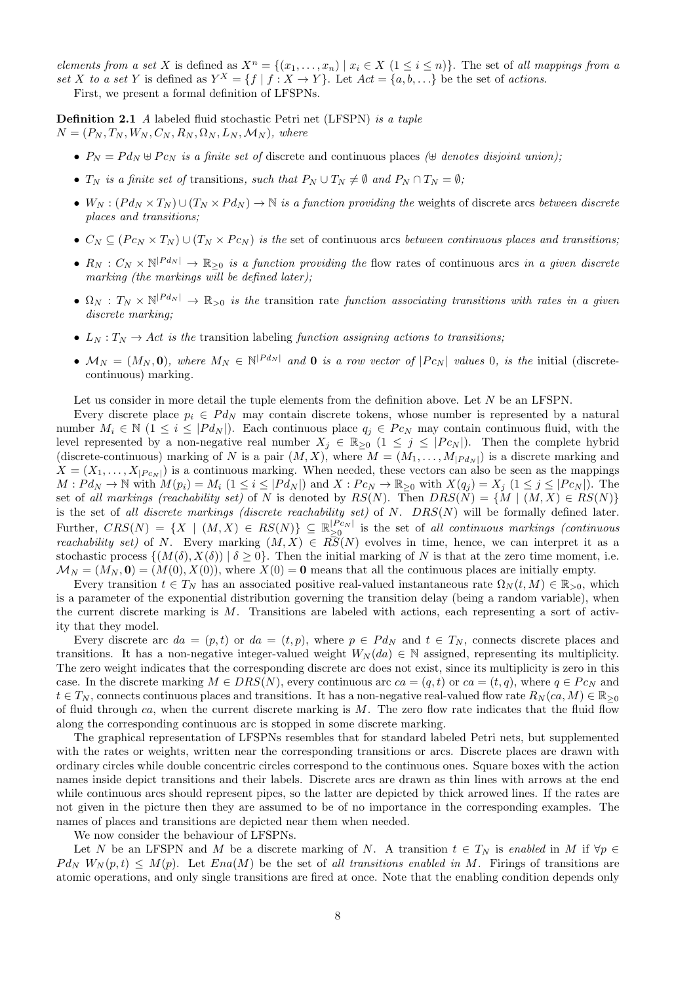elements from a set X is defined as  $X^n = \{(x_1, \ldots, x_n) \mid x_i \in X \ (1 \leq i \leq n)\}\.$  The set of all mappings from a set X to a set Y is defined as  $Y^X = \{f | f : X \to Y\}$ . Let  $Act = \{a, b, ...\}$  be the set of actions.

First, we present a formal definition of LFSPNs.

Definition 2.1 A labeled fluid stochastic Petri net (LFSPN) is a tuple  $N = (P_N, T_N, W_N, C_N, R_N, \Omega_N, L_N, \mathcal{M}_N)$ , where

- $P_N = P d_N \oplus P c_N$  is a finite set of discrete and continuous places ( $\oplus$  denotes disjoint union);
- $T_N$  is a finite set of transitions, such that  $P_N \cup T_N \neq \emptyset$  and  $P_N \cap T_N = \emptyset$ ;
- $W_N$ :  $(Pd_N \times T_N) \cup (T_N \times Pd_N) \to \mathbb{N}$  is a function providing the weights of discrete arcs between discrete places and transitions;
- $C_N \subseteq (P_{CN} \times T_N) \cup (T_N \times P_{CN})$  is the set of continuous arcs between continuous places and transitions;
- $R_N : C_N \times \mathbb{N}^{|P d_N|} \to \mathbb{R}_{\geq 0}$  is a function providing the flow rates of continuous arcs in a given discrete marking (the markings will be defined later);
- $\Omega_N : T_N \times \mathbb{N}^{|P d_N|} \to \mathbb{R}_{>0}$  is the transition rate function associating transitions with rates in a given discrete marking;
- $L_N: T_N \to Act$  is the transition labeling function assigning actions to transitions;
- $\mathcal{M}_N = (M_N, \mathbf{0}),$  where  $M_N \in \mathbb{N}^{|P d_N|}$  and **0** is a row vector of  $|P c_N|$  values 0, is the initial (discretecontinuous) marking.

Let us consider in more detail the tuple elements from the definition above. Let  $N$  be an LFSPN.

Every discrete place  $p_i \in P d_N$  may contain discrete tokens, whose number is represented by a natural number  $M_i \in \mathbb{N}$  (1  $\leq i \leq |P d_N|$ ). Each continuous place  $q_i \in P c_N$  may contain continuous fluid, with the level represented by a non-negative real number  $X_j \in \mathbb{R}_{\geq 0}$   $(1 \leq j \leq |P c_N|)$ . Then the complete hybrid (discrete-continuous) marking of N is a pair  $(M, X)$ , where  $M = (M_1, \ldots, M_{|P d_N|})$  is a discrete marking and  $X = (X_1, \ldots, X_{|P_{CN}|})$  is a continuous marking. When needed, these vectors can also be seen as the mappings  $M : P d_N \to \mathbb{N}$  with  $M(p_i) = M_i$   $(1 \leq i \leq |P d_N|)$  and  $X : P c_N \to \mathbb{R}_{\geq 0}$  with  $X(q_j) = X_j$   $(1 \leq j \leq |P c_N|)$ . The set of all markings (reachability set) of N is denoted by  $RS(N)$ . Then  $DRS(N) = \{M \mid (M, X) \in RS(N)\}$ is the set of all discrete markings (discrete reachability set) of  $N$ .  $DRS(N)$  will be formally defined later. Further,  $CRS(N) = \{X \mid (M, X) \in RS(N)\} \subseteq \mathbb{R}_{\geq 0}^{|P_{CN}|}$  $\sum_{n=0}^{\lfloor PCN \rfloor}$  is the set of all continuous markings (continuous reachability set) of N. Every marking  $(M, X) \in R\overline{S}(N)$  evolves in time, hence, we can interpret it as a stochastic process  $\{(M(\delta), X(\delta)) \mid \delta \geq 0\}$ . Then the initial marking of N is that at the zero time moment, i.e.  $\mathcal{M}_N = (M_N, 0) = (M(0), X(0))$ , where  $X(0) = 0$  means that all the continuous places are initially empty.

Every transition  $t \in T_N$  has an associated positive real-valued instantaneous rate  $\Omega_N(t, M) \in \mathbb{R}_{>0}$ , which is a parameter of the exponential distribution governing the transition delay (being a random variable), when the current discrete marking is  $M$ . Transitions are labeled with actions, each representing a sort of activity that they model.

Every discrete arc  $da = (p, t)$  or  $da = (t, p)$ , where  $p \in P d_N$  and  $t \in T_N$ , connects discrete places and transitions. It has a non-negative integer-valued weight  $W_N(da) \in \mathbb{N}$  assigned, representing its multiplicity. The zero weight indicates that the corresponding discrete arc does not exist, since its multiplicity is zero in this case. In the discrete marking  $M \in DRS(N)$ , every continuous arc  $ca = (q, t)$  or  $ca = (t, q)$ , where  $q \in P_{CN}$  and  $t \in T_N$ , connects continuous places and transitions. It has a non-negative real-valued flow rate  $R_N(ca, M) \in \mathbb{R}_{\geq 0}$ of fluid through ca, when the current discrete marking is  $M$ . The zero flow rate indicates that the fluid flow along the corresponding continuous arc is stopped in some discrete marking.

The graphical representation of LFSPNs resembles that for standard labeled Petri nets, but supplemented with the rates or weights, written near the corresponding transitions or arcs. Discrete places are drawn with ordinary circles while double concentric circles correspond to the continuous ones. Square boxes with the action names inside depict transitions and their labels. Discrete arcs are drawn as thin lines with arrows at the end while continuous arcs should represent pipes, so the latter are depicted by thick arrowed lines. If the rates are not given in the picture then they are assumed to be of no importance in the corresponding examples. The names of places and transitions are depicted near them when needed.

We now consider the behaviour of LFSPNs.

Let N be an LFSPN and M be a discrete marking of N. A transition  $t \in T_N$  is enabled in M if  $\forall p \in$  $P d_N W_N(p,t) \leq M(p)$ . Let  $Ena(M)$  be the set of all transitions enabled in M. Firings of transitions are atomic operations, and only single transitions are fired at once. Note that the enabling condition depends only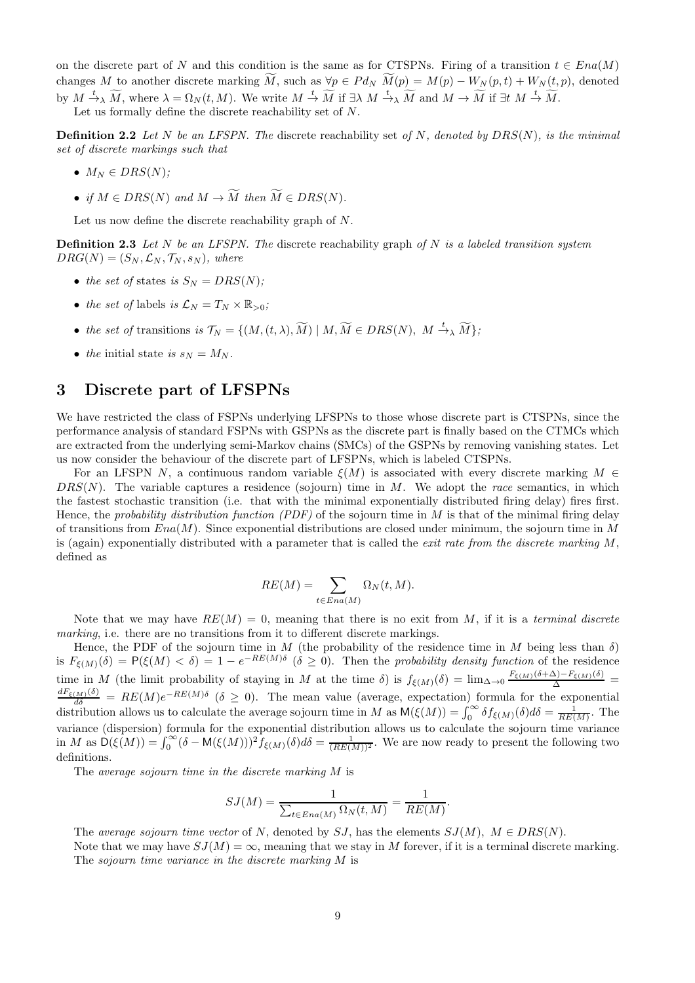on the discrete part of N and this condition is the same as for CTSPNs. Firing of a transition  $t \in Ena(M)$ changes M to another discrete marking  $\tilde{M}$ , such as  $\forall p \in P d_N$   $\tilde{M}(p) = M(p) - W_N(p, t) + W_N(t, p)$ , denoted by  $M \xrightarrow{t} \widetilde{M}$ , where  $\lambda = \Omega_N(t, M)$ . We write  $M \xrightarrow{t} \widetilde{M}$  if  $\exists \lambda \ M \xrightarrow{t} \widetilde{M}$  and  $M \to \widetilde{M}$  if  $\exists t \ M \xrightarrow{t} \widetilde{M}$ .

Let us formally define the discrete reachability set of N.

**Definition 2.2** Let N be an LFSPN. The discrete reachability set of N, denoted by  $DRS(N)$ , is the minimal set of discrete markings such that

- $M_N \in DRS(N)$ ;
- if  $M \in DRS(N)$  and  $M \to \widetilde{M}$  then  $\widetilde{M} \in DRS(N)$ .

Let us now define the discrete reachability graph of N.

**Definition 2.3** Let  $N$  be an LFSPN. The discrete reachability graph of  $N$  is a labeled transition system  $DRG(N) = (S_N, \mathcal{L}_N, \mathcal{T}_N, s_N),$  where

- the set of states is  $S_N = DRS(N);$
- the set of labels is  $\mathcal{L}_N = T_N \times \mathbb{R}_{>0}$ ;
- the set of transitions is  $\mathcal{T}_N = \{(M,(t,\lambda),\widetilde{M}) \mid M, \widetilde{M} \in DRS(N), M \stackrel{t}{\rightarrow} \widetilde{M}\};$
- the initial state is  $s_N = M_N$ .

### 3 Discrete part of LFSPNs

We have restricted the class of FSPNs underlying LFSPNs to those whose discrete part is CTSPNs, since the performance analysis of standard FSPNs with GSPNs as the discrete part is finally based on the CTMCs which are extracted from the underlying semi-Markov chains (SMCs) of the GSPNs by removing vanishing states. Let us now consider the behaviour of the discrete part of LFSPNs, which is labeled CTSPNs.

For an LFSPN N, a continuous random variable  $\xi(M)$  is associated with every discrete marking  $M \in$  $DRS(N)$ . The variable captures a residence (sojourn) time in M. We adopt the race semantics, in which the fastest stochastic transition (i.e. that with the minimal exponentially distributed firing delay) fires first. Hence, the probability distribution function (PDF) of the sojourn time in  $M$  is that of the minimal firing delay of transitions from  $Ena(M)$ . Since exponential distributions are closed under minimum, the sojourn time in M is (again) exponentially distributed with a parameter that is called the *exit rate from the discrete marking*  $M$ , defined as

$$
RE(M) = \sum_{t \in Ena(M)} \Omega_N(t, M).
$$

Note that we may have  $RE(M) = 0$ , meaning that there is no exit from M, if it is a terminal discrete marking, i.e. there are no transitions from it to different discrete markings.

Hence, the PDF of the sojourn time in M (the probability of the residence time in M being less than  $\delta$ ) is  $F_{\xi(M)}(\delta) = P(\xi(M) < \delta) = 1 - e^{-RE(M)\delta}$  ( $\delta \ge 0$ ). Then the probability density function of the residence time in M (the limit probability of staying in M at the time  $\delta$ ) is  $f_{\xi(M)}(\delta) = \lim_{\Delta \to 0} \frac{F_{\xi(M)}(\delta + \Delta) - F_{\xi(M)}(\delta)}{\Delta}$  $\frac{dF_{\xi(M)}(\delta)}{d\delta} = RE(M)e^{-RE(M)\delta}$  ( $\delta \geq 0$ ). The mean value (average, expectation) formula for the exponential distribution allows us to calculate the average sojourn time in M as  $M(\xi(M)) = \int_0^\infty \delta f_{\xi(M)}(\delta) d\delta = \frac{1}{RE(M)}$ . The variance (dispersion) formula for the exponential distribution allows us to calculate the sojourn time variance in M as  $\mathsf{D}(\xi(M)) = \int_0^\infty (\delta - \mathsf{M}(\xi(M)))^2 f_{\xi(M)}(\delta) d\delta = \frac{1}{(RE(M))^2}$ . We are now ready to present the following two definitions.

The average sojourn time in the discrete marking M is

$$
SJ(M) = \frac{1}{\sum_{t \in Ena(M)} \Omega_N(t, M)} = \frac{1}{RE(M)}.
$$

The average sojourn time vector of N, denoted by SJ, has the elements  $SJ(M)$ ,  $M \in DRS(N)$ .

Note that we may have  $SJ(M) = \infty$ , meaning that we stay in M forever, if it is a terminal discrete marking. The sojourn time variance in the discrete marking M is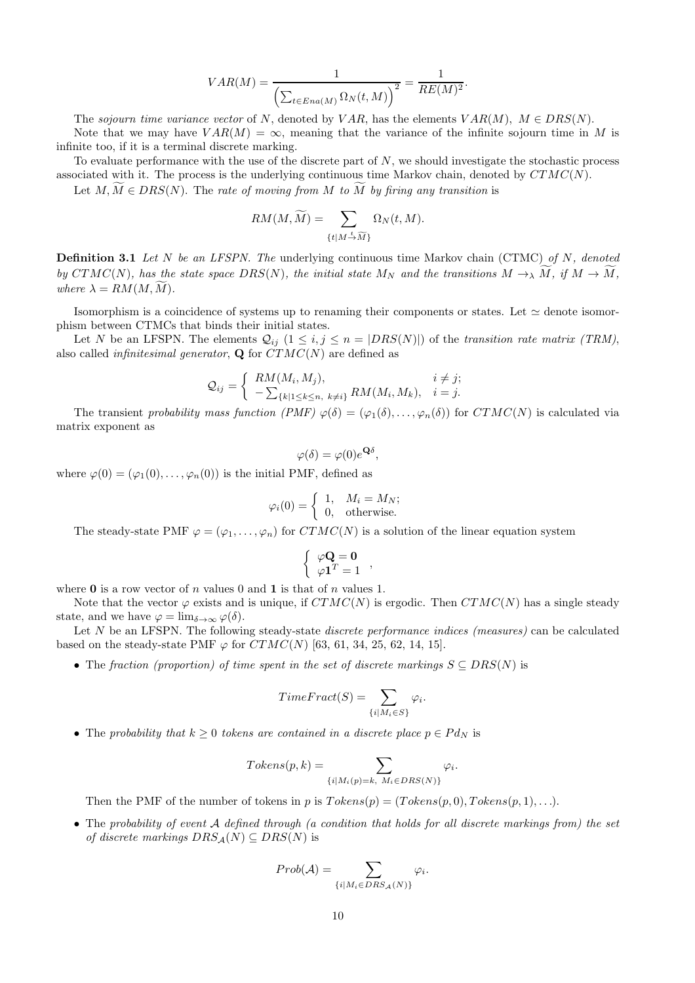$$
VAR(M) = \frac{1}{\left(\sum_{t \in Ena(M)} \Omega_N(t, M)\right)^2} = \frac{1}{RE(M)^2}.
$$

The sojourn time variance vector of N, denoted by VAR, has the elements  $VAR(M)$ ,  $M \in DIS(N)$ . Note that we may have  $VAR(M) = \infty$ , meaning that the variance of the infinite sojourn time in M is infinite too, if it is a terminal discrete marking.

To evaluate performance with the use of the discrete part of  $N$ , we should investigate the stochastic process associated with it. The process is the underlying continuous time Markov chain, denoted by  $CTMC(N)$ .

Let  $M, \overline{M} \in DRS(N)$ . The rate of moving from M to  $\overline{M}$  by firing any transition is

$$
RM(M,\widetilde{M}) = \sum_{\{t \mid M \stackrel{t}{\rightarrow} \widetilde{M}\}} \Omega_N(t,M).
$$

**Definition 3.1** Let N be an LFSPN. The underlying continuous time Markov chain (CTMC) of N, denoted by CTMC(N), has the state space  $DRS(N)$ , the initial state  $M_N$  and the transitions  $M \to \tilde{M}$ , if  $M \to \tilde{M}$ , where  $\lambda = RM(M, \tilde{M}).$ 

Isomorphism is a coincidence of systems up to renaming their components or states. Let ≃ denote isomorphism between CTMCs that binds their initial states.

Let N be an LFSPN. The elements  $Q_{ij}$   $(1 \le i, j \le n = |DRS(N)|)$  of the transition rate matrix (TRM), also called *infinitesimal generator*, **Q** for  $\overline{CTMC}(N)$  are defined as

$$
Q_{ij} = \begin{cases} RM(M_i, M_j), & i \neq j; \\ -\sum_{\{k|1 \leq k \leq n, \ k \neq i\}} RM(M_i, M_k), & i = j. \end{cases}
$$

The transient probability mass function  $(PMF) \varphi(\delta) = (\varphi_1(\delta), \ldots, \varphi_n(\delta))$  for  $CTMC(N)$  is calculated via matrix exponent as

$$
\varphi(\delta) = \varphi(0)e^{\mathbf{Q}\delta},
$$

where  $\varphi(0) = (\varphi_1(0), \ldots, \varphi_n(0))$  is the initial PMF, defined as

$$
\varphi_i(0) = \begin{cases} 1, & M_i = M_N; \\ 0, & \text{otherwise.} \end{cases}
$$

The steady-state PMF  $\varphi = (\varphi_1, \ldots, \varphi_n)$  for  $CTMC(N)$  is a solution of the linear equation system

$$
\left\{ \begin{array}{c} \varphi \mathbf{Q} = \mathbf{0} \\ \varphi \mathbf{1}^T = 1 \end{array} \right.,
$$

where  $\bf{0}$  is a row vector of n values 0 and 1 is that of n values 1.

Note that the vector  $\varphi$  exists and is unique, if  $CTMC(N)$  is ergodic. Then  $CTMC(N)$  has a single steady state, and we have  $\varphi = \lim_{\delta \to \infty} \varphi(\delta)$ .

Let  $N$  be an LFSPN. The following steady-state *discrete performance indices (measures)* can be calculated based on the steady-state PMF  $\varphi$  for  $CTMC(N)$  [63, 61, 34, 25, 62, 14, 15].

• The fraction (proportion) of time spent in the set of discrete markings  $S \subseteq DRS(N)$  is

$$
TimeFraction = \sum_{\{i \mid M_i \in S\}} \varphi_i.
$$

• The probability that  $k \geq 0$  tokens are contained in a discrete place  $p \in P d_N$  is

$$
Tokens(p, k) = \sum_{\{i \mid M_i(p)=k, M_i \in DRS(N)\}} \varphi_i.
$$

Then the PMF of the number of tokens in p is  $Tokes(p) = (Tokes(p, 0), Token(p, 1), \ldots).$ 

• The probability of event A defined through (a condition that holds for all discrete markings from) the set of discrete markings  $DRS_A(N) \subseteq DRS(N)$  is

$$
Prob(\mathcal{A}) = \sum_{\{i | M_i \in DRS_{\mathcal{A}}(N)\}} \varphi_i.
$$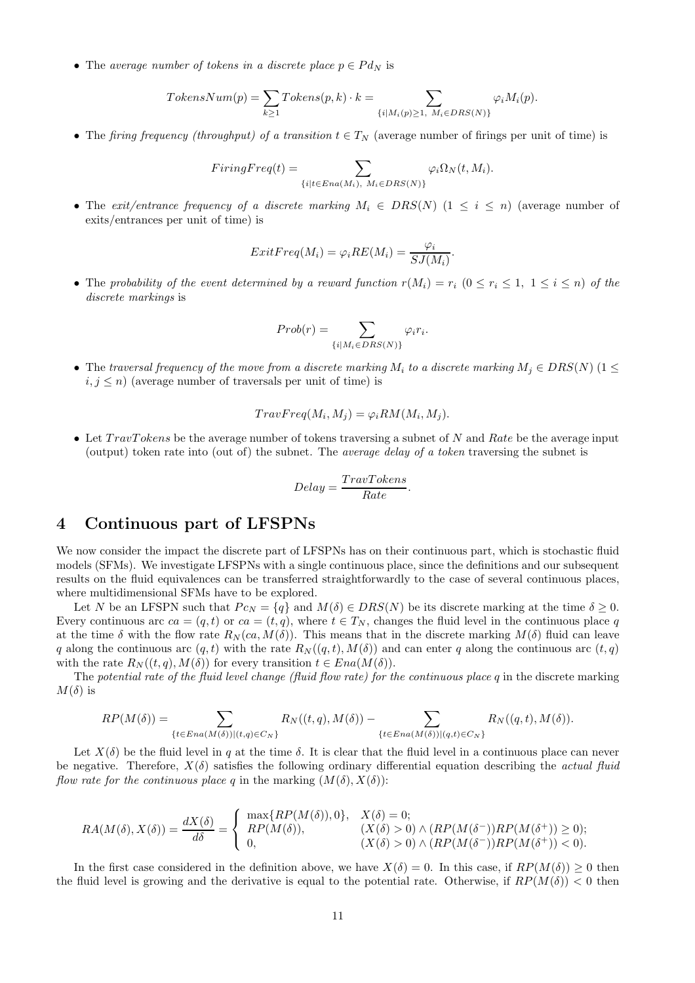• The average number of tokens in a discrete place  $p \in P d_N$  is

$$
TokensNum(p) = \sum_{k \ge 1} Tokens(p, k) \cdot k = \sum_{\{i \mid M_i(p) \ge 1, \ M_i \in DRS(N)\}} \varphi_i M_i(p).
$$

• The firing frequency (throughput) of a transition  $t \in T_N$  (average number of firings per unit of time) is

$$
FiringFreq(t) = \sum_{\{i | t \in Era(M_i), M_i \in DRS(N)\}} \varphi_i \Omega_N(t, M_i).
$$

• The exit/entrance frequency of a discrete marking  $M_i \in DIS(N)$   $(1 \leq i \leq n)$  (average number of exits/entrances per unit of time) is

$$
ExitFreq(M_i) = \varphi_i RE(M_i) = \frac{\varphi_i}{SJ(M_i)}.
$$

• The probability of the event determined by a reward function  $r(M_i) = r_i$   $(0 \le r_i \le 1, 1 \le i \le n)$  of the discrete markings is

$$
Prob(r) = \sum_{\{i \mid M_i \in DRS(N)\}} \varphi_i r_i.
$$

• The traversal frequency of the move from a discrete marking  $M_i$  to a discrete marking  $M_i \in DIS(N)$  (1  $\leq$  $i, j \leq n$ ) (average number of traversals per unit of time) is

$$
TravFreq(M_i, M_j) = \varphi_i RM(M_i, M_j).
$$

• Let  $TravTokens$  be the average number of tokens traversing a subnet of N and Rate be the average input (output) token rate into (out of) the subnet. The *average delay of a token* traversing the subnet is

$$
Delay = \frac{TravTokens}{Rate}.
$$

### 4 Continuous part of LFSPNs

We now consider the impact the discrete part of LFSPNs has on their continuous part, which is stochastic fluid models (SFMs). We investigate LFSPNs with a single continuous place, since the definitions and our subsequent results on the fluid equivalences can be transferred straightforwardly to the case of several continuous places, where multidimensional SFMs have to be explored.

Let N be an LFSPN such that  $P c_N = \{q\}$  and  $M(\delta) \in DRS(N)$  be its discrete marking at the time  $\delta \geq 0$ . Every continuous arc  $ca = (q, t)$  or  $ca = (t, q)$ , where  $t \in T_N$ , changes the fluid level in the continuous place q at the time  $\delta$  with the flow rate  $R_N(\alpha, M(\delta))$ . This means that in the discrete marking  $M(\delta)$  fluid can leave q along the continuous arc  $(q, t)$  with the rate  $R_N((q, t), M(\delta))$  and can enter q along the continuous arc  $(t, q)$ with the rate  $R_N((t, q), M(\delta))$  for every transition  $t \in Ena(M(\delta)).$ 

The potential rate of the fluid level change (fluid flow rate) for the continuous place q in the discrete marking  $M(\delta)$  is

$$
RP(M(\delta)) = \sum_{\{t \in Ena(M(\delta))|(t,q) \in C_N\}} R_N((t,q),M(\delta)) - \sum_{\{t \in Ena(M(\delta))|(q,t) \in C_N\}} R_N((q,t),M(\delta)).
$$

Let  $X(\delta)$  be the fluid level in q at the time  $\delta$ . It is clear that the fluid level in a continuous place can never be negative. Therefore,  $X(\delta)$  satisfies the following ordinary differential equation describing the *actual fluid* flow rate for the continuous place q in the marking  $(M(\delta), X(\delta))$ :

$$
RA(M(\delta), X(\delta)) = \frac{dX(\delta)}{d\delta} = \begin{cases} \max\{RP(M(\delta)), 0\}, & X(\delta) = 0; \\ RP(M(\delta)), & (X(\delta) > 0) \land (RP(M(\delta^-))RP(M(\delta^+)) \ge 0); \\ 0, & (X(\delta) > 0) \land (RP(M(\delta^-))RP(M(\delta^+)) < 0). \end{cases}
$$

In the first case considered in the definition above, we have  $X(\delta) = 0$ . In this case, if  $RP(M(\delta)) \geq 0$  then the fluid level is growing and the derivative is equal to the potential rate. Otherwise, if  $RP(M(\delta)) < 0$  then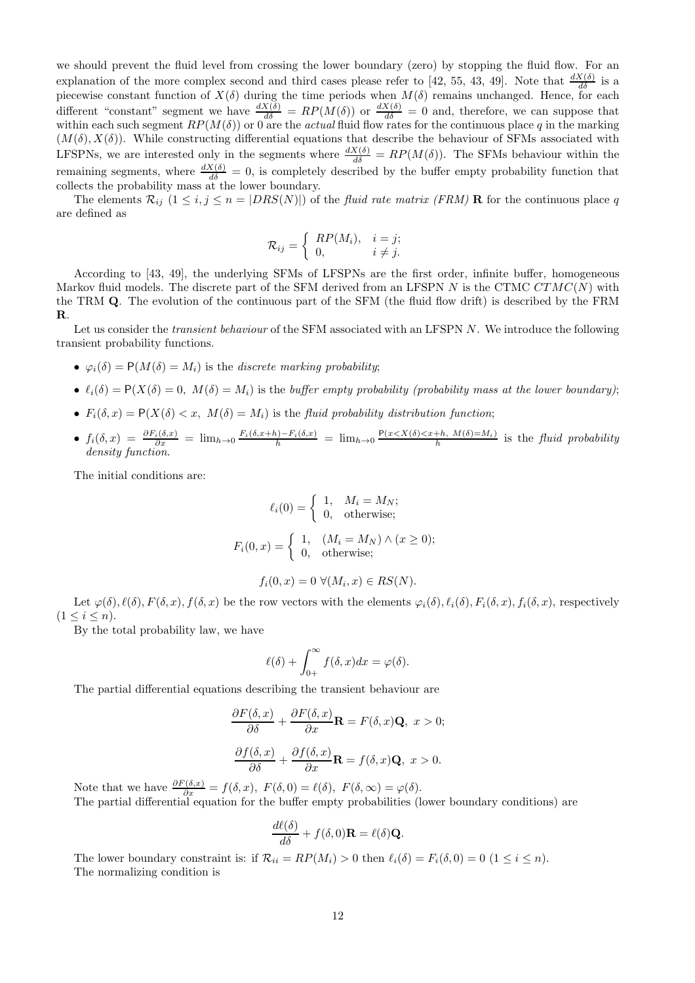we should prevent the fluid level from crossing the lower boundary (zero) by stopping the fluid flow. For an explanation of the more complex second and third cases please refer to [42, 55, 43, 49]. Note that  $\frac{dX(\delta)}{d\delta}$  is a piecewise constant function of  $X(\delta)$  during the time periods when  $M(\delta)$  remains unchanged. Hence, for each different "constant" segment we have  $\frac{dX(\delta)}{d\delta} = RP(M(\delta))$  or  $\frac{dX(\delta)}{d\delta} = 0$  and, therefore, we can suppose that within each such segment  $RP(M(\delta))$  or 0 are the *actual* fluid flow rates for the continuous place q in the marking  $(M(\delta), X(\delta))$ . While constructing differential equations that describe the behaviour of SFMs associated with LFSPNs, we are interested only in the segments where  $\frac{dX(\delta)}{d\delta} = RP(M(\delta))$ . The SFMs behaviour within the remaining segments, where  $\frac{dX(\delta)}{d\delta} = 0$ , is completely described by the buffer empty probability function that collects the probability mass at the lower boundary.

The elements  $\mathcal{R}_{ij}$   $(1 \le i, j \le n = |DRS(N)|)$  of the *fluid rate matrix (FRM)* **R** for the continuous place q are defined as

$$
\mathcal{R}_{ij} = \begin{cases} RP(M_i), & i = j; \\ 0, & i \neq j. \end{cases}
$$

According to [43, 49], the underlying SFMs of LFSPNs are the first order, infinite buffer, homogeneous Markov fluid models. The discrete part of the SFM derived from an LFSPN  $N$  is the CTMC  $CTMC(N)$  with the TRM Q. The evolution of the continuous part of the SFM (the fluid flow drift) is described by the FRM R.

Let us consider the *transient behaviour* of the SFM associated with an LFSPN N. We introduce the following transient probability functions.

- $\varphi_i(\delta) = P(M(\delta) = M_i)$  is the discrete marking probability;
- $\ell_i(\delta) = P(X(\delta) = 0, M(\delta) = M_i)$  is the buffer empty probability (probability mass at the lower boundary);
- $F_i(\delta, x) = P(X(\delta) < x, M(\delta) = M_i)$  is the fluid probability distribution function;
- $f_i(\delta, x) = \frac{\partial F_i(\delta, x)}{\partial x} = \lim_{h \to 0} \frac{F_i(\delta, x+h) F_i(\delta, x)}{h} = \lim_{h \to 0} \frac{P(x \le X(\delta) \le x+h, M(\delta) = M_i)}{h}$  is the fluid probability density function.

The initial conditions are:

$$
\ell_i(0) = \begin{cases} 1, & M_i = M_N; \\ 0, & \text{otherwise}; \end{cases}
$$
\n
$$
F_i(0, x) = \begin{cases} 1, & (M_i = M_N) \land (x \ge 0); \\ 0, & \text{otherwise}; \end{cases}
$$

$$
f_i(0, x) = 0 \ \forall (M_i, x) \in RS(N).
$$

Let  $\varphi(\delta), \ell(\delta), F(\delta, x), f(\delta, x)$  be the row vectors with the elements  $\varphi_i(\delta), \ell_i(\delta), F_i(\delta, x), f_i(\delta, x)$ , respectively  $(1 \le i \le n).$ 

By the total probability law, we have

$$
\ell(\delta) + \int_{0+}^{\infty} f(\delta, x) dx = \varphi(\delta).
$$

The partial differential equations describing the transient behaviour are

$$
\frac{\partial F(\delta, x)}{\partial \delta} + \frac{\partial F(\delta, x)}{\partial x} \mathbf{R} = F(\delta, x) \mathbf{Q}, \ x > 0;
$$

$$
\frac{\partial f(\delta, x)}{\partial \delta} + \frac{\partial f(\delta, x)}{\partial x} \mathbf{R} = f(\delta, x) \mathbf{Q}, \ x > 0.
$$

Note that we have  $\frac{\partial F(\delta,x)}{\partial x} = f(\delta,x), F(\delta,0) = \ell(\delta), F(\delta,\infty) = \varphi(\delta).$ The partial differential equation for the buffer empty probabilities (lower boundary conditions) are

$$
\frac{d\ell(\delta)}{d\delta} + f(\delta,0)\mathbf{R} = \ell(\delta)\mathbf{Q}.
$$

The lower boundary constraint is: if  $\mathcal{R}_{ii} = RP(M_i) > 0$  then  $\ell_i(\delta) = F_i(\delta, 0) = 0$   $(1 \le i \le n)$ . The normalizing condition is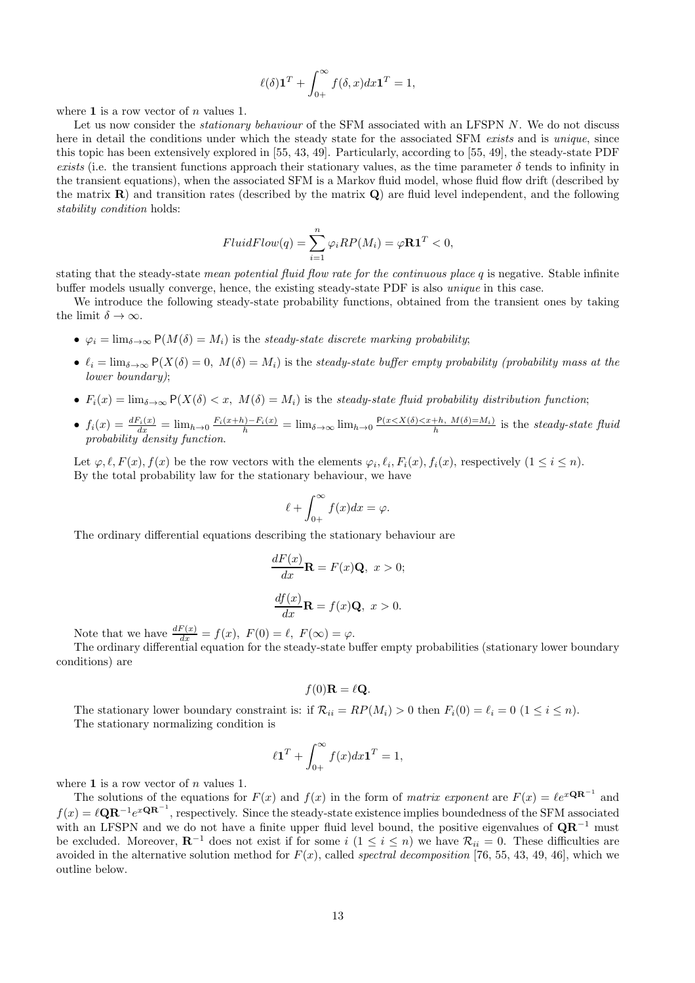$$
\ell(\delta)\mathbf{1}^T + \int_{0+}^{\infty} f(\delta, x) dx \mathbf{1}^T = 1,
$$

where  $1$  is a row vector of n values 1.

Let us now consider the *stationary behaviour* of the SFM associated with an LFSPN N. We do not discuss here in detail the conditions under which the steady state for the associated SFM exists and is unique, since this topic has been extensively explored in [55, 43, 49]. Particularly, according to [55, 49], the steady-state PDF exists (i.e. the transient functions approach their stationary values, as the time parameter  $\delta$  tends to infinity in the transient equations), when the associated SFM is a Markov fluid model, whose fluid flow drift (described by the matrix  $\bf{R}$ ) and transition rates (described by the matrix  $\bf{Q}$ ) are fluid level independent, and the following stability condition holds:

$$
FluidFlow(q) = \sum_{i=1}^{n} \varphi_i RP(M_i) = \varphi \mathbf{R} \mathbf{1}^T < 0,
$$

stating that the steady-state *mean potential fluid flow rate for the continuous place q* is negative. Stable infinite buffer models usually converge, hence, the existing steady-state PDF is also unique in this case.

We introduce the following steady-state probability functions, obtained from the transient ones by taking the limit  $\delta \to \infty$ .

- $\varphi_i = \lim_{\delta \to \infty} P(M(\delta) = M_i)$  is the steady-state discrete marking probability;
- $\ell_i = \lim_{\delta \to \infty} P(X(\delta) = 0, M(\delta) = M_i)$  is the steady-state buffer empty probability (probability mass at the lower boundary);
- $F_i(x) = \lim_{\delta \to \infty} P(X(\delta) < x, M(\delta) = M_i)$  is the steady-state fluid probability distribution function;
- $f_i(x) = \frac{dF_i(x)}{dx} = \lim_{h\to 0} \frac{F_i(x+h)-F_i(x)}{h} = \lim_{\delta\to\infty} \lim_{h\to 0} \frac{P(x\leq X(\delta)\leq x+h, M(\delta)=M_i)}{h}$  is the steady-state fluid probability density function.

Let  $\varphi, \ell, F(x), f(x)$  be the row vectors with the elements  $\varphi_i, \ell_i, F_i(x), f_i(x)$ , respectively  $(1 \leq i \leq n)$ . By the total probability law for the stationary behaviour, we have

$$
\ell + \int_{0+}^{\infty} f(x)dx = \varphi.
$$

The ordinary differential equations describing the stationary behaviour are

$$
\frac{dF(x)}{dx} \mathbf{R} = F(x) \mathbf{Q}, \ x > 0;
$$

$$
\frac{df(x)}{dx} \mathbf{R} = f(x) \mathbf{Q}, \ x > 0.
$$

Note that we have  $\frac{dF(x)}{dx} = f(x)$ ,  $F(0) = \ell$ ,  $F(\infty) = \varphi$ .

The ordinary differential equation for the steady-state buffer empty probabilities (stationary lower boundary conditions) are

$$
f(0)\mathbf{R} = \ell \mathbf{Q}.
$$

The stationary lower boundary constraint is: if  $\mathcal{R}_{ii} = RP(M_i) > 0$  then  $F_i(0) = \ell_i = 0$   $(1 \leq i \leq n)$ . The stationary normalizing condition is

$$
\ell \mathbf{1}^T + \int_{0+}^{\infty} f(x) dx \mathbf{1}^T = 1,
$$

where  $1$  is a row vector of n values 1.

The solutions of the equations for  $F(x)$  and  $f(x)$  in the form of matrix exponent are  $F(x) = \ell e^{x \mathbf{QR}^{-1}}$  and  $f(x) = \ell \mathbf{QR}^{-1}e^{x\mathbf{QR}^{-1}}$ , respectively. Since the steady-state existence implies boundedness of the SFM associated with an LFSPN and we do not have a finite upper fluid level bound, the positive eigenvalues of QR<sup>−1</sup> must be excluded. Moreover,  $\mathbb{R}^{-1}$  does not exist if for some  $i$   $(1 \leq i \leq n)$  we have  $\mathcal{R}_{ii} = 0$ . These difficulties are avoided in the alternative solution method for  $F(x)$ , called spectral decomposition [76, 55, 43, 49, 46], which we outline below.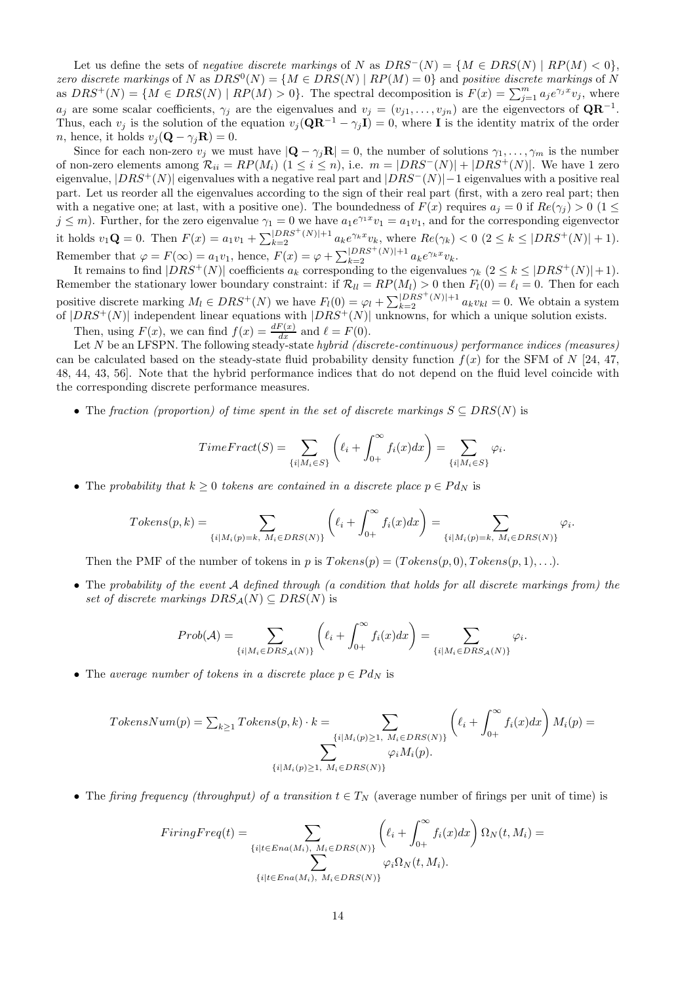Let us define the sets of *negative discrete markings* of N as  $DRS^{-}(N) = \{M \in DRS(N) \mid RP(M) < 0\},\$ zero discrete markings of N as  $DRS^{0}(N) = \{M \in DRS(N) \mid RP(M) = 0\}$  and positive discrete markings of N as  $DRS^+(N) = \{ M \in DRS(N) \mid RP(M) > 0 \}.$  The spectral decomposition is  $F(x) = \sum_{j=1}^m a_j e^{\gamma_j x} v_j$ , where  $a_j$  are some scalar coefficients,  $\gamma_j$  are the eigenvalues and  $v_j = (v_{j1}, \ldots, v_{jn})$  are the eigenvectors of  $\mathbf{QR}^{-1}$ . Thus, each  $v_j$  is the solution of the equation  $v_j(\mathbf{QR}^{-1} - \gamma_j \mathbf{I}) = 0$ , where **I** is the identity matrix of the order *n*, hence, it holds  $v_j(\mathbf{Q} - \gamma_j \mathbf{R}) = 0$ .

Since for each non-zero  $v_j$  we must have  $|\mathbf{Q} - \gamma_j \mathbf{R}| = 0$ , the number of solutions  $\gamma_1, \dots, \gamma_m$  is the number of non-zero elements among  $\mathcal{R}_{ii} = RP(M_i)$   $(1 \le i \le n)$ , i.e.  $m = |DRS^{-1}(N)| + |DRS^{+}(N)|$ . We have 1 zero eigenvalue,  $|DRS+(N)|$  eigenvalues with a negative real part and  $|DRS-(N)|-1$  eigenvalues with a positive real part. Let us reorder all the eigenvalues according to the sign of their real part (first, with a zero real part; then with a negative one; at last, with a positive one). The boundedness of  $F(x)$  requires  $a_j = 0$  if  $Re(\gamma_j) > 0$  (1  $\leq$  $j \leq m$ ). Further, for the zero eigenvalue  $\gamma_1 = 0$  we have  $a_1 e^{\gamma_1 x} v_1 = a_1 v_1$ , and for the corresponding eigenvector it holds  $v_1 \mathbf{Q} = 0$ . Then  $F(x) = a_1 v_1 + \sum_{k=2}^{|DRS^+(N)|+1} a_k e^{\gamma_k x} v_k$ , where  $Re(\gamma_k) < 0$   $(2 \le k \le |DRS^+(N)| + 1)$ . Remember that  $\varphi = F(\infty) = a_1v_1$ , hence,  $F(x) = \varphi + \sum_{k=2}^{|DRS^+(N)|+1} a_k e^{\gamma_k x} v_k$ .

It remains to find  $|DRS^+(N)|$  coefficients  $a_k$  corresponding to the eigenvalues  $\gamma_k$   $(2 \leq k \leq |DRS^+(N)| + 1)$ . Remember the stationary lower boundary constraint: if  $\mathcal{R}_{ll} = RP(M_l) > 0$  then  $F_l(0) = \ell_l = 0$ . Then for each positive discrete marking  $M_l \in DRS^+(N)$  we have  $F_l(0) = \varphi_l + \sum_{k=2}^{\lfloor DRS^+(N) \rfloor + 1} a_k v_{kl} = 0$ . We obtain a system of  $|DRS^+(N)|$  independent linear equations with  $|DRS^+(N)|$  unknowns, for which a unique solution exists.

Then, using  $F(x)$ , we can find  $f(x) = \frac{dF(x)}{dx}$  and  $\ell = F(0)$ .

Let N be an LFSPN. The following steady-state *hybrid (discrete-continuous) performance indices (measures)* can be calculated based on the steady-state fluid probability density function  $f(x)$  for the SFM of N [24, 47, 48, 44, 43, 56]. Note that the hybrid performance indices that do not depend on the fluid level coincide with the corresponding discrete performance measures.

• The fraction (proportion) of time spent in the set of discrete markings  $S \subseteq DRS(N)$  is

$$
TimeFrac(t) = \sum_{\{i \mid M_i \in S\}} \left( \ell_i + \int_{0+}^{\infty} f_i(x) dx \right) = \sum_{\{i \mid M_i \in S\}} \varphi_i.
$$

• The probability that  $k > 0$  tokens are contained in a discrete place  $p \in P d_N$  is

$$
Tokens(p,k) = \sum_{\{i \mid M_i(p)=k, \ M_i \in DRS(N)\}} \left( \ell_i + \int_{0+}^{\infty} f_i(x) dx \right) = \sum_{\{i \mid M_i(p)=k, \ M_i \in DRS(N)\}} \varphi_i.
$$

Then the PMF of the number of tokens in p is  $Tokes(p) = (Tokes(p, 0), Token(p, 1), \ldots).$ 

• The probability of the event  $A$  defined through (a condition that holds for all discrete markings from) the set of discrete markings  $DRS_A(N) \subseteq DRS(N)$  is

$$
Prob(\mathcal{A}) = \sum_{\{i \mid M_i \in DRS_{\mathcal{A}}(N)\}} \left( \ell_i + \int_{0+}^{\infty} f_i(x) dx \right) = \sum_{\{i \mid M_i \in DRS_{\mathcal{A}}(N)\}} \varphi_i.
$$

• The average number of tokens in a discrete place  $p \in P d_N$  is

$$
TokensNum(p) = \sum_{k \ge 1} Tokens(p, k) \cdot k = \sum_{\{i \mid M_i(p) \ge 1, M_i \in DRS(N)\}} \left( \ell_i + \int_{0+}^{\infty} f_i(x) dx \right) M_i(p) = \sum_{\{i \mid M_i(p) \ge 1, M_i \in DRS(N)\}} \left( \ell_i + \int_{0+}^{\infty} f_i(x) dx \right) M_i(p)
$$

• The firing frequency (throughput) of a transition  $t \in T_N$  (average number of firings per unit of time) is

$$
FiringFreq(t) = \sum_{\{i | t \in Ena(M_i), M_i \in DRS(N)\}} \left(\ell_i + \int_{0+}^{\infty} f_i(x) dx\right) \Omega_N(t, M_i) = \sum_{\{i | t \in Ena(M_i), M_i \in DRS(N)\}} \varphi_i \Omega_N(t, M_i).
$$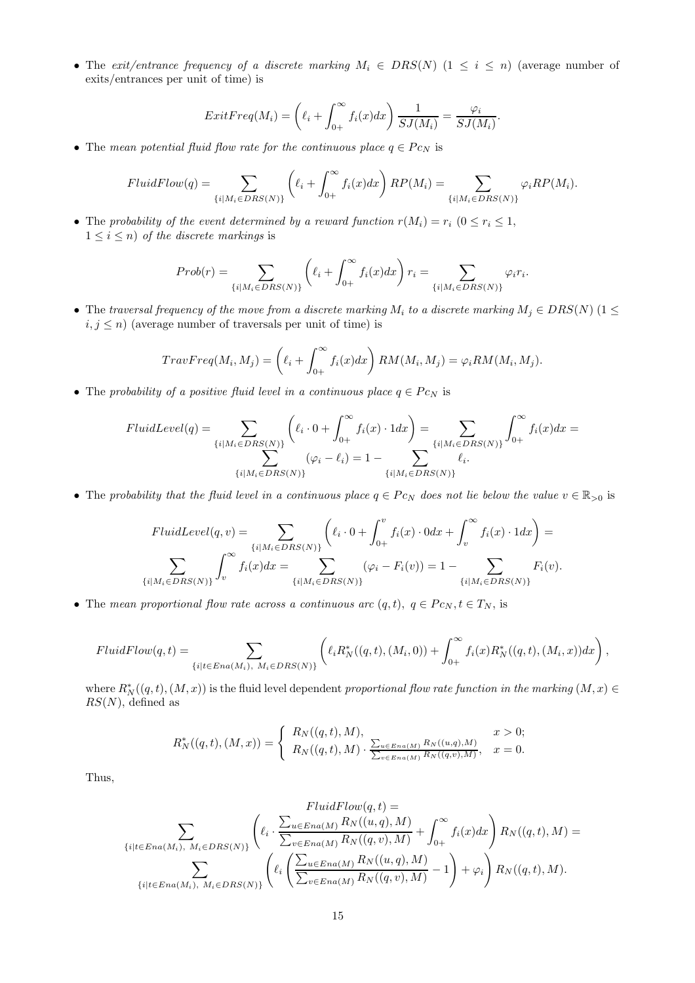• The exit/entrance frequency of a discrete marking  $M_i \in DRS(N)$   $(1 \leq i \leq n)$  (average number of exits/entrances per unit of time) is

$$
ExitFreq(M_i) = \left(\ell_i + \int_{0+}^{\infty} f_i(x)dx\right) \frac{1}{SJ(M_i)} = \frac{\varphi_i}{SJ(M_i)}.
$$

• The mean potential fluid flow rate for the continuous place  $q \in P_{C_N}$  is

$$
FluidFlow(q) = \sum_{\{i \mid M_i \in DRS(N)\}} \left( \ell_i + \int_{0+}^{\infty} f_i(x) dx \right) RP(M_i) = \sum_{\{i \mid M_i \in DRS(N)\}} \varphi_i RP(M_i).
$$

• The probability of the event determined by a reward function  $r(M_i) = r_i$  ( $0 \le r_i \le 1$ ,  $1 \leq i \leq n$ ) of the discrete markings is

$$
Prob(r) = \sum_{\{i \mid M_i \in DRS(N)\}} \left( \ell_i + \int_{0+}^{\infty} f_i(x) dx \right) r_i = \sum_{\{i \mid M_i \in DRS(N)\}} \varphi_i r_i.
$$

• The traversal frequency of the move from a discrete marking  $M_i$  to a discrete marking  $M_j \in DRS(N)$  (1  $\leq$  $i, j \leq n$ ) (average number of traversals per unit of time) is

$$
TravFreq(M_i, M_j) = \left(\ell_i + \int_{0+}^{\infty} f_i(x)dx\right)RM(M_i, M_j) = \varphi_i RM(M_i, M_j).
$$

• The probability of a positive fluid level in a continuous place  $q \in P_{CN}$  is

$$
FluidLevel(q) = \sum_{\{i \mid M_i \in DRS(N)\}} \left( \ell_i \cdot 0 + \int_{0+}^{\infty} f_i(x) \cdot 1 dx \right) = \sum_{\{i \mid M_i \in DRS(N)\}} \int_{0+}^{\infty} f_i(x) dx = \sum_{\{i \mid M_i \in DRS(N)\}} \left( \varphi_i - \ell_i \right) = 1 - \sum_{\{i \mid M_i \in DRS(N)\}} \ell_i.
$$

• The probability that the fluid level in a continuous place  $q \in P_{C_N}$  does not lie below the value  $v \in \mathbb{R}_{>0}$  is

$$
FluidLevel(q, v) = \sum_{\{i \mid M_i \in DRS(N)\}} \left( \ell_i \cdot 0 + \int_{0+}^{v} f_i(x) \cdot 0 dx + \int_{v}^{\infty} f_i(x) \cdot 1 dx \right) =
$$
  

$$
\sum_{\{i \mid M_i \in DRS(N)\}} \int_{v}^{\infty} f_i(x) dx = \sum_{\{i \mid M_i \in DRS(N)\}} (\varphi_i - F_i(v)) = 1 - \sum_{\{i \mid M_i \in DRS(N)\}} F_i(v).
$$

• The mean proportional flow rate across a continuous arc  $(q, t)$ ,  $q \in P c_N, t \in T_N$ , is

$$
FluidFlow(q,t) = \sum_{\{i | t \in Ena(M_i), M_i \in DRS(N)\}} \left( \ell_i R_N^*((q,t),(M_i,0)) + \int_{0+}^{\infty} f_i(x) R_N^*((q,t),(M_i,x))dx \right),
$$

where  $R^*_{N}((q,t),(M,x))$  is the fluid level dependent proportional flow rate function in the marking  $(M,x) \in$  $RS(N)$ , defined as

$$
R_N^*((q,t),(M,x)) = \begin{cases} R_N((q,t),M), & x > 0; \\ R_N((q,t),M) \cdot \frac{\sum_{u \in Ena(M)} R_N((u,q),M)}{\sum_{v \in Ena(M)} R_N((q,v),M)}, & x = 0. \end{cases}
$$

Thus,

$$
FluidFlow(q,t) =
$$
\n
$$
\sum_{\{i|t\in Ena(M_i), M_i\in DRS(N)\}} \left( \ell_i \cdot \frac{\sum_{u\in Ena(M)} R_N((u,q), M)}{\sum_{v\in Ena(M)} R_N((q, v), M)} + \int_{0+}^{\infty} f_i(x) dx \right) R_N((q, t), M) =
$$
\n
$$
\sum_{\{i|t\in Ena(M_i), M_i\in DRS(N)\}} \left( \ell_i \left( \frac{\sum_{u\in Ena(M)} R_N((u,q), M)}{\sum_{v\in Ena(M)} R_N((q, v), M)} - 1 \right) + \varphi_i \right) R_N((q, t), M).
$$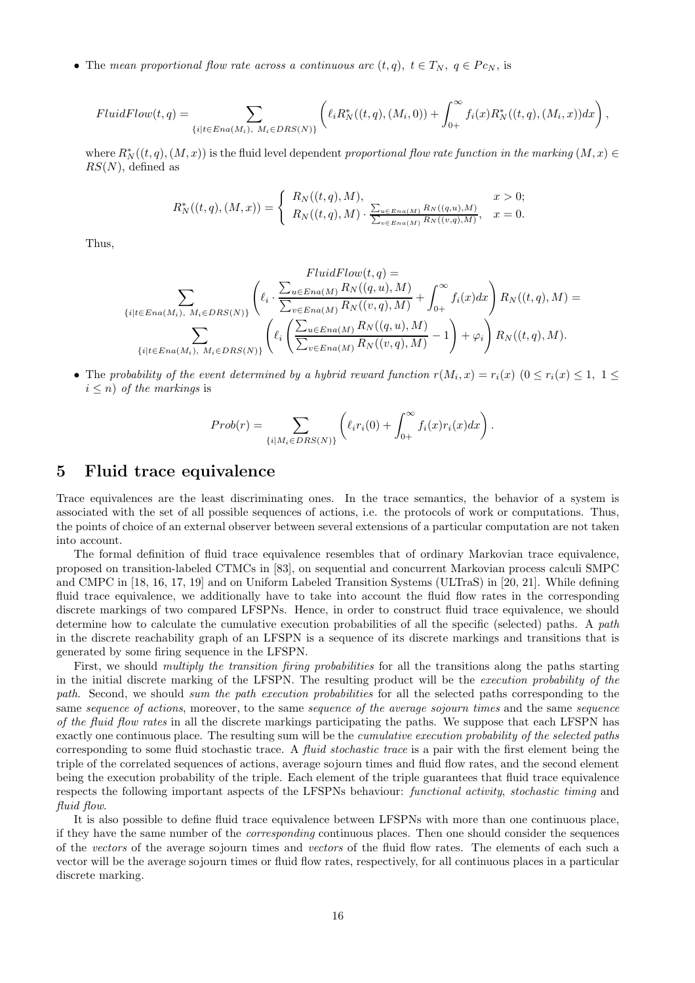• The mean proportional flow rate across a continuous arc  $(t, q)$ ,  $t \in T_N$ ,  $q \in P_{CN}$ , is

$$
FluidFlow(t,q) = \sum_{\{i | t \in Ena(M_i), M_i \in DRS(N)\}} \left( \ell_i R_N^*((t,q),(M_i,0)) + \int_{0+}^{\infty} f_i(x) R_N^*((t,q),(M_i,x)) dx \right),
$$

where  $R^*_{N}((t, q), (M, x))$  is the fluid level dependent proportional flow rate function in the marking  $(M, x) \in$  $RS(N)$ , defined as

$$
R_N^*((t,q),(M,x)) = \begin{cases} R_N((t,q),M), & x > 0; \\ R_N((t,q),M) \cdot \frac{\sum_{u \in Ena(M)} R_N((q,u),M)}{\sum_{v \in Ena(M)} R_N((v,q),M)}, & x = 0. \end{cases}
$$

Thus,

$$
FluidFlow(t,q) =
$$
\n
$$
\sum_{\{i|t\in Ena(M_i), M_i\in DRS(N)\}} \left( \ell_i \cdot \frac{\sum_{u\in Ena(M)} R_N((q,u), M)}{\sum_{v\in Ena(M)} R_N((v,q), M)} + \int_{0+}^{\infty} f_i(x) dx \right) R_N((t,q), M) =
$$
\n
$$
\sum_{\{i|t\in Ena(M_i), M_i\in DRS(N)\}} \left( \ell_i \left( \frac{\sum_{u\in Ena(M)} R_N((q,u), M)}{\sum_{v\in Ena(M)} R_N((v,q), M)} - 1 \right) + \varphi_i \right) R_N((t,q), M).
$$

• The probability of the event determined by a hybrid reward function  $r(M_i, x) = r_i(x)$   $(0 \le r_i(x) \le 1, 1 \le$  $i \leq n$ ) of the markings is

$$
Prob(r) = \sum_{\{i \mid M_i \in DRS(N)\}} \left( \ell_i r_i(0) + \int_{0+}^{\infty} f_i(x) r_i(x) dx \right).
$$

### 5 Fluid trace equivalence

Trace equivalences are the least discriminating ones. In the trace semantics, the behavior of a system is associated with the set of all possible sequences of actions, i.e. the protocols of work or computations. Thus, the points of choice of an external observer between several extensions of a particular computation are not taken into account.

The formal definition of fluid trace equivalence resembles that of ordinary Markovian trace equivalence, proposed on transition-labeled CTMCs in [83], on sequential and concurrent Markovian process calculi SMPC and CMPC in [18, 16, 17, 19] and on Uniform Labeled Transition Systems (ULTraS) in [20, 21]. While defining fluid trace equivalence, we additionally have to take into account the fluid flow rates in the corresponding discrete markings of two compared LFSPNs. Hence, in order to construct fluid trace equivalence, we should determine how to calculate the cumulative execution probabilities of all the specific (selected) paths. A path in the discrete reachability graph of an LFSPN is a sequence of its discrete markings and transitions that is generated by some firing sequence in the LFSPN.

First, we should multiply the transition firing probabilities for all the transitions along the paths starting in the initial discrete marking of the LFSPN. The resulting product will be the execution probability of the path. Second, we should sum the path execution probabilities for all the selected paths corresponding to the same sequence of actions, moreover, to the same sequence of the average sojourn times and the same sequence of the fluid flow rates in all the discrete markings participating the paths. We suppose that each LFSPN has exactly one continuous place. The resulting sum will be the cumulative execution probability of the selected paths corresponding to some fluid stochastic trace. A fluid stochastic trace is a pair with the first element being the triple of the correlated sequences of actions, average sojourn times and fluid flow rates, and the second element being the execution probability of the triple. Each element of the triple guarantees that fluid trace equivalence respects the following important aspects of the LFSPNs behaviour: functional activity, stochastic timing and fluid flow.

It is also possible to define fluid trace equivalence between LFSPNs with more than one continuous place, if they have the same number of the corresponding continuous places. Then one should consider the sequences of the vectors of the average sojourn times and vectors of the fluid flow rates. The elements of each such a vector will be the average sojourn times or fluid flow rates, respectively, for all continuous places in a particular discrete marking.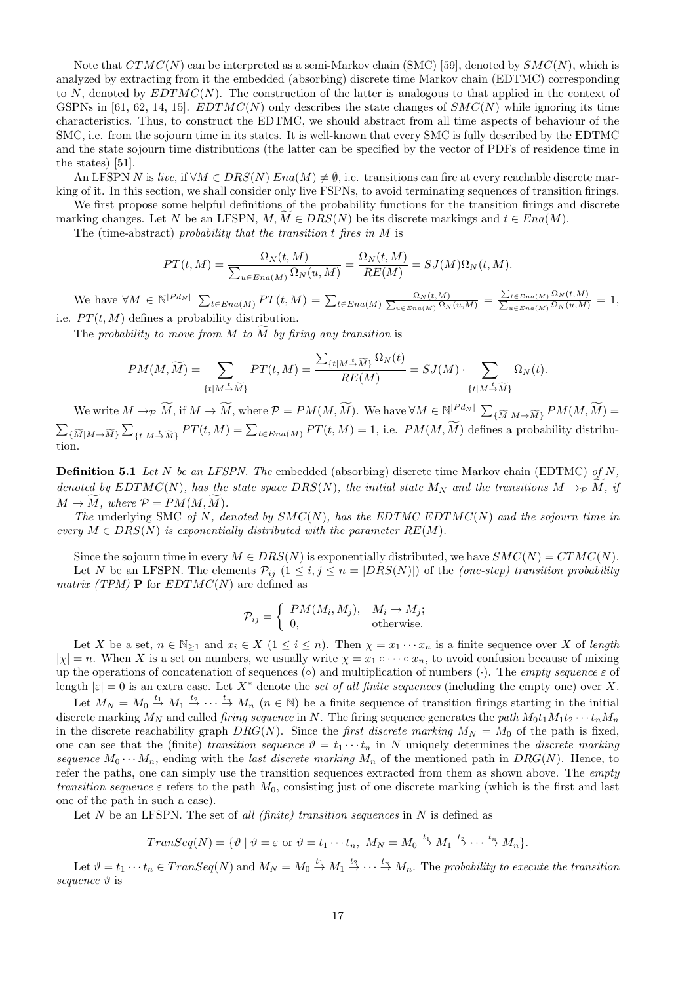Note that  $CTMC(N)$  can be interpreted as a semi-Markov chain (SMC) [59], denoted by  $SMC(N)$ , which is analyzed by extracting from it the embedded (absorbing) discrete time Markov chain (EDTMC) corresponding to N, denoted by  $EDTMC(N)$ . The construction of the latter is analogous to that applied in the context of GSPNs in [61, 62, 14, 15].  $EDTMC(N)$  only describes the state changes of  $SMC(N)$  while ignoring its time characteristics. Thus, to construct the EDTMC, we should abstract from all time aspects of behaviour of the SMC, i.e. from the sojourn time in its states. It is well-known that every SMC is fully described by the EDTMC and the state sojourn time distributions (the latter can be specified by the vector of PDFs of residence time in the states) [51].

An LFSPN N is live, if  $\forall M \in DRS(N) Ena(M) \neq \emptyset$ , i.e. transitions can fire at every reachable discrete marking of it. In this section, we shall consider only live FSPNs, to avoid terminating sequences of transition firings.

We first propose some helpful definitions of the probability functions for the transition firings and discrete marking changes. Let N be an LFSPN,  $M, M \in DRS(N)$  be its discrete markings and  $t \in Ena(M)$ .

The (time-abstract) probability that the transition  $t$  fires in  $M$  is

$$
PT(t, M) = \frac{\Omega_N(t, M)}{\sum_{u \in Ena(M)} \Omega_N(u, M)} = \frac{\Omega_N(t, M)}{RE(M)} = SJ(M)\Omega_N(t, M).
$$

We have  $\forall M \in \mathbb{N}^{|P d_N|}$   $\sum_{t \in E n a(M)} PT(t, M) = \sum_{t \in E n a(M)} \frac{\Omega_N(t, M)}{\sum_{u \in E n a(M)} \Omega_N(u, M)} = \frac{\sum_{t \in E n a(M)} \Omega_N(t, M)}{\sum_{u \in E n a(M)} \Omega_N(u, M)} = 1$ i.e.  $PT(t, M)$  defines a probability distribution.

The probability to move from  $M$  to  $M$  by firing any transition is

$$
PM(M, \widetilde{M}) = \sum_{\{t \mid M \stackrel{t}{\rightarrow} \widetilde{M}\}} PT(t, M) = \frac{\sum_{\{t \mid M \stackrel{t}{\rightarrow} \widetilde{M}\}} \Omega_N(t)}{RE(M)} = SJ(M) \cdot \sum_{\{t \mid M \stackrel{t}{\rightarrow} \widetilde{M}\}} \Omega_N(t).
$$

We write  $M \to \widetilde{M}$ , if  $M \to \widetilde{M}$ , where  $\mathcal{P} = PM(M, \widetilde{M})$ . We have  $\forall M \in \mathbb{N}^{|P d_N|}$   $\sum_{\{\widetilde{M}|M \to \widetilde{M}\}} PM(M, \widetilde{M}) =$  $\sum_{\{\widetilde{M}|M\rightarrow\widetilde{M}\}}\sum$  ${t \in \mathbb{N}} \{t | M \to \widetilde{M}\}$   $PT(t, M) = \sum_{t \in Ena(M)} PT(t, M) = 1$ , i.e.  $PM(M, \widetilde{M})$  defines a probability distribution.

**Definition 5.1** Let N be an LFSPN. The embedded (absorbing) discrete time Markov chain (EDTMC) of N, denoted by EDTMC(N), has the state space DRS(N), the initial state  $M_N$  and the transitions  $M \to_{\mathcal{P}} M$ , if  $M \to \widetilde{M}$ , where  $\mathcal{P} = PM(M, \widetilde{M})$ .

The underlying SMC of N, denoted by  $SMC(N)$ , has the EDTMC EDTMC(N) and the sojourn time in every  $M \in DRS(N)$  is exponentially distributed with the parameter  $RE(M)$ .

Since the sojourn time in every  $M \in DRS(N)$  is exponentially distributed, we have  $SMC(N) = CTMC(N)$ . Let N be an LFSPN. The elements  $P_{ij}$   $(1 \le i, j \le n = |DRS(N)|)$  of the *(one-step) transition probability matrix (TPM)* **P** for  $EDTMC(N)$  are defined as

$$
\mathcal{P}_{ij} = \begin{cases} PM(M_i, M_j), & M_i \to M_j; \\ 0, & \text{otherwise.} \end{cases}
$$

Let X be a set,  $n \in \mathbb{N}_{\geq 1}$  and  $x_i \in X$   $(1 \leq i \leq n)$ . Then  $\chi = x_1 \cdots x_n$  is a finite sequence over X of length  $|\chi| = n$ . When X is a set on numbers, we usually write  $\chi = x_1 \circ \cdots \circ x_n$ , to avoid confusion because of mixing up the operations of concatenation of sequences (◦) and multiplication of numbers (⋅). The empty sequence  $\varepsilon$  of length  $|\varepsilon| = 0$  is an extra case. Let  $X^*$  denote the set of all finite sequences (including the empty one) over X.

Let  $M_N = M_0 \stackrel{t_1}{\rightarrow} M_1 \stackrel{t_2}{\rightarrow} \cdots \stackrel{t_n}{\rightarrow} M_n$  ( $n \in \mathbb{N}$ ) be a finite sequence of transition firings starting in the initial discrete marking  $M_N$  and called *firing sequence* in N. The firing sequence generates the path  $M_0t_1M_1t_2\cdots t_nM_n$ in the discrete reachability graph  $DRG(N)$ . Since the *first discrete marking*  $M_N = M_0$  of the path is fixed, one can see that the (finite) transition sequence  $\vartheta = t_1 \cdots t_n$  in N uniquely determines the discrete marking sequence  $M_0 \cdots M_n$ , ending with the *last discrete marking*  $M_n$  of the mentioned path in DRG(N). Hence, to refer the paths, one can simply use the transition sequences extracted from them as shown above. The empty transition sequence  $\varepsilon$  refers to the path  $M_0$ , consisting just of one discrete marking (which is the first and last one of the path in such a case).

Let N be an LFSPN. The set of all (finite) transition sequences in  $N$  is defined as

$$
TransSeq(N) = \{ \vartheta \mid \vartheta = \varepsilon \text{ or } \vartheta = t_1 \cdots t_n, M_N = M_0 \stackrel{t_1}{\rightarrow} M_1 \stackrel{t_2}{\rightarrow} \cdots \stackrel{t_n}{\rightarrow} M_n \}.
$$

Let  $\vartheta = t_1 \cdots t_n \in Transeq(N)$  and  $M_N = M_0 \stackrel{t_1}{\rightarrow} M_1 \stackrel{t_2}{\rightarrow} \cdots \stackrel{t_n}{\rightarrow} M_n$ . The probability to execute the transition sequence  $\vartheta$  is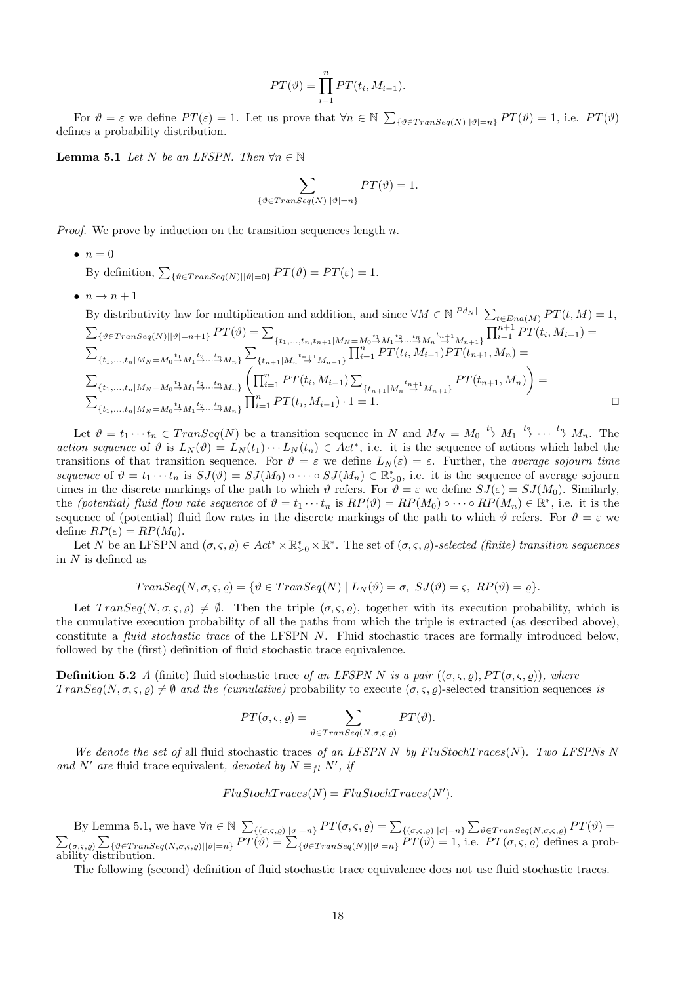$$
PT(\vartheta) = \prod_{i=1}^{n} PT(t_i, M_{i-1}).
$$

For  $\vartheta = \varepsilon$  we define  $PT(\varepsilon) = 1$ . Let us prove that  $\forall n \in \mathbb{N}$   $\sum_{\{\vartheta \in Transeq(N) \mid |\vartheta| = n\}} PT(\vartheta) = 1$ , i.e.  $PT(\vartheta)$ defines a probability distribution.

**Lemma 5.1** Let N be an LFSPN. Then  $\forall n \in \mathbb{N}$ 

$$
\sum_{\{\vartheta \in Transeq(N)||\vartheta|=n\}} PT(\vartheta) = 1.
$$

*Proof.* We prove by induction on the transition sequences length  $n$ .

 $\bullet$   $n=0$ 

By definition,  $\sum_{\{\vartheta \in Transeq(N) \mid |\vartheta|=0\}} PT(\vartheta) = PT(\varepsilon) = 1.$ 

 $\bullet$   $n \rightarrow n+1$ 

By distributivity law for multiplication and addition, and since  $\forall M \in \mathbb{N}^{|P d_N|}$   $\sum_{t \in Ena(M)} PT(t, M) = 1$ ,  $\sum_{\{\vartheta \in Transeq(N) \mid |\vartheta|=n+1\}} PT(\vartheta) = \sum_{\{t_1,...,t_n,t_{n+1} \mid M_N = M_0 \stackrel{t_1}{\rightarrow} M_1 \stackrel{t_2}{\rightarrow} ... \stackrel{t_n}{\rightarrow} M_n \stackrel{t_{n+1}}{\rightarrow} M_{n+1}\}} \prod_{i=1}^{n+1} PT(t_i,M_{i-1}) =$  $\sum$  ${t_1,...,t_n | M_N = M_0 \overset{t_1}{\rightarrow} M_1 \overset{t_2}{\rightarrow} ... \overset{t_n}{\rightarrow} M_n}$  $\{t_{n+1}|M_n \stackrel{t_{n+1}}{\rightarrow} M_{n+1}\}\prod_{i=1}^n PT(t_i,M_{i-1})PT(t_{n+1},M_n) =$  $\sum$  $\{t_1,\ldots,t_n | M_N = M_0 \stackrel{t_1}{\rightarrow} M_1 \stackrel{t_2}{\rightarrow} \cdots \stackrel{t_n}{\rightarrow} M_n\}$  $\left(\prod_{i=1}^n PT(t_i, M_{i-1})\sum\right)$  ${t_{n+1}|M_n \stackrel{t_{n+1}}{\rightarrow} M_{n+1}}PT(t_{n+1}, M_n)$  $\overline{ }$ =  $\sum$  ${t_1,...,t_n | M_N = M_0 \xrightarrow{t_1} M_1 \xrightarrow{t_2} ... \xrightarrow{t_n} M_n} \prod_{i=1}^n PT(t_i, M_{i-1}) \cdot 1 = 1.$ 

Let  $\vartheta = t_1 \cdots t_n \in Transeq(N)$  be a transition sequence in N and  $M_N = M_0 \stackrel{t_1}{\rightarrow} M_1 \stackrel{t_2}{\rightarrow} \cdots \stackrel{t_n}{\rightarrow} M_n$ . The action sequence of  $\vartheta$  is  $L_N(\vartheta) = L_N(t_1) \cdots L_N(t_n) \in Act^*$ , i.e. it is the sequence of actions which label the transitions of that transition sequence. For  $\vartheta = \varepsilon$  we define  $L_N(\varepsilon) = \varepsilon$ . Further, the *average sojourn time* sequence of  $\vartheta = t_1 \cdots t_n$  is  $SJ(\vartheta) = SJ(M_0) \circ \cdots \circ SJ(M_n) \in \mathbb{R}_{>0}^*$ , i.e. it is the sequence of average sojourn times in the discrete markings of the path to which  $\vartheta$  refers. For  $\widetilde{\vartheta} = \varepsilon$  we define  $SJ(\varepsilon) = SJ(M_0)$ . Similarly, the *(potential)* fluid flow rate sequence of  $\vartheta = t_1 \cdots t_n$  is  $RP(\vartheta) = RP(M_0) \circ \cdots \circ RP(M_n) \in \mathbb{R}^*$ , i.e. it is the sequence of (potential) fluid flow rates in the discrete markings of the path to which  $\vartheta$  refers. For  $\vartheta = \varepsilon$  we define  $RP(\varepsilon) = RP(M_0)$ .

Let N be an LFSPN and  $(\sigma, \varsigma, \varrho) \in Act^* \times \mathbb{R}_{>0}^* \times \mathbb{R}^*$ . The set of  $(\sigma, \varsigma, \varrho)$ -selected (finite) transition sequences in  $N$  is defined as

$$
Transeq(N, \sigma, \varsigma, \varrho) = \{ \vartheta \in Transeq(N) \mid L_N(\vartheta) = \sigma, \ SJ(\vartheta) = \varsigma, \ RP(\vartheta) = \varrho \}.
$$

Let  $TransSeq(N, \sigma, \varsigma, \rho) \neq \emptyset$ . Then the triple  $(\sigma, \varsigma, \rho)$ , together with its execution probability, which is the cumulative execution probability of all the paths from which the triple is extracted (as described above), constitute a fluid stochastic trace of the LFSPN N. Fluid stochastic traces are formally introduced below, followed by the (first) definition of fluid stochastic trace equivalence.

**Definition 5.2** A (finite) fluid stochastic trace of an LFSPN N is a pair  $((\sigma, \varsigma, \rho), PT(\sigma, \varsigma, \rho))$ , where  $TransSeq(N, \sigma, \varsigma, \rho) \neq \emptyset$  and the (cumulative) probability to execute  $(\sigma, \varsigma, \rho)$ -selected transition sequences is

$$
PT(\sigma, \varsigma, \varrho) = \sum_{\vartheta \in Transeq(N, \sigma, \varsigma, \varrho)} PT(\vartheta).
$$

We denote the set of all fluid stochastic traces of an LFSPN N by  $FluStochTrace(N)$ . Two LFSPNs N and N' are fluid trace equivalent, denoted by  $N \equiv_{fl} N'$ , if

$$
Flu StochTraces(N) = Flu StochTraces(N').
$$

By Lemma 5.1, we have  $\forall n \in \mathbb{N}$   $\sum_{\{(\sigma,\varsigma,\varrho) \mid |\sigma|=n\}} PT(\sigma,\varsigma,\varrho) = \sum_{\{(\sigma,\varsigma,\varrho) \mid |\sigma|=n\}} \sum_{\vartheta \in Transeq(N,\sigma,\varsigma,\varrho)} PT(\vartheta) = \sum_{\{\sigma,\varsigma,\varrho\}} \sum_{\{\vartheta \in Transeq(N) \mid |\vartheta|=n\}} PT(\vartheta) = \sum_{\{\vartheta \in Transeq(N) \mid |\vartheta|=n\}} PT(\vartheta) = 1$ , i.e.  $PT(\sigma,\varsigma,\varrho)$  defines a

The following (second) definition of fluid stochastic trace equivalence does not use fluid stochastic traces.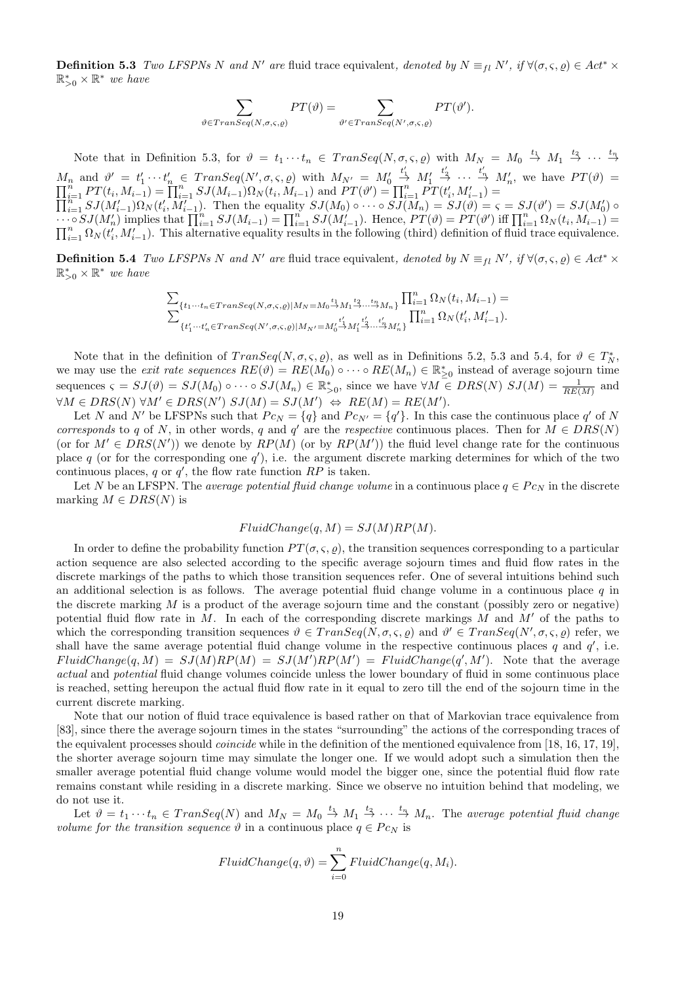**Definition 5.3** Two LFSPNs N and N' are fluid trace equivalent, denoted by  $N \equiv_{fl} N'$ , if  $\forall (\sigma, \varsigma, \varrho) \in Act^* \times$  $\mathbb{R}_{>0}^* \times \mathbb{R}^*$  we have

$$
\sum_{\vartheta \in Transeq(N,\sigma,\varsigma,\varrho)} PT(\vartheta) = \sum_{\vartheta' \in Transeq(N',\sigma,\varsigma,\varrho)} PT(\vartheta').
$$

Note that in Definition 5.3, for  $\vartheta = t_1 \cdots t_n \in \text{Trans} \text{Eq}(N, \sigma, \varsigma, \varrho)$  with  $M_N = M_0 \stackrel{t_1}{\rightarrow} M_1 \stackrel{t_2}{\rightarrow} \cdots \stackrel{t_n}{\rightarrow}$  $M_n$  and  $\vartheta' = t'_1 \cdots t'_n \in Transeq(N', \sigma, \varsigma, \varrho)$  with  $M_{N'} = M'_0$  $\stackrel{t_1'}{\rightarrow} M_1'$  $M_n$  and  $\vartheta' = t'_1 \cdots t'_n \in Transeq(N', \sigma, \varsigma, \varrho)$  with  $M_{N'} = M'_0 \stackrel{t'_1}{\to} M'_1 \stackrel{t'_2}{\to} \cdots \stackrel{t'_n}{\to} M'_n$ , we have  $PT(\vartheta) = \prod_{i=1}^n PT(t_i, M_{i-1}) = \prod_{i=1}^n SJ(M_{i-1}) \Omega_N(t_i, M_{i-1})$  and  $PT(\vartheta') = \prod_{i=1}^n PT(t_i', M'_{i-1}) = \prod_{i=1}^n SJ(M'_{i-1}) \Omega_N(t_i$  $\prod_{i=1}^{n} PT(t_i, M_{i-1}) = \prod_{i=1}^{n} SJ(M_{i-1})\Omega_N(t_i, M_{i-1})$  and  $PT(\vartheta') = \prod_{i=1}^{n} PT(t_i', M_{i-1}') = \prod_{i=1}^{n} SJ(M_{i-1}')\Omega_N(t_i', M_{i-1}')$ . Then the equality  $SJ(M_0) \circ \cdots \circ SJ(M_n) = SJ(\vartheta) = \varsigma = SJ(\vartheta') = SJ(M_0')$  or  $\overline{S_J(M'_n)}$  implies that  $\prod_{i=1}^n S_J(M_{i-1}) = \prod_{i=1}^n S_J(M'_{i-1})$ . Hence,  $PT(\vartheta) = PT(\vartheta')$  iff  $\prod_{i=1}^n \Omega_N(t_i, M_{i-1}) = \prod_{i=1}^n \Omega_N(t_i, M_{i-1})$  $\prod_{i=1}^n \Omega_N(t_i, M'_{i-1})$ . This alternative equality results in the following (third) definition of fluid trace equivalence.

**Definition 5.4** Two LFSPNs N and N' are fluid trace equivalent, denoted by  $N \equiv_{fl} N'$ , if  $\forall (\sigma, \varsigma, \varrho) \in Act^* \times$  $\mathbb{R}_{>0}^* \times \mathbb{R}^*$  we have

$$
\begin{split} &\sum_{\{t_1\cdots t_n\in Transeq(N,\sigma,\varsigma,\varrho)|M_N=M_0\overset{t_1}{\rightarrow}M_1\overset{t_2}{\rightarrow}\ldots\overset{t_n}{\rightarrow}M_n\}}\prod_{i=1}^n\Omega_N(t_i,M_{i-1})=\\ &\sum_{\{t'_1\cdots t'_n\in Transeq(N',\sigma,\varsigma,\varrho)|M_{N'}=M_0'\overset{t'_1}{\rightarrow}M_1'\overset{t'_2}{\rightarrow}\ldots\overset{t'_n}{\rightarrow}M'_n\}}\prod_{i=1}^n\Omega_N(t'_i,M'_{i-1}). \end{split}
$$

Note that in the definition of  $TransSeq(N, \sigma, \varsigma, \varrho)$ , as well as in Definitions 5.2, 5.3 and 5.4, for  $\vartheta \in T_N^*$ , we may use the *exit rate sequences*  $RE(\vartheta) = RE(M_0) \circ \cdots \circ RE(M_n) \in \mathbb{R}_{\geq 0}^*$  instead of average sojourn time sequences  $\varsigma = SJ(\vartheta) = SJ(M_0) \circ \cdots \circ SJ(M_n) \in \mathbb{R}_{>0}^*$ , since we have  $\forall M \in DRS(N)$   $SJ(M) = \frac{1}{RE(M)}$  and  $\forall M \in DRS(N) \ \forall M' \in DRS(N') \ SU(M) = \mathcal{SI}(M') \ \Leftrightarrow \ RE(M) = \mathcal{RE}(M').$ 

Let N and N' be LFSPNs such that  $P c_N = \{q\}$  and  $P c_{N'} = \{q'\}$ . In this case the continuous place q' of N corresponds to q of N, in other words, q and q' are the respective continuous places. Then for  $M \in DRS(N)$ (or for  $M' \in DRS(N')$ ) we denote by  $RP(M)$  (or by  $RP(M')$ ) the fluid level change rate for the continuous place q (or for the corresponding one  $q'$ ), i.e. the argument discrete marking determines for which of the two continuous places, q or  $q'$ , the flow rate function  $RP$  is taken.

Let N be an LFSPN. The *average potential fluid change volume* in a continuous place  $q \in P_{C_N}$  in the discrete marking  $M \in DRS(N)$  is

#### $FluidChange(q, M) = SJ(M)RP(M).$

In order to define the probability function  $PT(\sigma, \varsigma, \rho)$ , the transition sequences corresponding to a particular action sequence are also selected according to the specific average sojourn times and fluid flow rates in the discrete markings of the paths to which those transition sequences refer. One of several intuitions behind such an additional selection is as follows. The average potential fluid change volume in a continuous place  $q$  in the discrete marking  $M$  is a product of the average sojourn time and the constant (possibly zero or negative) potential fluid flow rate in  $M$ . In each of the corresponding discrete markings  $M$  and  $M'$  of the paths to which the corresponding transition sequences  $\vartheta \in Transeq(N, \sigma, \varsigma, \varrho)$  and  $\vartheta' \in Transeq(N', \sigma, \varsigma, \varrho)$  refer, we shall have the same average potential fluid change volume in the respective continuous places  $q$  and  $q'$ , i.e.  $FluidChange(q, M) = SJ(M)RP(M) = SJ(M')RP(M') = FluidChange(q', M')$ . Note that the average actual and potential fluid change volumes coincide unless the lower boundary of fluid in some continuous place is reached, setting hereupon the actual fluid flow rate in it equal to zero till the end of the sojourn time in the current discrete marking.

Note that our notion of fluid trace equivalence is based rather on that of Markovian trace equivalence from [83], since there the average sojourn times in the states "surrounding" the actions of the corresponding traces of the equivalent processes should coincide while in the definition of the mentioned equivalence from [18, 16, 17, 19], the shorter average sojourn time may simulate the longer one. If we would adopt such a simulation then the smaller average potential fluid change volume would model the bigger one, since the potential fluid flow rate remains constant while residing in a discrete marking. Since we observe no intuition behind that modeling, we do not use it.

Let  $\vartheta = t_1 \cdots t_n \in Transeq(N)$  and  $M_N = M_0 \stackrel{t_1}{\rightarrow} M_1 \stackrel{t_2}{\rightarrow} \cdots \stackrel{t_n}{\rightarrow} M_n$ . The average potential fluid change volume for the transition sequence  $\vartheta$  in a continuous place  $q \in P_{C_N}$  is

$$
FluidChange(q, \vartheta) = \sum_{i=0}^{n} FluidChange(q, M_i).
$$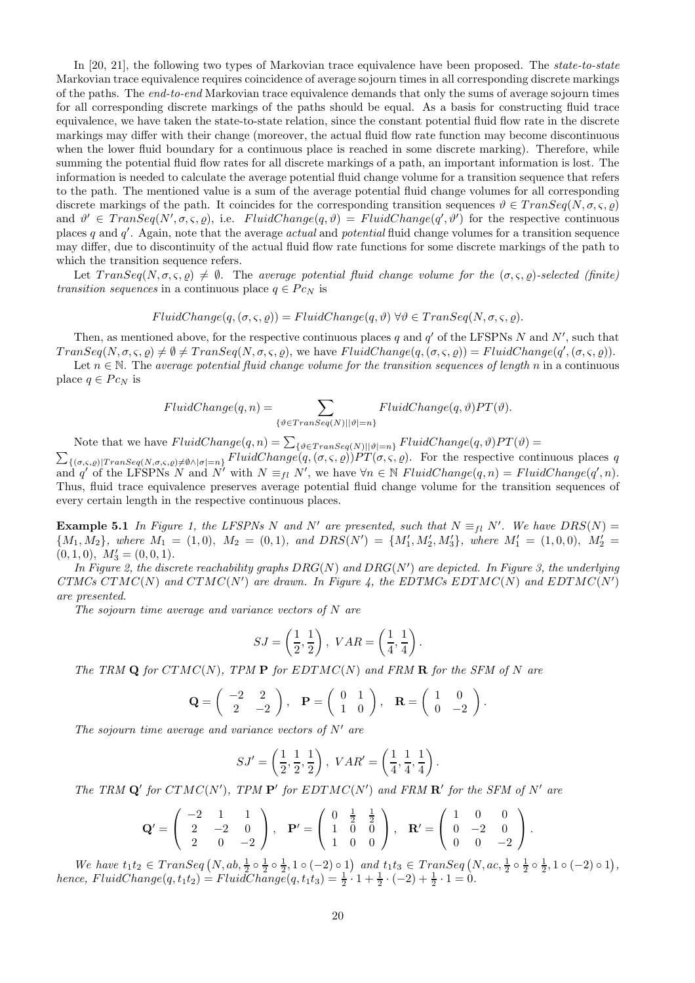In [20, 21], the following two types of Markovian trace equivalence have been proposed. The *state-to-state* Markovian trace equivalence requires coincidence of average sojourn times in all corresponding discrete markings of the paths. The end-to-end Markovian trace equivalence demands that only the sums of average sojourn times for all corresponding discrete markings of the paths should be equal. As a basis for constructing fluid trace equivalence, we have taken the state-to-state relation, since the constant potential fluid flow rate in the discrete markings may differ with their change (moreover, the actual fluid flow rate function may become discontinuous when the lower fluid boundary for a continuous place is reached in some discrete marking). Therefore, while summing the potential fluid flow rates for all discrete markings of a path, an important information is lost. The information is needed to calculate the average potential fluid change volume for a transition sequence that refers to the path. The mentioned value is a sum of the average potential fluid change volumes for all corresponding discrete markings of the path. It coincides for the corresponding transition sequences  $\vartheta \in Transeq(N, \sigma, \varsigma, \varrho)$ and  $\vartheta' \in Transeq(N', \sigma, \varsigma, \varrho)$ , i.e.  $FluidChange(q, \vartheta) = FluidChange(q', \vartheta')$  for the respective continuous places q and  $q'$ . Again, note that the average *actual* and *potential* fluid change volumes for a transition sequence may differ, due to discontinuity of the actual fluid flow rate functions for some discrete markings of the path to which the transition sequence refers.

Let  $TransSeq(N, \sigma, \varsigma, \rho) \neq \emptyset$ . The average potential fluid change volume for the  $(\sigma, \varsigma, \rho)$ -selected (finite) transition sequences in a continuous place  $q \in P_{CN}$  is

$$
FluidChange(q, (\sigma, \varsigma, \varrho)) = FluidChange(q, \vartheta) \,\forall \vartheta \in Transeq(N, \sigma, \varsigma, \varrho).
$$

Then, as mentioned above, for the respective continuous places q and  $q'$  of the LFSPNs N and N', such that  $TransSeq(N, \sigma, \varsigma, \varrho) \neq \emptyset \neq TransSeq(N, \sigma, \varsigma, \varrho)$ , we have  $FluidChange(q, (\sigma, \varsigma, \varrho)) = FluidChange(q', (\sigma, \varsigma, \varrho))$ .

Let  $n \in \mathbb{N}$ . The average potential fluid change volume for the transition sequences of length n in a continuous place  $q \in P_{C_N}$  is

$$
FluidChange(q, n) = \sum_{\{\vartheta \in Transeq(N) \mid |\vartheta| = n\}} FluidChange(q, \vartheta) PT(\vartheta).
$$

Note that we have  $FluidChange(q, n) = \sum_{\{\theta \in Transeq(N) \mid |\theta|=n\}} FluidChange(q, \theta) PT(\theta) =$  $\sum_{\{(\sigma,\varsigma,\varrho)|Transeq(N,\sigma,\varsigma,\varrho)\neq\emptyset\wedge|\sigma|=n\}} FluidChange(q,(\sigma,\varsigma,\varrho))PT(\sigma,\varsigma,\varrho)$ . For the respective continuous places q and q' of the LFSPNs N and N' with  $N \equiv_{fl} N'$ , we have  $\forall n \in \mathbb{N}$  FluidChange $(q, n) = FluidChange(q', n)$ . Thus, fluid trace equivalence preserves average potential fluid change volume for the transition sequences of

**Example 5.1** In Figure 1, the LFSPNs N and N' are presented, such that  $N \equiv_{fl} N'$ . We have  $DRS(N) =$  ${M_1, M_2}, where M_1 = (1, 0), M_2 = (0, 1), and DRS(N') = {M'_1, M'_2, M'_3}, where M'_1 = (1, 0, 0), M'_2 = (0, 1)$  $(0, 1, 0), M'_3 = (0, 0, 1).$ 

In Figure 2, the discrete reachability graphs  $DRG(N)$  and  $DRG(N')$  are depicted. In Figure 3, the underlying CTMCs CTMC(N) and CTMC(N') are drawn. In Figure 4, the EDTMCs EDTMC(N) and EDTMC(N') are presented.

The sojourn time average and variance vectors of N are

every certain length in the respective continuous places.

$$
SJ = \left(\frac{1}{2}, \frac{1}{2}\right), \text{ } VAR = \left(\frac{1}{4}, \frac{1}{4}\right).
$$

The TRM  $Q$  for  $CTMC(N)$ , TPM  $P$  for  $EDTMC(N)$  and FRM  $R$  for the SFM of N are

$$
\mathbf{Q} = \begin{pmatrix} -2 & 2 \\ 2 & -2 \end{pmatrix}, \quad \mathbf{P} = \begin{pmatrix} 0 & 1 \\ 1 & 0 \end{pmatrix}, \quad \mathbf{R} = \begin{pmatrix} 1 & 0 \\ 0 & -2 \end{pmatrix}.
$$

The sojourn time average and variance vectors of  $N'$  are

$$
SJ' = \left(\frac{1}{2}, \frac{1}{2}, \frac{1}{2}\right), \; VAR' = \left(\frac{1}{4}, \frac{1}{4}, \frac{1}{4}\right).
$$

The TRM  $\mathbf{Q}'$  for  $CTMC(N')$ , TPM  $\mathbf{P}'$  for  $EDTMC(N')$  and FRM  $\mathbf{R}'$  for the SFM of N' are

$$
\mathbf{Q}' = \begin{pmatrix} -2 & 1 & 1 \\ 2 & -2 & 0 \\ 2 & 0 & -2 \end{pmatrix}, \quad \mathbf{P}' = \begin{pmatrix} 0 & \frac{1}{2} & \frac{1}{2} \\ 1 & 0 & 0 \\ 1 & 0 & 0 \end{pmatrix}, \quad \mathbf{R}' = \begin{pmatrix} 1 & 0 & 0 \\ 0 & -2 & 0 \\ 0 & 0 & -2 \end{pmatrix}.
$$

We have  $t_1t_2 \in Transeq(N, ab, \frac{1}{2} \circ \frac{1}{2} \circ \frac{1}{2}, 1 \circ (-2) \circ 1)$  and  $t_1t_3 \in Transeq(N, ac, \frac{1}{2} \circ \frac{1}{2} \circ \frac{1}{2}, 1 \circ (-2) \circ 1)$ , hence,  $FluidChange(q, t_1t_2) = FluidChange(q, t_1t_3) = \frac{1}{2} \cdot 1 + \frac{1}{2} \cdot (-2) + \frac{1}{2} \cdot 1 = 0.$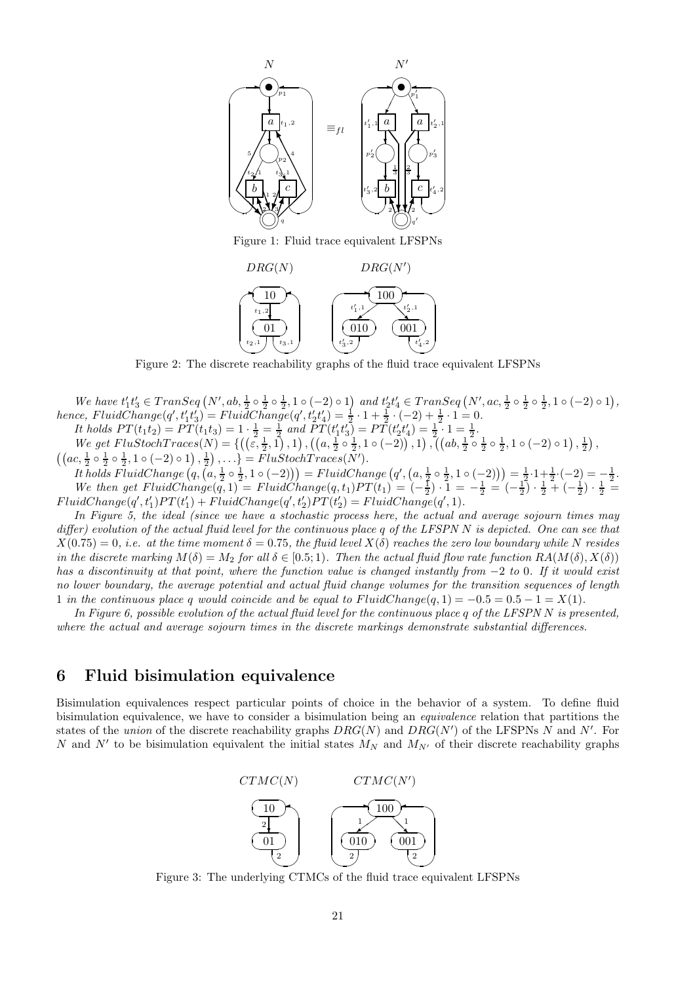

Figure 1: Fluid trace equivalent LFSPNs



Figure 2: The discrete reachability graphs of the fluid trace equivalent LFSPNs

We have  $t'_1t'_3 \in Transeq(N',ab,\frac{1}{2} \circ \frac{1}{2} \circ \frac{1}{2},1 \circ (-2) \circ 1)$  and  $t'_2t'_4 \in Transeq(N',ac,\frac{1}{2} \circ \frac{1}{2} \circ \frac{1}{2},1 \circ (-2) \circ 1)$ , hence,  $FluidChange(q', t'_1 t'_3) = FluidChange(q', t'_2 t'_4) = \frac{1}{2} \cdot 1 + \frac{1}{2} \cdot (-2) + \frac{1}{2} \cdot 1 = 0.$ It holds  $PT(t_1t_2) = PT(t_1t_3) = 1 \cdot \frac{1}{2} = \frac{1}{2}$  and  $PT(t'_1t'_3) = PT(t'_2t'_4) = \frac{1}{2} \cdot 1 = \frac{1}{2}$ . We get  $FluStochTrace(N) = \{ ((\varepsilon, \frac{1}{2}, 1), 1), ((a, \frac{1}{2} \circ \frac{1}{2}, 1 \circ (-2)), 1), ((ab, \frac{1}{2} \circ \frac{1}{2} \circ \frac{1}{2}, 1 \circ (-2), 1), ((ab, \frac{1}{2} \circ \frac{1}{2}, 1 \circ (-2), 1), \frac{1}{2})\}$ 

 $((ac, \frac{1}{2} \circ \frac{1}{2} \circ \frac{1}{2}, 1 \circ (-2) \circ 1), \frac{1}{2}), \ldots$ } =  $FlustochTraces(\bar{N}').$ It holds FluidChange  $(q, (a, \frac{1}{2} \circ \frac{1}{2}, 1 \circ (-2))) = FluidChange(q', (a, \frac{1}{2} \circ \frac{1}{2}, 1 \circ (-2))) = \frac{1}{2} \cdot 1 + \frac{1}{2} \cdot (-2) = -\frac{1}{2}$ . We then get  $FluidChange(q, 1) = FluidChange(q, t_1)PT(t_1) = (-\frac{1}{2}) \cdot 1 = -\frac{1}{2} = (-\frac{1}{2}) \cdot \frac{1}{2} + (-\frac{1}{2}) \cdot \frac{1}{2} =$  $FluidChange(q', t'_1)PT(t'_1) + FluidChange(q', t'_2)PT(t'_2) = FluidChange(q', 1).$ 

In Figure 5, the ideal (since we have a stochastic process here, the actual and average sojourn times may differ) evolution of the actual fluid level for the continuous place q of the LFSPN N is depicted. One can see that  $X(0.75) = 0$ , i.e. at the time moment  $\delta = 0.75$ , the fluid level  $X(\delta)$  reaches the zero low boundary while N resides in the discrete marking  $M(\delta) = M_2$  for all  $\delta \in [0.5; 1)$ . Then the actual fluid flow rate function  $RA(M(\delta), X(\delta))$ has a discontinuity at that point, where the function value is changed instantly from  $-2$  to 0. If it would exist no lower boundary, the average potential and actual fluid change volumes for the transition sequences of length 1 in the continuous place q would coincide and be equal to  $FluidChange(q, 1) = -0.5 = 0.5 - 1 = X(1)$ .

In Figure 6, possible evolution of the actual fluid level for the continuous place q of the LFSPN N is presented, where the actual and average sojourn times in the discrete markings demonstrate substantial differences.

### 6 Fluid bisimulation equivalence

Bisimulation equivalences respect particular points of choice in the behavior of a system. To define fluid bisimulation equivalence, we have to consider a bisimulation being an equivalence relation that partitions the states of the *union* of the discrete reachability graphs  $DRG(N)$  and  $DRG(N')$  of the LFSPNs N and N'. For N and N' to be bisimulation equivalent the initial states  $M_N$  and  $M_{N'}$  of their discrete reachability graphs



Figure 3: The underlying CTMCs of the fluid trace equivalent LFSPNs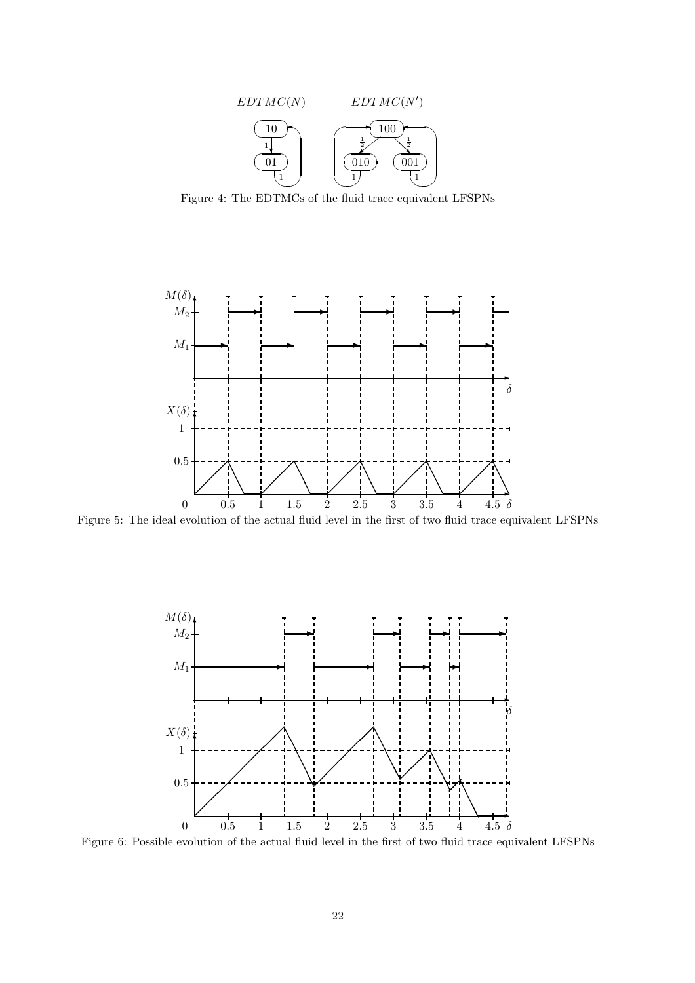

Figure 4: The EDTMCs of the fluid trace equivalent LFSPNs



Figure 5: The ideal evolution of the actual fluid level in the first of two fluid trace equivalent LFSPNs



Figure 6: Possible evolution of the actual fluid level in the first of two fluid trace equivalent LFSPNs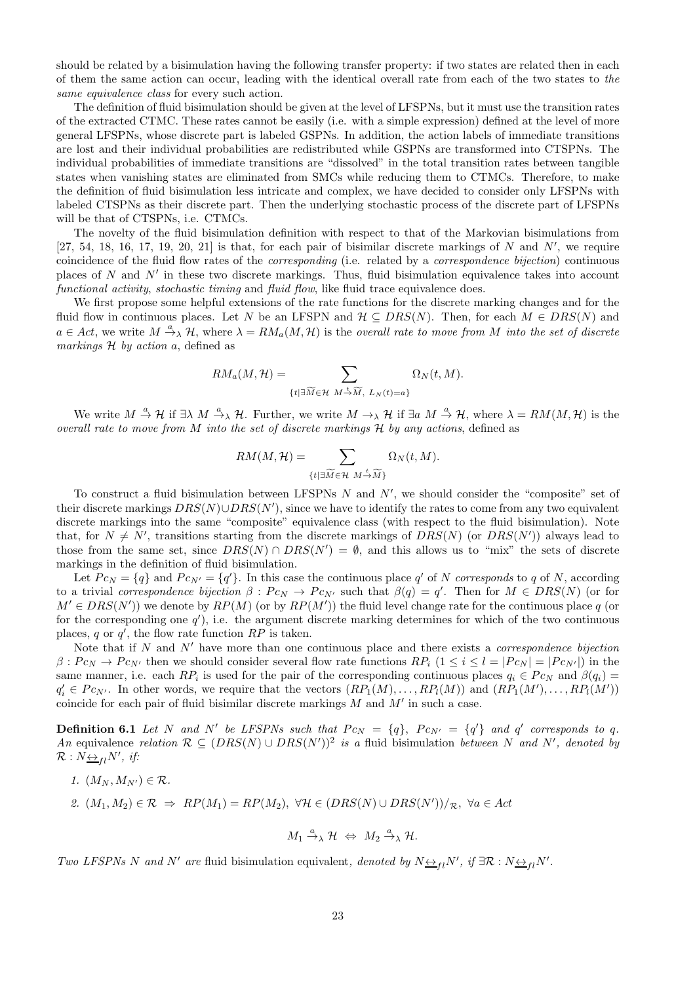should be related by a bisimulation having the following transfer property: if two states are related then in each of them the same action can occur, leading with the identical overall rate from each of the two states to the same equivalence class for every such action.

The definition of fluid bisimulation should be given at the level of LFSPNs, but it must use the transition rates of the extracted CTMC. These rates cannot be easily (i.e. with a simple expression) defined at the level of more general LFSPNs, whose discrete part is labeled GSPNs. In addition, the action labels of immediate transitions are lost and their individual probabilities are redistributed while GSPNs are transformed into CTSPNs. The individual probabilities of immediate transitions are "dissolved" in the total transition rates between tangible states when vanishing states are eliminated from SMCs while reducing them to CTMCs. Therefore, to make the definition of fluid bisimulation less intricate and complex, we have decided to consider only LFSPNs with labeled CTSPNs as their discrete part. Then the underlying stochastic process of the discrete part of LFSPNs will be that of CTSPNs, i.e. CTMCs.

The novelty of the fluid bisimulation definition with respect to that of the Markovian bisimulations from  $[27, 54, 18, 16, 17, 19, 20, 21]$  is that, for each pair of bisimilar discrete markings of N and N', we require coincidence of the fluid flow rates of the corresponding (i.e. related by a correspondence bijection) continuous places of N and N' in these two discrete markings. Thus, fluid bisimulation equivalence takes into account functional activity, stochastic timing and fluid flow, like fluid trace equivalence does.

We first propose some helpful extensions of the rate functions for the discrete marking changes and for the fluid flow in continuous places. Let N be an LFSPN and  $\mathcal{H} \subseteq DRS(N)$ . Then, for each  $M \in DRS(N)$  and  $a \in Act$ , we write  $M \xrightarrow{a} \mathcal{H}$ , where  $\lambda = RM_a(M, \mathcal{H})$  is the overall rate to move from M into the set of discrete markings  $H$  by action a, defined as

$$
RM_a(M,\mathcal{H}) = \sum_{\{t \mid \exists \widetilde{M} \in \mathcal{H} \ M \stackrel{t}{\rightarrow} \widetilde{M}, \ L_N(t)=a\}} \Omega_N(t,M).
$$

We write  $M \stackrel{a}{\rightarrow} \mathcal{H}$  if  $\exists \lambda \ M \stackrel{a}{\rightarrow} \lambda \mathcal{H}$ . Further, we write  $M \rightarrow_{\lambda} \mathcal{H}$  if  $\exists a \ M \stackrel{a}{\rightarrow} \mathcal{H}$ , where  $\lambda = RM(M, \mathcal{H})$  is the overall rate to move from  $M$  into the set of discrete markings  $H$  by any actions, defined as

$$
RM(M,\mathcal{H})=\sum_{\{t|\exists \widetilde{M}\in\mathcal{H}}\ M\stackrel{t}{\rightarrow}\widetilde{M}\}}\Omega_N(t,M).
$$

To construct a fluid bisimulation between LFSPNs  $N$  and  $N'$ , we should consider the "composite" set of their discrete markings  $DRS(N) \cup DRS(N')$ , since we have to identify the rates to come from any two equivalent discrete markings into the same "composite" equivalence class (with respect to the fluid bisimulation). Note that, for  $N \neq N'$ , transitions starting from the discrete markings of  $DRS(N)$  (or  $DRS(N')$ ) always lead to those from the same set, since  $DRS(N) \cap DRS(N') = \emptyset$ , and this allows us to "mix" the sets of discrete markings in the definition of fluid bisimulation.

Let  $P c_N = \{q\}$  and  $P c_{N'} = \{q'\}$ . In this case the continuous place q' of N corresponds to q of N, according to a trivial correspondence bijection  $\beta : P c_N \to P c_{N'}$  such that  $\beta(q) = q'$ . Then for  $M \in DRS(N)$  (or for  $M' \in DRS(N')$ ) we denote by  $RP(M)$  (or by  $RP(M')$ ) the fluid level change rate for the continuous place q (or for the corresponding one  $q'$ ), i.e. the argument discrete marking determines for which of the two continuous places, q or  $q'$ , the flow rate function  $RP$  is taken.

Note that if  $N$  and  $N'$  have more than one continuous place and there exists a *correspondence bijection*  $\beta: Pe_N \to Pe_{N'}$  then we should consider several flow rate functions  $RP_i$   $(1 \le i \le l = |Pe_N| = |Pe_N|$  in the same manner, i.e. each  $RP_i$  is used for the pair of the corresponding continuous places  $q_i \in P_{CN}$  and  $\beta(q_i) =$  $q'_i \in P c_{N'}$ . In other words, we require that the vectors  $(RP_1(M), \ldots, RP_l(M))$  and  $(RP_1(M'), \ldots, RP_l(M'))$ coincide for each pair of fluid bisimilar discrete markings  $M$  and  $M'$  in such a case.

**Definition 6.1** Let N and N' be LFSPNs such that  $P c_N = \{q\}$ ,  $P c_{N'} = \{q'\}$  and q' corresponds to q. An equivalence relation  $\mathcal{R} \subseteq (DRS(N) \cup DRS(N'))^2$  is a fluid bisimulation between N and N', denoted by  $\mathcal{R}: N_{\frac{\leftrightarrow}{\longrightarrow} l}N', \textit{ if: }$ 

1.  $(M_N, M_{N'}) \in \mathcal{R}$ . 2.  $(M_1, M_2) \in \mathcal{R} \Rightarrow RP(M_1) = RP(M_2), \ \forall H \in (DRS(N) \cup DRS(N'))/R, \ \forall a \in Act$ 

$$
M_1 \xrightarrow{a} \mathcal{H} \Leftrightarrow M_2 \xrightarrow{a} \mathcal{H}.
$$

Two LFSPNs N and N' are fluid bisimulation equivalent, denoted by  $N \leftrightarrow_{fl} N'$ , if  $\exists \mathcal{R} : N \leftrightarrow_{fl} N'$ .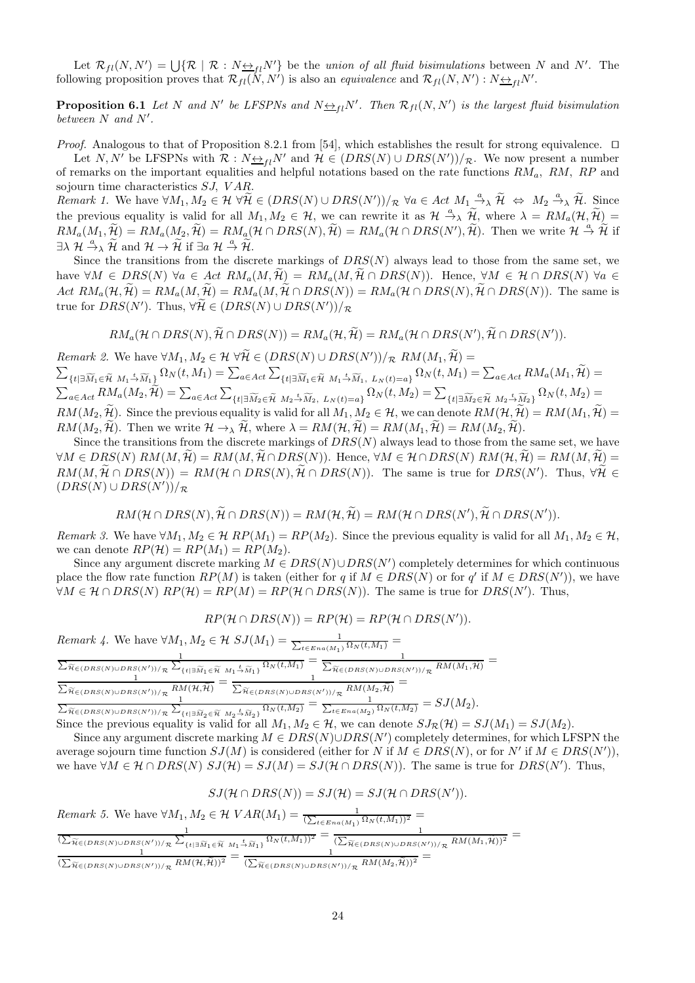Let  $\mathcal{R}_{fl}(N, N') = \bigcup \{ \mathcal{R} \mid \mathcal{R} : N \rightarrow fl \}$  be the union of all fluid bisimulations between N and N'. The following proposition proves that  $\mathcal{R}_{fl}(N, N')$  is also an *equivalence* and  $\mathcal{R}_{fl}(N, N') : N \rightarrow H''$ .

**Proposition 6.1** Let N and N' be LFSPNs and  $N \nleftrightarrow_{fl} N'$ . Then  $\mathcal{R}_{fl}(N, N')$  is the largest fluid bisimulation between N and N'.

Proof. Analogous to that of Proposition 8.2.1 from [54], which establishes the result for strong equivalence. □

Let  $N, N'$  be LFSPNs with  $\mathcal{R}: N \rightarrow_{f} N'$  and  $\mathcal{H} \in (DRS(N) \cup DRS(N'))/R$ . We now present a number of remarks on the important equalities and helpful notations based on the rate functions  $RM_a$ ,  $RM$ ,  $RP$  and sojourn time characteristics SJ, VAR.

Remark 1. We have  $\forall M_1, M_2 \in \mathcal{H} \ \forall \widetilde{\mathcal{H}} \in (DRS(N) \cup DRS(N'))/\mathcal{R} \ \forall a \in Act \ M_1 \stackrel{a}{\longrightarrow} \widetilde{\mathcal{H}} \iff M_2 \stackrel{a}{\longrightarrow} \widetilde{\mathcal{H}}.$  Since the previous equality is valid for all  $M_1, M_2 \in \mathcal{H}$ , we can rewrite it as  $\mathcal{H} \stackrel{a}{\rightarrow} \lambda \widetilde{\mathcal{H}}$ , where  $\lambda = RM_a(\mathcal{H}, \widetilde{\mathcal{H}}) =$  $RM_a(M_1, \widetilde{\mathcal{H}}) = RM_a(M_2, \widetilde{\mathcal{H}}) = RM_a(\mathcal{H} \cap DRS(N), \widetilde{\mathcal{H}}) = RM_a(\mathcal{H} \cap DRS(N'), \widetilde{\mathcal{H}})$ . Then we write  $\mathcal{H} \stackrel{a}{\rightarrow} \widetilde{\mathcal{H}}$  if  $\exists \lambda \; \mathcal{H} \stackrel{a}{\rightarrow} \lambda \; \widetilde{\mathcal{H}} \text{ and } \mathcal{H} \rightarrow \widetilde{\mathcal{H}} \text{ if } \exists a \; \mathcal{H} \stackrel{a}{\rightarrow} \widetilde{\mathcal{H}}.$ 

Since the transitions from the discrete markings of  $DRS(N)$  always lead to those from the same set, we have  $\forall M \in DRS(N)$   $\forall a \in Act \ RM_a(M, \widetilde{\mathcal{H}}) = RM_a(M, \widetilde{\mathcal{H}} \cap DRS(N))$ . Hence,  $\forall M \in \mathcal{H} \cap DRS(N)$   $\forall a \in \mathcal{H}$ Act  $RM_a(\mathcal{H}, \widetilde{\mathcal{H}}) = RM_a(M, \widetilde{\mathcal{H}}) = RM_a(M, \widetilde{\mathcal{H}} \cap DRS(N)) = RM_a(\mathcal{H} \cap DRS(N), \widetilde{\mathcal{H}} \cap DRS(N)).$  The same is true for  $DRS(N')$ . Thus,  $\forall \mathcal{H} \in (DRS(N) \cup DRS(N'))/\mathcal{R}$ 

$$
RM_a(\mathcal{H} \cap DRS(N), \widetilde{\mathcal{H}} \cap DRS(N)) = RM_a(\mathcal{H}, \widetilde{\mathcal{H}}) = RM_a(\mathcal{H} \cap DRS(N'), \widetilde{\mathcal{H}} \cap DRS(N')).
$$

Remark 2. We have  $\forall M_1, M_2 \in \mathcal{H} \ \forall \mathcal{H} \in (DRS(N) \cup DRS(N'))/\mathcal{R} \ RM(M_1, \mathcal{H}) =$  $\sum$  $\{t | \exists \widetilde{M}_1 \in \widetilde{\mathcal{H}} \; M_1 \stackrel{t}{\rightarrow} \widetilde{M}_1 \}$   $\Omega_N(t, M_1) = \sum_{a \in Act} \sum_{a \in \mathcal{H}}$  $\{t | \exists \widetilde{M}_1 \in \widetilde{\mathcal{H}} \; M_1 \stackrel{t}{\rightarrow} \widetilde{M}_1, \; L_N(t) = a\} \; \Omega_N(t, M_1) = \sum_{a \in Act} RM_a(M_1, \widetilde{\mathcal{H}}) =$  $\sum_{a\in Act} RM_a(M_2,\widetilde{\mathcal{H}})=\sum_{a\in Act}\sum_{\{t|\exists \widetilde{M}_2\in \widetilde{\mathcal{H}}\ M_2\overset{t}{\rightarrow}\widetilde{M}_2,\ L_N(t)=a\}}\Omega_N(t,M_2)=\sum_{\{t|\exists \widetilde{M}_2\in \widetilde{\mathcal{H}}\ M_2\overset{t}{\rightarrow}\widetilde{M}_2\}}\Omega_N(t,M_2)=\sum_{\{t|\widetilde{M}_2\in \widetilde{\mathcal{H}}\ M_2\overset{t}{\rightarrow}\widetilde{M}_2\}}\Omega_N(t,M_2)=\sum_{\{t|\widetilde{$  $RM(M_2, \tilde{\mathcal{H}})$ . Since the previous equality is valid for all  $M_1, M_2 \in \mathcal{H}$ , we can denote  $RM(\mathcal{H}, \tilde{\mathcal{H}}) = RM(M_1, \tilde{\mathcal{H}}) =$  $RM(M_2, \widetilde{\mathcal{H}})$ . Then we write  $\mathcal{H} \to_{\lambda} \widetilde{\mathcal{H}}$ , where  $\lambda = RM(\mathcal{H}, \widetilde{\mathcal{H}}) = RM(M_1, \widetilde{\mathcal{H}}) = RM(M_2, \widetilde{\mathcal{H}})$ .

Since the transitions from the discrete markings of  $DRS(N)$  always lead to those from the same set, we have  $\forall M \in DRS(N) \ RM(M, \tilde{\mathcal{H}}) = RM(M, \tilde{\mathcal{H}} \cap DRS(N)).$  Hence,  $\forall M \in \mathcal{H} \cap DRS(N) \ RM(\mathcal{H}, \tilde{\mathcal{H}}) = RM(M, \tilde{\mathcal{H}}) =$  $RM(M, \mathcal{H} \cap DRS(N)) = RM(\mathcal{H} \cap DRS(N), \mathcal{H} \cap DRS(N)).$  The same is true for  $DRS(N')$ . Thus,  $\forall \mathcal{H} \in$  $(DRS(N) \cup DRS(N'))/R$ 

$$
RM(\mathcal{H} \cap DRS(N), \widetilde{\mathcal{H}} \cap DRS(N)) = RM(\mathcal{H}, \widetilde{\mathcal{H}}) = RM(\mathcal{H} \cap DRS(N'), \widetilde{\mathcal{H}} \cap DRS(N')).
$$

Remark 3. We have  $\forall M_1, M_2 \in \mathcal{H}$   $RP(M_1) = RP(M_2)$ . Since the previous equality is valid for all  $M_1, M_2 \in \mathcal{H}$ , we can denote  $RP(H) = RP(M_1) = RP(M_2)$ .

Since any argument discrete marking  $M \in DRS(N) \cup DRS(N')$  completely determines for which continuous place the flow rate function  $RP(M)$  is taken (either for q if  $M \in DRS(N)$  or for q' if  $M \in DRS(N')$ ), we have  $\forall M \in \mathcal{H} \cap DRS(N) \; RP(\mathcal{H}) = RP(M) = RP(\mathcal{H} \cap DRS(N)).$  The same is true for  $DRS(N')$ . Thus,

$$
RP(\mathcal{H} \cap DRS(N)) = RP(\mathcal{H}) = RP(\mathcal{H} \cap DRS(N')).
$$

Remark 4. We have  $\forall M_1, M_2 \in \mathcal{H}$   $SJ(M_1) = \frac{1}{\sum_{t \in Ena(M_1)} \Omega_N(t, M_1)}}$  $\Gamma$   $\sim$   $\frac{1}{\Gamma}$  $\frac{1}{\widetilde{\pi} \in (DRS(N) \cup DRS(N'))/R} \frac{1}{\sum_{\{t \mid \exists \widetilde{M}_1 \in \widetilde{\mathcal{H}} \ M_1 \stackrel{t}{\to} \widetilde{M}_1\}} \Omega_N(t,M_1)} = \frac{1}{\sum_{\widetilde{\pi} \in (DRS(N) \cup DRS(N'))} \times \Omega_N(t,M_1)}}$  $\frac{1}{\widetilde{\pi}_{\in(DRS(N)\cup DRS(N'))/\mathcal{R}}}\frac{1}{RM(M_1,\widetilde{\mathcal{H}})}=$  $\frac{1}{\sum_{\alpha}$  $\frac{1}{\widetilde{\pi}_{\in(DRS(N)\cup DRS(N'))/R} R M(\mathcal{H},\widetilde{\mathcal{H}})} = \frac{1}{\sum_{\widetilde{\pi}_{\in(DRS(N)\cup DRS)}}$  $\frac{1}{\widetilde{\pi}_{\in(DRS(N)\cup DRS(N'))/R}RM(M_2,\widetilde{\mathcal{H}})}=$  $\sum_{\alpha}$ 

 $\widetilde{\pi}_{\in (DRS(N)\cup DRS(N'))/R} \frac{1}{\sum_{\{t\mid \exists \widetilde{M}_2\in \widetilde{\mathcal{H}} \ M_2=\widetilde{\mathcal{M}}_2\}} \Omega_N(t,M_2)} = \frac{1}{\sum_{t\in Ena(M_2)} \Omega_N(t,M_2)} = SJ(M_2).$ Since the previous equality is valid for all  $M_1, M_2 \in \mathcal{H}$ , we can denote  $SJ_{\mathcal{R}}(\mathcal{H}) = SJ(M_1) = SJ(M_2)$ .

Since any argument discrete marking  $M \in DRS(N) \cup DRS(N')$  completely determines, for which LFSPN the average sojourn time function  $SJ(M)$  is considered (either for N if  $M \in DRS(N)$ , or for N' if  $M \in DRS(N')$ ), we have  $\forall M \in \mathcal{H} \cap DRS(N)$   $SJ(\mathcal{H}) = SJ(M) = SJ(\mathcal{H} \cap DRS(N))$ . The same is true for  $DRS(N')$ . Thus,

$$
SJ(\mathcal{H} \cap DRS(N)) = SJ(\mathcal{H}) = SJ(\mathcal{H} \cap DRS(N')).
$$

Remark 5. We have  $\forall M_1, M_2 \in \mathcal{H} \; VAR(M_1) = \frac{1}{(\sum_{t \in Ena(M_1)} \Omega_N(t, M_1))^2} =$ 

| $(\sum_{\widetilde{H}\in(DRS(N)\cup DRS(N'))/\mathcal{R}}\sum_{\{t \exists \widetilde{M}_1\in \widetilde{\mathcal{H}}\ M_1\stackrel{t}{\rightarrow}\widetilde{M}_1\}}\overline{\Omega_N(t,M_1))^2}$ | $(\sum_{\widetilde{\mathcal{H}} \in (DRS(N) \cup DRS(N'))/R} RM(M_1, \widetilde{\mathcal{H}}))^2$           |  |
|-----------------------------------------------------------------------------------------------------------------------------------------------------------------------------------------------------|-------------------------------------------------------------------------------------------------------------|--|
| $(\sum_{\widetilde{\mathcal{H}}\in(DRS(N)\cup DRS(N'))/\mathcal{R}}RM(\mathcal{H},\mathcal{H}))^2$                                                                                                  | $(\sum_{\widetilde{\mathcal{H}} \in (DRS(N) \cup DRS(N'))/\mathcal{R}} RM(M_2, \widetilde{\mathcal{H}}))^2$ |  |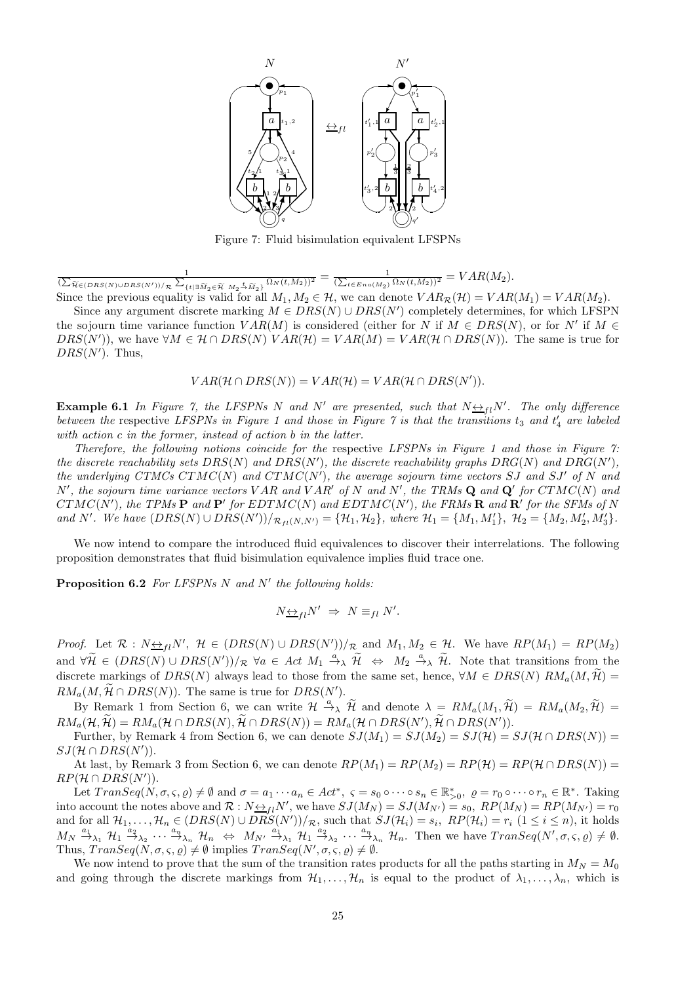

Figure 7: Fluid bisimulation equivalent LFSPNs

 $\frac{1}{(\sum_{\widetilde{\pi}\in(DRS(N)\cup DRS(N'))/\pi}\sum_{\{t|\exists\widetilde{M}_2\in\widetilde{\mathcal{H}}~M_2\stackrel{t}{\rightarrow}\widetilde{M}_2\}}\Omega_N(t,M_2))^2}=\frac{1}{(\sum_{t\in Ena(M_2)}\Omega_N(t,M_2))^2}=VAR(M_2).$ Since the previous equality is valid for all  $M_1, M_2 \in \mathcal{H}$ , we can denote  $VAR(\mathcal{H}) = VAR(M_1) = VAR(M_2)$ .

Since any argument discrete marking  $M \in DRS(N) \cup DRS(N')$  completely determines, for which LFSPN the sojourn time variance function  $VAR(M)$  is considered (either for N if  $M \in DRS(N)$ , or for N' if  $M \in$  $DRS(N')$ , we have  $\forall M \in \mathcal{H} \cap DRS(N)$   $VAR(\mathcal{H}) = VAR(M) = VAR(\mathcal{H} \cap DRS(N))$ . The same is true for  $DRS(N')$ . Thus,

 $VAR(H \cap DRS(N)) = VAR(H) = VAR(H \cap DRS(N')).$ 

**Example 6.1** In Figure 7, the LFSPNs N and N' are presented, such that  $N \nightharpoonup_{fl} N'$ . The only difference between the respective LFSPNs in Figure 1 and those in Figure 7 is that the transitions  $t_3$  and  $t'_4$  are labeled with action c in the former, instead of action b in the latter.

Therefore, the following notions coincide for the respective LFSPNs in Figure 1 and those in Figure 7: the discrete reachability sets  $DRS(N)$  and  $DRS(N')$ , the discrete reachability graphs  $DRG(N)$  and  $DRG(N')$ , the underlying CTMCs CTMC(N) and CTMC(N'), the average sojourn time vectors SJ and SJ' of N and N', the sojourn time variance vectors VAR and VAR' of N and N', the TRMs  $\bf Q$  and  $\bf Q'$  for  $CTMC(N)$  and  $CTMC(N')$ , the TPMs  $\bf P$  and  $\bf P'$  for  $EDTMC(N)$  and  $EDTMC(N')$ , the FRMs  $\bf R$  and  $\bf R'$  for the SFMs of N and N'. We have  $(DRS(N) \cup DRS(N'))/_{\mathcal{R}_{fl}(N,N')} = {\mathcal{H}_1, \mathcal{H}_2},$  where  $\mathcal{H}_1 = {M_1, M'_1}, \mathcal{H}_2 = {M_2, M'_2, M'_3}.$ 

We now intend to compare the introduced fluid equivalences to discover their interrelations. The following proposition demonstrates that fluid bisimulation equivalence implies fluid trace one.

**Proposition 6.2** For LFSPNs N and N' the following holds:

$$
N_{\frac{\leftrightarrow}{I}}N' \Rightarrow N \equiv_{fl} N'.
$$

*Proof.* Let  $\mathcal{R}: N_{\frac{\kappa}{2}l}N'$ ,  $\mathcal{H} \in (DRS(N) \cup DRS(N'))/R$  and  $M_1, M_2 \in \mathcal{H}$ . We have  $RP(M_1) = RP(M_2)$ and  $\forall \widetilde{\mathcal{H}} \in (DRS(N) \cup DRS(N'))/R$   $\forall a \in Act \ M_1 \stackrel{a}{\rightarrow} \widetilde{\mathcal{H}} \Leftrightarrow M_2 \stackrel{a}{\rightarrow} \widetilde{\mathcal{H}}$ . Note that transitions from the discrete markings of  $DRS(N)$  always lead to those from the same set, hence,  $\forall M \in DRS(N)$   $RM_a(M, \widetilde{\mathcal{H}})$  =  $RM_a(M, \mathcal{H} \cap DRS(N))$ . The same is true for  $DRS(N')$ .

By Remark 1 from Section 6, we can write  $\mathcal{H} \stackrel{a}{\rightarrow} \tilde{\mathcal{H}}$  and denote  $\lambda = RM_a(M_1, \tilde{\mathcal{H}}) = RM_a(M_2, \tilde{\mathcal{H}}) =$  $RM_a(\mathcal{H},\mathcal{H}) = RM_a(\mathcal{H} \cap DRS(N),\mathcal{H} \cap DRS(N)) = RM_a(\mathcal{H} \cap DRS(N'),\mathcal{H} \cap DRS(N')).$ 

Further, by Remark 4 from Section 6, we can denote  $SJ(M_1) = SJ(M_2) = SJ(\mathcal{H}) = SJ(\mathcal{H} \cap DRS(N))$  =  $SJ(\mathcal{H} \cap DRS(N')).$ 

At last, by Remark 3 from Section 6, we can denote  $RP(M_1) = RP(M_2) = RP(\mathcal{H}) = RP(\mathcal{H} \cap DRS(N)) =$  $RP(\mathcal{H} \cap DRS(N')).$ 

Let  $TransSeq(N, \sigma, \varsigma, \varrho) \neq \emptyset$  and  $\sigma = a_1 \cdots a_n \in Act^*$ ,  $\varsigma = s_0 \circ \cdots \circ s_n \in \mathbb{R}^*_{>0}$ ,  $\varrho = r_0 \circ \cdots \circ r_n \in \mathbb{R}^*$ . Taking into account the notes above and  $\mathcal{R}: N \rightarrow_{fl} N'$ , we have  $SJ(M_N) = SJ(M_{N'}) = s_0$ ,  $RP(M_N) = RP(M_{N'}) = r_0$ and for all  $\mathcal{H}_1, \ldots, \mathcal{H}_n \in (DRS(N) \cup DRS(N'))/R$ , such that  $SJ(\mathcal{H}_i) = s_i$ ,  $RP(\mathcal{H}_i) = r_i$   $(1 \le i \le n)$ , it holds  $M_N \stackrel{a_1}{\rightarrow}_{\lambda_1} H_1 \stackrel{a_2}{\rightarrow}_{\lambda_2} \cdots \stackrel{a_n}{\rightarrow}_{\lambda_n} H_n \Leftrightarrow M_{N'} \stackrel{a_1}{\rightarrow}_{\lambda_1} H_1 \stackrel{a_2}{\rightarrow}_{\lambda_2} \cdots \stackrel{a_n}{\rightarrow}_{\lambda_n} H_n$ . Then we have  $TransSeq(N', \sigma, \varsigma, \varrho) \neq \emptyset$ . Thus,  $TransSeq(N, \sigma, \varsigma, \varrho) \neq \emptyset$  implies  $TransSeq(N', \sigma, \varsigma, \varrho) \neq \emptyset$ .

We now intend to prove that the sum of the transition rates products for all the paths starting in  $M_N = M_0$ and going through the discrete markings from  $\mathcal{H}_1, \ldots, \mathcal{H}_n$  is equal to the product of  $\lambda_1, \ldots, \lambda_n$ , which is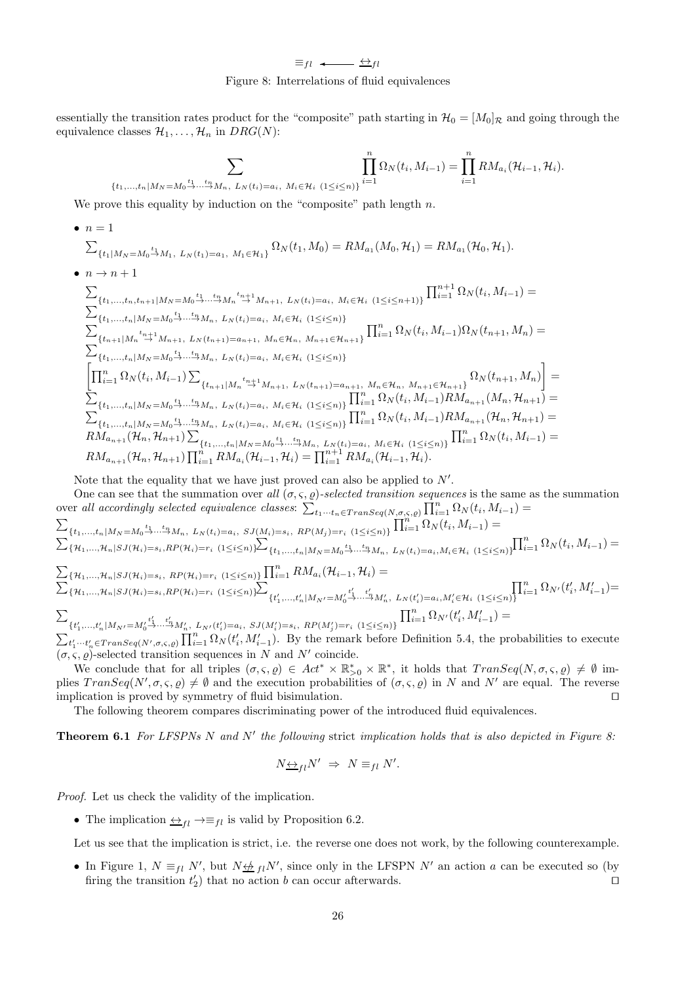$\equiv_{fl} \leftarrow$   $\leftrightarrow_{fl}$ Figure 8: Interrelations of fluid equivalences

essentially the transition rates product for the "composite" path starting in  $\mathcal{H}_0 = [M_0]_{\mathcal{R}}$  and going through the equivalence classes  $\mathcal{H}_1, \ldots, \mathcal{H}_n$  in  $DRG(N)$ :

X <sup>t</sup><sup>1</sup> <sup>→</sup> tnMn, L<sup>N</sup> (ti)=ai, Mi∈H<sup>i</sup> (1≤i≤n)} Yn i=1 Ω<sup>N</sup> (t<sup>i</sup> , Mi−<sup>1</sup>) = <sup>Y</sup><sup>n</sup> i=1 RMa<sup>i</sup> (Hi−<sup>1</sup>, Hi).

We prove this equality by induction on the "composite" path length  $n$ .

 $\{t_1,$ 

• 
$$
n = 1
$$
  
\n
$$
\sum_{\{t_1|M_N=M_0\stackrel{t_1}{\rightarrow}M_1,\ L_N(t_1)=a_1,\ M_1\in\mathcal{H}_1\}} \Omega_N(t_1, M_0) = RM_{a_1}(M_0, \mathcal{H}_1) = RM_{a_1}(\mathcal{H}_0, \mathcal{H}_1).
$$
  
\n•  $n \rightarrow n+1$   
\n
$$
\sum_{\{t_1,\ldots,t_n,t_{n+1}|M_N=M_0\stackrel{t_1}{\rightarrow}\ldots\stackrel{t_n}{\rightarrow}M_n,\ L_N(t_i)=a_i,\ M_i\in\mathcal{H}_i\ (1\leq i\leq n+1)\}} \prod_{i=1}^{n+1} \Omega_N(t_i, M_{i-1}) =
$$
  
\n
$$
\sum_{\{t_1,\ldots,t_n|M_N=M_0\stackrel{t_1}{\rightarrow}\ldots\stackrel{t_n}{\rightarrow}M_n,\ L_N(t_i)=a_i,\ M_i\in\mathcal{H}_i\ (1\leq i\leq n)\}} \prod_{i=1}^{n} \Omega_N(t_i, M_{i-1})\Omega_N(t_{n+1}, M_n) =
$$
  
\n
$$
\sum_{\{t_1,\ldots,t_n|M_N=M_0\stackrel{t_1}{\rightarrow}\ldots\stackrel{t_n}{\rightarrow}M_n,\ L_N(t_i)=a_i,\ M_i\in\mathcal{H}_i\ (1\leq i\leq n)\}} \prod_{i=1}^{n} \Omega_N(t_i, M_{i-1})\Omega_N(t_{n+1}, M_n) =
$$
  
\n
$$
\prod_{i=1}^{n} \Omega_N(t_i, M_{i-1}) \sum_{\{t_{n+1}|M_n\stackrel{t_n}{\rightarrow}M_{n+1},\ L_N(t_i)=a_i,\ M_i\in\mathcal{H}_i\ (1\leq i\leq n)\}} \prod_{i=1}^{n} \Omega_N(t_i, M_{i-1})RM_{a_{n+1}}(M_n, \mathcal{H}_{n+1}) =
$$
  
\n
$$
\sum_{\{t_1,\ldots,t_n|M_N=M_0\stackrel{t_1}{\rightarrow}\ldots\stackrel{t_n}{\rightarrow}M_n,\ L_N(t_i)=a_i,\ M_i\in\mathcal{H}_i\ (1\leq i\leq n)\}} \prod_{i=1}^{n} \Omega_N(t_i, M_{i-1})RM_{a_{n+1}}(M_n, \mathcal
$$

Note that the equality that we have just proved can also be applied to  $N'$ .

One can see that the summation over all  $(\sigma, \varsigma, \varrho)$ -selected transition sequences is the same as the summation over all accordingly selected equivalence classes:  $\sum_{t_1\cdots t_n\in Transeq(N,\sigma,\varsigma,\rho)}^{\sim}\prod_{i=1}^n\Omega_N(t_i,M_{i-1})=$  $\sum$  ${t_1,...,t_n | M_N = M_0 \xrightarrow{t_1} ... \xrightarrow{t_n} M_n, L_N(t_i) = a_i, SJ(M_i) = s_i, RP(M_j) = r_i \ (1 \leq i \leq n)} \prod_{i=1}^n \Omega_N(t_i, M_{i-1}) =$  $\sum_{i=1}^{n} \sum_{i=1}^{n} \sum_{j=1}^{n} |H_{i,j-1}| S_{i,j}(H_{i,j}) = s_{i,j} R P(H_{i,j}) = r_{i} (1 \leq i \leq n) \sum_{i=1}^{n}$  ${t_1,...,t_n | M_N = M_0 \xrightarrow{t_1,...t_n} M_n, L_N(t_i) = a_i, M_i \in \mathcal{H}_i} \{1 \leq i \leq n)\} \prod_{i=1}^n \Omega_N(t_i, M_{i-1}) =$  $\sum_{i} {\pi_{1},..., \pi_{n} | sJ(\pi_{i})=s_{i}, R P(\pi_{i})=r_{i} (1 \leq i \leq n) } \prod_{i=1}^{n} RM_{a_{i}}(\pi_{i-1}, \pi_{i}) =$  $\sum_{i}^{\infty} {\{\pi_1,...,\pi_n | SJ(\mathcal{H}_i)=s_i,RP(\mathcal{H}_i)=r_i \ (1 \leq i \leq n)\}}$  $\{t'_{1},...,t'_{n}|M_{N'}=M'_{0}\}$  $\overrightarrow{t}'_1 \dots \overrightarrow{t}'_n M'_n$ ,  $L_N(t'_i)=a_i, M'_i \in \mathcal{H}_i$   $(1 \leq i \leq n)$  $\prod_{i=1}^n \Omega_{N'}(t'_i, M'_{i-1}) =$  $\sum$  $\{t'_{1},...,t'_{n}|M_{N'}=M'_{0}\}$  $\stackrel{t'_1}{\rightarrow} \stackrel{t'_n}{\cdots} M'_n$ ,  $L_{N'}(t'_i)=a_i$ ,  $SJ(M'_i)=s_i$ ,  $RP(M'_j)=r_i$   $(1 \leq i \leq n)$  $\prod_{i=1}^{n} \Omega_{N'}(t'_{i}, M'_{i-1}) =$  $\sum_{t'_1 \cdots t'_n \in Transeq(N', \sigma, \varsigma, \rho)} \prod_{i=1}^n \Omega_N(t'_i, M'_{i-1})$ . By the remark before Definition 5.4, the probabilities to execute

 $(\sigma, \varsigma, \varrho)$ -selected transition sequences in N and N' coincide. We conclude that for all triples  $(\sigma, \varsigma, \varrho) \in Act^* \times \mathbb{R}_{>0}^* \times \mathbb{R}^*$ , it holds that  $Transeq(N, \sigma, \varsigma, \varrho) \neq \emptyset$  im-

plies  $TransSeq(N', \sigma, \varsigma, \varrho) \neq \emptyset$  and the execution probabilities of  $(\sigma, \varsigma, \varrho)$  in N and N' are equal. The reverse implication is proved by symmetry of fluid bisimulation. ⊓⊔

The following theorem compares discriminating power of the introduced fluid equivalences.

**Theorem 6.1** For LFSPNs N and N' the following strict implication holds that is also depicted in Figure 8:

$$
N_{\frac{\leftrightarrow}{\longrightarrow}l}N'\;\Rightarrow\;N\equiv_{fl}N'.
$$

Proof. Let us check the validity of the implication.

• The implication  $\leftrightarrow$ <sub>fl</sub>  $\rightarrow \equiv$ <sub>fl</sub> is valid by Proposition 6.2.

Let us see that the implication is strict, i.e. the reverse one does not work, by the following counterexample.

• In Figure 1,  $N \equiv_{fl} N'$ , but  $N \not\equiv_{fl} N'$ , since only in the LFSPN  $N'$  an action a can be executed so (by firing the transition  $t'_2$ ) that no action b can occur afterwards. □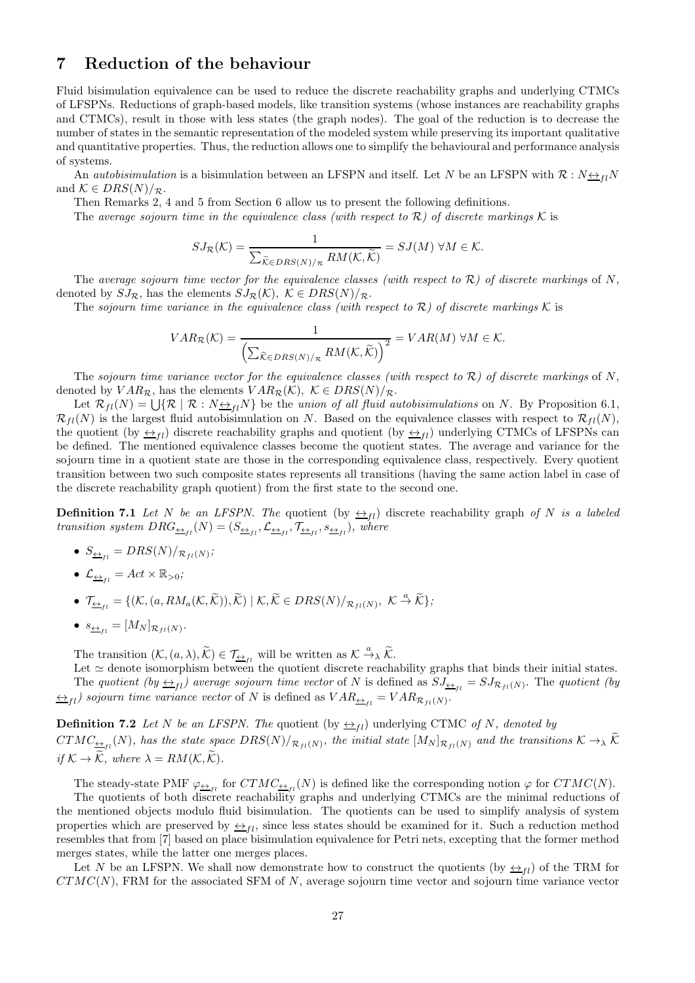# 7 Reduction of the behaviour

Fluid bisimulation equivalence can be used to reduce the discrete reachability graphs and underlying CTMCs of LFSPNs. Reductions of graph-based models, like transition systems (whose instances are reachability graphs and CTMCs), result in those with less states (the graph nodes). The goal of the reduction is to decrease the number of states in the semantic representation of the modeled system while preserving its important qualitative and quantitative properties. Thus, the reduction allows one to simplify the behavioural and performance analysis of systems.

An *autobisimulation* is a bisimulation between an LFSPN and itself. Let N be an LFSPN with  $\mathcal{R}: N \leftrightarrow n$ and  $\mathcal{K} \in DRS(N)/_{\mathcal{R}}$ .

Then Remarks 2, 4 and 5 from Section 6 allow us to present the following definitions.

The average sojourn time in the equivalence class (with respect to  $\mathcal{R}$ ) of discrete markings K is

$$
SJ_{\mathcal{R}}(\mathcal{K}) = \frac{1}{\sum_{\widetilde{\mathcal{K}} \in DRS(N)/_{\mathcal{R}}} RM(\mathcal{K}, \widetilde{\mathcal{K}})} = SJ(M) \ \forall M \in \mathcal{K}.
$$

The average sojourn time vector for the equivalence classes (with respect to  $\mathcal{R}$ ) of discrete markings of N, denoted by  $SJ_{\mathcal{R}}$ , has the elements  $SJ_{\mathcal{R}}(\mathcal{K}), \ \mathcal{K} \in DRS(N)/_{\mathcal{R}}$ .

The sojourn time variance in the equivalence class (with respect to  $\mathcal{R}$ ) of discrete markings K is

$$
VAR_{\mathcal{R}}(\mathcal{K}) = \frac{1}{\left(\sum_{\widetilde{\mathcal{K}} \in DRS(N)/_{\mathcal{R}}} RM(\mathcal{K}, \widetilde{\mathcal{K}})\right)^2} = VAR(M) \ \forall M \in \mathcal{K}.
$$

The sojourn time variance vector for the equivalence classes (with respect to  $\mathcal{R}$ ) of discrete markings of N, denoted by  $VAR_{\mathcal{R}}$ , has the elements  $VAR_{\mathcal{R}}(\mathcal{K})$ ,  $\mathcal{K} \in DRS(N)/_{\mathcal{R}}$ .

Let  $\mathcal{R}_{fl}(N) = \bigcup \{ \mathcal{R} \mid \mathcal{R} : N \leftrightarrow_{fl} N \}$  be the union of all fluid autobisimulations on N. By Proposition 6.1,  $\mathcal{R}_{fl}(N)$  is the largest fluid autobisimulation on N. Based on the equivalence classes with respect to  $\mathcal{R}_{fl}(N)$ , the quotient (by  $\leftrightarrow$ <sub>fl</sub>) discrete reachability graphs and quotient (by  $\leftrightarrow$ <sub>fl</sub>) underlying CTMCs of LFSPNs can be defined. The mentioned equivalence classes become the quotient states. The average and variance for the sojourn time in a quotient state are those in the corresponding equivalence class, respectively. Every quotient transition between two such composite states represents all transitions (having the same action label in case of the discrete reachability graph quotient) from the first state to the second one.

**Definition 7.1** Let N be an LFSPN. The quotient  $(\text{by } \underline{\leftrightarrow}_{fl})$  discrete reachability graph of N is a labeled transition system  $DRG_{\underline{\leftrightarrow}_{fl}}(N) = (S_{\underline{\leftrightarrow}_{fl}}, \mathcal{L}_{\underline{\leftrightarrow}_{fl}}, \mathcal{T}_{\underline{\leftrightarrow}_{fl}}, s_{\underline{\leftrightarrow}_{fl}})$ , where

- $S_{\underline{\leftrightarrow}_{fl}} = DRS(N)/_{\mathcal{R}_{fl}(N)}$ ;
- $\mathcal{L}_{\underline{\leftrightarrow}_{f}} = Act \times \mathbb{R}_{>0};$
- $\mathcal{T}_{\underline{\leftrightarrow}_{fl}} = \{(\mathcal{K}, (a, RM_a(\mathcal{K}, \widetilde{\mathcal{K}})), \widetilde{\mathcal{K}}) \mid \mathcal{K}, \widetilde{\mathcal{K}} \in DRS(N)/_{\mathcal{R}_{fl}(N)}, \ \mathcal{K} \stackrel{a}{\rightarrow} \widetilde{\mathcal{K}}\};$
- $s_{\underline{\leftrightarrow}_{fl}} = [M_N]_{\mathcal{R}_{fl}(N)}$ .

The transition  $(\mathcal{K}, (a, \lambda), \widetilde{\mathcal{K}}) \in \mathcal{T}_{\underline{\leftrightarrow}_{fl}}$  will be written as  $\mathcal{K} \stackrel{a}{\rightarrow}_{\lambda} \widetilde{\mathcal{K}}$ .

Let  $\simeq$  denote isomorphism between the quotient discrete reachability graphs that binds their initial states. The quotient (by  $\leftrightarrow_{fl}$ ) average sojourn time vector of N is defined as  $SJ_{\leftrightarrow_{fl}} = SJ_{\mathcal{R}_{fl}(N)}$ . The quotient (by  $\leftrightarrow_{fl}$ ) sojourn time variance vector of N is defined as  $VAR_{\leftrightarrow_{fl}} = VAR_{\mathcal{R}_{fl}(N)}$ .

**Definition 7.2** Let N be an LFSPN. The quotient (by  $\leftrightarrow$ <sub>fl</sub>) underlying CTMC of N, denoted by  $CTMC_{\frac{\leftrightarrow}{1}}(N)$ , has the state space  $DRS(N)/_{\mathcal{R}_{fl}(N)}$ , the initial state  $[M_N]_{\mathcal{R}_{fl}(N)}$  and the transitions  $K\to_{\lambda} K$ if  $K \to \mathcal{K}$ , where  $\lambda = RM(\mathcal{K}, \mathcal{K})$ .

The steady-state PMF  $\varphi_{\frac{\leftrightarrow}{f}}$  for  $CTMC_{\frac{\leftrightarrow}{f}}(N)$  is defined like the corresponding notion  $\varphi$  for  $CTMC(N)$ .

The quotients of both discrete reachability graphs and underlying CTMCs are the minimal reductions of the mentioned objects modulo fluid bisimulation. The quotients can be used to simplify analysis of system properties which are preserved by  $\leftrightarrow_{fi}$ , since less states should be examined for it. Such a reduction method resembles that from [7] based on place bisimulation equivalence for Petri nets, excepting that the former method merges states, while the latter one merges places.

Let N be an LFSPN. We shall now demonstrate how to construct the quotients (by  $\leftrightarrow_{f_l}$ ) of the TRM for  $CTMC(N)$ , FRM for the associated SFM of N, average sojourn time vector and sojourn time variance vector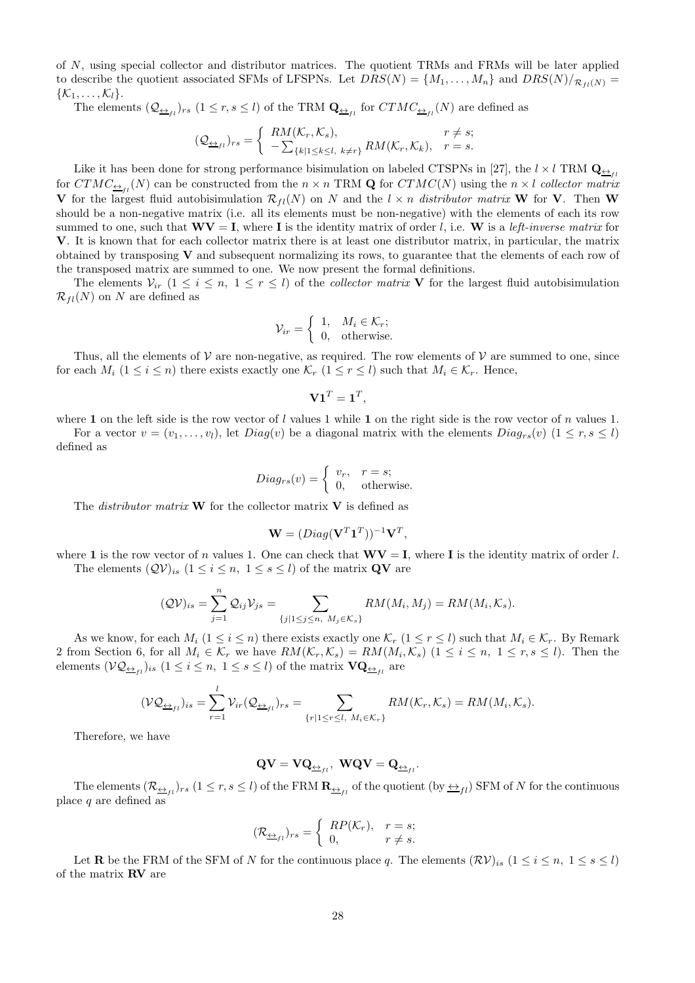of N, using special collector and distributor matrices. The quotient TRMs and FRMs will be later applied to describe the quotient associated SFMs of LFSPNs. Let  $DRS(N) = \{M_1, \ldots, M_n\}$  and  $DRS(N)/_{\mathcal{R}_{fl}(N)} =$  $\{\mathcal{K}_1,\ldots,\mathcal{K}_l\}.$ 

The elements  $(Q_{\underline{\leftrightarrow}_{fl}})_{rs}$   $(1 \leq r, s \leq l)$  of the TRM  $\mathbf{Q}_{\underline{\leftrightarrow}_{fl}}$  for  $CTMC_{\underline{\leftrightarrow}_{fl}}(N)$  are defined as

$$
(\mathcal{Q}_{\underline{\leftrightarrow}_{fl}})_{rs} = \begin{cases} RM(\mathcal{K}_r, \mathcal{K}_s), & r \neq s; \\ -\sum_{\{k|1\leq k\leq l,\ k\neq r\}} RM(\mathcal{K}_r, \mathcal{K}_k), & r = s. \end{cases}
$$

Like it has been done for strong performance bisimulation on labeled CTSPNs in [27], the  $l \times l$  TRM  $Q_{\leftrightarrow n}$ for  $CTMC_{\frac{\leftrightarrow}{1}}(N)$  can be constructed from the  $n \times n$  TRM **Q** for  $CTMC(N)$  using the  $n \times l$  collector matrix V for the largest fluid autobisimulation  $\mathcal{R}_{fl}(N)$  on N and the  $l \times n$  distributor matrix W for V. Then W should be a non-negative matrix (i.e. all its elements must be non-negative) with the elements of each its row summed to one, such that  $\mathbf{W}\mathbf{V} = \mathbf{I}$ , where **I** is the identity matrix of order l, i.e. **W** is a left-inverse matrix for V. It is known that for each collector matrix there is at least one distributor matrix, in particular, the matrix obtained by transposing V and subsequent normalizing its rows, to guarantee that the elements of each row of the transposed matrix are summed to one. We now present the formal definitions.

The elements  $V_{ir}$   $(1 \le i \le n, 1 \le r \le l)$  of the *collector matrix* V for the largest fluid autobisimulation  $\mathcal{R}_{fl}(N)$  on N are defined as

$$
\mathcal{V}_{ir} = \begin{cases} 1, & M_i \in \mathcal{K}_r; \\ 0, & \text{otherwise.} \end{cases}
$$

Thus, all the elements of  $\mathcal V$  are non-negative, as required. The row elements of  $\mathcal V$  are summed to one, since for each  $M_i$  ( $1 \leq i \leq n$ ) there exists exactly one  $\mathcal{K}_r$  ( $1 \leq r \leq l$ ) such that  $M_i \in \mathcal{K}_r$ . Hence,

$$
\mathbf{V1}^T=\mathbf{1}^T,
$$

where 1 on the left side is the row vector of l values 1 while 1 on the right side is the row vector of n values 1. For a vector  $v = (v_1, \ldots, v_l)$ , let  $Diag(v)$  be a diagonal matrix with the elements  $Diag_{rs}(v)$   $(1 \leq r, s \leq l)$ defined as

$$
Diag_{rs}(v) = \begin{cases} v_r, & r = s; \\ 0, & \text{otherwise.} \end{cases}
$$

The *distributor matrix* **W** for the collector matrix **V** is defined as

$$
\mathbf{W} = (Diag(\mathbf{V}^T \mathbf{1}^T))^{-1} \mathbf{V}^T,
$$

where 1 is the row vector of n values 1. One can check that  $\mathbf{W}\mathbf{V} = \mathbf{I}$ , where I is the identity matrix of order l. The elements  $(QV)_{is}$   $(1 \leq i \leq n, 1 \leq s \leq l)$  of the matrix **QV** are

$$
(\mathcal{QV})_{is} = \sum_{j=1}^{n} \mathcal{Q}_{ij} \mathcal{V}_{js} = \sum_{\{j|1 \leq j \leq n, M_j \in \mathcal{K}_s\}} RM(M_i, M_j) = RM(M_i, \mathcal{K}_s).
$$

As we know, for each  $M_i$  (1  $\leq i \leq n$ ) there exists exactly one  $\mathcal{K}_r$  (1  $\leq r \leq l$ ) such that  $M_i \in \mathcal{K}_r$ . By Remark 2 from Section 6, for all  $M_i \in \mathcal{K}_r$  we have  $RM(\mathcal{K}_r, \mathcal{K}_s) = RM(M_i, \mathcal{K}_s)$   $(1 \leq i \leq n, 1 \leq r, s \leq l)$ . Then the elements  $(\mathcal{VQ}_{\underline{\leftrightarrow}_{fl}})_{is}$   $(1 \leq i \leq n, 1 \leq s \leq l)$  of the matrix  $\mathbf{VQ}_{\underline{\leftrightarrow}_{fl}}$  are

$$
(\mathcal{VQ}_{\underline{\leftrightarrow}_{fl}})_{is} = \sum_{r=1}^l \mathcal{V}_{ir}(\mathcal{Q}_{\underline{\leftrightarrow}_{fl}})_{rs} = \sum_{\{r|1 \leq r \leq l, M_i \in \mathcal{K}_r\}} RM(\mathcal{K}_r, \mathcal{K}_s) = RM(M_i, \mathcal{K}_s).
$$

Therefore, we have

$$
\mathbf{Q}\mathbf{V} = \mathbf{V}\mathbf{Q}_{\underline{\leftrightarrow}_{fl}}, \ \mathbf{W}\mathbf{Q}\mathbf{V} = \mathbf{Q}_{\underline{\leftrightarrow}_{fl}}.
$$

The elements  $(\mathcal{R}_{\frac{\leftarrow}{i}})$ rs  $(1 \leq r, s \leq l)$  of the FRM  $\mathbf{R}_{\frac{\leftarrow}{i}}$  of the quotient  $(\text{by } \underline{\leftrightarrow}_{fl})$  SFM of N for the continuous place  $q$  are defined as

$$
(\mathcal{R}_{\underline{\leftrightarrow}_{fl}})_{rs} = \begin{cases} RP(\mathcal{K}_r), & r = s; \\ 0, & r \neq s. \end{cases}
$$

Let **R** be the FRM of the SFM of N for the continuous place q. The elements  $(\mathcal{RV})_{is}$  ( $1 \leq i \leq n, 1 \leq s \leq l$ ) of the matrix RV are

$$
\mathbf{Q}\mathbf{V} = \mathbf{V}\mathbf{Q}_{\underleftrightarrow_{\ell l}}, \ \mathbf{W}\mathbf{Q}\mathbf{V} = \mathbf{Q}_{\underleftrightarrow}
$$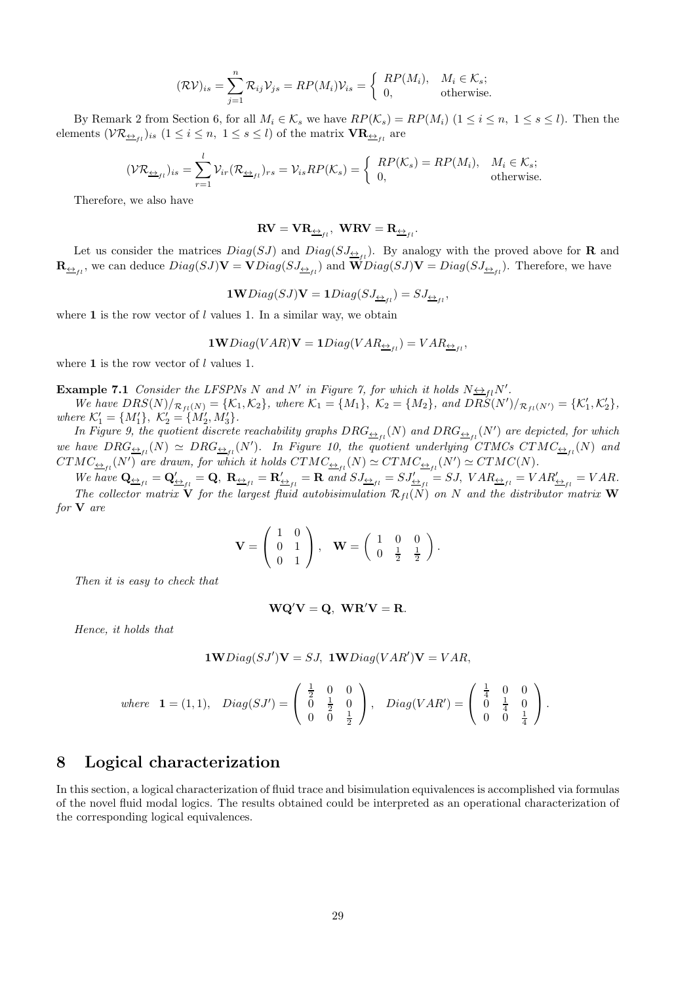$$
(\mathcal{RV})_{is} = \sum_{j=1}^{n} \mathcal{R}_{ij} \mathcal{V}_{js} = RP(M_i)\mathcal{V}_{is} = \begin{cases} RP(M_i), & M_i \in \mathcal{K}_s; \\ 0, & \text{otherwise.} \end{cases}
$$

By Remark 2 from Section 6, for all  $M_i \in \mathcal{K}_s$  we have  $RP(\mathcal{K}_s) = RP(M_i)$   $(1 \le i \le n, 1 \le s \le l)$ . Then the elements  $(\mathcal{VR}_{\underline{\leftrightarrow}_{fl}})_{is}$   $(1 \leq i \leq n, 1 \leq s \leq l)$  of the matrix  $\mathbf{VR}_{\underline{\leftrightarrow}_{fl}}$  are

$$
(\mathcal{VR}_{\underline{\leftrightarrow}_{fl}})_{is} = \sum_{r=1}^{l} \mathcal{V}_{ir}(\mathcal{R}_{\underline{\leftrightarrow}_{fl}})_{rs} = \mathcal{V}_{is}RP(\mathcal{K}_s) = \begin{cases} RP(\mathcal{K}_s) = RP(M_i), & M_i \in \mathcal{K}_s; \\ 0, & \text{otherwise.} \end{cases}
$$

Therefore, we also have

$$
\mathbf{RV} = \mathbf{VR}_{\underline{\leftrightarrow}_{fl}}, \ \mathbf{WRV} = \mathbf{R}_{\underline{\leftrightarrow}_{fl}}.
$$

Let us consider the matrices  $Diag(SJ)$  and  $Diag(SJ_{\frac{\leftrightarrow}{\pm I}})$ . By analogy with the proved above for **R** and  $\mathbf{R}_{\underline{\leftrightarrow}_{fl}}$ , we can deduce  $Diag(SJ)\mathbf{V} = \mathbf{V}Diag(SJ_{\underline{\leftrightarrow}_{fl}})$  and  $\mathbf{W}Diag(SJ)\mathbf{V} = Diag(SJ_{\underline{\leftrightarrow}_{fl}})$ . Therefore, we have

$$
\mathbf{1W}Diag(SJ)\mathbf{V}=\mathbf{1}Diag(SJ_{\underleftarrow{\Delta_{fl}}})=SJ_{\underleftarrow{\Delta_{fl}}},
$$

where  $\bf{1}$  is the row vector of l values 1. In a similar way, we obtain

$$
\textbf{1W}Diag(VAR)\textbf{V}=\textbf{1}Diag(VAR_{\underleftrightarrow_{fl}})=VAR_{\underleftrightarrow_{fl}},
$$

where  $1$  is the row vector of  $l$  values 1.

**Example 7.1** Consider the LFSPNs N and N' in Figure 7, for which it holds  $N \leftrightarrow flN'$ .

We have  $DRS(N)/_{\mathcal{R}_{fl}(N)} = \{\mathcal{K}_1, \mathcal{K}_2\}$ , where  $\mathcal{K}_1 = \{M_1\}$ ,  $\mathcal{K}_2 = \{M_2\}$ , and  $DRS(N')/_{\mathcal{R}_{fl}(N')} = \{\mathcal{K}'_1, \mathcal{K}'_2\}$ , where  $\mathcal{K}'_1 = \{M'_1\}, \ \mathcal{K}'_2 = \{M'_2, M'_3\}.$ 

In Figure 9, the quotient discrete reachability graphs  $DRG_{\frac{\leftrightarrow}{1}}{}_l(N)$  and  $DRG_{\frac{\leftrightarrow}{1}}{}_l(N')$  are depicted, for which we have  $DRG_{\frac{\leftrightarrow}{1}}(N) \simeq DRG_{\frac{\leftrightarrow}{1}}(N')$ . In Figure 10, the quotient underlying CTMCs CTMC $_{\frac{\leftrightarrow}{1}}(N)$  and  $CTMC_{\frac{\leftrightarrow}{1}}(N')$  are drawn, for which it holds  $CTMC_{\frac{\leftrightarrow}{1}}(N) \simeq CTMC_{\frac{\leftrightarrow}{1}}(N') \simeq CTMC(N)$ .

We have  $\mathbf{Q}_{\underline{\leftrightarrow}_{fl}} = \mathbf{Q}'_{\underline{\leftrightarrow}_{fl}} = \mathbf{Q}, \ \mathbf{R}_{\underline{\leftrightarrow}_{fl}} = \mathbf{R}'_{\underline{\leftrightarrow}_{fl}} = \mathbf{R} \text{ and } SJ_{\underline{\leftrightarrow}_{fl}} = SJ, \ \text{VAR}_{\underline{\leftrightarrow}_{fl}} = VAR_{\underline{\leftrightarrow}_{fl}} = VAR$ . The collector matrix  $\overrightarrow{\mathbf{V}}$  for the largest fluid autobisimulation  $\mathcal{R}_{fl}(\overrightarrow{N})$  on N and the distributor matrix **W** for V are

$$
\mathbf{V} = \left( \begin{array}{cc} 1 & 0 \\ 0 & 1 \\ 0 & 1 \end{array} \right), \quad \mathbf{W} = \left( \begin{array}{cc} 1 & 0 & 0 \\ 0 & \frac{1}{2} & \frac{1}{2} \end{array} \right).
$$

Then it is easy to check that

$$
WQ'V = Q, \quad WR'V = R.
$$

Hence, it holds that

$$
1 \mathbf{W} Diag(SJ')\mathbf{V} = SJ, \ \mathbf{1W} Diag(VAR')\mathbf{V} = VAR,
$$

where 
$$
\mathbf{1} = (1, 1), \quad Diag(SJ') = \begin{pmatrix} \frac{1}{2} & 0 & 0 \\ 0 & \frac{1}{2} & 0 \\ 0 & 0 & \frac{1}{2} \end{pmatrix}, \quad Diag(VAR') = \begin{pmatrix} \frac{1}{4} & 0 & 0 \\ 0 & \frac{1}{4} & 0 \\ 0 & 0 & \frac{1}{4} \end{pmatrix}.
$$

### 8 Logical characterization

In this section, a logical characterization of fluid trace and bisimulation equivalences is accomplished via formulas of the novel fluid modal logics. The results obtained could be interpreted as an operational characterization of the corresponding logical equivalences.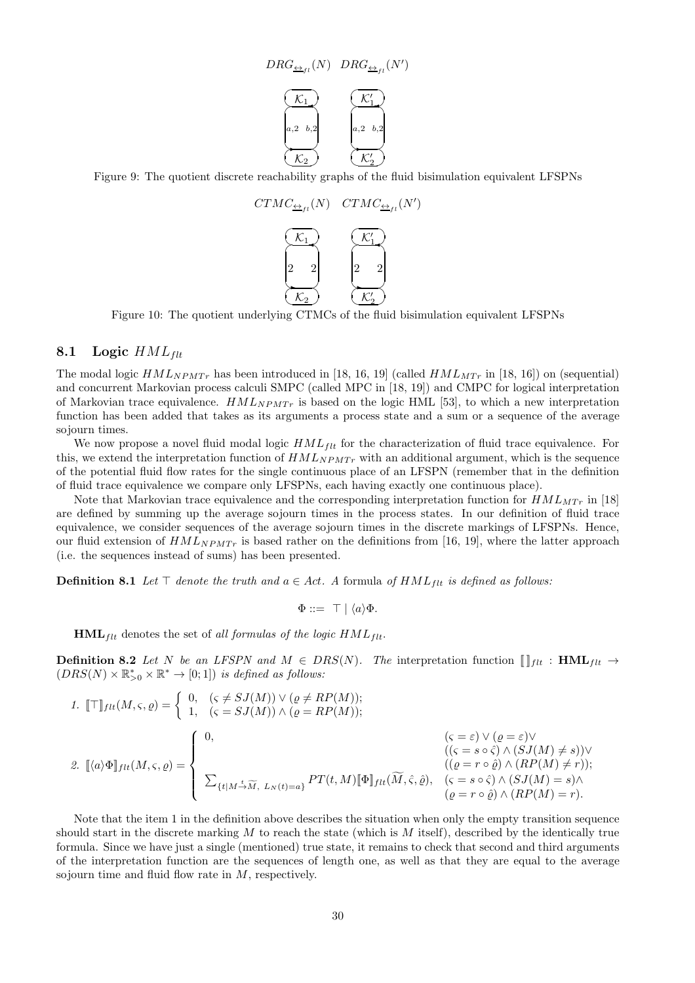$$
DRG_{\underline{\leftrightarrow}_{fl}}(N) \quad DRG_{\underline{\leftrightarrow}_{fl}}(N')
$$



Figure 9: The quotient discrete reachability graphs of the fluid bisimulation equivalent LFSPNs



Figure 10: The quotient underlying CTMCs of the fluid bisimulation equivalent LFSPNs

#### 8.1 Logic  $HML_{\text{flt}}$

The modal logic  $HML_{NPMTr}$  has been introduced in [18, 16, 19] (called  $HML_{MTr}$  in [18, 16]) on (sequential) and concurrent Markovian process calculi SMPC (called MPC in [18, 19]) and CMPC for logical interpretation of Markovian trace equivalence.  $HML_{NPMTr}$  is based on the logic HML [53], to which a new interpretation function has been added that takes as its arguments a process state and a sum or a sequence of the average sojourn times.

We now propose a novel fluid modal logic  $HML_{ftt}$  for the characterization of fluid trace equivalence. For this, we extend the interpretation function of  $HML_{NPMT_r}$  with an additional argument, which is the sequence of the potential fluid flow rates for the single continuous place of an LFSPN (remember that in the definition of fluid trace equivalence we compare only LFSPNs, each having exactly one continuous place).

Note that Markovian trace equivalence and the corresponding interpretation function for  $HML_{MTr}$  in [18] are defined by summing up the average sojourn times in the process states. In our definition of fluid trace equivalence, we consider sequences of the average sojourn times in the discrete markings of LFSPNs. Hence, our fluid extension of  $HML_{NPMTr}$  is based rather on the definitions from [16, 19], where the latter approach (i.e. the sequences instead of sums) has been presented.

**Definition 8.1** Let  $\top$  denote the truth and  $a \in Act$ . A formula of  $HML_{flt}$  is defined as follows:

$$
\Phi ::= \top | \langle a \rangle \Phi.
$$

 $HML_{flt}$  denotes the set of all formulas of the logic  $HML_{flt}$ .

**Definition 8.2** Let N be an LFSPN and  $M \in DRS(N)$ . The interpretation function  $\left[\right]_{\text{f}lt}$  : HML<sub>flt</sub>  $\rightarrow$  $(DRS(N) \times \mathbb{R}_{>0}^* \times \mathbb{R}^* \to [0;1])$  is defined as follows:

1. 
$$
[\![\top]\!]_{ft}(M,\varsigma,\varrho) = \begin{cases} 0, & (\varsigma \neq SJ(M)) \vee (\varrho \neq RP(M)); \\ 1, & (\varsigma = SJ(M)) \wedge (\varrho = RP(M)); \end{cases}
$$
  
2. 
$$
[\![\langle a \rangle \Phi]\!]_{ft}(M,\varsigma,\varrho) = \begin{cases} 0, & (\varsigma = \varepsilon) \vee (\varrho = \varepsilon) \vee \\ 0, & (\langle \varsigma = s \circ \hat{\varsigma} \rangle \wedge (SJ(M) \neq s)) \vee \\ & (\langle \varrho = r \circ \hat{\varrho} \rangle \wedge (RP(M) \neq r)); \\ 0, & (\varrho = r \circ \hat{\varrho}) \wedge (RP(M) = s) \wedge \\ \varrho = r \circ \hat{\varrho}) \wedge (RP(M) = r). \end{cases}
$$

Note that the item 1 in the definition above describes the situation when only the empty transition sequence should start in the discrete marking  $M$  to reach the state (which is  $M$  itself), described by the identically true formula. Since we have just a single (mentioned) true state, it remains to check that second and third arguments of the interpretation function are the sequences of length one, as well as that they are equal to the average sojourn time and fluid flow rate in M, respectively.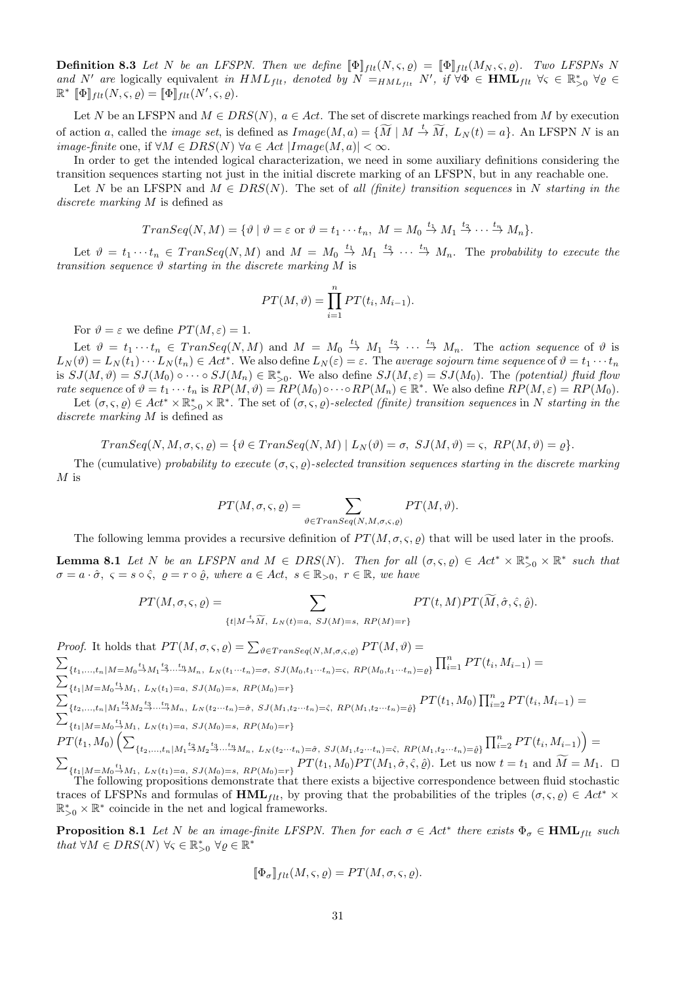**Definition 8.3** Let N be an LFSPN. Then we define  $[\![\Phi]\!]_{ft}(N,\varsigma,\varrho) = [\![\Phi]\!]_{ft}(M_N,\varsigma,\varrho)$ . Two LFSPNs N and N' are logically equivalent in  $HML_{filt}$ , denoted by  $N =_{HML_{filt}} N'$ , if  $\forall \Phi \in \textbf{HML}_{filt}$   $\forall \varsigma \in \mathbb{R}_{>0}^*$   $\forall \varrho \in \textbf{HML}_{H}$  $\mathbb{R}^*$   $[\![\Phi]\!]_{flt}(N,\varsigma,\varrho) = [\![\Phi]\!]_{flt}(N',\varsigma,\varrho).$ 

Let N be an LFSPN and  $M \in DRS(N)$ ,  $a \in Act$ . The set of discrete markings reached from M by execution of action a, called the *image set*, is defined as  $Image(M, a) = {\widetilde{M} | M \stackrel{t}{\rightarrow} \widetilde{M}, L_N(t) = a}$ . An LFSPN N is an image-finite one, if  $\forall M \in DRS(N)$   $\forall a \in Act | Image(M, a)| < \infty$ .

In order to get the intended logical characterization, we need in some auxiliary definitions considering the transition sequences starting not just in the initial discrete marking of an LFSPN, but in any reachable one.

Let N be an LFSPN and  $M \in DRS(N)$ . The set of all (finite) transition sequences in N starting in the discrete marking M is defined as

$$
TransSeq(N, M) = \{ \vartheta \mid \vartheta = \varepsilon \text{ or } \vartheta = t_1 \cdots t_n, M = M_0 \stackrel{t_1}{\rightarrow} M_1 \stackrel{t_2}{\rightarrow} \cdots \stackrel{t_n}{\rightarrow} M_n \}.
$$

Let  $\vartheta = t_1 \cdots t_n \in Transeq(N, M)$  and  $M = M_0 \stackrel{t_1}{\rightarrow} M_1 \stackrel{t_2}{\rightarrow} \cdots \stackrel{t_n}{\rightarrow} M_n$ . The probability to execute the transition sequence  $\vartheta$  starting in the discrete marking M is

$$
PT(M, \vartheta) = \prod_{i=1}^{n} PT(t_i, M_{i-1}).
$$

For  $\vartheta = \varepsilon$  we define  $PT(M, \varepsilon) = 1$ .

Let  $\vartheta = t_1 \cdots t_n \in Transeq(N, M)$  and  $M = M_0 \stackrel{t_1}{\rightarrow} M_1 \stackrel{t_2}{\rightarrow} \cdots \stackrel{t_n}{\rightarrow} M_n$ . The action sequence of  $\vartheta$  is  $L_N(\vartheta) = L_N(t_1) \cdots L_N(t_n) \in Act^*$ . We also define  $L_N(\varepsilon) = \varepsilon$ . The average sojourn time sequence of  $\vartheta = t_1 \cdots t_n$ is  $SJ(M, \vartheta) = SJ(M_0) \circ \cdots \circ SJ(M_n) \in \mathbb{R}_{>0}^*$ . We also define  $SJ(M, \varepsilon) = SJ(M_0)$ . The (potential) fluid flow rate sequence of  $\vartheta = t_1 \cdots t_n$  is  $RP(M, \vartheta) = RP(M_0) \circ \cdots \circ RP(M_n) \in \mathbb{R}^*$ . We also define  $RP(M, \varepsilon) = RP(M_0)$ . Let  $(\sigma, \varsigma, \varrho) \in Act^* \times \mathbb{R}_{>0}^* \times \mathbb{R}^*$ . The set of  $(\sigma, \varsigma, \varrho)$ -selected (finite) transition sequences in N starting in the

discrete marking M is defined as

$$
TransSeq(N, M, \sigma, \varsigma, \varrho) = \{ \vartheta \in Transeq(N, M) \mid L_N(\vartheta) = \sigma, \ SJ(M, \vartheta) = \varsigma, \ RP(M, \vartheta) = \varrho \}.
$$

The (cumulative) probability to execute  $(\sigma, \varsigma, \rho)$ -selected transition sequences starting in the discrete marking  $M$  is

$$
PT(M, \sigma, \varsigma, \varrho) = \sum_{\vartheta \in Transeq(N, M, \sigma, \varsigma, \varrho)} PT(M, \vartheta).
$$

The following lemma provides a recursive definition of  $PT(M, \sigma, \varsigma, \rho)$  that will be used later in the proofs.

**Lemma 8.1** Let N be an LFSPN and  $M \in \text{DRS}(N)$ . Then for all  $(\sigma, \varsigma, \varrho) \in \text{Act}^* \times \mathbb{R}_{>0}^* \times \mathbb{R}^*$  such that  $\sigma = a \cdot \hat{\sigma}$ ,  $\varsigma = s \circ \hat{\varsigma}$ ,  $\varrho = r \circ \hat{\varrho}$ , where  $a \in Act$ ,  $s \in \mathbb{R}_{>0}$ ,  $r \in \mathbb{R}$ , we have

$$
PT(M, \sigma, \varsigma, \varrho) = \sum_{\{t \mid M \stackrel{t}{\rightarrow} \widetilde{M}, L_N(t) = a, \ SJ(M) = s, \ RP(M) = r\}} PT(t, M) PT(\widetilde{M}, \hat{\sigma}, \hat{\varsigma}, \hat{\varrho}).
$$

Proof. It holds that  $PT(M, \sigma, \varsigma, \varrho) = \sum_{\vartheta \in Transeq(N, M, \sigma, \varsigma, \varrho)} PT(M, \vartheta) =$  $\sum$  ${t_1,...,t_n | M = M_0 \xrightarrow{t_1} M_1 \xrightarrow{t_2} ... \xrightarrow{t_n} M_n, L_N(t_1...t_n) = \sigma, SJ(M_0, t_1...t_n) = c, RP(M_0, t_1...t_n) = \rho} \prod_{i=1}^n PT(t_i, M_{i-1}) =$  $\sum$  $\sum_{t=1}^{L} \{t_1 | M = M_0 \stackrel{t_1}{\rightarrow} M_1, L_N(t_1) = a, SJ(M_0) = s, RP(M_0) = r\}$  ${t_1, t_2, \ldots, t_n | M_1 \stackrel{t_2}{\to} M_2 \stackrel{t_3}{\to} \ldots \stackrel{t_n}{\to} M_n, \ L_N(t_2 \cdots t_n) = \hat{\sigma}, \ SJ(M_1, t_2 \cdots t_n) = \hat{\sigma}, \ RP(M_1, t_2 \cdots t_n) = \hat{\sigma}}$   $PT(t_1, M_0) \prod_{i=2}^n PT(t_i, M_{i-1}) =$  $\sum$  $\{t_1|M{=}M_0{\overset{t_1}{\to}} M_1, \ L_N(t_1){=}a, \ SJ(M_0){=}s, \ RP(M_0){=}r\}$  $PT(t_1, M_0)\left(\sum\right)$  ${t_2,...,t_n | M_1 \stackrel{t_2}{\rightarrow} M_2 \stackrel{t_3}{\rightarrow} ... \stackrel{t_n}{\rightarrow} M_n, \ L_N(t_2...t_n) = \hat{\sigma}, \ SJ(M_1,t_2...t_n) = \hat{\epsilon}, \ RP(M_1,t_2...t_n) = \hat{\rho}} \prod_{i=2}^n PT(t_i, M_{i-1}) =$  $\sum$  ${t_1 | M=M_0 \xrightarrow{t_1} M_1, L_N(t_1)=a, SJ(M_0)=s, RP(M_0)=r} PT(t_1, M_0) PT(M_1, \hat{\sigma}, \hat{\zeta}, \hat{\theta}).$  Let us now  $t = t_1$  and  $M = M_1$ .  $\Box$ 

The following propositions demonstrate that there exists a bijective correspondence between fluid stochastic traces of LFSPNs and formulas of  $HML_{ftt}$ , by proving that the probabilities of the triples  $(\sigma, \varsigma, \varrho) \in Act^* \times$  $\mathbb{R}_{>0}^* \times \mathbb{R}^*$  coincide in the net and logical frameworks.

**Proposition 8.1** Let N be an image-finite LFSPN. Then for each  $\sigma \in Act^*$  there exists  $\Phi_{\sigma} \in \text{HML}_{filt}$  such that  $\forall M \in DRS(N) \ \forall \varsigma \in \mathbb{R}_{>0}^* \ \forall \varrho \in \mathbb{R}^*$ 

$$
[\![\Phi_{\sigma}]\!]_{flt}(M,\varsigma,\varrho)=PT(M,\sigma,\varsigma,\varrho).
$$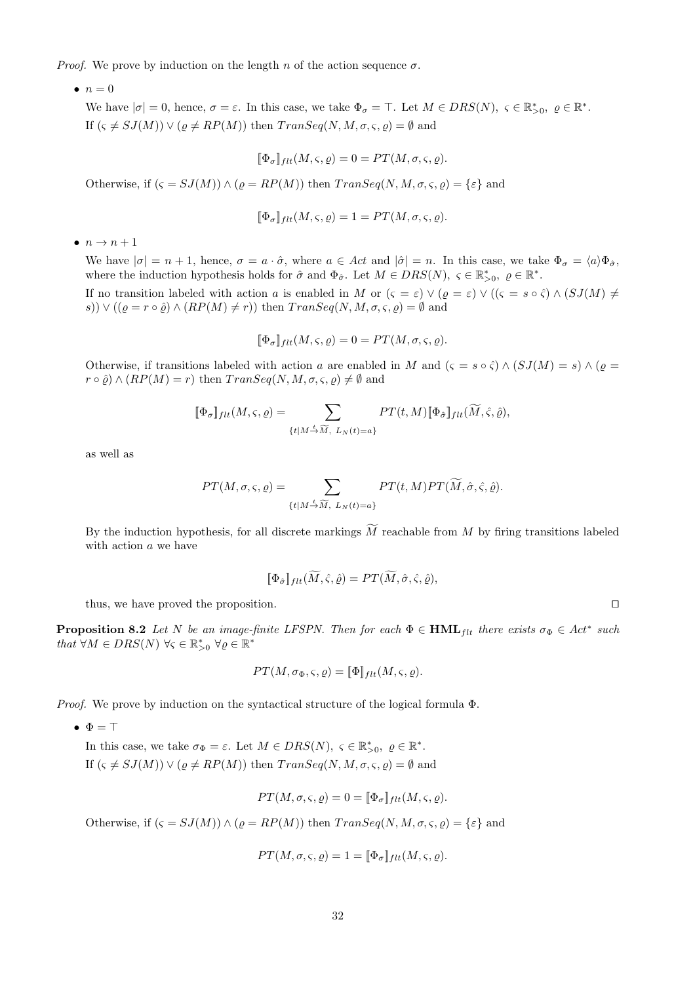*Proof.* We prove by induction on the length n of the action sequence  $\sigma$ .

 $\bullet$   $n=0$ 

We have  $|\sigma|=0$ , hence,  $\sigma=\varepsilon$ . In this case, we take  $\Phi_{\sigma}=\top$ . Let  $M \in DRS(N)$ ,  $\varsigma \in \mathbb{R}_{>0}^*$ ,  $\varrho \in \mathbb{R}^*$ . If  $(\varsigma \neq SJ(M)) \vee (\rho \neq RP(M))$  then  $TransSeq(N, M, \sigma, \varsigma, \rho) = \emptyset$  and

$$
[\![\Phi_{\sigma}]\!]_{flt}(M,\varsigma,\varrho)=0=PT(M,\sigma,\varsigma,\varrho).
$$

Otherwise, if  $(\varsigma = SJ(M)) \wedge (\varrho = RP(M))$  then  $TransEq(N, M, \sigma, \varsigma, \varrho) = {\varepsilon}$  and

$$
[\![\Phi_{\sigma}]\!]_{ft}(M,\varsigma,\varrho)=1=PT(M,\sigma,\varsigma,\varrho).
$$

 $\bullet$   $n \rightarrow n+1$ 

We have  $|\sigma| = n + 1$ , hence,  $\sigma = a \cdot \hat{\sigma}$ , where  $a \in Act$  and  $|\hat{\sigma}| = n$ . In this case, we take  $\Phi_{\sigma} = \langle a \rangle \Phi_{\hat{\sigma}}$ , where the induction hypothesis holds for  $\hat{\sigma}$  and  $\Phi_{\hat{\sigma}}$ . Let  $M \in DRS(N)$ ,  $\varsigma \in \mathbb{R}_{>0}^*$ ,  $\varrho \in \mathbb{R}^*$ .

If no transition labeled with action a is enabled in M or  $(\varsigma = \varepsilon) \vee (\varrho = \varepsilon) \vee ((\varsigma = s \circ \hat{\varsigma}) \wedge (SJ(M) \neq$ s))  $\vee ((\varrho = r \circ \hat{\varrho}) \wedge (RP(M) \neq r))$  then  $TransSeq(N, M, \sigma, \varsigma, \varrho) = \emptyset$  and

$$
[\![\Phi_{\sigma}]\!]_{flt}(M,\varsigma,\varrho)=0=PT(M,\sigma,\varsigma,\varrho).
$$

Otherwise, if transitions labeled with action a are enabled in M and  $(\varsigma = s \circ \hat{\varsigma}) \wedge (SJ(M) = s) \wedge (\rho = \hat{\varsigma})$  $r \circ \hat{\varrho}$ )  $\wedge (RP(M) = r)$  then  $TransSeq(N, M, \sigma, \varsigma, \varrho) \neq \emptyset$  and

$$
[\![\Phi_\sigma]\!]_{flt}(M,\varsigma,\varrho) = \sum_{\{t \mid M \stackrel{t}{\rightarrow} \widetilde{M}, \ L_N(t)=a\}} PT(t,M) [\![\Phi_{\hat{\sigma}}]\!]_{flt}(\widetilde{M},\hat{\varsigma},\hat{\varrho}),
$$

as well as

$$
PT(M, \sigma, \varsigma, \varrho) = \sum_{\{t \mid M \stackrel{t}{\rightarrow} \widetilde{M}, L_N(t) = a\}} PT(t, M) PT(\widetilde{M}, \hat{\sigma}, \hat{\varsigma}, \hat{\varrho}).
$$

By the induction hypothesis, for all discrete markings  $\widetilde{M}$  reachable from M by firing transitions labeled with action a we have

$$
[\![\Phi_{\hat{\sigma}}]\!]_{flt}(\widetilde{M},\hat{\varsigma},\hat{\varrho})=PT(\widetilde{M},\hat{\sigma},\hat{\varsigma},\hat{\varrho}),
$$

thus, we have proved the proposition. ⊓⊔

**Proposition 8.2** Let N be an image-finite LFSPN. Then for each  $\Phi \in \text{HML}_{flt}$  there exists  $\sigma_{\Phi} \in Act^*$  such that  $\forall M \in DRS(N) \ \forall \varsigma \in \mathbb{R}_{>0}^* \ \forall \varrho \in \mathbb{R}^*$ 

$$
PT(M, \sigma_{\Phi}, \varsigma, \varrho) = [\![\Phi]\!]_{flt}(M, \varsigma, \varrho).
$$

*Proof.* We prove by induction on the syntactical structure of the logical formula  $\Phi$ .

 $\bullet \Phi = \top$ 

In this case, we take  $\sigma_{\Phi} = \varepsilon$ . Let  $M \in DRS(N)$ ,  $\varsigma \in \mathbb{R}_{>0}^*$ ,  $\varrho \in \mathbb{R}^*$ . If  $(\varsigma \neq SJ(M)) \vee (\varrho \neq RP(M))$  then  $TransSeq(N, M, \sigma, \varsigma, \varrho) = \emptyset$  and

$$
PT(M, \sigma, \varsigma, \varrho) = 0 = [\![\Phi_{\sigma}]\!]_{flt}(M, \varsigma, \varrho).
$$

Otherwise, if  $(\varsigma = SJ(M)) \wedge (\varrho = RP(M))$  then  $TransEq(N, M, \sigma, \varsigma, \varrho) = {\varepsilon}$  and

$$
PT(M, \sigma, \varsigma, \varrho) = 1 = [\![\Phi_{\sigma}]\!]_{flt}(M, \varsigma, \varrho).
$$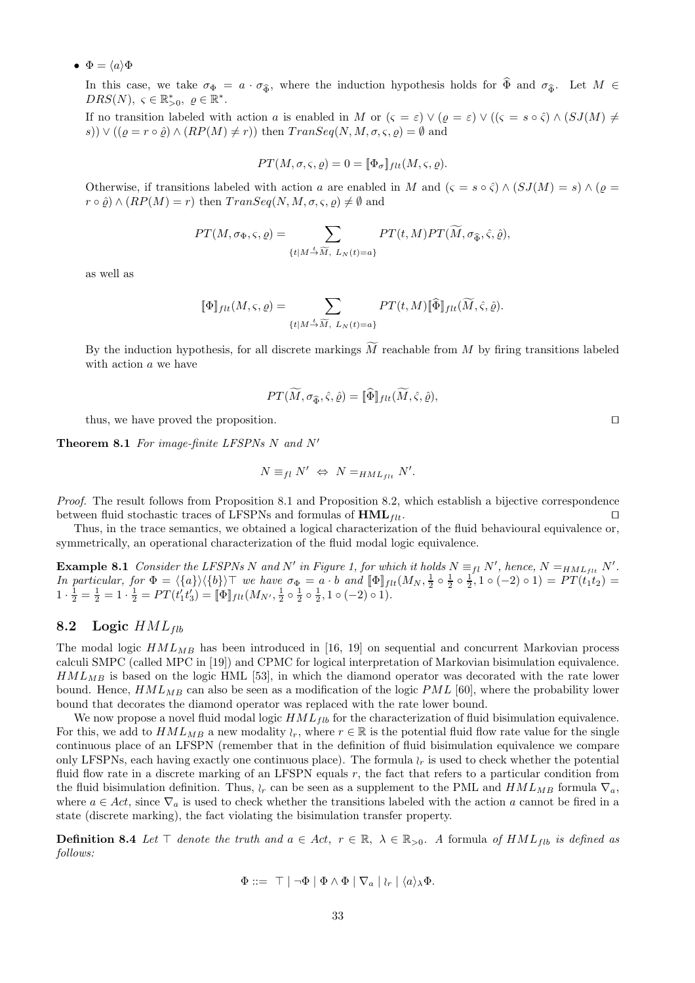•  $\Phi = \langle a \rangle \Phi$ 

In this case, we take  $\sigma_{\Phi} = a \cdot \sigma_{\widehat{\Phi}}$ , where the induction hypothesis holds for  $\widehat{\Phi}$  and  $\sigma_{\widehat{\Phi}}$ . Let  $M \in$  $DRS(N)$ ,  $\varsigma \in \mathbb{R}_{>0}^*$ ,  $\varrho \in \mathbb{R}^*$ .

If no transition labeled with action a is enabled in M or  $(\varsigma = \varepsilon) \vee (\varrho = \varepsilon) \vee ((\varsigma = s \circ \hat{\varsigma}) \wedge (SJ(M)) \neq$ s))  $\vee ((\varrho = r \circ \hat{\varrho}) \wedge (RP(M) \neq r))$  then  $Transeq(N, M, \sigma, \varsigma, \varrho) = \emptyset$  and

$$
PT(M, \sigma, \varsigma, \varrho) = 0 = [\![\Phi_{\sigma}]\!]_{flt}(M, \varsigma, \varrho).
$$

Otherwise, if transitions labeled with action a are enabled in M and  $(s = s \circ \hat{\zeta}) \wedge (SJ(M) = s) \wedge (\rho = \hat{\zeta})$  $r \circ \hat{\rho}$ )  $\wedge (RP(M) = r)$  then  $TransSeq(N, M, \sigma, \varsigma, \rho) \neq \emptyset$  and

$$
PT(M, \sigma_{\Phi}, \varsigma, \varrho) = \sum_{\{t \mid M \stackrel{t}{\rightarrow} \widetilde{M}, L_N(t) = a\}} PT(t, M) PT(\widetilde{M}, \sigma_{\widehat{\Phi}}, \widehat{\varsigma}, \widehat{\varrho}),
$$

as well as

$$
[\![\Phi]\!]_{ftt}(M,\varsigma,\varrho) = \sum_{\{t \mid M \stackrel{t}{\rightarrow} \widetilde{M}, L_N(t) = a\}} PT(t,M) [\![\widehat{\Phi}]\!]_{ftt}(\widetilde{M},\widehat{\varsigma},\widehat{\varrho}).
$$

By the induction hypothesis, for all discrete markings  $\overline{M}$  reachable from  $\overline{M}$  by firing transitions labeled with action a we have

$$
PT(\tilde{M}, \sigma_{\widehat{\Phi}}, \hat{\varsigma}, \hat{\varrho}) = [\![\widehat{\Phi}]\!]_{ftt}(\tilde{M}, \hat{\varsigma}, \hat{\varrho}),
$$

thus, we have proved the proposition. ⊓⊔

Theorem 8.1 For image-finite LFSPNs N and N'

$$
N \equiv_{fl} N' \Leftrightarrow N =_{HML_{flt}} N'.
$$

Proof. The result follows from Proposition 8.1 and Proposition 8.2, which establish a bijective correspondence between fluid stochastic traces of LFSPNs and formulas of  $HML_{flt}$ . □

Thus, in the trace semantics, we obtained a logical characterization of the fluid behavioural equivalence or, symmetrically, an operational characterization of the fluid modal logic equivalence.

**Example 8.1** Consider the LFSPNs N and N' in Figure 1, for which it holds  $N \equiv_{fl} N'$ , hence,  $N =_{HML_{fit}} N'$ . In particular, for  $\Phi = \langle \{a\} \rangle \langle \{b\} \rangle$  we have  $\sigma_{\Phi} = a \cdot b$  and  $[\![ \Phi ]\!]_{ft}(M_N, \frac{1}{2} \circ \frac{1}{2} \circ \frac{1}{2}, 1 \circ (-2) \circ 1) = PT(t_1t_2)$  $1 \cdot \frac{1}{2} = \frac{1}{2} = 1 \cdot \frac{1}{2} = PT(t'_1 t'_3) = [\Phi]_{flt}(M_{N'}, \frac{1}{2} \circ \frac{1}{2} \circ \frac{1}{2}, 1 \circ (-2) \circ 1).$ 

#### 8.2 Logic  $HML_{fib}$

The modal logic  $HML_{MB}$  has been introduced in [16, 19] on sequential and concurrent Markovian process calculi SMPC (called MPC in [19]) and CPMC for logical interpretation of Markovian bisimulation equivalence.  $HML_{MB}$  is based on the logic HML [53], in which the diamond operator was decorated with the rate lower bound. Hence,  $HML_{MB}$  can also be seen as a modification of the logic  $PML$  [60], where the probability lower bound that decorates the diamond operator was replaced with the rate lower bound.

We now propose a novel fluid modal logic  $HML_{fib}$  for the characterization of fluid bisimulation equivalence. For this, we add to  $HML_{MB}$  a new modality  $\wr_r$ , where  $r \in \mathbb{R}$  is the potential fluid flow rate value for the single continuous place of an LFSPN (remember that in the definition of fluid bisimulation equivalence we compare only LFSPNs, each having exactly one continuous place). The formula  $\iota_r$  is used to check whether the potential fluid flow rate in a discrete marking of an LFSPN equals r, the fact that refers to a particular condition from the fluid bisimulation definition. Thus,  $\iota_r$  can be seen as a supplement to the PML and  $HML_{MB}$  formula  $\nabla_a$ , where  $a \in Act$ , since  $\nabla_a$  is used to check whether the transitions labeled with the action a cannot be fired in a state (discrete marking), the fact violating the bisimulation transfer property.

**Definition 8.4** Let ⊤ denote the truth and  $a \in Act$ ,  $r \in \mathbb{R}$ ,  $\lambda \in \mathbb{R}_{>0}$ . A formula of  $HML_{fib}$  is defined as follows:

$$
\Phi ::= \top | \neg \Phi | \Phi \wedge \Phi | \nabla_a | \iota_r | \langle a \rangle_{\lambda} \Phi.
$$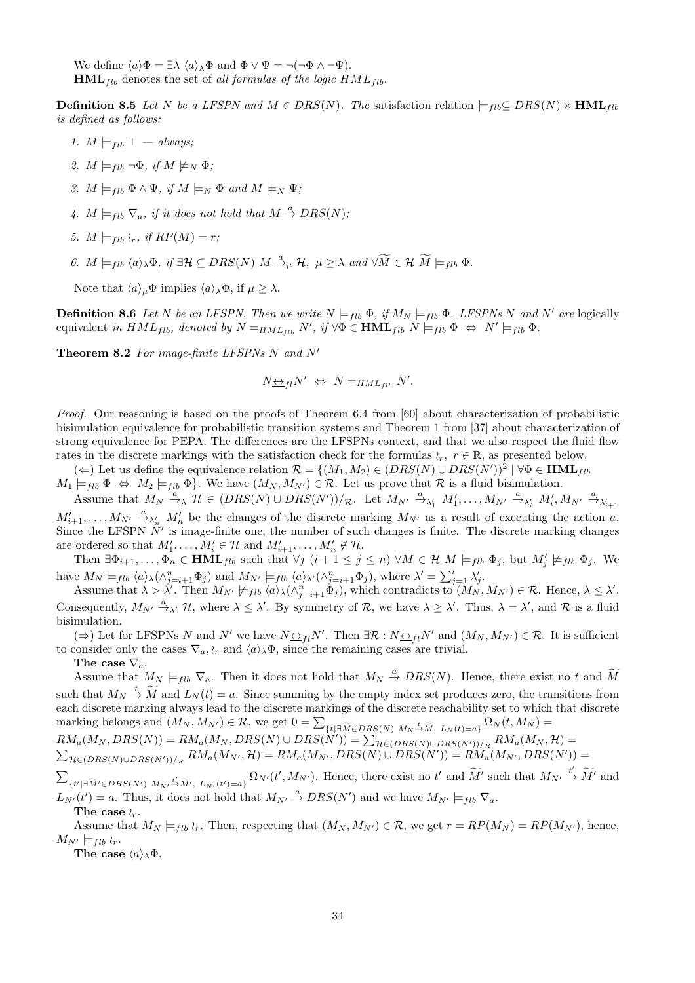We define  $\langle a \rangle \Phi = \exists \lambda \langle a \rangle_{\lambda} \Phi$  and  $\Phi \vee \Psi = \neg(\neg \Phi \wedge \neg \Psi)$ .  $HML_{fib}$  denotes the set of all formulas of the logic  $HML_{fib}$ .

**Definition 8.5** Let N be a LFSPN and  $M \in DRS(N)$ . The satisfaction relation  $\models_{flb} \subset DRS(N) \times \textbf{HML}_{flb}$ is defined as follows:

- 1.  $M \models_{\textit{fib}} \top \textit{always};$
- 2.  $M \models_{\text{fib}} \neg \Phi$ , if  $M \not\models_N \Phi$ ;
- 3.  $M \models_{f\downarrow b} \Phi \wedge \Psi$ , if  $M \models_N \Phi$  and  $M \models_N \Psi$ ;
- 4.  $M \models_{fib} \nabla_a$ , if it does not hold that  $M \stackrel{a}{\rightarrow} DRS(N)$ ;
- 5.  $M \models_{\text{flb}} \iota_r$ , if  $RP(M) = r$ ;
- 6.  $M \models_{fib} \langle a \rangle_{\lambda} \Phi$ , if  $\exists \mathcal{H} \subseteq DRS(N) \mid M \stackrel{a}{\rightarrow}_{\mu} \mathcal{H}$ ,  $\mu \geq \lambda$  and  $\forall \widetilde{M} \in \mathcal{H} \mid \widetilde{M} \models_{fib} \Phi$ .

Note that  $\langle a \rangle_{\mu} \Phi$  implies  $\langle a \rangle_{\lambda} \Phi$ , if  $\mu \geq \lambda$ .

**Definition 8.6** Let N be an LFSPN. Then we write  $N \models_{fib} \Phi$ , if  $M_N \models_{fib} \Phi$ . LFSPNs N and N' are logically equivalent in  $HML_{fib}$ , denoted by  $N =_{HML_{fib}} N'$ , if  $\forall \Phi \in \textbf{HML}_{fib} \ N \models_{fib} \Phi \ \Leftrightarrow \ N' \models_{fib} \Phi$ .

Theorem 8.2 For image-finite LFSPNs N and N'

$$
N_{\frac{\leftrightarrow}{\longrightarrow}l}N' \Leftrightarrow N=_{HML_{fib}}N'.
$$

Proof. Our reasoning is based on the proofs of Theorem 6.4 from [60] about characterization of probabilistic bisimulation equivalence for probabilistic transition systems and Theorem 1 from [37] about characterization of strong equivalence for PEPA. The differences are the LFSPNs context, and that we also respect the fluid flow rates in the discrete markings with the satisfaction check for the formulas  $\wr_r$ ,  $r \in \mathbb{R}$ , as presented below.

(←) Let us define the equivalence relation  $\mathcal{R} = \{(M_1, M_2) \in (DRS(N) \cup DRS(N'))^2 \mid \forall \Phi \in \textbf{HML}_{fib}\}$ 

 $M_1 \models_{fib} \Phi \Leftrightarrow M_2 \models_{fib} \Phi$ . We have  $(M_N, M_{N'}) \in \mathcal{R}$ . Let us prove that  $\mathcal{R}$  is a fluid bisimulation.

Assume that  $M_N \stackrel{a}{\to}_{\lambda} \mathcal{H} \in (DRS(N) \cup DRS(N'))/_{\mathcal{R}}$ . Let  $M_{N'} \stackrel{a}{\to}_{\lambda'_1} M'_1, \ldots, M_{N'} \stackrel{a}{\to}_{\lambda'_i} M'_i, M_{N'} \stackrel{a}{\to}_{\lambda'_{i+1}}$  $M'_{i+1},\ldots,M_{N'}\stackrel{a}{\rightarrow}_{\lambda'_n}M'_n$  be the changes of the discrete marking  $M_{N'}$  as a result of executing the action a. Since the LFSPN  $N'$  is image-finite one, the number of such changes is finite. The discrete marking changes are ordered so that  $M'_1, \ldots, M'_i \in \mathcal{H}$  and  $M'_{i+1}, \ldots, M'_n \notin \mathcal{H}$ .

Then  $\exists \Phi_{i+1}, \ldots, \Phi_n \in \text{HML}_{fib}$  such that  $\forall j \ (i+1 \leq j \leq n) \ \forall M \in \mathcal{H} \ M \models_{fib} \Phi_j$ , but  $M'_j \not\models_{fib} \Phi_j$ . We have  $M_N \models_{fib} \langle a \rangle_\lambda(\wedge_{j=i+1}^n \Phi_j)$  and  $M_{N'} \models_{fib} \langle a \rangle_{\lambda'}(\wedge_{j=i+1}^n \Phi_j)$ , where  $\lambda' = \sum_{j=1}^i \lambda'_j$ .

Assume that  $\lambda > \lambda'$ . Then  $M_{N'} \not\models_{flb} \langle a \rangle_\lambda (\wedge_{j=i+1}^n \check{\Phi}_j)$ , which contradicts to  $(M_N, M_{N'}) \in \mathcal{R}$ . Hence,  $\lambda \leq \lambda'$ . Consequently,  $M_{N'} \stackrel{a}{\rightarrow}_{\lambda'} \mathcal{H}$ , where  $\lambda \leq \lambda'$ . By symmetry of  $\mathcal{R}$ , we have  $\lambda \geq \lambda'$ . Thus,  $\lambda = \lambda'$ , and  $\mathcal{R}$  is a fluid bisimulation.

(⇒) Let for LFSPNs N and N' we have  $N \Leftrightarrow_{fl} N'$ . Then  $\exists \mathcal{R} : N \Leftrightarrow_{fl} N'$  and  $(M_N, M_{N'}) \in \mathcal{R}$ . It is sufficient to consider only the cases  $\nabla_a, \iota_r$  and  $\langle a \rangle_\lambda \Phi$ , since the remaining cases are trivial.

The case  $\nabla_a$ .

Assume that  $M_N \models_{fib} \nabla_a$ . Then it does not hold that  $M_N \stackrel{a}{\to} DRS(N)$ . Hence, there exist no t and  $\widetilde{M}$ such that  $M_N \stackrel{t}{\rightarrow} \widetilde{M}$  and  $L_N(t) = a$ . Since summing by the empty index set produces zero, the transitions from each discrete marking always lead to the discrete markings of the discrete reachability set to which that discrete marking belongs and  $(M_N, M_{N'}) \in \mathcal{R}$ , we get  $0 = \sum_{\{t | \exists \widetilde{M} \in DRS(N) \ M_N \stackrel{t}{\rightarrow} \widetilde{M}, \ L_N(t) = a\}} \Omega_N(t, M_N) =$  $RM_a(M_N, DRS(N)) = RM_a(M_N, DRS(N) \cup DRS(N')) = \sum_{\mathcal{H} \in (DRS(N) \cup DRS(N'))/R} RM_a(M_N, \mathcal{H}) = \sum_{\mathcal{H} \in (DRS(N))} \sum_{\mathcal{H} \in (DRS(N'))/R} RM_a(M_N, \mathcal{H}) = \sum_{\mathcal{H} \in (DRS(N))} \sum_{\mathcal{H} \in (DRS(N'))/R} \sum_{\mathcal{H} \in (DRS(N'))/R} \sum_{\mathcal{H} \in (DRS(N'))/R} \sum_{\mathcal{H} \in (DRS(N'))/R} \sum_{\mathcal{H} \in (DRS(N'))$  $\sum_{\mathcal{H}\in(DRS(N)\cup DRS(N'))/\pi}RM_a(M_{N'},\mathcal{H})=RM_a(M_{N'},DRS(N)\cup DRS(N'))=\widetilde{RM_a}(M_{N'},DRS(N'))=$ 

 $\sum$  $\{t' | \exists \widetilde{M}' \in DRS(N') \ M_{N'} \stackrel{t'}{\rightarrow} \widetilde{M}'$ ,  $L_{N'}(t') = a\} \Omega_{N'}(t', M_{N'})$ . Hence, there exist no t' and  $\widetilde{M}'$  such that  $M_{N'} \stackrel{t'}{\rightarrow} \widetilde{M}'$  and  $L_{N'}(t') = a$ . Thus, it does not hold that  $M_{N'} \stackrel{a}{\rightarrow} DRS(N')$  and we have  $M_{N'} \models_{fib} \nabla_a$ .

The case  $\wr_r$ .

Assume that  $M_N \models_{f h} \wr_r$ . Then, respecting that  $(M_N, M_{N'}) \in \mathcal{R}$ , we get  $r = RP(M_N) = RP(M_{N'})$ , hence,  $M_{N'} \models_{flb} \wr_r$ .

The case  $\langle a \rangle_{\lambda} \Phi$ .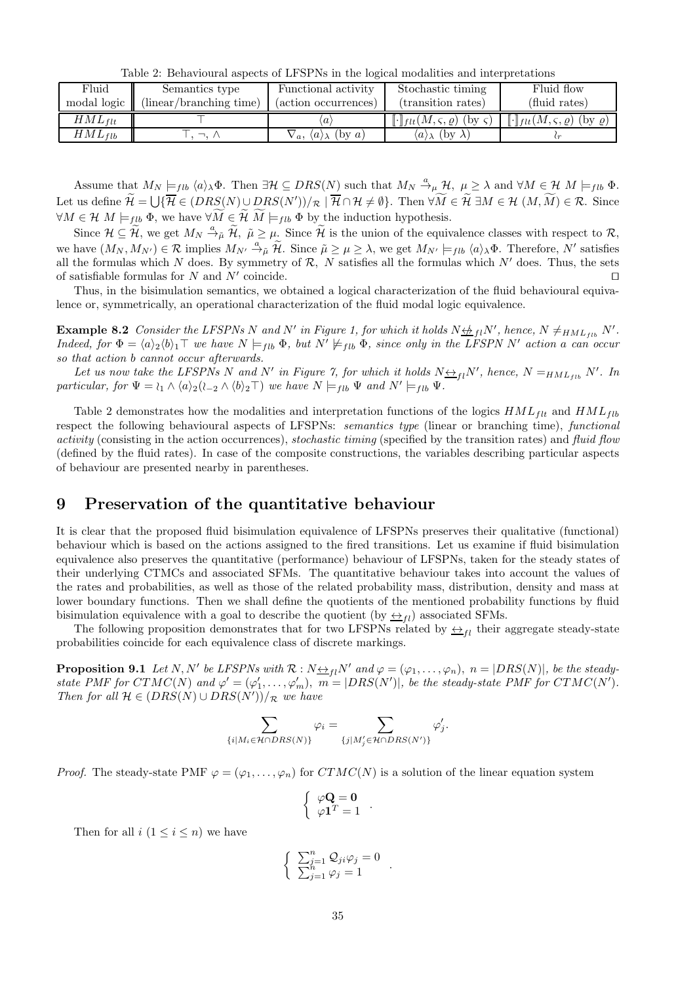Table 2: Behavioural aspects of LFSPNs in the logical modalities and interpretations

| Fluid       | Semantics type          | Functional activity                          | Stochastic timing                                                                           | Fluid flow                                                               |
|-------------|-------------------------|----------------------------------------------|---------------------------------------------------------------------------------------------|--------------------------------------------------------------------------|
| modal logic | (linear/branching time) | (action occurrences)                         | (transition rates)                                                                          | (fluid rates)                                                            |
| $HML_{flt}$ |                         |                                              | $\lbrack\!\lbrack\cdot\rbrack\!\rbrack_{\text{flt}}(M,\varsigma,\varrho)$ (by $\varsigma$ ) | $\llbracket \cdot \rrbracket_{flt}(M,\varsigma,\varrho)$ (by $\varrho$ ) |
| $HML_{flb}$ |                         | (bv a)<br>$\sqrt{a}$ , $\langle a \rangle$ ( | $\langle a \rangle_{\lambda}$ (by $\lambda$ )                                               |                                                                          |

Assume that  $M_N \models_{fib} \langle a \rangle_\lambda \Phi$ . Then  $\exists \mathcal{H} \subseteq DRS(N)$  such that  $M_N \stackrel{a}{\rightarrow}_{\mu} \mathcal{H}, \mu \geq \lambda$  and  $\forall M \in \mathcal{H} \ M \models_{fib} \Phi$ . Let us define  $\widetilde{\mathcal{H}} = \bigcup \{ \overline{\mathcal{H}} \in (DRS(N) \cup DRS(N'))/\pi \mid \overline{\mathcal{H}} \cap \mathcal{H} \neq \emptyset \}$ . Then  $\forall \widetilde{M} \in \widetilde{\mathcal{H}} \exists M \in \mathcal{H} (M, \widetilde{M}) \in \mathcal{R}$ . Since  $\forall M \in \mathcal{H} \ M \models_{flb} \Phi$ , we have  $\forall \widetilde{M} \in \widetilde{\mathcal{H}} \ \widetilde{M} \models_{flb} \Phi$  by the induction hypothesis.

Since  $\mathcal{H} \subseteq \widetilde{\mathcal{H}}$ , we get  $M_N \stackrel{a}{\rightarrow}_{\tilde{\mu}} \widetilde{\mathcal{H}}$ ,  $\tilde{\mu} \geq \mu$ . Since  $\widetilde{\mathcal{H}}$  is the union of the equivalence classes with respect to  $\mathcal{R}$ , we have  $(M_N, M_{N'}) \in \mathcal{R}$  implies  $M_{N'} \stackrel{a}{\to}_{\tilde{\mu}} \tilde{\mathcal{H}}$ . Since  $\tilde{\mu} \geq \mu \geq \lambda$ , we get  $M_{N'} \models_{fib} \langle a \rangle_{\lambda} \Phi$ . Therefore,  $N'$  satisfies all the formulas which N does. By symmetry of R, N satisfies all the formulas which N' does. Thus, the sets of satisfiable formulas for N and N' coincide of satisfiable formulas for  $N$  and  $N'$  coincide. coincide. □

Thus, in the bisimulation semantics, we obtained a logical characterization of the fluid behavioural equivalence or, symmetrically, an operational characterization of the fluid modal logic equivalence.

**Example 8.2** Consider the LFSPNs N and N' in Figure 1, for which it holds  $N \nleftrightarrow_{fl} N'$ , hence,  $N \neq_{HML_{fib}} N'$ . Indeed, for  $\Phi = \langle a \rangle_2 \langle b \rangle_1 \top$  we have  $N \models_{flb} \Phi$ , but  $N' \not\models_{flb} \Phi$ , since only in the LFSPN N' action a can occur so that action b cannot occur afterwards.

Let us now take the LFSPNs N and N' in Figure 7, for which it holds  $N \Leftrightarrow_{fl} N'$ , hence,  $N =_{HML_{fib}} N'$ . In particular, for  $\Psi = \iota_1 \wedge \langle a \rangle_2(\iota_{-2} \wedge \langle b \rangle_2 \top)$  we have  $N \models_{fib} \Psi$  and  $N' \models_{fib} \Psi$ .

Table 2 demonstrates how the modalities and interpretation functions of the logics  $HML_{ft}$  and  $HML_{fb}$ respect the following behavioural aspects of LFSPNs: *semantics type* (linear or branching time), *functional* activity (consisting in the action occurrences), stochastic timing (specified by the transition rates) and fluid flow (defined by the fluid rates). In case of the composite constructions, the variables describing particular aspects of behaviour are presented nearby in parentheses.

### 9 Preservation of the quantitative behaviour

It is clear that the proposed fluid bisimulation equivalence of LFSPNs preserves their qualitative (functional) behaviour which is based on the actions assigned to the fired transitions. Let us examine if fluid bisimulation equivalence also preserves the quantitative (performance) behaviour of LFSPNs, taken for the steady states of their underlying CTMCs and associated SFMs. The quantitative behaviour takes into account the values of the rates and probabilities, as well as those of the related probability mass, distribution, density and mass at lower boundary functions. Then we shall define the quotients of the mentioned probability functions by fluid bisimulation equivalence with a goal to describe the quotient (by  $\leftrightarrow$ <sub>fl</sub>) associated SFMs.

The following proposition demonstrates that for two LFSPNs related by  $\leftrightarrow_{fl}$  their aggregate steady-state probabilities coincide for each equivalence class of discrete markings.

**Proposition 9.1** Let N, N' be LFSPNs with  $\mathcal{R}: N \rightarrow_{fl} N'$  and  $\varphi = (\varphi_1, \ldots, \varphi_n), n = |DRS(N)|$ , be the steadystate PMF for  $CTMC(N)$  and  $\varphi' = (\varphi'_1, \ldots, \varphi'_m)$ ,  $m = |DRS(N')|$ , be the steady-state PMF for  $CTMC(N')$ . Then for all  $\mathcal{H} \in (DRS(N) \cup DRS(N'))/R$  we have

$$
\sum_{\{i \mid M_i \in \mathcal{H} \cap DRS(N)\}} \varphi_i = \sum_{\{j \mid M'_j \in \mathcal{H} \cap DRS(N')\}} \varphi'_j.
$$

*Proof.* The steady-state PMF  $\varphi = (\varphi_1, \ldots, \varphi_n)$  for  $CTMC(N)$  is a solution of the linear equation system

$$
\left\{ \begin{array}{c} \varphi \mathbf{Q} = \mathbf{0} \\ \varphi \mathbf{1}^T = 1 \end{array} \right..
$$

Then for all  $i (1 \leq i \leq n)$  we have

$$
\begin{cases}\n\sum_{j=1}^{n} Q_{ji} \varphi_j = 0 \\
\sum_{j=1}^{n} \varphi_j = 1\n\end{cases}.
$$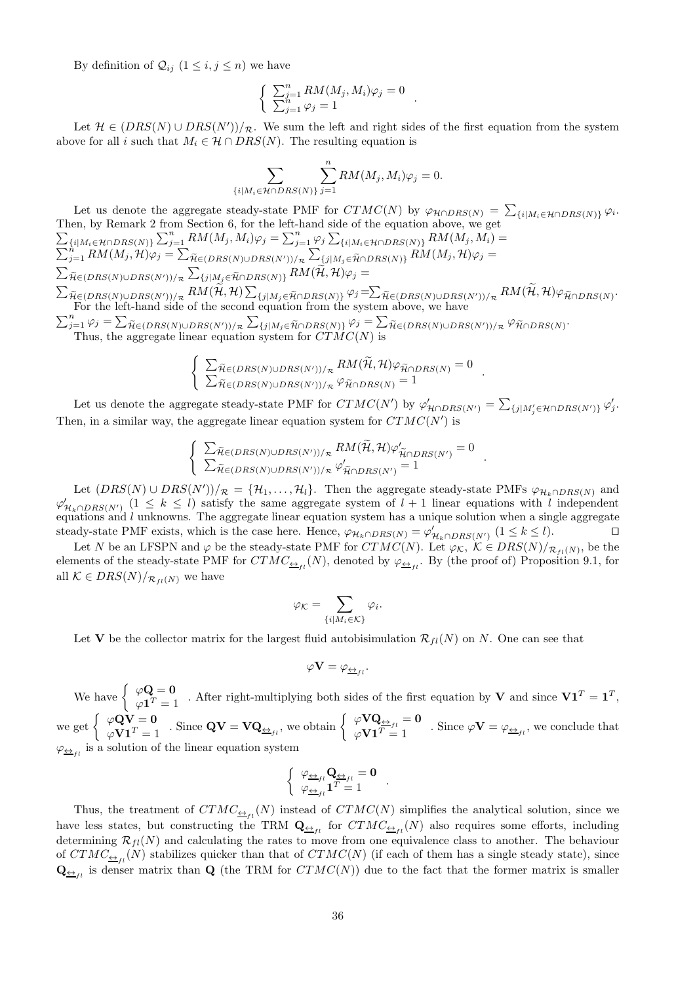By definition of  $\mathcal{Q}_{ij}$   $(1 \leq i, j \leq n)$  we have

$$
\begin{cases}\n\sum_{j=1}^{n} RM(M_j, M_i)\varphi_j = 0 \\
\sum_{j=1}^{n} \varphi_j = 1\n\end{cases}.
$$

Let  $\mathcal{H} \in (DRS(N) \cup DRS(N'))/R$ . We sum the left and right sides of the first equation from the system above for all i such that  $M_i \in \mathcal{H} \cap DRS(N)$ . The resulting equation is

$$
\sum_{\{i|M_i\in\mathcal{H}\cap DRS(N)\}} \sum_{j=1}^n RM(M_j, M_i)\varphi_j = 0.
$$

Let us denote the aggregate steady-state PMF for  $CTMC(N)$  by  $\varphi_{\mathcal{H} \cap DRS(N)} = \sum_{\{i | M_i \in \mathcal{H} \cap DRS(N)\}} \varphi_i$ . Then, by Remark 2 from Section 6, for the left-hand side of the equ  $\sum$ ation above, we get  $\sum_{\{i|M_i\in \mathcal{H}\cap DRS(N)\}}\sum_{j=1}^n RM(M_j,M_i)\varphi_j = \sum_{j=1}^n \varphi_j \sum_{\{i|M_i\in \mathcal{H}\cap DRS(N)\}} RM(M_j,M_i) = \sum_{j=1}^n RM(M_j,\mathcal{H})\varphi_j = \sum_{\widetilde{\mathcal{H}}\in (DRS(N)\cup DRS(N'))/\kappa} \sum_{\{j|M_j\in \widetilde{\mathcal{H}}\cap DRS(N)\}} RM(M_j,\mathcal{H})\varphi_j =$  $\sum_{\widetilde{\mathcal{H}} \in (DRS(N) \cup DRS(N'))/_{\mathcal{R}}} \sum_{\{j | M_j \in \widetilde{\mathcal{H}} \cap DRS(N)\}} RM(\widetilde{\mathcal{H}}, \mathcal{H}) \varphi_j =$  $\sum_{\widetilde{\mathcal{H}} \in (DRS(N) \cup DRS(N'))/R} RM(\widetilde{\mathcal{H}}, \mathcal{H}) \sum_{\{j | M_j \in \widetilde{\mathcal{H}} \cap DRS(N)\}} \varphi_j = \sum_{\widetilde{\mathcal{H}} \in (DRS(N) \cup DRS(N'))/R} RM(\widetilde{\mathcal{H}}, \mathcal{H}) \varphi_{\widetilde{\mathcal{H}} \cap DRS(N)}.$  $\sum_{j=1}^{n} \varphi_j = \sum_{\widetilde{\mathcal{H}} \in (DRS(N) \cup DRS(N'))/R} \sum_{\{j | M_j \in \widetilde{\mathcal{H}} \cap DRS(N)\}} \varphi_j = \sum_{\widetilde{\mathcal{H}} \in (DRS(N) \cup DRS(N'))/R} \varphi_{\widetilde{\mathcal{H}} \cap DRS(N)}.$ For the left-hand side of the second equation from the system above, we have

Thus, the aggregate linear equation system for  $CTMC(N)$  is

$$
\begin{cases} \sum_{\widetilde{H} \in (DRS(N) \cup DRS(N'))/R} RM(\widetilde{\mathcal{H}}, \mathcal{H}) \varphi_{\widetilde{\mathcal{H}} \cap DRS(N)} = 0 \\ \sum_{\widetilde{H} \in (DRS(N) \cup DRS(N'))/R} \varphi_{\widetilde{\mathcal{H}} \cap DRS(N)} = 1 \end{cases}.
$$

Let us denote the aggregate steady-state PMF for  $CTMC(N')$  by  $\varphi'_{\mathcal{H} \cap DRS(N')} = \sum_{\{j | M'_j \in \mathcal{H} \cap DRS(N')\}} \varphi'_j$ . Then, in a similar way, the aggregate linear equation system for  $CTMC(N')$  is

$$
\begin{cases}\n\sum_{\widetilde{\mathcal{H}} \in (DRS(N) \cup DRS(N'))/R} RM(\widetilde{\mathcal{H}}, \mathcal{H}) \varphi'_{\widetilde{\mathcal{H}} \cap DRS(N')} = 0 \\
\sum_{\widetilde{\mathcal{H}} \in (DRS(N) \cup DRS(N'))/R} \varphi'_{\widetilde{\mathcal{H}} \cap DRS(N')} = 1\n\end{cases}.
$$

Let  $(DRS(N) \cup DRS(N'))/R = \{H_1, \ldots, H_l\}$ . Then the aggregate steady-state PMFs  $\varphi_{H_k \cap DRS(N)}$  and  $\varphi'_{\mathcal{H}_k \cap DRS(N')}$   $(1 \leq k \leq l)$  satisfy the same aggregate system of  $l + 1$  linear equations with l independent equations and  $l$  unknowns. The aggregate linear equation system has a unique solution when a single aggregate steady-state PMF exists, which is the case here. Hence,  $\varphi_{\mathcal{H}_k \cap DRS(N)} = \varphi'_{\mathcal{H}_k \cap DRS(N')}$   $(1 \leq k \leq l)$ .

Let N be an LFSPN and  $\varphi$  be the steady-state PMF for  $CTMC(N)$ . Let  $\varphi_K$ ,  $K \in DRS(N)/_{\mathcal{R}_{fl}(N)}$ , be the elements of the steady-state PMF for  $CTMC_{\frac{\leftrightarrow}{1}}(N)$ , denoted by  $\varphi_{\frac{\leftrightarrow}{1}}(N)$ . By (the proof of) Proposition 9.1, for all  $\mathcal{K} \in DRS(N)/_{\mathcal{R}_{fl}(N)}$  we have

$$
\varphi_{\mathcal K}=\sum_{\{i\mid M_i\in \mathcal K\}}\varphi_i.
$$

Let **V** be the collector matrix for the largest fluid autobisimulation  $\mathcal{R}_{fl}(N)$  on N. One can see that

$$
\varphi \mathbf{V}=\varphi_{\underline{\leftrightarrow}_{fl}}.
$$

We have  $\begin{cases} \varphi \mathbf{Q} = \mathbf{0} \\ \varphi \mathbf{Q} \end{cases}$  $\varphi \mathbf{Q} = \mathbf{0}$ . After right-multiplying both sides of the first equation by **V** and since  $\mathbf{V} \mathbf{1}^T = \mathbf{1}^T$ ,  $\varphi \mathbf{1}^T = 1$ we get  $\begin{cases} \varphi \mathbf{Q} \mathbf{V} = \mathbf{0} \\ \varphi \mathbf{V} \mathbf{1}^T = 1 \end{cases}$ . Since  $\mathbf{Q} \mathbf{V} = \mathbf{V} \mathbf{Q}_{\underline{\leftrightarrow}_{fl}}$ , we obtain  $\begin{cases} \varphi \mathbf{V} \mathbf{Q}_{\underline{\leftrightarrow}_{fl}} = \mathbf{0} \\ \varphi \mathbf{V} \mathbf{1}^T = 1 \end{cases}$ . Since  $\varphi \mathbf{V} = \varphi_{\underline{\leftrightarrow}_{fl}}$ , we conclud  $\varphi_{\underline{\leftrightarrow}_{fl}}$  is a solution of the linear equation system

$$
\left\{ \begin{array}{c} \varphi_{\underline{\leftrightarrow}_{fl}} \mathbf{Q}_{\underline{\leftrightarrow}_{fl}} = \mathbf{0} \\ \varphi_{\underline{\leftrightarrow}_{fl}} \mathbf{1}^T = 1 \end{array} \right. .
$$

Thus, the treatment of  $CTMC_{\frac{\Delta}{1}}(N)$  instead of  $CTMC(N)$  simplifies the analytical solution, since we have less states, but constructing the TRM  $Q_{\underline{\leftrightarrow}_{fl}}$  for  $CTMC_{\underline{\leftrightarrow}_{fl}}(N)$  also requires some efforts, including determining  $\mathcal{R}_{fl}(N)$  and calculating the rates to move from one equivalence class to another. The behaviour of  $CTMC_{\frac{\leftarrow}{1}}(N)$  stabilizes quicker than that of  $CTMC(N)$  (if each of them has a single steady state), since  $\mathbf{Q}_{\underline{\leftrightarrow}_{fl}}$  is denser matrix than  $\mathbf{Q}$  (the TRM for  $CTMC(N)$ ) due to the fact that the former matrix is smaller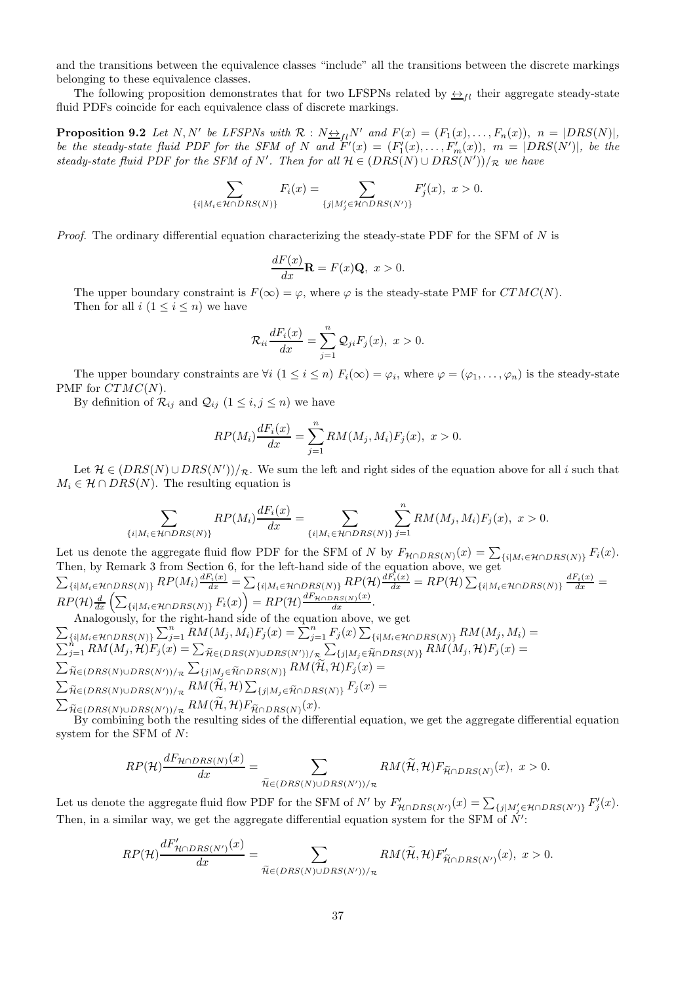and the transitions between the equivalence classes "include" all the transitions between the discrete markings belonging to these equivalence classes.

The following proposition demonstrates that for two LFSPNs related by  $\leftrightarrow$ <sub>fl</sub> their aggregate steady-state fluid PDFs coincide for each equivalence class of discrete markings.

**Proposition 9.2** Let N, N' be LFSPNs with  $\mathcal{R}$ :  $N \rightarrow H N'$  and  $F(x) = (F_1(x), \ldots, F_n(x)), n = |DRS(N)|$ , be the steady-state fluid PDF for the SFM of N and  $F'(x) = (F'_1(x), \ldots, F'_m(x)), m = |DRS(N')|$ , be the steady-state fluid PDF for the SFM of N'. Then for all  $\mathcal{H} \in (DRS(N) \cup DRS(N'))/\mathcal{R}$  we have

$$
\sum_{\{i|M_i\in\mathcal{H}\cap DRS(N)\}}F_i(x)=\sum_{\{j|M'_j\in\mathcal{H}\cap DRS(N')\}}F'_j(x),\ x>0.
$$

*Proof.* The ordinary differential equation characterizing the steady-state PDF for the SFM of  $N$  is

$$
\frac{dF(x)}{dx}\mathbf{R} = F(x)\mathbf{Q}, \ x > 0.
$$

The upper boundary constraint is  $F(\infty) = \varphi$ , where  $\varphi$  is the steady-state PMF for  $CTMC(N)$ . Then for all  $i (1 \leq i \leq n)$  we have

$$
\mathcal{R}_{ii}\frac{dF_i(x)}{dx} = \sum_{j=1}^n \mathcal{Q}_{ji}F_j(x), \ x > 0.
$$

The upper boundary constraints are  $\forall i$   $(1 \leq i \leq n)$   $F_i(\infty) = \varphi_i$ , where  $\varphi = (\varphi_1, \ldots, \varphi_n)$  is the steady-state PMF for  $CTMC(N)$ .

By definition of  $\mathcal{R}_{ij}$  and  $\mathcal{Q}_{ij}$   $(1 \leq i, j \leq n)$  we have

$$
RP(M_i)\frac{dF_i(x)}{dx} = \sum_{j=1}^n RM(M_j, M_i)F_j(x), \ x > 0.
$$

Let  $\mathcal{H} \in (DRS(N) \cup DRS(N'))/R$ . We sum the left and right sides of the equation above for all i such that  $M_i \in \mathcal{H} \cap DRS(N)$ . The resulting equation is

$$
\sum_{\{i|M_i\in\mathcal{H}\cap DRS(N)\}} RP(M_i)\frac{dF_i(x)}{dx} = \sum_{\{i|M_i\in\mathcal{H}\cap DRS(N)\}} \sum_{j=1}^n RM(M_j,M_i)F_j(x), x > 0.
$$

Let us denote the aggregate fluid flow PDF for the SFM of N by  $F_{\mathcal{H} \cap DRS(N)}(x) = \sum_{\{i | M_i \in \mathcal{H} \cap DRS(N)\}} F_i(x)$ .<br>Then, by Remark 3 from Section 6, for the left-hand side of the equation above, we get  $\sum_{\{i|M_i\in \mathcal{H}\cap DRS(N)\}}RP(M_i)\frac{dF_i(x)}{dx} = \sum_{\{i|M_i\in \mathcal{H}\cap DRS(N)\}}RP(\mathcal{H})\frac{dF_i(x)}{dx} = RP(\mathcal{H})\sum_{\{i|M_i\in \mathcal{H}\cap DRS(N)\}}\frac{dF_i(x)}{dx} =$  $RP(\mathcal{H})\frac{d}{dx}\left(\sum_{\{i|M_i\in \mathcal{H}\cap DRS(N)\}}F_i(x)\right)=RP(\mathcal{H})\frac{dF_{\mathcal{H}\cap DRS(N)}(x)}{dx}.$ 

Analogously, for the right-hand side of the equation above, we get  
\n
$$
\sum_{\{i|M_i \in \mathcal{H} \cap DRS(N)\}} \sum_{j=1}^n RM(M_j, M_i) F_j(x) = \sum_{j=1}^n F_j(x) \sum_{\{i|M_i \in \mathcal{H} \cap DRS(N)\}} RM(M_j, M_i) =
$$
\n
$$
\sum_{j=1}^n RM(M_j, \mathcal{H}) F_j(x) = \sum_{\widetilde{\mathcal{H}} \in (DRS(N) \cup DRS(N'))/R} \sum_{\{j|M_j \in \widetilde{\mathcal{H}} \cap DRS(N)\}} RM(M_j, \mathcal{H}) F_j(x) =
$$
\n
$$
\sum_{\widetilde{\mathcal{H}} \in (DRS(N) \cup DRS(N'))/R} \sum_{\{j|M_j \in \widetilde{\mathcal{H}} \cap DRS(N)\}} RM(\widetilde{\mathcal{H}}, \mathcal{H}) F_j(x) =
$$
\n
$$
\sum_{\widetilde{\mathcal{H}} \in (DRS(N) \cup DRS(N'))/R} RM(\widetilde{\mathcal{H}}, \mathcal{H}) \sum_{\{j|M_j \in \widetilde{\mathcal{H}} \cap DRS(N)\}} F_j(x) =
$$
\n
$$
\sum_{\widetilde{\mathcal{H}} \in (DRS(N) \cup DRS(N'))/R} RM(\widetilde{\mathcal{H}}, \mathcal{H}) F_{\widetilde{\mathcal{H}} \cap DRS(N)}(x).
$$

By combining both the resulting sides of the differential equation, we get the aggregate differential equation system for the SFM of N:

$$
RP(\mathcal{H})\frac{dF_{\mathcal{H}\cap DRS(N)}(x)}{dx} = \sum_{\widetilde{\mathcal{H}}\in (DRS(N)\cup DRS(N'))/\pi} RM(\widetilde{\mathcal{H}},\mathcal{H})F_{\widetilde{\mathcal{H}}\cap DRS(N)}(x), x > 0.
$$

Let us denote the aggregate fluid flow PDF for the SFM of  $N'$  by  $F'_{\mathcal{H} \cap DRS(N')}(x) = \sum_{\{j | M'_j \in \mathcal{H} \cap DRS(N')\}} F'_j(x)$ . Then, in a similar way, we get the aggregate differential equation system for the SFM of N':

$$
RP(\mathcal{H})\frac{dF'_{\mathcal{H}\cap DRS(N')}(x)}{dx} = \sum_{\widetilde{\mathcal{H}}\in (DRS(N)\cup DRS(N'))/\pi} RM(\widetilde{\mathcal{H}},\mathcal{H})F'_{\widetilde{\mathcal{H}}\cap DRS(N')}(x), x > 0.
$$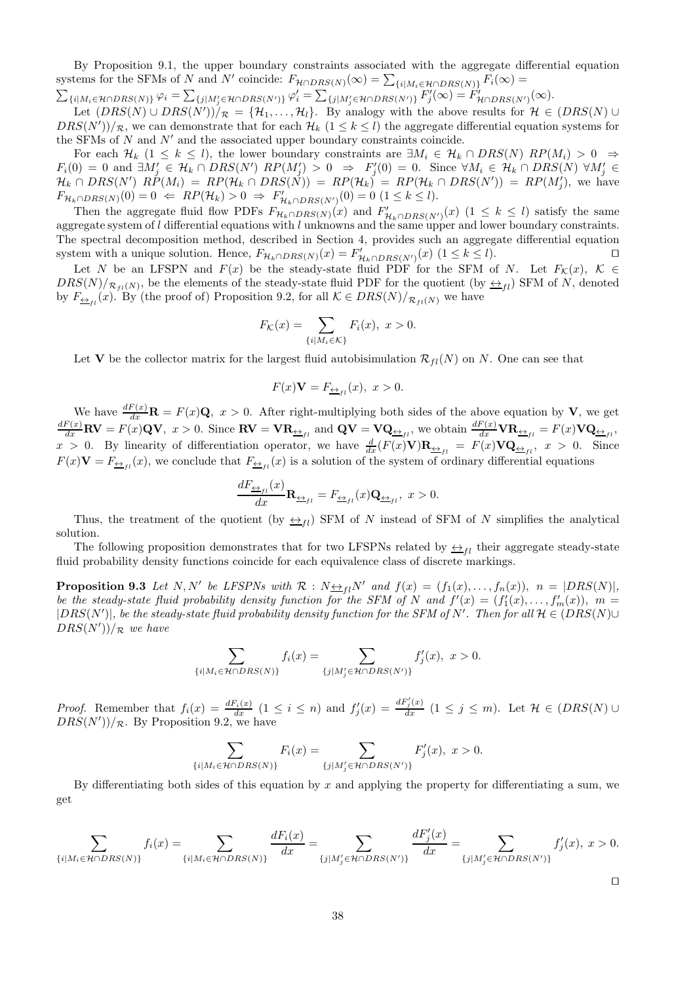By Proposition 9.1, the upper boundary constraints associated with the aggregate differential equation systems for the SFMs of N and N' coincide:  $F_{\mathcal{H} \cap DRS(N)}(\infty) = \sum_{\{i | M_i \in \mathcal{H} \cap DRS(N)\}} F_i(\infty) =$ 

 $\sum_{\{i|M_i\in \mathcal{H}\cap DRS(N)\}}\varphi_i=\sum_{\{j|M'_j\in \mathcal{H}\cap DRS(N')\}}\varphi'_i=\sum_{\{j|M'_j\in \mathcal{H}\cap DRS(N')\}}F'_j(\infty)=\tilde{F}'_{\mathcal{H}\cap DRS(N')}(\infty).$ 

Let  $(DRS(N) \cup DRS(N'))/R = \{\mathcal{H}_1, \ldots, \mathcal{H}_l\}$ . By analogy with the above results for  $\mathcal{H} \in (DRS(N) \cup$  $DRS(N'))/R$ , we can demonstrate that for each  $\mathcal{H}_k$   $(1 \leq k \leq l)$  the aggregate differential equation systems for the SFMs of  $N$  and  $N'$  and the associated upper boundary constraints coincide.

For each  $\mathcal{H}_k$  (1  $\leq k \leq l$ ), the lower boundary constraints are  $\exists M_i \in \mathcal{H}_k \cap DRS(N)$   $RP(M_i) > 0 \Rightarrow$  $F_i(0) = 0$  and  $\exists M'_j \in \mathcal{H}_k \cap DRS(N')$   $RP(M'_j) > 0 \Rightarrow F'_j(0) = 0$ . Since  $\forall M_i \in \mathcal{H}_k \cap DRS(N)$   $\forall M'_j \in \mathcal{H}_k$  $\mathcal{H}_k \cap DRS(N')$   $RP(M_i) = RP(\mathcal{H}_k \cap DRS(N)) = RP(\mathcal{H}_k) = RP(\mathcal{H}_k \cap DRS(N')) = RP(M'_j)$ , we have  $F_{\mathcal{H}_k \cap DRS(N)}(0) = 0 \Leftrightarrow RP(\mathcal{H}_k) > 0 \Rightarrow F'_{\mathcal{H}_k \cap DRS(N')}(0) = 0 \ (1 \leq k \leq l).$ 

Then the aggregate fluid flow PDFs  $F_{\mathcal{H}_k \cap DRS(N)}(x)$  and  $F'_{\mathcal{H}_k \cap DRS(N')}(x)$   $(1 \leq k \leq l)$  satisfy the same aggregate system of  $l$  differential equations with  $l$  unknowns and the same upper and lower boundary constraints. The spectral decomposition method, described in Section 4, provides such an aggregate differential equation system with a unique solution. Hence,  $F_{\mathcal{H}_k \cap DRS(N)}(x) = F'_{\mathcal{H}_k \cap DRS(N')}(x)$  (1 ≤ k ≤ l).

Let N be an LFSPN and  $F(x)$  be the steady-state fluid PDF for the SFM of N. Let  $F_{\mathcal{K}}(x)$ ,  $\mathcal{K} \in$  $DRS(N)/R_{fl}(N)$ , be the elements of the steady-state fluid PDF for the quotient (by  $\leftrightarrow_{fl}$ ) SFM of N, denoted by  $F_{\underline{\leftrightarrow}_{fi}}(x)$ . By (the proof of) Proposition 9.2, for all  $\mathcal{K} \in DRS(N)/_{\mathcal{R}_{fi}(N)}$  we have

$$
F_{\mathcal{K}}(x) = \sum_{\{i \mid M_i \in \mathcal{K}\}} F_i(x), \ x > 0.
$$

Let **V** be the collector matrix for the largest fluid autobisimulation  $\mathcal{R}_{fl}(N)$  on N. One can see that

$$
F(x)\mathbf{V} = F_{\frac{\leftrightarrow}{2}t}(x), \ x > 0.
$$

We have  $\frac{dF(x)}{dx}$ **R** =  $F(x)$ **Q**,  $x > 0$ . After right-multiplying both sides of the above equation by **V**, we get  $\frac{dF(x)}{dx}$ **RV** =  $F(x)$ **QV**,  $x > 0$ . Since **RV** =  $\mathbf{VR}_{\frac{\leftarrow}{2}f_l}$  and **QV** =  $\mathbf{VQ}_{\frac{\leftarrow}{2}f_l}$ , we obtain  $\frac{dF(x)}{dx}\mathbf{VR}_{\frac{\leftarrow}{2}f_l} = F(x)\mathbf{VQ}_{\frac{\leftarrow}{2}f_l}$  $x > 0$ . By linearity of differentiation operator, we have  $\frac{d}{dx}(F(x)V)\mathbf{R}_{\frac{\leftrightarrow}{dx}f} = F(x)V\mathbf{Q}_{\frac{\leftrightarrow}{dx}f}$ ,  $x > 0$ . Since  $F(x)\mathbf{V} = F_{\underline{\leftrightarrow}_{fl}}(x)$ , we conclude that  $F_{\underline{\leftrightarrow}_{fl}}(x)$  is a solution of the system of ordinary differential equations

$$
\frac{dF_{\underline{\leftrightarrow}_{fl}}(x)}{dx}\mathbf{R}_{\underline{\leftrightarrow}_{fl}} = F_{\underline{\leftrightarrow}_{fl}}(x)\mathbf{Q}_{\underline{\leftrightarrow}_{fl}}, \ x > 0.
$$

Thus, the treatment of the quotient (by  $\leftrightarrow_{fl}$ ) SFM of N instead of SFM of N simplifies the analytical solution.

The following proposition demonstrates that for two LFSPNs related by  $\leftrightarrow$ <sub>fl</sub> their aggregate steady-state fluid probability density functions coincide for each equivalence class of discrete markings.

**Proposition 9.3** Let N, N' be LFSPNs with  $\mathcal{R} : N \rightarrow_{fl} N'$  and  $f(x) = (f_1(x), \ldots, f_n(x)), n = |DRS(N)|$ , be the steady-state fluid probability density function for the SFM of N and  $f'(x) = (f'_1(x), \ldots, f'_m(x)), m =$  $|DRS(N')|,$  be the steady-state fluid probability density function for the SFM of N'. Then for all  $\mathcal{H} \in (DRS(N) \cup$  $DRS(N'))/\mathcal{R}$  we have

$$
\sum_{\{i|M_i\in\mathcal{H}\cap DRS(N)\}}f_i(x)=\sum_{\{j|M'_j\in\mathcal{H}\cap DRS(N')\}}f'_j(x),\ x>0.
$$

Proof. Remember that  $f_i(x) = \frac{dF_i(x)}{dx}$   $(1 \leq i \leq n)$  and  $f'_j(x) = \frac{dF'_j(x)}{dx}$   $(1 \leq j \leq m)$ . Let  $\mathcal{H} \in (DRS(N) \cup$  $DRS(N'))/R$ . By Proposition 9.2, we have

$$
\sum_{\{i|M_i\in\mathcal{H}\cap DRS(N)\}}F_i(x)=\sum_{\{j|M'_j\in\mathcal{H}\cap DRS(N')\}}F'_j(x),\ x>0.
$$

By differentiating both sides of this equation by  $x$  and applying the property for differentiating a sum, we get

$$
\sum_{\{i|M_i\in\mathcal{H}\cap DRS(N)\}}f_i(x) = \sum_{\{i|M_i\in\mathcal{H}\cap DRS(N)\}}\frac{dF_i(x)}{dx} = \sum_{\{j|M'_j\in\mathcal{H}\cap DRS(N')\}}\frac{dF'_j(x)}{dx} = \sum_{\{j|M'_j\in\mathcal{H}\cap DRS(N')\}}f'_j(x), x > 0.
$$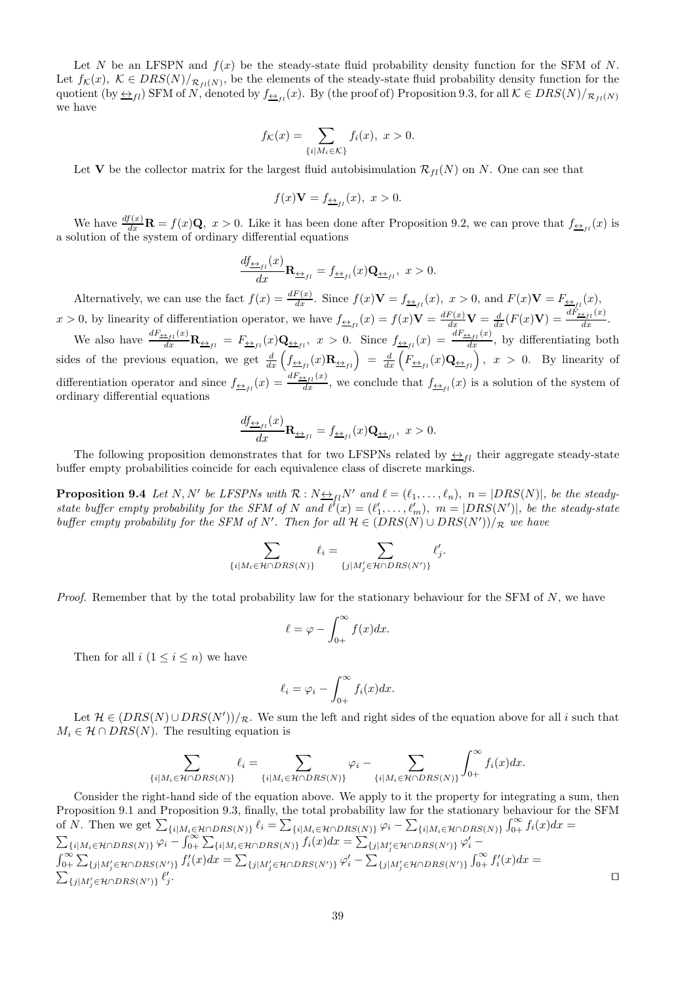Let N be an LFSPN and  $f(x)$  be the steady-state fluid probability density function for the SFM of N. Let  $f_{\mathcal{K}}(x)$ ,  $\mathcal{K} \in DRS(N)/_{\mathcal{R}_{fl}(N)}$ , be the elements of the steady-state fluid probability density function for the quotient (by  $\leftrightarrow_{fl}$ ) SFM of N, denoted by  $f_{\phi_{fl}}(x)$ . By (the proof of) Proposition 9.3, for all  $K \in DRS(N)/_{\mathcal{R}_{fl}(N)}$ we have

$$
f_{\mathcal{K}}(x) = \sum_{\{i \mid M_i \in \mathcal{K}\}} f_i(x), \ x > 0.
$$

Let **V** be the collector matrix for the largest fluid autobisimulation  $\mathcal{R}_{fl}(N)$  on N. One can see that

$$
f(x)\mathbf{V} = f_{\underline{\leftrightarrow}_{fl}}(x), \ x > 0.
$$

We have  $\frac{df(x)}{dx}$ **R** =  $f(x)$ **Q**,  $x > 0$ . Like it has been done after Proposition 9.2, we can prove that  $f_{\frac{\Delta}{2}f}(x)$  is a solution of the system of ordinary differential equations

$$
\frac{df_{\underline{\leftrightarrow}_{fl}}(x)}{dx}\mathbf{R}_{\underline{\leftrightarrow}_{fl}} = f_{\underline{\leftrightarrow}_{fl}}(x)\mathbf{Q}_{\underline{\leftrightarrow}_{fl}}, \ x > 0.
$$

Alternatively, we can use the fact  $f(x) = \frac{dF(x)}{dx}$ . Since  $f(x)\mathbf{V} = f_{\frac{\Delta}{2}f}(x)$ ,  $x > 0$ , and  $F(x)\mathbf{V} = F_{\frac{\Delta}{2}f}(x)$ ,  $x > 0$ , by linearity of differentiation operator, we have  $f_{\frac{\Delta}{2}f_l}(x) = f(x)\mathbf{V} = \frac{dF(x)}{dx}\mathbf{V} = \frac{d}{dx}(F(x)\mathbf{V}) = \frac{dF_{\frac{\Delta}{2}f_l}(x)}{dx}$ . We also have  $\frac{dF_{\frac{\epsilon}{2}f_l}(x)}{dx}$ **R**<sub> $\frac{\epsilon}{2f_l}$ </sub> =  $F_{\frac{\epsilon}{2}f_l}(x)$ **Q** $\frac{\epsilon}{2f_l}(x)$ , x > 0. Since  $f_{\frac{\epsilon}{2}f_l}(x) = \frac{dF_{\frac{\epsilon}{2}f_l}(x)}{dx}$ , by differentiating both

sides of the previous equation, we get  $\frac{d}{dx} \left( f_{\frac{\leftrightarrow}{\pm 1}}(x) \mathbf{R}_{\frac{\leftrightarrow}{1}}(x) \right) = \frac{d}{dx} \left( F_{\frac{\leftrightarrow}{1}}(x) \mathbf{Q}_{\frac{\leftrightarrow}{1}}(x) \right)$ ,  $x > 0$ . By linearity of differentiation operator and since  $f_{\frac{\leftarrow}{\pm f}}(x) = \frac{dF_{\frac{\leftarrow}{f}}(x)}{dx}$ , we conclude that  $f_{\frac{\leftarrow}{f}}(x)$  is a solution of the system of ordinary differential equations

$$
\frac{df_{\underline{\leftrightarrow}_{fl}}(x)}{dx}\mathbf{R}_{\underline{\leftrightarrow}_{fl}} = f_{\underline{\leftrightarrow}_{fl}}(x)\mathbf{Q}_{\underline{\leftrightarrow}_{fl}}, \ x > 0.
$$

The following proposition demonstrates that for two LFSPNs related by  $\leftrightarrow_{fl}$  their aggregate steady-state buffer empty probabilities coincide for each equivalence class of discrete markings.

**Proposition 9.4** Let N, N' be LFSPNs with  $\mathcal{R}: N \rightarrow_{fl} N'$  and  $\ell = (\ell_1, \ldots, \ell_n)$ ,  $n = |DRS(N)|$ , be the steadystate buffer empty probability for the SFM of N and  $\ell'(x) = (\ell'_1, \ldots, \ell'_m)$ ,  $m = |DRS(N')|$ , be the steady-state buffer empty probability for the SFM of N'. Then for all  $\mathcal{H} \in (DRS(N) \cup DRS(N'))/\mathcal{R}$  we have

$$
\sum_{\{i \mid M_i \in \mathcal{H} \cap DRS(N)\}} \ell_i = \sum_{\{j \mid M'_j \in \mathcal{H} \cap DRS(N')\}} \ell'_j.
$$

*Proof.* Remember that by the total probability law for the stationary behaviour for the SFM of  $N$ , we have

$$
\ell = \varphi - \int_{0+}^{\infty} f(x) dx.
$$

Then for all  $i (1 \leq i \leq n)$  we have

$$
\ell_i = \varphi_i - \int_{0+}^{\infty} f_i(x) dx.
$$

Let  $\mathcal{H} \in (DRS(N) \cup DRS(N'))/R$ . We sum the left and right sides of the equation above for all i such that  $M_i \in \mathcal{H} \cap DRS(N)$ . The resulting equation is

$$
\sum_{\{i|M_i\in\mathcal{H}\cap DRS(N)\}}\ell_i=\sum_{\{i|M_i\in\mathcal{H}\cap DRS(N)\}}\varphi_i-\sum_{\{i|M_i\in\mathcal{H}\cap DRS(N)\}}\int_{0+}^{\infty}f_i(x)dx.
$$

Consider the right-hand side of the equation above. We apply to it the property for integrating a sum, then Proposition 9.1 and Proposition 9.3, finally, the total probability law for the stationary behaviour for the SFM of N. Then we get  $\sum_{\{i|M_i \in \mathcal{H} \cap DRS(N)\}} \ell_i = \sum_{\{i|M_i \in \mathcal{H} \cap DRS(N)\}} \varphi_i - \sum_{\{i|M_i \in \mathcal{H} \cap DRS(N)\}} \int_{0+}^{\infty} f_i(x) dx =$ <br> $\sum_{\{i|M_i \in \mathcal{H} \cap DRS(N)\}} \varphi_i - \int_{0+}^{\infty} \sum_{\{i|M_i \in \mathcal{H} \cap DRS(N)\}} f_i(x) dx = \sum_{\{j|M'_j \in \mathcal{H} \cap DRS(N')\}} \varphi'_i \int_{0+}^{\infty} \sum_{\{j|M'_j\in\mathcal{H}\cap DRS(N')\}} f'_i(x)dx = \sum_{\{j|M'_j\in\mathcal{H}\cap DRS(N')\}} \varphi'_i - \sum_{\{j|M'_j\in\mathcal{H}\cap DRS(N')\}} \int_{0+}^{\infty} f'_i(x)dx =$  $\sum_{\{j|M'_j\in \mathcal{H}\cap DRS(N')\}}\ell'_j$ . ⊓⊔⊡ ⊡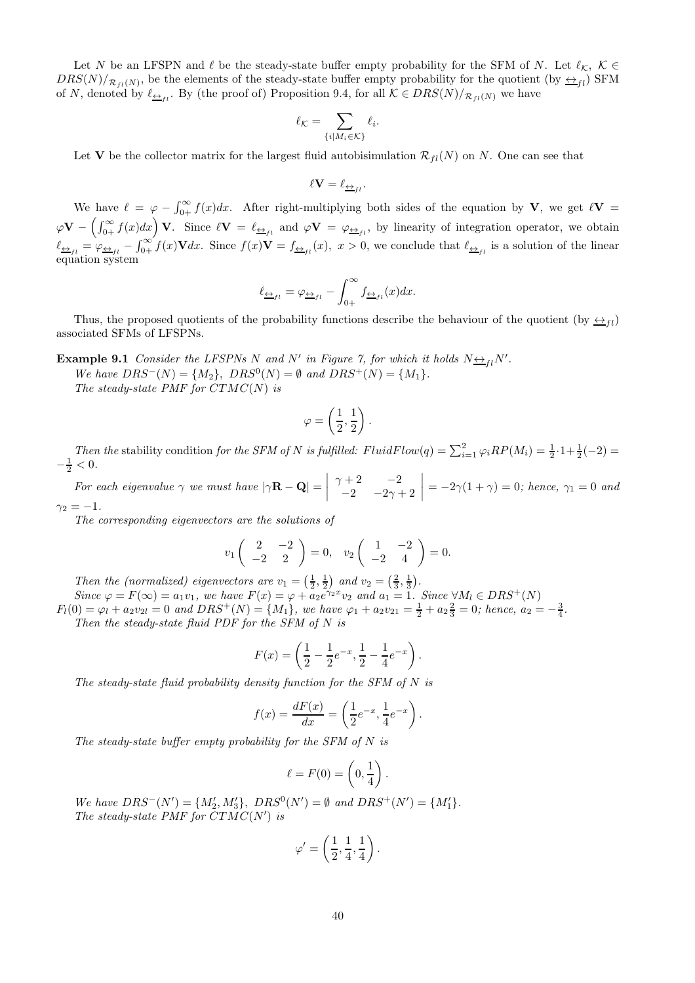Let N be an LFSPN and  $\ell$  be the steady-state buffer empty probability for the SFM of N. Let  $\ell_{\mathcal{K}}$ ,  $\mathcal{K} \in$  $DRS(N)/R_{fl}(N)$ , be the elements of the steady-state buffer empty probability for the quotient (by  $\leftrightarrow_{fl}$ ) SFM of N, denoted by  $\ell_{\underline{\leftrightarrow}_{fl}}$ . By (the proof of) Proposition 9.4, for all  $\mathcal{K} \in DRS(N)/_{\mathcal{R}_{fl}(N)}$  we have

$$
\ell_{\mathcal{K}} = \sum_{\{i \mid M_i \in \mathcal{K}\}} \ell_i.
$$

Let **V** be the collector matrix for the largest fluid autobisimulation  $\mathcal{R}_{fl}(N)$  on N. One can see that

$$
\ell \mathbf{V} = \ell_{\underleftrightarrow_{fl}}.
$$

We have  $\ell = \varphi - \int_{0+}^{\infty} f(x) dx$ . After right-multiplying both sides of the equation by **V**, we get  $\ell \mathbf{V} =$  $\varphi \mathbf{V} - \left(\int_{0+}^{\infty} f(x) dx\right) \mathbf{V}$ . Since  $\ell \mathbf{V} = \ell_{\frac{\ell}{2}+1}$  and  $\varphi \mathbf{V} = \varphi_{\frac{\ell}{2}+1}$ , by linearity of integration operator, we obtain  $\ell_{\frac{\omega_{f}}{\omega_{f}}=\varphi_{\frac{\omega_{f}}{\omega_{f}}}-\int_{0+}^{\infty}f(x)\mathbf{V}dx$ . Since  $f(x)\mathbf{V}=f_{\frac{\omega_{f}}{\omega_{f}}}(x)$ ,  $x>0$ , we conclude that  $\ell_{\frac{\omega_{f}}{\omega_{f}}}\;$  is a solution of the linear equation system

$$
\ell_{\underline{\leftrightarrow}_{fl}} = \varphi_{\underline{\leftrightarrow}_{fl}} - \int_{0+}^{\infty} f_{\underline{\leftrightarrow}_{fl}}(x) dx.
$$

Thus, the proposed quotients of the probability functions describe the behaviour of the quotient (by  $\leftrightarrow$   $\rightarrow$   $\rightarrow$ associated SFMs of LFSPNs.

**Example 9.1** Consider the LFSPNs N and N' in Figure 7, for which it holds  $N \rightarrow$   $\mu$ N'.  $We have DRS^{-}(N) = \{M_2\}, \ DRS^{0}(N) = \emptyset \ and \ DRS^{+}(N) = \{M_1\}.$ 

The steady-state PMF for  $CTMC(N)$  is

$$
\varphi=\left(\frac{1}{2},\frac{1}{2}\right).
$$

Then the stability condition for the SFM of N is fulfilled:  $FluidFlow(q) = \sum_{i=1}^{2} \varphi_i RP(M_i) = \frac{1}{2} \cdot 1 + \frac{1}{2}(-2) =$  $-\frac{1}{2} < 0.$ 

For each eigenvalue  $\gamma$  we must have  $|\gamma \mathbf{R} - \mathbf{Q}| =$   $\gamma + 2$  -2  $-2$   $-2\gamma + 2$  $\vert = -2\gamma(1 + \gamma) = 0$ ; hence,  $\gamma_1 = 0$  and  $\gamma_2 = -1.$ 

The corresponding eigenvectors are the solutions of

$$
v_1\begin{pmatrix} 2 & -2 \ -2 & 2 \end{pmatrix} = 0, v_2\begin{pmatrix} 1 & -2 \ -2 & 4 \end{pmatrix} = 0.
$$

Then the (normalized) eigenvectors are  $v_1 = \left(\frac{1}{2}, \frac{1}{2}\right)$  and  $v_2 = \left(\frac{2}{3}, \frac{1}{3}\right)$ . Since  $\varphi = F(\infty) = a_1v_1$ , we have  $F(x) = \varphi + a_2e^{\gamma_2 x}v_2$  and  $a_1 = 1$ . Since  $\forall M_l \in DRS^+(N)$ 

 $F_l(0) = \varphi_l + a_2v_{2l} = 0$  and  $DRS^+(N) = \{M_1\}$ , we have  $\varphi_1 + a_2v_{21} = \frac{1}{2} + a_2\frac{2}{3} = 0$ ; hence,  $a_2 = -\frac{3}{4}$ . Then the steady-state fluid PDF for the SFM of  $N$  is

$$
F(x) = \left(\frac{1}{2} - \frac{1}{2}e^{-x}, \frac{1}{2} - \frac{1}{4}e^{-x}\right).
$$

The steady-state fluid probability density function for the SFM of  $N$  is

$$
f(x) = \frac{dF(x)}{dx} = \left(\frac{1}{2}e^{-x}, \frac{1}{4}e^{-x}\right).
$$

The steady-state buffer empty probability for the SFM of N is

$$
\ell = F(0) = \left(0, \frac{1}{4}\right).
$$

We have  $DRS^{-}(N') = \{M'_{2}, M'_{3}\}, \ DRS^{0}(N') = \emptyset \text{ and } DRS^{+}(N') = \{M'_{1}\}.$ The steady-state PMF for  $CTMC(N')$  is

$$
\varphi' = \left(\frac{1}{2}, \frac{1}{4}, \frac{1}{4}\right).
$$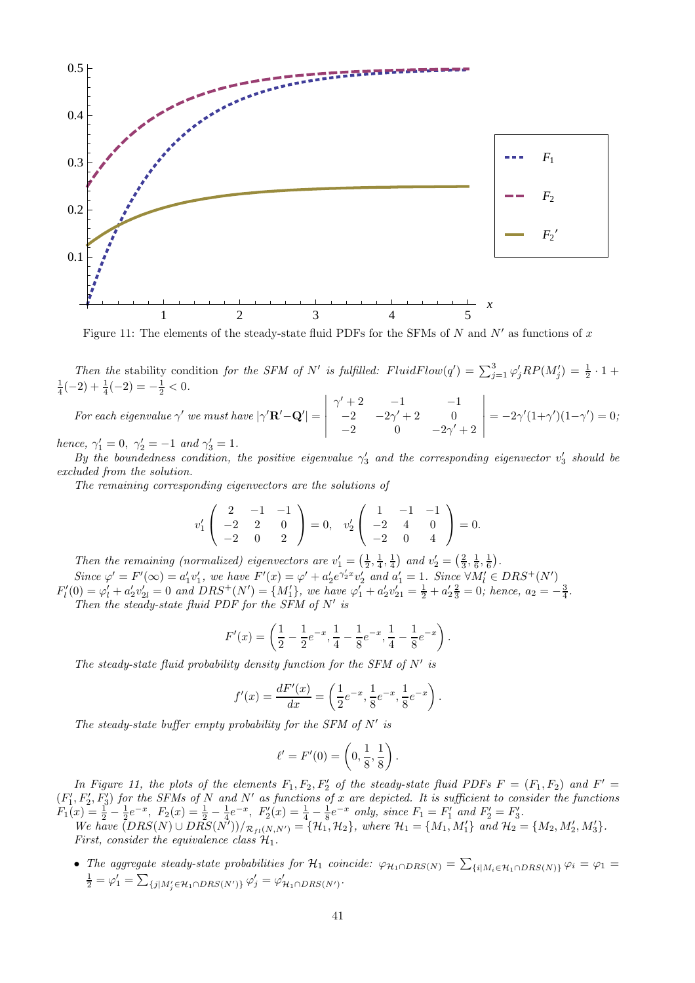

Figure 11: The elements of the steady-state fluid PDFs for the SFMs of N and N' as functions of x

Then the stability condition for the SFM of N' is fulfilled: FluidFlow(q') =  $\sum_{j=1}^{3} \varphi'_j RP(M'_j) = \frac{1}{2} \cdot 1 +$  $\frac{1}{4}(-2) + \frac{1}{4}(-2) = -\frac{1}{2} < 0.$ 

For each eigenvalue  $\gamma'$  we must have  $|\gamma' \mathbf{R}' - \mathbf{Q}'| =$   $\gamma' + 2$   $-1$   $-1$  $-2$   $-2\gamma' + 2$  0  $-2$  0  $-2\gamma' + 2$   $= -2\gamma'(1+\gamma')(1-\gamma') = 0;$ 

hence,  $\gamma_1' = 0$ ,  $\gamma_2' = -1$  and  $\gamma_3' = 1$ .

By the boundedness condition, the positive eigenvalue  $\gamma'_3$  and the corresponding eigenvector  $v'_3$  should be excluded from the solution.

The remaining corresponding eigenvectors are the solutions of

$$
v_1'\begin{pmatrix} 2 & -1 & -1 \\ -2 & 2 & 0 \\ -2 & 0 & 2 \end{pmatrix} = 0, \quad v_2'\begin{pmatrix} 1 & -1 & -1 \\ -2 & 4 & 0 \\ -2 & 0 & 4 \end{pmatrix} = 0.
$$

Then the remaining (normalized) eigenvectors are  $v'_1 = \left(\frac{1}{2}, \frac{1}{4}, \frac{1}{4}\right)$  and  $v'_2 = \left(\frac{2}{3}, \frac{1}{6}, \frac{1}{6}\right)$ . Since  $\varphi' = F'(\infty) = a'_1 v'_1$ , we have  $F'(x) = \varphi' + a'_2 e^{\gamma'_2 x} v'_2$  and  $a'_1 = 1$ . Since  $\forall M'_i \in DRS^+(N')$  $F'_{l}(0) = \varphi'_{l} + a'_{2}v'_{2l} = 0$  and  $DRS^{+}(N') = \{M'_{1}\},$  we have  $\varphi'_{1} + a'_{2}v'_{21} = \frac{1}{2} + a'_{2}\frac{2}{3} = 0$ ; hence,  $a_{2} = -\frac{3}{4}$ .

Then the steady-state fluid PDF for the SFM of  $N'$  is

$$
F'(x) = \left(\frac{1}{2} - \frac{1}{2}e^{-x}, \frac{1}{4} - \frac{1}{8}e^{-x}, \frac{1}{4} - \frac{1}{8}e^{-x}\right).
$$

The steady-state fluid probability density function for the SFM of  $N'$  is

$$
f'(x) = \frac{dF'(x)}{dx} = \left(\frac{1}{2}e^{-x}, \frac{1}{8}e^{-x}, \frac{1}{8}e^{-x}\right).
$$

The steady-state buffer empty probability for the SFM of  $N'$  is

$$
\ell' = F'(0) = \left(0, \frac{1}{8}, \frac{1}{8}\right).
$$

In Figure 11, the plots of the elements  $F_1, F_2, F'_2$  of the steady-state fluid PDFs  $F = (F_1, F_2)$  and  $F' =$  $(F'_1, F'_2, F'_3)$  for the SFMs of N and N' as functions of x are depicted. It is sufficient to consider the functions  $F_1(x) = \frac{1}{2} - \frac{1}{2}e^{-x}$ ,  $F_2(x) = \frac{1}{2} - \frac{1}{4}e^{-x}$ ,  $F'_2(x) = \frac{1}{4} - \frac{1}{8}e^{-x}$  only, since  $F_1 = F'_1$  and  $F'_2 = F'_3$ .

We have  $(DRS(N) \cup DRS(N'))/_{\mathcal{R}_{fl}(N,N')} = {\mathcal{H}_1, \mathcal{H}_2}$ , where  $\mathcal{H}_1 = {M_1, M'_1}$  and  $\mathcal{H}_2 = {M_2, M'_2, M'_3}$ . First, consider the equivalence class  $\mathcal{H}_1$ .

• The aggregate steady-state probabilities for  $\mathcal{H}_1$  coincide:  $\varphi_{\mathcal{H}_1 \cap DRS(N)} = \sum_{\{i | M_i \in \mathcal{H}_1 \cap DRS(N)\}} \varphi_i = \varphi_1 =$  $\frac{1}{2} = \varphi_1' = \sum_{\{j | M'_j \in \mathcal{H}_1 \cap DRS(N')\}} \varphi_j' = \varphi_{\mathcal{H}_1 \cap DRS(N')}'.$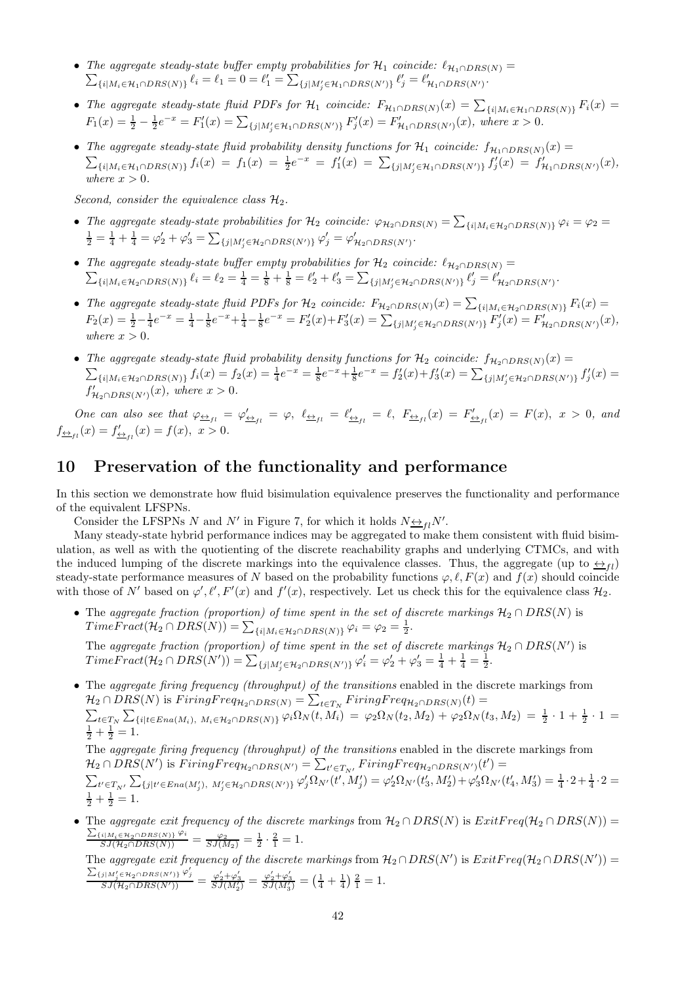- The aggregate steady-state buffer empty probabilities for  $\mathcal{H}_1$  coincide:  $\ell_{\mathcal{H}_1 \cap DRS(N)} =$  $\sum_{\{i|M_i\in \mathcal{H}_1\cap DRS(N)\}} \ell_i = \ell_1 = 0 = \ell'_1 = \sum_{\{j|M'_j\in \mathcal{H}_1\cap DRS(N')\}} \ell'_j = \ell'_{\mathcal{H}_1\cap DRS(N')}.$
- The aggregate steady-state fluid PDFs for  $\mathcal{H}_1$  coincide:  $F_{\mathcal{H}_1 \cap DRS(N)}(x) = \sum_{\{i | M_i \in \mathcal{H}_1 \cap DRS(N)\}} F_i(x) =$  $F_1(x) = \frac{1}{2} - \frac{1}{2}e^{-x} = F'_1(x) = \sum_{\{j \mid M'_j \in \mathcal{H}_1 \cap DRS(N')\}} F'_j(x) = F'_{\mathcal{H}_1 \cap DRS(N')}(x)$ , where  $x > 0$ .
- The aggregate steady-state fluid probability density functions for  $\mathcal{H}_1$  coincide:  $f_{\mathcal{H}_1 \cap DRS(N)}(x) =$  $\sum_{\{i|M_i \in \mathcal{H}_1 \cap DRS(N)\}} f_i(x) = f_1(x) = \frac{1}{2}e^{-x} = f'_1(x) = \sum_{\{j|M'_j \in \mathcal{H}_1 \cap DRS(N')\}} f'_j(x) = f'_{\mathcal{H}_1 \cap DRS(N')}(x)$ where  $x > 0$ .

Second, consider the equivalence class  $\mathcal{H}_2$ .

- The aggregate steady-state probabilities for  $\mathcal{H}_2$  coincide:  $\varphi_{\mathcal{H}_2 \cap DRS(N)} = \sum_{\{i | M_i \in \mathcal{H}_2 \cap DRS(N)\}} \varphi_i = \varphi_2 =$  $\frac{1}{2} = \frac{1}{4} + \frac{1}{4} = \varphi_2' + \varphi_3' = \sum_{\{j | M'_j \in \mathcal{H}_2 \cap DRS(N')\}} \varphi_j' = \varphi_{\mathcal{H}_2 \cap DRS(N')}'.$
- The aggregate steady-state buffer empty probabilities for  $\mathcal{H}_2$  coincide:  $\ell_{\mathcal{H}_2 \cap DBS(N)} =$  $\{i|M_i\in\mathcal{H}_2\cap DRS(N)\}\ \ell_i=\ell_2=\frac{1}{4}=\frac{1}{8}+\frac{1}{8}=\ell_2'+\ell_3'=\sum_{\{j|M'_j\in\mathcal{H}_2\cap DRS(N')\}}\ell'_j=\ell'_{\mathcal{H}_2\cap DRS(N')}.$
- The aggregate steady-state fluid PDFs for  $\mathcal{H}_2$  coincide:  $F_{\mathcal{H}_2 \cap DRS(N)}(x) = \sum_{\{i | M_i \in \mathcal{H}_2 \cap DRS(N)\}} F_i(x) =$  $F_2(x) = \frac{1}{2} - \frac{1}{4}e^{-x} = \frac{1}{4} - \frac{1}{8}e^{-x} + \frac{1}{4} - \frac{1}{8}e^{-x} = F'_2(x) + F'_3(x) = \sum_{\{j \mid M'_j \in \mathcal{H}_2 \cap DRS(N')\}} F'_j(x) = F'_{\mathcal{H}_2 \cap DRS(N')}(x),$ where  $x > 0$ .
- The aggregate steady-state fluid probability density functions for  $\mathcal{H}_2$  coincide:  $f_{\mathcal{H}_2 \cap DRS(N)}(x) =$  $\sum_{\{i|M_i\in\mathcal{H}_2\cap DRS(N)\}} f_i(x) = f_2(x) = \frac{1}{4}e^{-x} = \frac{1}{8}e^{-x} + \frac{1}{8}e^{-x} = f'_2(x) + f'_3(x) = \sum_{\{j|M'_j\in\mathcal{H}_2\cap DRS(N')\}} f'_j(x) =$  $f'_{\mathcal{H}_2 \cap DRS(N')}(x)$ , where  $x > 0$ .

One can also see that  $\varphi_{\underline{\leftrightarrow}_{fl}} = \varphi'_{\underline{\leftrightarrow}_{fl}} = \varphi$ ,  $\ell_{\underline{\leftrightarrow}_{fl}} = \ell'_{\underline{\leftrightarrow}_{fl}} = \ell$ ,  $F_{\underline{\leftrightarrow}_{fl}}(x) = F(x)$ ,  $x > 0$ , and  $f_{\frac{\leftrightarrow}{f}}(x) = f'_{\frac{\leftrightarrow}{f}}(x) = f(x), \ x > 0.$ 

# 10 Preservation of the functionality and performance

In this section we demonstrate how fluid bisimulation equivalence preserves the functionality and performance of the equivalent LFSPNs.

Consider the LFSPNs N and N' in Figure 7, for which it holds  $N \leftrightarrow flN'$ .

Many steady-state hybrid performance indices may be aggregated to make them consistent with fluid bisimulation, as well as with the quotienting of the discrete reachability graphs and underlying CTMCs, and with the induced lumping of the discrete markings into the equivalence classes. Thus, the aggregate (up to  $\leftrightarrow_{fl}$ ) steady-state performance measures of N based on the probability functions  $\varphi, \ell, F(x)$  and  $f(x)$  should coincide with those of N' based on  $\varphi', \ell', F'(x)$  and  $f'(x)$ , respectively. Let us check this for the equivalence class  $\mathcal{H}_2$ .

• The aggregate fraction (proportion) of time spent in the set of discrete markings  $H_2 \cap DRS(N)$  is  $Time Fract(\mathcal{H}_2 \cap DRS(N)) = \sum_{\{i | M_i \in \mathcal{H}_2 \cap DRS(N)\}} \varphi_i = \varphi_2 = \frac{1}{2}.$ 

The aggregate fraction (proportion) of time spent in the set of discrete markings  $\mathcal{H}_2 \cap DRS(N')$  is  $Time Fract(\mathcal{H}_2 \cap DRS(N')) = \sum_{\{j | M'_j \in \mathcal{H}_2 \cap DRS(N')\}} \varphi'_i = \varphi'_2 + \varphi'_3 = \frac{1}{4} + \frac{1}{4} = \frac{1}{2}.$ 

• The aggregate firing frequency (throughput) of the transitions enabled in the discrete markings from  $\mathcal{H}_2 \cap DRS(N)$  is  $FiringFreq_{\mathcal{H}_2 \cap DRS(N)} = \sum_{t \in T_N} FiringFreq_{\mathcal{H}_2 \cap DRS(N)}(t) =$ P t∈T<sup>N</sup> P {i|t∈Ena(Mi), Mi∈H2∩DRS(N)} <sup>ϕ</sup>iΩ<sup>N</sup> (t, Mi) = <sup>ϕ</sup>2Ω<sup>N</sup> (t2, M2) + <sup>ϕ</sup>2Ω<sup>N</sup> (t3, M2) = <sup>1</sup> 2 · 1 + <sup>1</sup> 2 · 1 =  $\frac{1}{2} + \frac{1}{2} = 1.$ 

The aggregate firing frequency (throughput) of the transitions enabled in the discrete markings from  $\mathcal{H}_2 \cap DRS(N')$  is  $FiringFreq_{\mathcal{H}_2 \cap DRS(N')} = \sum_{t' \in T_{N'}} FiringFreq_{\mathcal{H}_2 \cap DRS(N')}(t') =$  $\sum_{t' \in T_{N'}} \sum_{\{j|t' \in Ena(M'_{j}), M'_{j} \in \mathcal{H}_{2} \cap DRS(N')\}} \varphi'_{j} \Omega_{N'}(t', M'_{j}) = \varphi'_{2} \Omega_{N'}(t'_{3}, M'_{2}) + \varphi'_{3} \Omega_{N'}(t'_{4}, M'_{3}) = \frac{1}{4} \cdot 2 + \frac{1}{4} \cdot 2 = \frac{1}{4} \cdot 2 + \frac{1}{4} \cdot 2$ 

 $\frac{1}{2} + \frac{1}{2} = 1.$ • The aggregate exit frequency of the discrete markings from  $H_2 \cap DRS(N)$  is  $ExitFreq(\mathcal{H}_2 \cap DRS(N)) =$  $\frac{\sum_{\{i|M_i \in \mathcal{H}_2 \cap DRS(N)\}} \varphi_i}{SJ(\mathcal{H}_2 \cap DRS(N))} = \frac{\varphi_2}{SJ(M_2)} = \frac{1}{2} \cdot \frac{2}{1} = 1.$ 

The aggregate exit frequency of the discrete markings from  $\mathcal{H}_2 \cap DRS(N')$  is  $ExitFreq(\mathcal{H}_2 \cap DRS(N'))$  $\frac{\sum_{\{j|M'_j\in\mathcal{H}_2\cap DRS(N')\}}\varphi'_j}{SJ(\mathcal{H}_2\cap DRS(N'))} = \frac{\varphi'_2+\varphi'_3}{SJ(M'_2)} = \frac{\varphi'_2+\varphi'_3}{SJ(M'_3)} = \left(\frac{1}{4}+\frac{1}{4}\right)\frac{2}{1} = 1.$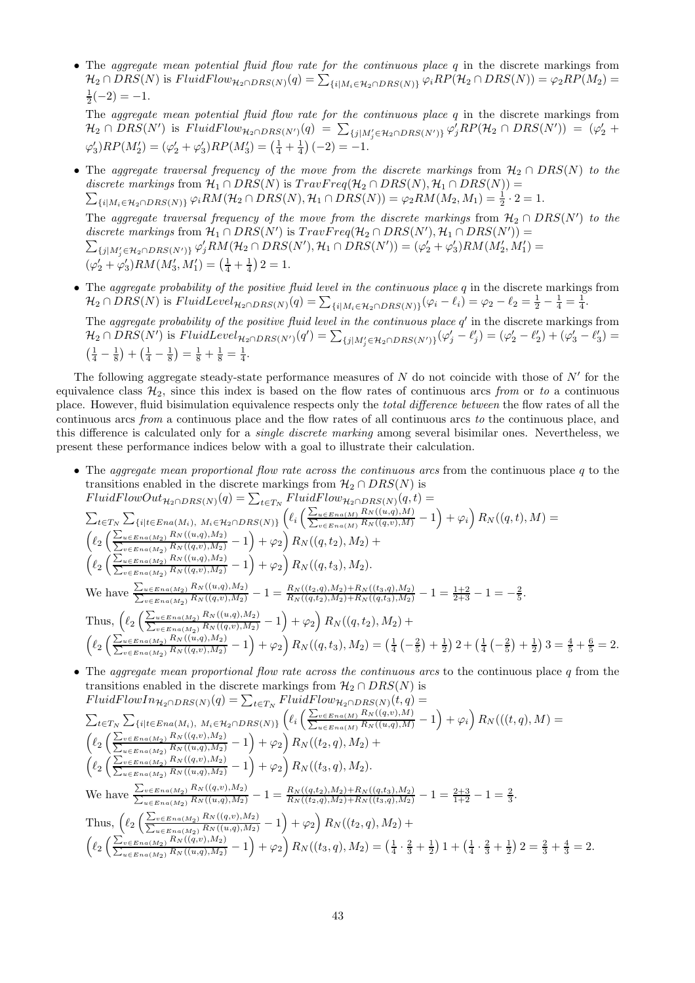• The aggregate mean potential fluid flow rate for the continuous place q in the discrete markings from  $\mathcal{H}_2 \cap DRS(N)$  is  $FluidFlow_{\mathcal{H}_2 \cap DRS(N)}(q) = \sum_{\{i \mid M_i \in \mathcal{H}_2 \cap DRS(N)\}} \varphi_i RP(\mathcal{H}_2 \cap DRS(N)) = \varphi_2 RP(M_2) =$  $\frac{1}{2}(-2) = -1.$ 

The *aggregate mean potential fluid flow rate for the continuous place q* in the discrete markings from  $\mathcal{H}_2 \cap DRS(N')$  is  $FluidFlow_{\mathcal{H}_2 \cap DRS(N')}(q) = \sum_{\{j|M'_j \in \mathcal{H}_2 \cap DRS(N')\}} \varphi'_j RP(\mathcal{H}_2 \cap DRS(N')) = (\varphi'_2 +$  $\varphi_3'$ ) $RP(M_2') = (\varphi_2' + \varphi_3')RP(M_3') = (\frac{1}{4} + \frac{1}{4}) (-2) = -1.$ 

- The aggregate traversal frequency of the move from the discrete markings from  $H_2 \cap DRS(N)$  to the  $\sum_{\{i|M_i\in \mathcal{H}_2\cap DRS(N)\}}\varphi_i RM(\mathcal{H}_2\cap DRS(N),\mathcal{H}_1\cap DRS(N))=\varphi_2 RM(M_2,M_1)=\frac{1}{2}\cdot 2=1.$ discrete markings from  $\mathcal{H}_1 \cap DRS(N)$  is  $TravFreq(\mathcal{H}_2 \cap DRS(N), \mathcal{H}_1 \cap DRS(N)) =$ The aggregate traversal frequency of the move from the discrete markings from  $\mathcal{H}_2 \cap DRS(N')$  to the discrete markings from  $\mathcal{H}_1 \cap DRS(N')$  is  $TravFreq(\mathcal{H}_2 \cap DRS(N'), \mathcal{H}_1 \cap DRS(N'))$  $\sum_{\{j|M'_j\in \mathcal{H}_2\cap DRS(N')\}}\varphi'_jRM(\mathcal{H}_2\cap DRS(N'),\mathcal{H}_1\cap DRS(N'))=(\varphi'_2+\varphi'_3)RM(M'_2,M'_1)=$  $(\varphi'_2 + \varphi'_3) RM(M'_3, M'_1) = \left(\frac{1}{4} + \frac{1}{4}\right) 2 = 1.$
- The aggregate probability of the positive fluid level in the continuous place  $q$  in the discrete markings from  $\mathcal{H}_2 \cap DRS(N)$  is  $FluidLevel_{\mathcal{H}_2 \cap DRS(N)}(q) = \sum_{\{i | M_i \in \mathcal{H}_2 \cap DRS(N)\}} (\varphi_i - \ell_i) = \varphi_2 - \ell_2 = \frac{1}{2} - \frac{1}{4} = \frac{1}{4}.$

The aggregate probability of the positive fluid level in the continuous place  $q'$  in the discrete markings from  $\mathcal{H}_2 \cap \overline{DRS}(N')$  is  $FluidLevel_{\mathcal{H}_2 \cap \overline{DRS}(N')}(q') = \sum_{\{j | M'_j \in \mathcal{H}_2 \cap \overline{DRS}(N')\}} (\varphi'_j - \ell'_j) = (\varphi'_2 - \ell'_2) + (\varphi'_3 - \ell'_3) =$  $\left(\frac{1}{4} - \frac{1}{8}\right) + \left(\frac{1}{4} - \frac{1}{8}\right) = \frac{1}{8} + \frac{1}{8} = \frac{1}{4}.$ 

The following aggregate steady-state performance measures of  $N$  do not coincide with those of  $N'$  for the equivalence class  $\mathcal{H}_2$ , since this index is based on the flow rates of continuous arcs from or to a continuous place. However, fluid bisimulation equivalence respects only the total difference between the flow rates of all the continuous arcs from a continuous place and the flow rates of all continuous arcs to the continuous place, and this difference is calculated only for a single discrete marking among several bisimilar ones. Nevertheless, we present these performance indices below with a goal to illustrate their calculation.

• The aggregate mean proportional flow rate across the continuous arcs from the continuous place q to the transitions enabled in the discrete markings from  $\mathcal{H}_2 \cap DRS(N)$  is<br> $E_{\text{total}}E_{\text{true}}(x)$ 

$$
\text{FluidFlowOut}_{\mathcal{H}_2 \cap DRS(N)}(q) = \sum_{t \in T_N} \text{FluidFlow}_{\mathcal{H}_2 \cap DRS(N)}(q, t) =
$$
\n
$$
\sum_{t \in T_N} \sum_{\{i \mid t \in Ena(M_i), M_i \in \mathcal{H}_2 \cap DRS(N)\}} \left( \ell_i \left( \frac{\sum_{u \in Ena(M)} R_N(u, q, M)}{\sum_{v \in Ena(M)} R_N((q, v), M)} - 1 \right) + \varphi_i \right) R_N((q, t), M) =
$$
\n
$$
\left( \ell_2 \left( \frac{\sum_{u \in Ena(M_2)} R_N(u, q, M_2)}{\sum_{v \in Ena(M_2)} R_N((q, v), M_2)} - 1 \right) + \varphi_2 \right) R_N((q, t_2), M_2) +
$$
\n
$$
\left( \ell_2 \left( \frac{\sum_{u \in Ena(M_2)} R_N(u, q, M_2)}{\sum_{v \in Ena(M_2)} R_N((q, v), M_2)} - 1 \right) + \varphi_2 \right) R_N((q, t_3), M_2).
$$
\nWe have\n
$$
\sum_{u \in Ena(M_2)} \frac{R_N((u, q), M_2)}{R_N((q, v), M_2)} - 1 = \frac{R_N((t_2, q), M_2) + R_N((t_3, q), M_2)}{R_N((q, t_2), M_2) + R_N((q, t_3), M_2)} - 1 = \frac{1+2}{2+3} - 1 = -\frac{2}{5}.
$$
\nThus,\n
$$
\left( \ell_2 \left( \frac{\sum_{u \in Ena(M_2)} R_N((u, q), M_2)}{\sum_{v \in Ena(M_2)} R_N((q, v), M_2)} - 1 \right) + \varphi_2 \right) R_N((q, t_2), M_2) +
$$
\n
$$
\left( \ell_2 \left( \frac{\sum_{u \in Ena(M_2)} R_N((u, q), M_2)}{\sum_{v \in Ena(M_2)} R_N((q, v), M_2)} - 1 \right) + \varphi_2 \right) R_N((q, t_3), M_2) = \left( \frac{1}{4} \left( -\frac{2}{5} \right) + \frac{1}{2} \right) 2 + \left( \frac{1}{4} \left( -\frac{2
$$

• The aggregate mean proportional flow rate across the continuous arcs to the continuous place  $q$  from the transitions enabled in the discrete markings from  $\mathcal{H}_2 \cap DRS(N)$  is<br>FluidFlowIne  $_{QDRS(N)}(a) = \sum_{r} FluidFlow_{QDRS(N)}(t, a)$  $FluidFlouIn$  $FluidFlow$ 

$$
\begin{split}\n&\text{F }\text{tr}\text{d}t\text{ }U\text{d}\text{ }U\text{d}\text{ }U\text{d}\text{ }U\text{d}\text{ }U\text{d}\text{ }U\text{d}\text{ }U\text{d}\text{ }U\text{d}\text{ }U\text{d}\text{ }U\text{d}\text{ }U\text{d}\text{ }U\text{d}\text{ }U\text{d}\text{ }U\text{d}\text{ }U\text{d}\text{ }U\text{d}\text{ }U\text{d}\text{ }U\text{d}\text{ }U\text{d}\text{ }U\text{d}\text{ }U\text{d}\text{ }U\text{d}\text{ }U\text{d}\text{ }U\text{d}\text{ }U\text{d}\text{ }U\text{d}\text{ }U\text{d}\text{ }U\text{d}\text{ }U\text{d}\text{ }U\text{d}\text{ }U\text{d}\text{ }U\text{d}\text{ }U\text{d}\text{ }U\text{d}\text{ }U\text{d}\text{ }U\text{d}\text{ }U\text{d}\text{ }U\text{d}\text{ }U\text{d}\text{ }U\text{d}\text{ }U\text{d}\text{ }U\text{d}\text{ }U\text{d}\text{ }U\text{d}\text{ }U\text{d}\text{ }U\text{d}\text{ }U\text{d}\text{ }U\text{d}\text{ }U\text{d}\text{ }U\text{d}\text{ }U\text{d}\text{ }U\text{d}\text{ }U\text{d}\text{ }U\text{d}\text{ }U\text{d}\text{ }U\text{d}\text{ }U\text{d}\text{ }U\text{d}\text{ }U\text{d}\text{ }U\text{d}\text{ }U\text{d}\text{ }U\text{d}\text{ }U\text{d}\text{ }U\text{d}\text{ }U\text{d}\text{ }U\text{d}\text{ }U\text{d}\text{ }U\text{d}\text{ }U\text{d}\text{ }U\text{d}\text{ }U\text{d}\text{ }U\text{d}\text{ }U\text{d}\text{ }U\text{d}\text{ }U\text{d}\text{ }U\text{d}\text{ }U\text{d}\text{ }U\text{d}\text{ }U\text{d}\text{ }U\text{d}\text{ }U\text{d}\text{ }U\text{d}\
$$

2.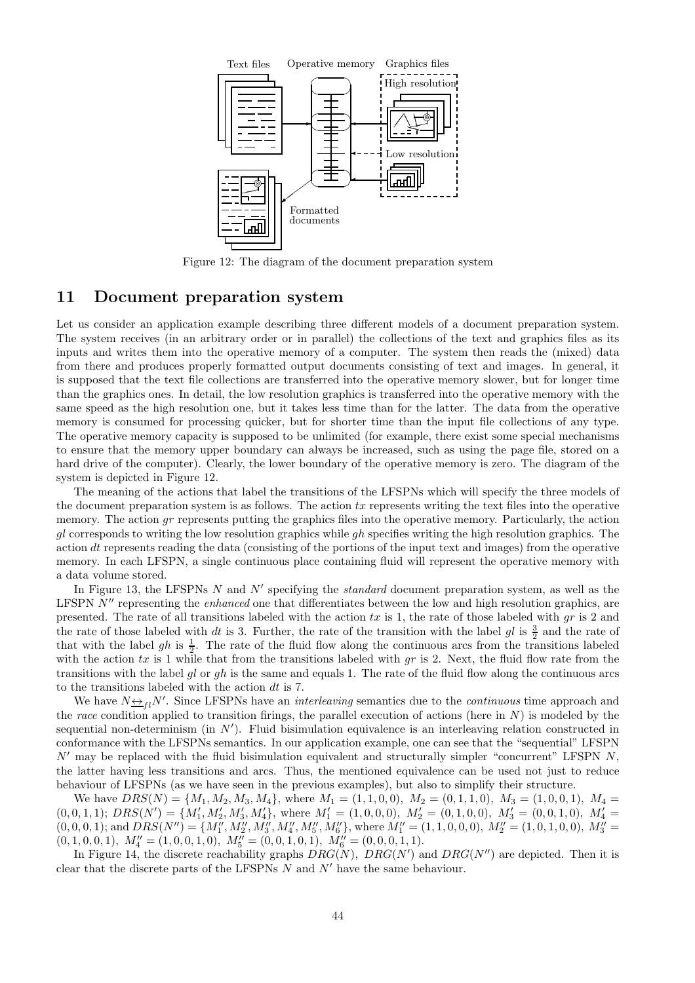

Figure 12: The diagram of the document preparation system

### 11 Document preparation system

Let us consider an application example describing three different models of a document preparation system. The system receives (in an arbitrary order or in parallel) the collections of the text and graphics files as its inputs and writes them into the operative memory of a computer. The system then reads the (mixed) data from there and produces properly formatted output documents consisting of text and images. In general, it is supposed that the text file collections are transferred into the operative memory slower, but for longer time than the graphics ones. In detail, the low resolution graphics is transferred into the operative memory with the same speed as the high resolution one, but it takes less time than for the latter. The data from the operative memory is consumed for processing quicker, but for shorter time than the input file collections of any type. The operative memory capacity is supposed to be unlimited (for example, there exist some special mechanisms to ensure that the memory upper boundary can always be increased, such as using the page file, stored on a hard drive of the computer). Clearly, the lower boundary of the operative memory is zero. The diagram of the system is depicted in Figure 12.

The meaning of the actions that label the transitions of the LFSPNs which will specify the three models of the document preparation system is as follows. The action  $tx$  represents writing the text files into the operative memory. The action  $qr$  represents putting the graphics files into the operative memory. Particularly, the action gl corresponds to writing the low resolution graphics while gh specifies writing the high resolution graphics. The action dt represents reading the data (consisting of the portions of the input text and images) from the operative memory. In each LFSPN, a single continuous place containing fluid will represent the operative memory with a data volume stored.

In Figure 13, the LFSPNs N and N' specifying the *standard* document preparation system, as well as the LFSPN N'' representing the *enhanced* one that differentiates between the low and high resolution graphics, are presented. The rate of all transitions labeled with the action  $tx$  is 1, the rate of those labeled with  $gr$  is 2 and the rate of those labeled with dt is 3. Further, the rate of the transition with the label  $gl$  is  $\frac{3}{2}$  and the rate of that with the label gh is  $\frac{1}{2}$ . The rate of the fluid flow along the continuous arcs from the transitions labeled with the action  $tx$  is 1 while that from the transitions labeled with  $gr$  is 2. Next, the fluid flow rate from the transitions with the label gl or gh is the same and equals 1. The rate of the fluid flow along the continuous arcs to the transitions labeled with the action dt is 7.

We have  $N_{\frac{N+1}{2}}N'$ . Since LFSPNs have an *interleaving* semantics due to the *continuous* time approach and the race condition applied to transition firings, the parallel execution of actions (here in  $N$ ) is modeled by the sequential non-determinism (in  $N'$ ). Fluid bisimulation equivalence is an interleaving relation constructed in conformance with the LFSPNs semantics. In our application example, one can see that the "sequential" LFSPN  $N'$  may be replaced with the fluid bisimulation equivalent and structurally simpler "concurrent" LFSPN N, the latter having less transitions and arcs. Thus, the mentioned equivalence can be used not just to reduce behaviour of LFSPNs (as we have seen in the previous examples), but also to simplify their structure.

We have  $DRS(N) = \{M_1, M_2, M_3, M_4\}$ , where  $M_1 = (1, 1, 0, 0), M_2 = (0, 1, 1, 0), M_3 = (1, 0, 0, 1), M_4 =$ (0, 0, 1, 1); DRS(N′ ) = {M′ 1 , M′ 2 , M′ 3 , M′ 4 }, where M′ <sup>1</sup> = (1, 0, 0, 0), M′ <sup>2</sup> = (0, 1, 0, 0), M′ <sup>3</sup> = (0, 0, 1, 0), M′ <sup>4</sup> =  $(0,0,0,1);$  and  $DRS(N'') = \{M''_1, M''_2, M''_3, M''_4, M''_5, M''_6\}$ , where  $M''_1 = (1,1,0,0,0), M''_2 = (1,0,1,0,0), M''_3 =$  $(0, 1, 0, 0, 1), M''_4 = (1, 0, 0, 1, 0), M''_5 = (0, 0, 1, 0, 1), M''_6 = (0, 0, 0, 1, 1).$ 

In Figure 14, the discrete reachability graphs  $DRG(N)$ ,  $DRG(N')$  and  $DRG(N'')$  are depicted. Then it is clear that the discrete parts of the LFSPNs  $N$  and  $N^{\prime}$  have the same behaviour.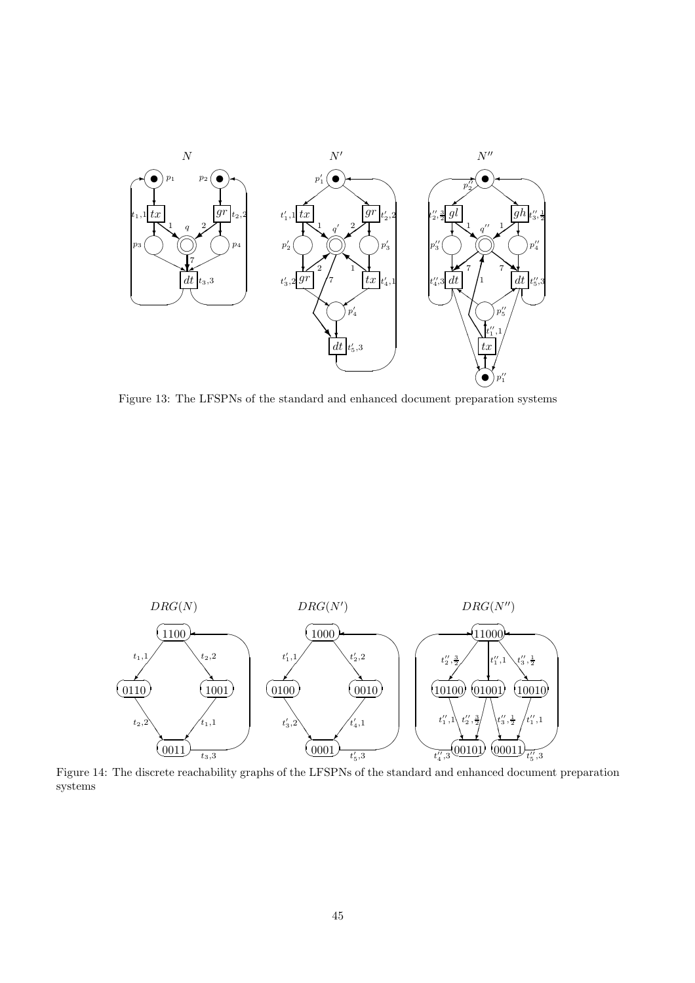

Figure 13: The LFSPNs of the standard and enhanced document preparation systems



Figure 14: The discrete reachability graphs of the LFSPNs of the standard and enhanced document preparation systems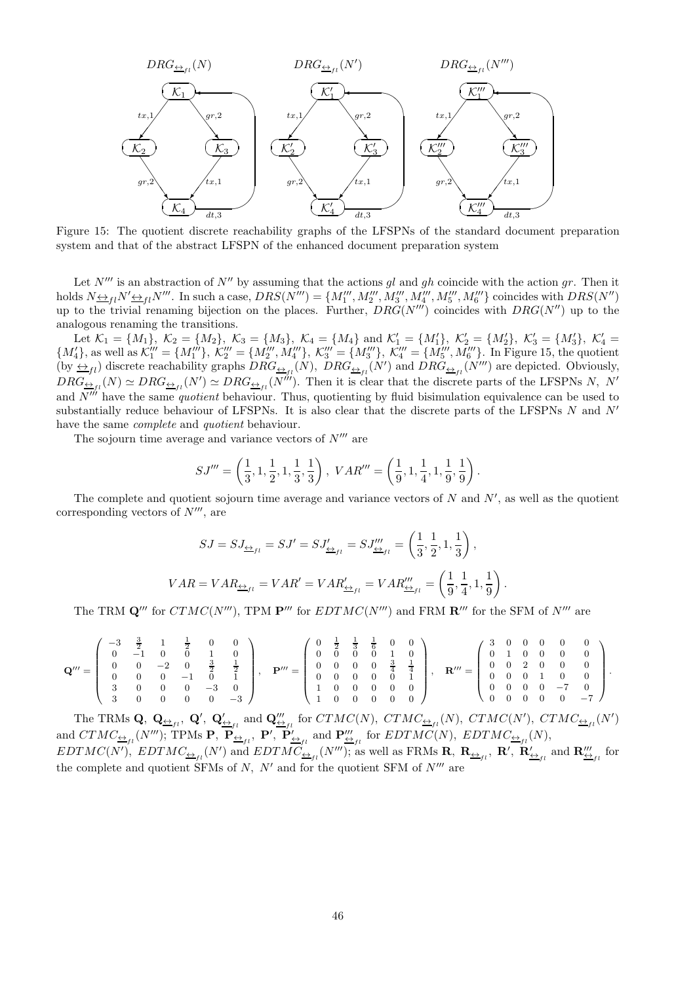

Figure 15: The quotient discrete reachability graphs of the LFSPNs of the standard document preparation system and that of the abstract LFSPN of the enhanced document preparation system

Let  $N'''$  is an abstraction of  $N''$  by assuming that the actions gl and gh coincide with the action gr. Then it holds  $N_{\frac{N+1}{2}l}N''_{\frac{N}{2}l}N'''$ . In such a case,  $DRS(N''') = \{M'''_1, M'''_2, M'''_3, M'''_4, M'''_5, M'''_6\}$  coincides with  $DRS(N'')$ up to the trivial renaming bijection on the places. Further,  $DRG(N'')$  coincides with  $DRG(N'')$  up to the analogous renaming the transitions.

Let  $\mathcal{K}_1 = \{M_1\}, \ \mathcal{K}_2 = \{M_2\}, \ \mathcal{K}_3 = \{M_3\}, \ \mathcal{K}_4 = \{M_4\}$  and  $\mathcal{K}'_1 = \{M'_1\}, \ \mathcal{K}'_2 = \{M'_2\}, \ \mathcal{K}'_3 = \{M'_3\}, \ \mathcal{K}'_4 = \{M'_1\}, \ \mathcal{K}'_5 = \{M'_2\}, \ \mathcal{K}'_6 = \{M'_3\}, \ \mathcal{K}'_7 = \{M'_1\}, \ \mathcal{K}'_8 = \{M'_1\}, \ \mathcal{K}'_9 = \$  ${M'_4}$ , as well as  $\mathcal{K}'''_1 = {M''_1}$ ,  $\mathcal{K}'''_2 = {M'''_2, M'''_4}$ ,  $\mathcal{K}'''_3 = {M'''_3, \mathcal{K}'''_4 = {M'''_5, M'''_6}$ . In Figure 15, the quotient (by  $\leftrightarrow_{fl}$ ) discrete reachability graphs  $DRG_{\leftrightarrow_{fl}}(N)$ ,  $DRG_{\leftrightarrow_{fl}}(N')$  and  $DRG_{\leftrightarrow_{fl}}(N''')$  are depicted. Obviously,  $DRG_{\frac{\Delta}{2}f_l}(N) \simeq DRG_{\frac{\Delta}{2}f_l}(N') \simeq DRG_{\frac{\Delta}{2}f_l}(N''')$ . Then it is clear that the discrete parts of the LFSPNs N, N' and  $N''$  have the same quotient behaviour. Thus, quotienting by fluid bisimulation equivalence can be used to substantially reduce behaviour of LFSPNs. It is also clear that the discrete parts of the LFSPNs  $N$  and  $N'$ have the same *complete* and *quotient* behaviour.

The sojourn time average and variance vectors of  $N^{\prime\prime\prime}$  are

$$
SJ''' = \left(\frac{1}{3}, 1, \frac{1}{2}, 1, \frac{1}{3}, \frac{1}{3}\right), \; VAR''' = \left(\frac{1}{9}, 1, \frac{1}{4}, 1, \frac{1}{9}, \frac{1}{9}\right).
$$

The complete and quotient sojourn time average and variance vectors of  $N$  and  $N'$ , as well as the quotient corresponding vectors of  $N''$ , are

$$
SJ = SJ_{\underline{\leftrightarrow}_{fl}} = SJ' = SJ'_{\underline{\leftrightarrow}_{fl}} = SJ'''_{\underline{\leftrightarrow}_{fl}} = \left(\frac{1}{3}, \frac{1}{2}, 1, \frac{1}{3}\right),
$$
  

$$
VAR = VAR_{\underline{\leftrightarrow}_{fl}} = VAR' = VAR''_{\underline{\leftrightarrow}_{fl}} = VAR'''_{\underline{\leftrightarrow}_{fl}} = \left(\frac{1}{9}, \frac{1}{4}, 1, \frac{1}{9}\right).
$$

The TRM  $\mathbf{Q}'''$  for  $CTMC(N''')$ , TPM  $\mathbf{P}'''$  for  $EDTMC(N''')$  and FRM  $\mathbf{R}'''$  for the SFM of  $N'''$  are

$$
\mathbf{Q}''' = \left(\begin{array}{cccccc} -3 & \frac{3}{2} & 1 & \frac{1}{2} & 0 & 0 \\ 0 & -1 & 0 & 0 & 1 & 0 \\ 0 & 0 & -2 & 0 & \frac{3}{2} & \frac{1}{2} \\ 0 & 0 & 0 & -1 & 0 & 1 \\ 3 & 0 & 0 & 0 & -3 & 0 \\ 3 & 0 & 0 & 0 & 0 & -3 \end{array}\right), \quad \mathbf{P}''' = \left(\begin{array}{cccccc} 0 & \frac{1}{2} & \frac{1}{3} & \frac{1}{6} & 0 & 0 \\ 0 & 0 & 0 & 0 & 1 & 0 \\ 0 & 0 & 0 & 0 & \frac{3}{4} & \frac{1}{4} \\ 0 & 0 & 0 & 0 & 0 & 1 \\ 1 & 0 & 0 & 0 & 0 & 0 \\ 1 & 0 & 0 & 0 & 0 & 0 \end{array}\right), \quad \mathbf{R}''' = \left(\begin{array}{cccccc} 3 & 0 & 0 & 0 & 0 & 0 \\ 0 & 1 & 0 & 0 & 0 & 0 & 0 \\ 0 & 0 & 2 & 0 & 0 & 0 & 0 \\ 0 & 0 & 0 & 1 & 0 & 0 \\ 0 & 0 & 0 & 0 & -7 & 0 \\ 0 & 0 & 0 & 0 & 0 & -7 \end{array}\right).
$$

The TRMs Q,  $Q_{\underline{\leftrightarrow}_{fl}}$ ,  $Q'$ ,  $Q'_{\underline{\leftrightarrow}_{fl}}$  and  $Q'''_{\underline{\leftrightarrow}_{fl}}$  for  $CTMC(N)$ ,  $CTMC_{\underline{\leftrightarrow}_{fl}}(N)$ ,  $CTMC(N')$ ,  $CTMC_{\underline{\leftrightarrow}_{fl}}(N')$ and  $CTMC_{\underline{\leftrightarrow}_{fl}}(N''')$ ; TPMs P,  $\mathbf{P}_{\underline{\leftrightarrow}_{fl}}$ , P',  $\mathbf{P}'_{\underline{\leftrightarrow}_{fl}}$  and  $\mathbf{P}'''_{\underline{\leftrightarrow}_{fl}}$  for  $EDTMC(N)$ ,  $EDTMC_{\underline{\leftrightarrow}_{fl}}(N)$ ,  $EDTMC(N'), \;EDTMC_{\underline{\leftrightarrow}_{fi}}(N')$  and  $EDTMC_{\underline{\leftrightarrow}_{fi}}(N''')$ ; as well as FRMs  $\mathbf{R}, \; \mathbf{R}_{\underline{\leftrightarrow}_{fi}}, \; \mathbf{R}', \; \mathbf{R}'_{\underline{\leftrightarrow}_{fi}}$  and  $\mathbf{R'''_{\underline{\leftrightarrow}_{fi}}}$  for the complete and quotient SFMs of  $N$ ,  $N'$  and for the quotient SFM of  $N'''$  are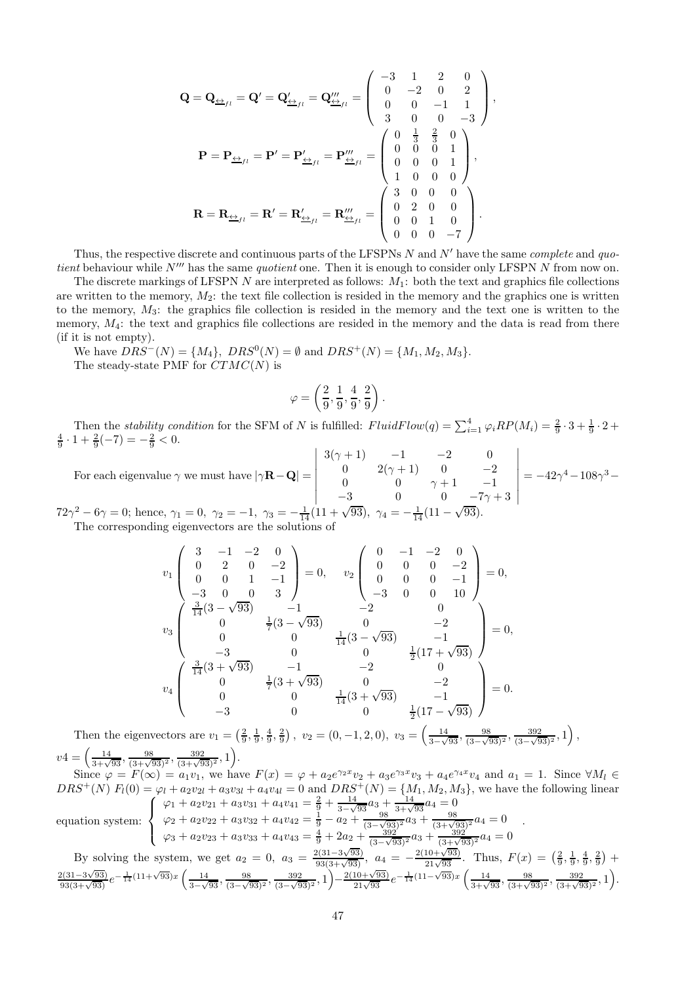$$
\mathbf{Q} = \mathbf{Q}_{\underbrace{\leftrightarrow}_{fl}} = \mathbf{Q}' = \mathbf{Q}'_{\underbrace{\leftrightarrow}_{fl}} = \mathbf{Q}'''_{\underbrace{\leftrightarrow}_{fl}} = \begin{pmatrix} -3 & 1 & 2 & 0 \\ 0 & -2 & 0 & 2 \\ 0 & 0 & -1 & 1 \\ 3 & 0 & 0 & -3 \end{pmatrix},
$$

$$
\mathbf{P} = \mathbf{P}_{\underbrace{\leftrightarrow}_{fl}} = \mathbf{P}' = \mathbf{P}'_{\underbrace{\leftrightarrow}_{fl}} = \mathbf{P}'''_{\underbrace{\leftrightarrow}_{fl}} = \begin{pmatrix} 0 & \frac{1}{3} & \frac{2}{3} & 0 \\ 0 & 0 & 0 & 1 \\ 0 & 0 & 0 & 1 \\ 1 & 0 & 0 & 0 \end{pmatrix},
$$

$$
\mathbf{R} = \mathbf{R}_{\underbrace{\leftrightarrow}_{fl}} = \mathbf{R}' = \mathbf{R}'_{\underbrace{\leftrightarrow}_{fl}} = \mathbf{R}'''_{\underbrace{\leftrightarrow}_{fl}} = \begin{pmatrix} 3 & 0 & 0 & 0 \\ 0 & 2 & 0 & 0 \\ 0 & 0 & 1 & 0 \\ 0 & 0 & 0 & -7 \end{pmatrix}.
$$

Thus, the respective discrete and continuous parts of the LFSPNs  $N$  and  $N'$  have the same *complete* and quotient behaviour while  $N'''$  has the same quotient one. Then it is enough to consider only LFSPN  $N$  from now on.

The discrete markings of LFSPN N are interpreted as follows:  $M_1$ : both the text and graphics file collections are written to the memory,  $M_2$ : the text file collection is resided in the memory and the graphics one is written to the memory,  $M_3$ : the graphics file collection is resided in the memory and the text one is written to the memory,  $M_4$ : the text and graphics file collections are resided in the memory and the data is read from there (if it is not empty).

We have  $DRS^{-}(N) = \{M_4\}, \, DRS^{0}(N) = \emptyset$  and  $DRS^{+}(N) = \{M_1, M_2, M_3\}.$ The steady-state PMF for  $CTMC(N)$  is

$$
\varphi=\left(\frac{2}{9},\frac{1}{9},\frac{4}{9},\frac{2}{9}\right).
$$

Then the stability condition for the SFM of N is fulfilled:  $FluidFlow(q) = \sum_{i=1}^{4} \varphi_i RP(M_i) = \frac{2}{9} \cdot 3 + \frac{1}{9} \cdot 2 +$  $\frac{4}{9} \cdot 1 + \frac{2}{9}(-7) = -\frac{2}{9} < 0.$ 

For each eigenvalue  $\gamma$  we must have  $|\gamma \mathbf{R} - \mathbf{Q}| =$   $3(\gamma + 1)$   $-1$   $-2$  0 0  $2(\gamma + 1)$  0  $-2$ 0 0  $\gamma + 1$  -1  $-3$  0 0  $-7\gamma + 3$   $= -42\gamma^4 - 108\gamma^3 72\gamma^2 - 6\gamma = 0$ ; hence,  $\gamma_1 = 0$ ,  $\gamma_2 = -1$ ,  $\gamma_3 = -\frac{1}{14}(11 + \sqrt{93})$ ,  $\gamma_4 = -\frac{1}{14}(11 - \sqrt{93})$ .

The corresponding eigenvectors are the solutions

$$
v_1 \begin{pmatrix} 3 & -1 & -2 & 0 \\ 0 & 2 & 0 & -2 \\ 0 & 0 & 1 & -1 \\ -3 & 0 & 0 & 3 \end{pmatrix} = 0, \quad v_2 \begin{pmatrix} 0 & -1 & -2 & 0 \\ 0 & 0 & 0 & -2 \\ 0 & 0 & 0 & -1 \\ -3 & 0 & 0 & 10 \end{pmatrix} = 0,
$$
  

$$
v_3 \begin{pmatrix} \frac{3}{14}(3-\sqrt{93}) & -1 & -2 & 0 \\ 0 & 0 & \frac{1}{7}(3-\sqrt{93}) & 0 & -2 \\ 0 & 0 & \frac{1}{14}(3-\sqrt{93}) & -1 \\ -3 & 0 & 0 & \frac{1}{2}(17+\sqrt{93}) \end{pmatrix} = 0,
$$
  

$$
v_4 \begin{pmatrix} \frac{3}{14}(3+\sqrt{93}) & -1 & -2 & 0 \\ 0 & \frac{1}{7}(3+\sqrt{93}) & 0 & -2 \\ 0 & 0 & \frac{1}{14}(3+\sqrt{93}) & -1 \\ -3 & 0 & 0 & \frac{1}{2}(17-\sqrt{93}) \end{pmatrix} = 0.
$$

Then the eigenvectors are  $v_1 = \left(\frac{2}{9}, \frac{1}{9}, \frac{4}{9}, \frac{2}{9}\right)$ ,  $v_2 = \left(0, -1, 2, 0\right)$ ,  $v_3 = \left(\frac{14}{3-\sqrt{93}}, \frac{98}{(3-\sqrt{93})^2}, \frac{392}{(3-\sqrt{93})^2}, 1\right)$  $\frac{14}{3-\sqrt{93}}, \frac{98}{(3-\sqrt{93})^2}, \frac{392}{(3-\sqrt{93})^2}, 1\right),$  $v4 = \left(\frac{14}{3+\sqrt{93}}, \frac{98}{(3+\sqrt{93})^2}, \frac{392}{(3+\sqrt{93})^2}, 1\right).$ 

Since  $\varphi = F(\infty) = a_1v_1$ , we have  $F(x) = \varphi + a_2e^{\gamma_2x}v_2 + a_3e^{\gamma_3x}v_3 + a_4e^{\gamma_4x}v_4$  and  $a_1 = 1$ . Since  $\forall M_l \in$  $DRS^+(N) F_l(0) = \varphi_l + a_2v_{2l} + a_3v_{3l} + a_4v_{4l} = 0$  and  $DRS^+(N) = \{M_1, M_2, M_3\}$ , we have the following linear equation system:  $\sqrt{ }$  $\frac{1}{2}$  $\mathcal{L}$  $\varphi_1 + a_2v_{21} + a_3v_{31} + a_4v_{41} = \frac{2}{9} + \frac{14}{3-\sqrt{93}}a_3 + \frac{14}{3+\sqrt{93}}a_4 = 0$  $\varphi_2 + a_2v_{22} + a_3v_{32} + a_4v_{42} = \frac{1}{9} - a_2 + \frac{98}{(3-\sqrt{9})^2}$  $\frac{98}{(3-\sqrt{93})^2}a_3 + \frac{98}{(3+\sqrt{93})^2}a_4 = 0$  $\varphi_3 + a_2v_{23} + a_3v_{33} + a_4v_{43} = \frac{4}{9} + 2a_2 + \frac{392}{(3-\sqrt{93})^2}a_3 + \frac{392}{(3+\sqrt{93})^2}a_4 = 0$ . By solving the system, we get  $a_2 = 0$ ,  $a_3 = \frac{2(31-3\sqrt{93})}{93(3+\sqrt{93})}$ ,  $a_4 = -\frac{2(10+\sqrt{93})}{21\sqrt{93}}$ . Thus,  $F(x) = \left(\frac{2}{9}, \frac{1}{9}, \frac{4}{9}, \frac{2}{9}\right)$  +  $\frac{2(31-3\sqrt{93})}{93(3+\sqrt{93})}e^{-\frac{1}{14}(11+\sqrt{93})x}\left(\frac{14}{3-\sqrt{93}}\right)$  $\frac{14}{3-\sqrt{93}}, \frac{98}{(3-\sqrt{9})}$  $\frac{98}{(3-\sqrt{93})^2}, \frac{392}{(3-\sqrt{9})^2}$  $\frac{392}{(3-\sqrt{93})^2}, 1)$ −  $\frac{2(10+\sqrt{93})}{21\sqrt{93}}e^{-\frac{1}{14}(11-\sqrt{93})x}\left(\frac{14}{3+\sqrt{93}},\frac{98}{(3+\sqrt{93})^2},\frac{392}{(3+\sqrt{93})^2},1\right).$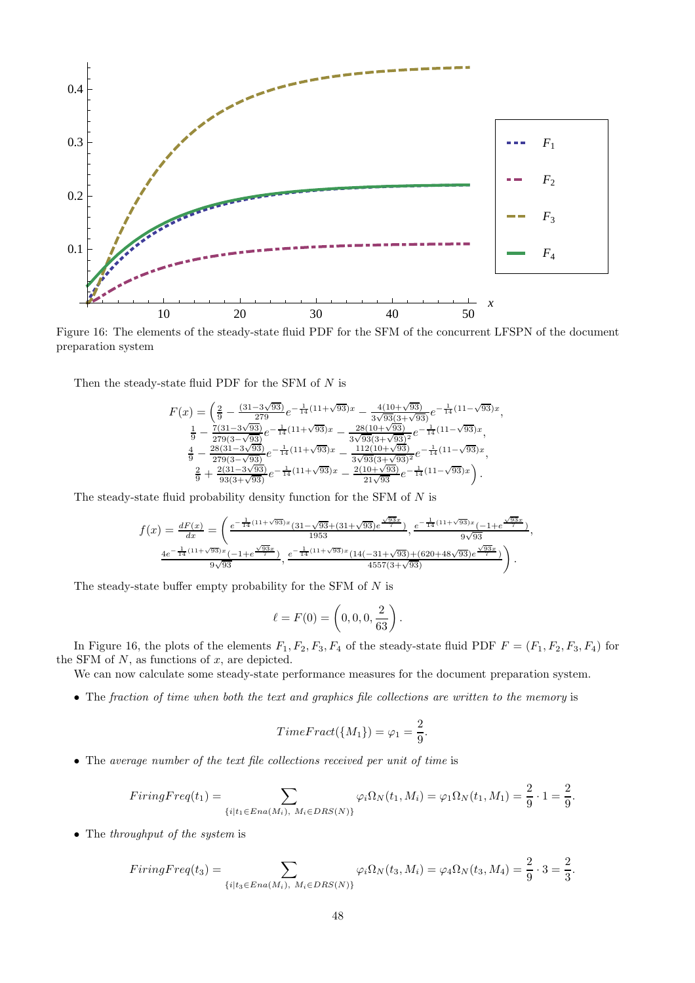

Figure 16: The elements of the steady-state fluid PDF for the SFM of the concurrent LFSPN of the document preparation system

Then the steady-state fluid PDF for the SFM of  $N$  is

$$
\begin{split} F(x) & = \left( \tfrac{2}{9} - \tfrac{(31-3\sqrt{93})}{279} e^{-\tfrac{1}{14}(11+\sqrt{93})x} - \tfrac{4(10+\sqrt{93})}{3\sqrt{93}(3+\sqrt{93})} e^{-\tfrac{1}{14}(11-\sqrt{93})x} \right. \\ & \left. \tfrac{1}{9} - \tfrac{7(31-3\sqrt{93})}{279(3-\sqrt{93})} e^{-\tfrac{1}{14}(11+\sqrt{93})x} - \tfrac{28(10+\sqrt{93})}{3\sqrt{93}(3+\sqrt{93})^2} e^{-\tfrac{1}{14}(11-\sqrt{93})x} \right. \\ & \left. \tfrac{4}{9} - \tfrac{28(31-3\sqrt{93})}{279(3-\sqrt{93})} e^{-\tfrac{1}{14}(11+\sqrt{93})x} - \tfrac{112(10+\sqrt{93})}{3\sqrt{93}(3+\sqrt{93})^2} e^{-\tfrac{1}{14}(11-\sqrt{93})x} \right. \\ & \left. \tfrac{2}{9} + \tfrac{2(31-3\sqrt{93})}{93(3+\sqrt{93})} e^{-\tfrac{1}{14}(11+\sqrt{93})x} - \tfrac{2(10+\sqrt{93})}{21\sqrt{93}} e^{-\tfrac{1}{14}(11-\sqrt{93})x} \right). \end{split}
$$

,

The steady-state fluid probability density function for the SFM of  $N$  is

$$
f(x) = \frac{dF(x)}{dx} = \left(\frac{e^{-\frac{1}{14}(11+\sqrt{93})x}(31-\sqrt{93}+(31+\sqrt{93})e^{\frac{\sqrt{93}x}{7}})}{1953}, \frac{e^{-\frac{1}{14}(11+\sqrt{93})x}(-1+e^{\frac{\sqrt{93}x}{7}})}{9\sqrt{93}}, \frac{4e^{-\frac{1}{14}(11+\sqrt{93})x}(-1+e^{\frac{\sqrt{93}x}{7}})}{9\sqrt{93}}, \frac{e^{-\frac{1}{14}(11+\sqrt{93})x}(14(-31+\sqrt{93})+(620+48\sqrt{93})e^{\frac{\sqrt{93}x}{7}})}{4557(3+\sqrt{93})}\right).
$$

The steady-state buffer empty probability for the SFM of  $N$  is

$$
\ell = F(0) = \left(0, 0, 0, \frac{2}{63}\right).
$$

In Figure 16, the plots of the elements  $F_1, F_2, F_3, F_4$  of the steady-state fluid PDF  $F = (F_1, F_2, F_3, F_4)$  for the SFM of  $N$ , as functions of  $x$ , are depicted.

We can now calculate some steady-state performance measures for the document preparation system.

• The fraction of time when both the text and graphics file collections are written to the memory is

$$
TimeFrac{t(\lbrace M_1 \rbrace)}{=\varphi_1=\frac{2}{9}}.
$$

• The average number of the text file collections received per unit of time is

$$
FiringFreq(t_1) = \sum_{\{i | t_1 \in Era(M_i), M_i \in DRS(N)\}} \varphi_i \Omega_N(t_1, M_i) = \varphi_1 \Omega_N(t_1, M_1) = \frac{2}{9} \cdot 1 = \frac{2}{9}.
$$

• The throughput of the system is

$$
FiringFreq(t_3) = \sum_{\{i|t_3 \in Era(M_i), M_i \in DRS(N)\}} \varphi_i \Omega_N(t_3, M_i) = \varphi_4 \Omega_N(t_3, M_4) = \frac{2}{9} \cdot 3 = \frac{2}{3}.
$$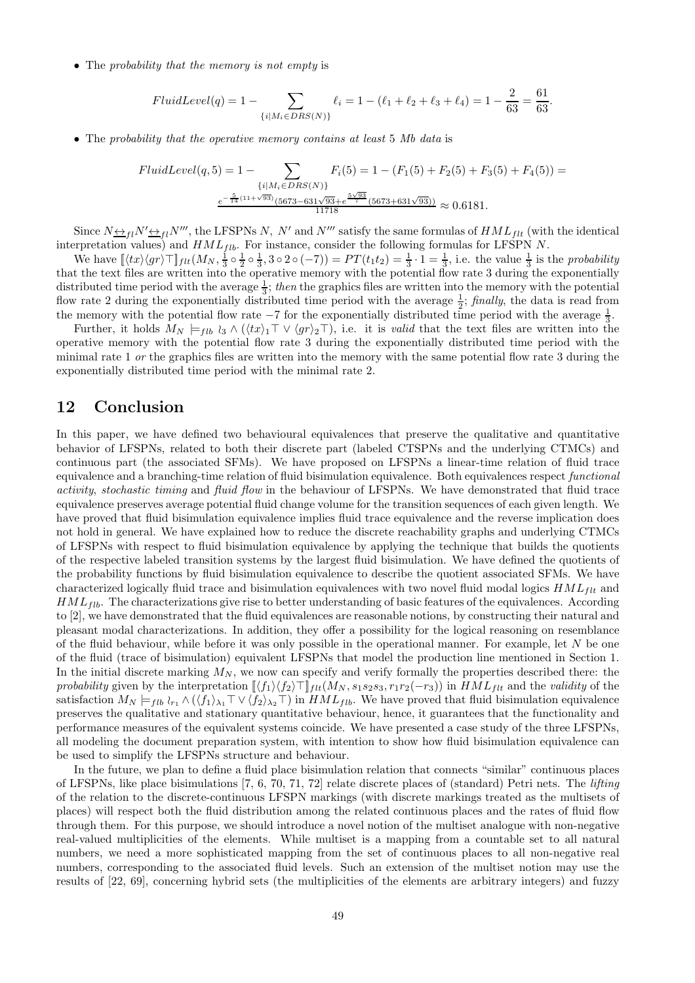• The probability that the memory is not empty is

$$
FluidLevel(q) = 1 - \sum_{\{i \mid M_i \in DRS(N)\}} \ell_i = 1 - (\ell_1 + \ell_2 + \ell_3 + \ell_4) = 1 - \frac{2}{63} = \frac{61}{63}.
$$

• The probability that the operative memory contains at least 5 Mb data is

$$
FluidLevel(q, 5) = 1 - \sum_{\{i \mid M_i \in DRS(N)\}} F_i(5) = 1 - (F_1(5) + F_2(5) + F_3(5) + F_4(5)) =
$$

$$
\frac{e^{-\frac{5}{14}(11+\sqrt{93})(5673-631\sqrt{93} + e^{\frac{5\sqrt{93}}{7}}(5673+631\sqrt{93}))}}{11718} \approx 0.6181.
$$

Since  $N \leftrightarrow_{fl} N' \leftrightarrow_{fl} N''$ , the LFSPNs N, N' and N''' satisfy the same formulas of  $HML_{flt}$  (with the identical interpretation values) and  $HML_{fib}$ . For instance, consider the following formulas for LFSPN N.

We have  $\left[\langle tx \rangle \langle gr \rangle \top \right]_{ftt}(M_N, \frac{1}{3} \circ \frac{1}{2} \circ \frac{1}{3}, 3 \circ 2 \circ (-7)) = PT(t_1t_2) = \frac{1}{3} \cdot 1 = \frac{1}{3}$ , i.e. the value  $\frac{1}{3}$  is the probability that the text files are written into the operative memory with the potential flow rate 3 during the exponentially distributed time period with the average  $\frac{1}{3}$ ; then the graphics files are written into the memory with the potential flow rate 2 during the exponentially distributed time period with the average  $\frac{1}{2}$ ; finally, the data is read from the memory with the potential flow rate  $-7$  for the exponentially distributed time period with the average  $\frac{1}{3}$ .

Further, it holds  $M_N \models_{flb} \iota_3 \wedge (\langle tx \rangle_1 \top \vee \langle gr \rangle_2 \top)$ , i.e. it is valid that the text files are written into the operative memory with the potential flow rate 3 during the exponentially distributed time period with the minimal rate 1 or the graphics files are written into the memory with the same potential flow rate 3 during the exponentially distributed time period with the minimal rate 2.

# 12 Conclusion

In this paper, we have defined two behavioural equivalences that preserve the qualitative and quantitative behavior of LFSPNs, related to both their discrete part (labeled CTSPNs and the underlying CTMCs) and continuous part (the associated SFMs). We have proposed on LFSPNs a linear-time relation of fluid trace equivalence and a branching-time relation of fluid bisimulation equivalence. Both equivalences respect functional activity, stochastic timing and fluid flow in the behaviour of LFSPNs. We have demonstrated that fluid trace equivalence preserves average potential fluid change volume for the transition sequences of each given length. We have proved that fluid bisimulation equivalence implies fluid trace equivalence and the reverse implication does not hold in general. We have explained how to reduce the discrete reachability graphs and underlying CTMCs of LFSPNs with respect to fluid bisimulation equivalence by applying the technique that builds the quotients of the respective labeled transition systems by the largest fluid bisimulation. We have defined the quotients of the probability functions by fluid bisimulation equivalence to describe the quotient associated SFMs. We have characterized logically fluid trace and bisimulation equivalences with two novel fluid modal logics  $HML_{ft}$  and  $HML_{fib}$ . The characterizations give rise to better understanding of basic features of the equivalences. According to [2], we have demonstrated that the fluid equivalences are reasonable notions, by constructing their natural and pleasant modal characterizations. In addition, they offer a possibility for the logical reasoning on resemblance of the fluid behaviour, while before it was only possible in the operational manner. For example, let  $N$  be one of the fluid (trace of bisimulation) equivalent LFSPNs that model the production line mentioned in Section 1. In the initial discrete marking  $M_N$ , we now can specify and verify formally the properties described there: the probability given by the interpretation  $\langle f_1 \rangle \langle f_2 \rangle \top \rangle_{ft} (M_N, s_1 s_2 s_3, r_1 r_2(-r_3))$  in  $HML_{flt}$  and the validity of the satisfaction  $M_N \models_{fib} \iota_{r_1} \wedge (\langle f_1 \rangle_{\lambda_1} \top \vee \langle f_2 \rangle_{\lambda_2} \top)$  in  $HML_{fib}$ . We have proved that fluid bisimulation equivalence preserves the qualitative and stationary quantitative behaviour, hence, it guarantees that the functionality and performance measures of the equivalent systems coincide. We have presented a case study of the three LFSPNs, all modeling the document preparation system, with intention to show how fluid bisimulation equivalence can be used to simplify the LFSPNs structure and behaviour.

In the future, we plan to define a fluid place bisimulation relation that connects "similar" continuous places of LFSPNs, like place bisimulations  $[7, 6, 70, 71, 72]$  relate discrete places of (standard) Petri nets. The *lifting* of the relation to the discrete-continuous LFSPN markings (with discrete markings treated as the multisets of places) will respect both the fluid distribution among the related continuous places and the rates of fluid flow through them. For this purpose, we should introduce a novel notion of the multiset analogue with non-negative real-valued multiplicities of the elements. While multiset is a mapping from a countable set to all natural numbers, we need a more sophisticated mapping from the set of continuous places to all non-negative real numbers, corresponding to the associated fluid levels. Such an extension of the multiset notion may use the results of [22, 69], concerning hybrid sets (the multiplicities of the elements are arbitrary integers) and fuzzy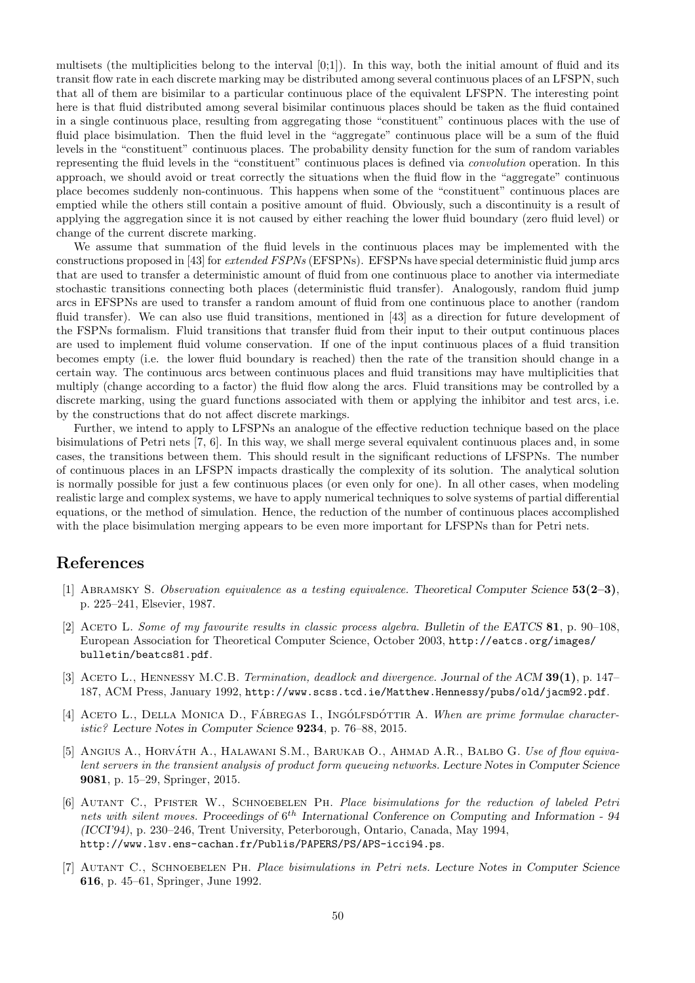multisets (the multiplicities belong to the interval [0;1]). In this way, both the initial amount of fluid and its transit flow rate in each discrete marking may be distributed among several continuous places of an LFSPN, such that all of them are bisimilar to a particular continuous place of the equivalent LFSPN. The interesting point here is that fluid distributed among several bisimilar continuous places should be taken as the fluid contained in a single continuous place, resulting from aggregating those "constituent" continuous places with the use of fluid place bisimulation. Then the fluid level in the "aggregate" continuous place will be a sum of the fluid levels in the "constituent" continuous places. The probability density function for the sum of random variables representing the fluid levels in the "constituent" continuous places is defined via convolution operation. In this approach, we should avoid or treat correctly the situations when the fluid flow in the "aggregate" continuous place becomes suddenly non-continuous. This happens when some of the "constituent" continuous places are emptied while the others still contain a positive amount of fluid. Obviously, such a discontinuity is a result of applying the aggregation since it is not caused by either reaching the lower fluid boundary (zero fluid level) or change of the current discrete marking.

We assume that summation of the fluid levels in the continuous places may be implemented with the constructions proposed in [43] for extended FSPNs (EFSPNs). EFSPNs have special deterministic fluid jump arcs that are used to transfer a deterministic amount of fluid from one continuous place to another via intermediate stochastic transitions connecting both places (deterministic fluid transfer). Analogously, random fluid jump arcs in EFSPNs are used to transfer a random amount of fluid from one continuous place to another (random fluid transfer). We can also use fluid transitions, mentioned in [43] as a direction for future development of the FSPNs formalism. Fluid transitions that transfer fluid from their input to their output continuous places are used to implement fluid volume conservation. If one of the input continuous places of a fluid transition becomes empty (i.e. the lower fluid boundary is reached) then the rate of the transition should change in a certain way. The continuous arcs between continuous places and fluid transitions may have multiplicities that multiply (change according to a factor) the fluid flow along the arcs. Fluid transitions may be controlled by a discrete marking, using the guard functions associated with them or applying the inhibitor and test arcs, i.e. by the constructions that do not affect discrete markings.

Further, we intend to apply to LFSPNs an analogue of the effective reduction technique based on the place bisimulations of Petri nets [7, 6]. In this way, we shall merge several equivalent continuous places and, in some cases, the transitions between them. This should result in the significant reductions of LFSPNs. The number of continuous places in an LFSPN impacts drastically the complexity of its solution. The analytical solution is normally possible for just a few continuous places (or even only for one). In all other cases, when modeling realistic large and complex systems, we have to apply numerical techniques to solve systems of partial differential equations, or the method of simulation. Hence, the reduction of the number of continuous places accomplished with the place bisimulation merging appears to be even more important for LFSPNs than for Petri nets.

### References

- [1] Abramsky S. Observation equivalence as a testing equivalence. *Theoretical Computer Science* 53(2–3), p. 225–241, Elsevier, 1987.
- [2] Aceto L. Some of my favourite results in classic process algebra. *Bulletin of the EATCS* 81, p. 90–108, European Association for Theoretical Computer Science, October 2003, http://eatcs.org/images/ bulletin/beatcs81.pdf.
- [3] Aceto L., Hennessy M.C.B. Termination, deadlock and divergence. *Journal of the ACM* 39(1), p. 147– 187, ACM Press, January 1992, http://www.scss.tcd.ie/Matthew.Hennessy/pubs/old/jacm92.pdf.
- [4] ACETO L., DELLA MONICA D., FÁBREGAS I., INGÓLFSDÓTTIR A. When are prime formulae characteristic? *Lecture Notes in Computer Science* 9234, p. 76–88, 2015.
- [5] ANGIUS A., HORVATH A., HALAWANI S.M., BARUKAB O., AHMAD A.R., BALBO G. Use of flow equivalent servers in the transient analysis of product form queueing networks. *Lecture Notes in Computer Science* 9081, p. 15–29, Springer, 2015.
- [6] Autant C., Pfister W., Schnoebelen Ph. Place bisimulations for the reduction of labeled Petri nets with silent moves. Proceedings of  $6^{th}$  International Conference on Computing and Information - 94 *(ICCI'94)*, p. 230–246, Trent University, Peterborough, Ontario, Canada, May 1994, http://www.lsv.ens-cachan.fr/Publis/PAPERS/PS/APS-icci94.ps.
- [7] Autant C., Schnoebelen Ph. Place bisimulations in Petri nets. *Lecture Notes in Computer Science* 616, p. 45–61, Springer, June 1992.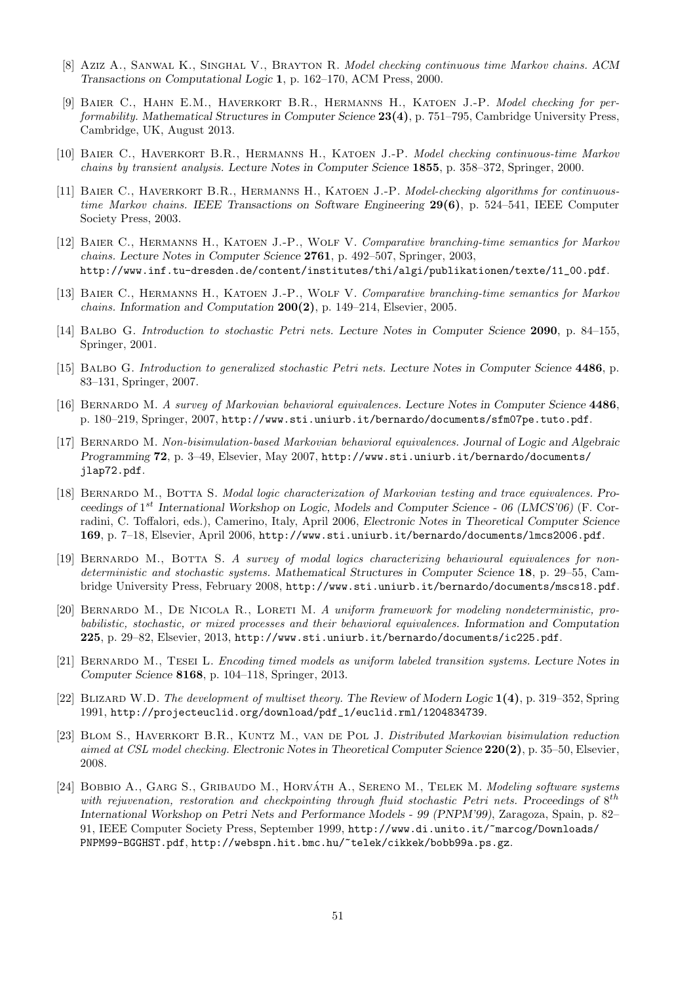- [8] Aziz A., Sanwal K., Singhal V., Brayton R. Model checking continuous time Markov chains. *ACM Transactions on Computational Logic* 1, p. 162–170, ACM Press, 2000.
- [9] BAIER C., HAHN E.M., HAVERKORT B.R., HERMANNS H., KATOEN J.-P. Model checking for performability. *Mathematical Structures in Computer Science* 23(4), p. 751–795, Cambridge University Press, Cambridge, UK, August 2013.
- [10] Baier C., Haverkort B.R., Hermanns H., Katoen J.-P. Model checking continuous-time Markov chains by transient analysis. *Lecture Notes in Computer Science* 1855, p. 358–372, Springer, 2000.
- [11] BAIER C., HAVERKORT B.R., HERMANNS H., KATOEN J.-P. Model-checking algorithms for continuoustime Markov chains. *IEEE Transactions on Software Engineering* 29(6), p. 524–541, IEEE Computer Society Press, 2003.
- [12] Baier C., Hermanns H., Katoen J.-P., Wolf V. Comparative branching-time semantics for Markov chains. *Lecture Notes in Computer Science* 2761, p. 492–507, Springer, 2003, http://www.inf.tu-dresden.de/content/institutes/thi/algi/publikationen/texte/11\_00.pdf.
- [13] BAIER C., HERMANNS H., KATOEN J.-P., WOLF V. Comparative branching-time semantics for Markov chains. *Information and Computation* 200(2), p. 149–214, Elsevier, 2005.
- [14] Balbo G. Introduction to stochastic Petri nets. *Lecture Notes in Computer Science* 2090, p. 84–155, Springer, 2001.
- [15] Balbo G. Introduction to generalized stochastic Petri nets. *Lecture Notes in Computer Science* 4486, p. 83–131, Springer, 2007.
- [16] Bernardo M. A survey of Markovian behavioral equivalences. *Lecture Notes in Computer Science* 4486, p. 180–219, Springer, 2007, http://www.sti.uniurb.it/bernardo/documents/sfm07pe.tuto.pdf.
- [17] Bernardo M. Non-bisimulation-based Markovian behavioral equivalences. *Journal of Logic and Algebraic Programming* 72, p. 3–49, Elsevier, May 2007, http://www.sti.uniurb.it/bernardo/documents/ jlap72.pdf.
- [18] Bernardo M., Botta S. Modal logic characterization of Markovian testing and trace equivalences. *Proceedings of* 1 st *International Workshop on Logic, Models and Computer Science - 06 (LMCS'06)* (F. Corradini, C. Toffalori, eds.), Camerino, Italy, April 2006, *Electronic Notes in Theoretical Computer Science* 169, p. 7–18, Elsevier, April 2006, http://www.sti.uniurb.it/bernardo/documents/lmcs2006.pdf.
- [19] BERNARDO M., BOTTA S. A survey of modal logics characterizing behavioural equivalences for nondeterministic and stochastic systems. *Mathematical Structures in Computer Science* 18, p. 29–55, Cambridge University Press, February 2008, http://www.sti.uniurb.it/bernardo/documents/mscs18.pdf.
- [20] BERNARDO M., DE NICOLA R., LORETI M. A uniform framework for modeling nondeterministic, probabilistic, stochastic, or mixed processes and their behavioral equivalences. *Information and Computation* 225, p. 29–82, Elsevier, 2013, http://www.sti.uniurb.it/bernardo/documents/ic225.pdf.
- [21] Bernardo M., Tesei L. Encoding timed models as uniform labeled transition systems. *Lecture Notes in Computer Science* 8168, p. 104–118, Springer, 2013.
- [22] Blizard W.D. The development of multiset theory. *The Review of Modern Logic* 1(4), p. 319–352, Spring 1991, http://projecteuclid.org/download/pdf\_1/euclid.rml/1204834739.
- [23] Blom S., Haverkort B.R., Kuntz M., van de Pol J. Distributed Markovian bisimulation reduction aimed at CSL model checking. *Electronic Notes in Theoretical Computer Science* 220(2), p. 35–50, Elsevier, 2008.
- [24] BOBBIO A., GARG S., GRIBAUDO M., HORVÁTH A., SERENO M., TELEK M. Modeling software systems with rejuvenation, restoration and checkpointing through fluid stochastic Petri nets. Proceedings of  $8^{th}$ *International Workshop on Petri Nets and Performance Models - 99 (PNPM'99)*, Zaragoza, Spain, p. 82– 91, IEEE Computer Society Press, September 1999, http://www.di.unito.it/~marcog/Downloads/ PNPM99-BGGHST.pdf, http://webspn.hit.bmc.hu/~telek/cikkek/bobb99a.ps.gz.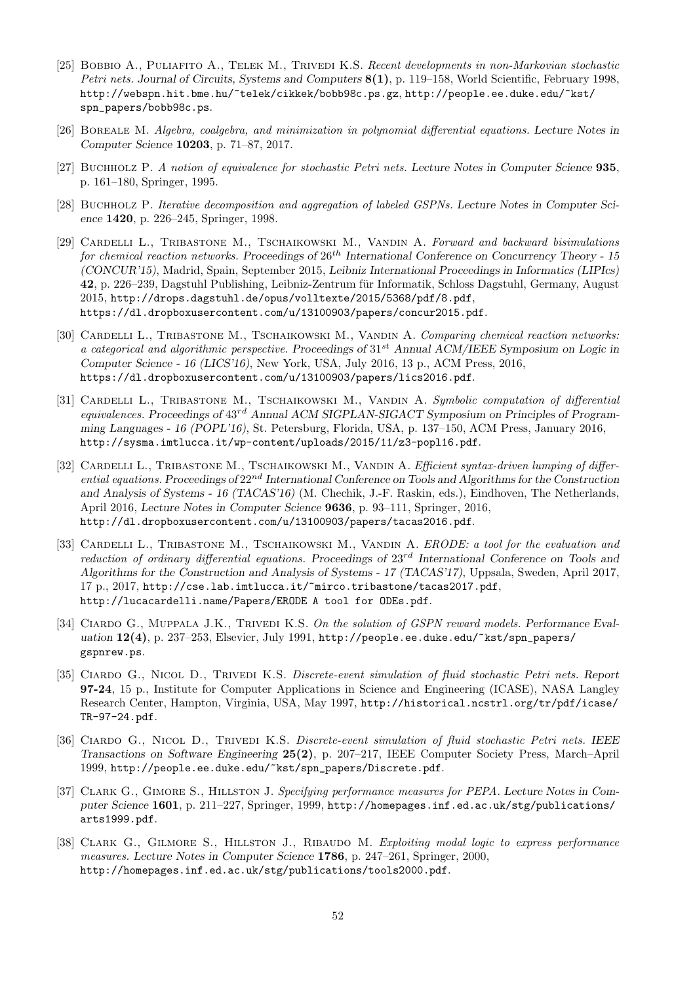- [25] Bobbio A., Puliafito A., Telek M., Trivedi K.S. Recent developments in non-Markovian stochastic Petri nets. *Journal of Circuits, Systems and Computers* 8(1), p. 119–158, World Scientific, February 1998, http://webspn.hit.bme.hu/~telek/cikkek/bobb98c.ps.gz, http://people.ee.duke.edu/~kst/ spn\_papers/bobb98c.ps.
- [26] Boreale M. Algebra, coalgebra, and minimization in polynomial differential equations. *Lecture Notes in Computer Science* 10203, p. 71–87, 2017.
- [27] Buchholz P. A notion of equivalence for stochastic Petri nets. *Lecture Notes in Computer Science* 935, p. 161–180, Springer, 1995.
- [28] Buchholz P. Iterative decomposition and aggregation of labeled GSPNs. *Lecture Notes in Computer Science* 1420, p. 226–245, Springer, 1998.
- [29] CARDELLI L., TRIBASTONE M., TSCHAIKOWSKI M., VANDIN A. Forward and backward bisimulations for chemical reaction networks. *Proceedings of* 26th *International Conference on Concurrency Theory - 15 (CONCUR'15)*, Madrid, Spain, September 2015, *Leibniz International Proceedings in Informatics (LIPIcs)* 42, p. 226–239, Dagstuhl Publishing, Leibniz-Zentrum für Informatik, Schloss Dagstuhl, Germany, August 2015, http://drops.dagstuhl.de/opus/volltexte/2015/5368/pdf/8.pdf, https://dl.dropboxusercontent.com/u/13100903/papers/concur2015.pdf.
- [30] CARDELLI L., TRIBASTONE M., TSCHAIKOWSKI M., VANDIN A. Comparing chemical reaction networks: a categorical and algorithmic perspective. *Proceedings of* 31st *Annual ACM/IEEE Symposium on Logic in Computer Science - 16 (LICS'16)*, New York, USA, July 2016, 13 p., ACM Press, 2016, https://dl.dropboxusercontent.com/u/13100903/papers/lics2016.pdf.
- [31] CARDELLI L., TRIBASTONE M., TSCHAIKOWSKI M., VANDIN A. Symbolic computation of differential equivalences. *Proceedings of* 43rd *Annual ACM SIGPLAN-SIGACT Symposium on Principles of Programming Languages - 16 (POPL'16)*, St. Petersburg, Florida, USA, p. 137–150, ACM Press, January 2016, http://sysma.imtlucca.it/wp-content/uploads/2015/11/z3-popl16.pdf.
- [32] CARDELLI L., TRIBASTONE M., TSCHAIKOWSKI M., VANDIN A. Efficient syntax-driven lumping of differential equations. *Proceedings of* 22nd *International Conference on Tools and Algorithms for the Construction and Analysis of Systems - 16 (TACAS'16)* (M. Chechik, J.-F. Raskin, eds.), Eindhoven, The Netherlands, April 2016, *Lecture Notes in Computer Science* 9636, p. 93–111, Springer, 2016, http://dl.dropboxusercontent.com/u/13100903/papers/tacas2016.pdf.
- [33] CARDELLI L., TRIBASTONE M., TSCHAIKOWSKI M., VANDIN A. ERODE: a tool for the evaluation and reduction of ordinary differential equations. *Proceedings of* 23rd *International Conference on Tools and Algorithms for the Construction and Analysis of Systems - 17 (TACAS'17)*, Uppsala, Sweden, April 2017, 17 p., 2017, http://cse.lab.imtlucca.it/~mirco.tribastone/tacas2017.pdf, http://lucacardelli.name/Papers/ERODE A tool for ODEs.pdf.
- [34] CIARDO G., MUPPALA J.K., TRIVEDI K.S. On the solution of GSPN reward models. Performance Eval*uation* 12(4), p. 237–253, Elsevier, July 1991, http://people.ee.duke.edu/~kst/spn\_papers/ gspnrew.ps.
- [35] Ciardo G., Nicol D., Trivedi K.S. Discrete-event simulation of fluid stochastic Petri nets. *Report* 97-24, 15 p., Institute for Computer Applications in Science and Engineering (ICASE), NASA Langley Research Center, Hampton, Virginia, USA, May 1997, http://historical.ncstrl.org/tr/pdf/icase/ TR-97-24.pdf.
- [36] Ciardo G., Nicol D., Trivedi K.S. Discrete-event simulation of fluid stochastic Petri nets. *IEEE Transactions on Software Engineering* 25(2), p. 207–217, IEEE Computer Society Press, March–April 1999, http://people.ee.duke.edu/~kst/spn\_papers/Discrete.pdf.
- [37] Clark G., Gimore S., Hillston J. Specifying performance measures for PEPA. *Lecture Notes in Computer Science* 1601, p. 211–227, Springer, 1999, http://homepages.inf.ed.ac.uk/stg/publications/ arts1999.pdf.
- [38] CLARK G., GILMORE S., HILLSTON J., RIBAUDO M. Exploiting modal logic to express performance measures. *Lecture Notes in Computer Science* 1786, p. 247–261, Springer, 2000, http://homepages.inf.ed.ac.uk/stg/publications/tools2000.pdf.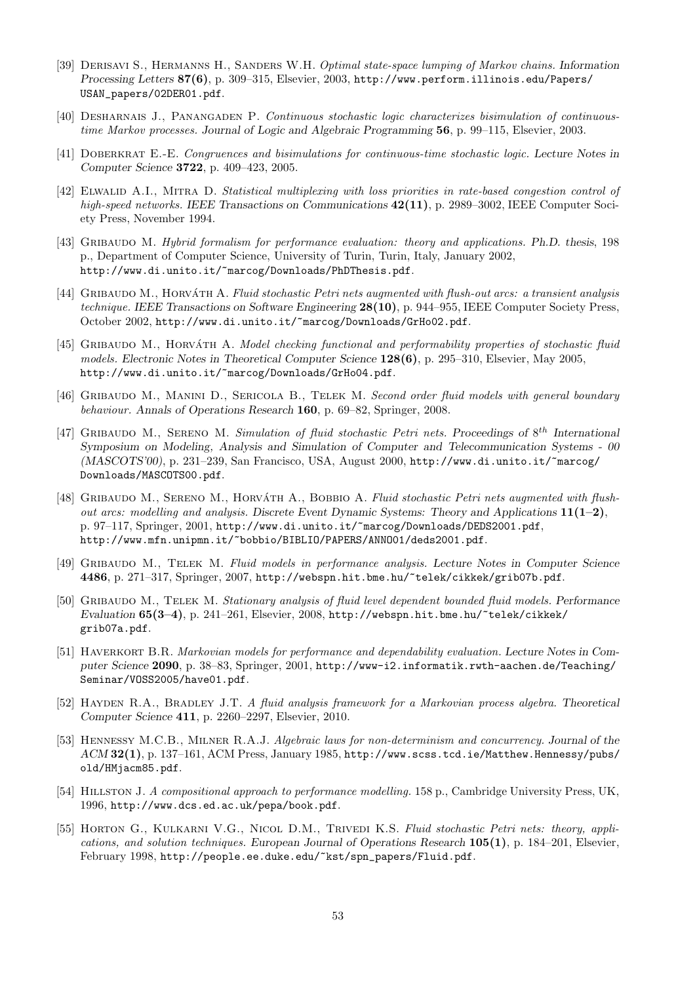- [39] Derisavi S., Hermanns H., Sanders W.H. Optimal state-space lumping of Markov chains. *Information Processing Letters* 87(6), p. 309–315, Elsevier, 2003, http://www.perform.illinois.edu/Papers/ USAN\_papers/02DER01.pdf.
- [40] DESHARNAIS J., PANANGADEN P. Continuous stochastic logic characterizes bisimulation of continuoustime Markov processes. *Journal of Logic and Algebraic Programming* 56, p. 99–115, Elsevier, 2003.
- [41] Doberkrat E.-E. Congruences and bisimulations for continuous-time stochastic logic. *Lecture Notes in Computer Science* 3722, p. 409–423, 2005.
- [42] ELWALID A.I., MITRA D. Statistical multiplexing with loss priorities in rate-based congestion control of high-speed networks. *IEEE Transactions on Communications* 42(11), p. 2989–3002, IEEE Computer Society Press, November 1994.
- [43] Gribaudo M. Hybrid formalism for performance evaluation: theory and applications. *Ph.D. thesis*, 198 p., Department of Computer Science, University of Turin, Turin, Italy, January 2002, http://www.di.unito.it/~marcog/Downloads/PhDThesis.pdf.
- [44] GRIBAUDO M., HORVÁTH A. Fluid stochastic Petri nets augmented with flush-out arcs: a transient analysis technique. *IEEE Transactions on Software Engineering* 28(10), p. 944–955, IEEE Computer Society Press, October 2002, http://www.di.unito.it/~marcog/Downloads/GrHo02.pdf.
- [45] GRIBAUDO M., HORVÁTH A. Model checking functional and performability properties of stochastic fluid models. *Electronic Notes in Theoretical Computer Science* 128(6), p. 295–310, Elsevier, May 2005, http://www.di.unito.it/~marcog/Downloads/GrHo04.pdf.
- [46] GRIBAUDO M., MANINI D., SERICOLA B., TELEK M. Second order fluid models with general boundary behaviour. *Annals of Operations Research* 160, p. 69–82, Springer, 2008.
- [47] GRIBAUDO M., SERENO M. Simulation of fluid stochastic Petri nets. Proceedings of  $8^{th}$  International *Symposium on Modeling, Analysis and Simulation of Computer and Telecommunication Systems - 00 (MASCOTS'00)*, p. 231–239, San Francisco, USA, August 2000, http://www.di.unito.it/~marcog/ Downloads/MASCOTS00.pdf.
- [48] GRIBAUDO M., SERENO M., HORVÁTH A., BOBBIO A. Fluid stochastic Petri nets augmented with flushout arcs: modelling and analysis. *Discrete Event Dynamic Systems: Theory and Applications* 11(1–2), p. 97–117, Springer, 2001, http://www.di.unito.it/~marcog/Downloads/DEDS2001.pdf, http://www.mfn.unipmn.it/~bobbio/BIBLIO/PAPERS/ANNO01/deds2001.pdf.
- [49] Gribaudo M., Telek M. Fluid models in performance analysis. *Lecture Notes in Computer Science* 4486, p. 271–317, Springer, 2007, http://webspn.hit.bme.hu/~telek/cikkek/grib07b.pdf.
- [50] Gribaudo M., Telek M. Stationary analysis of fluid level dependent bounded fluid models. *Performance Evaluation* 65(3–4), p. 241–261, Elsevier, 2008, http://webspn.hit.bme.hu/~telek/cikkek/ grib07a.pdf.
- [51] HAVERKORT B.R. Markovian models for performance and dependability evaluation. Lecture Notes in Com*puter Science* 2090, p. 38–83, Springer, 2001, http://www-i2.informatik.rwth-aachen.de/Teaching/ Seminar/VOSS2005/have01.pdf.
- [52] Hayden R.A., Bradley J.T. A fluid analysis framework for a Markovian process algebra. *Theoretical Computer Science* 411, p. 2260–2297, Elsevier, 2010.
- [53] Hennessy M.C.B., Milner R.A.J. Algebraic laws for non-determinism and concurrency. *Journal of the ACM* 32(1), p. 137–161, ACM Press, January 1985, http://www.scss.tcd.ie/Matthew.Hennessy/pubs/ old/HMjacm85.pdf.
- [54] Hillston J. A compositional approach to performance modelling. 158 p., Cambridge University Press, UK, 1996, http://www.dcs.ed.ac.uk/pepa/book.pdf.
- [55] HORTON G., KULKARNI V.G., NICOL D.M., TRIVEDI K.S. Fluid stochastic Petri nets: theory, applications, and solution techniques. *European Journal of Operations Research* 105(1), p. 184–201, Elsevier, February 1998, http://people.ee.duke.edu/~kst/spn\_papers/Fluid.pdf.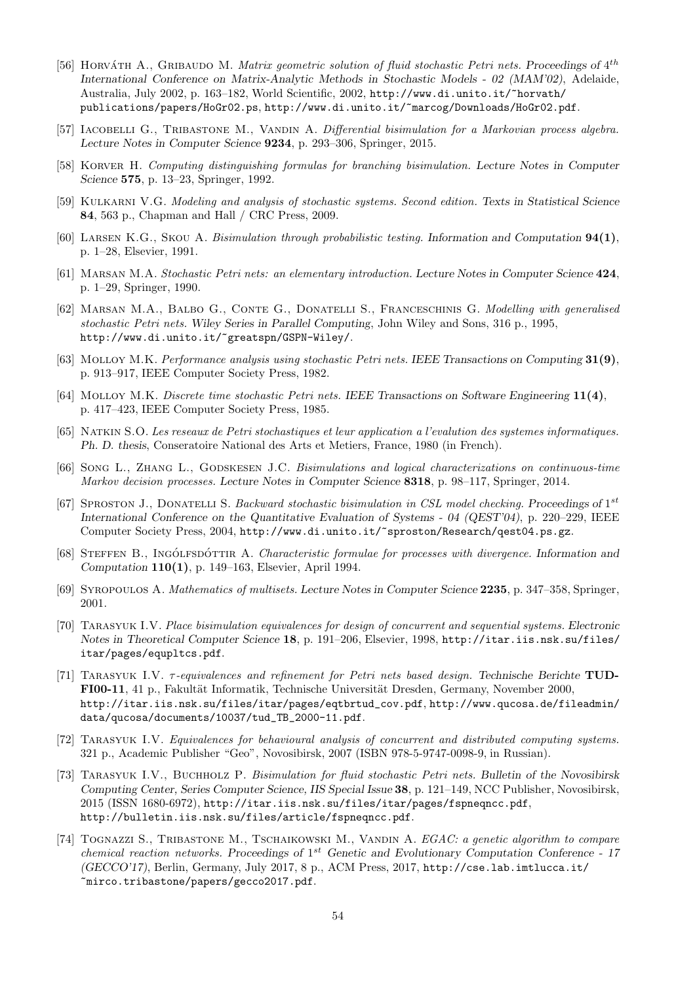- [56] HORVÁTH A., GRIBAUDO M. *Matrix geometric solution of fluid stochastic Petri nets. Proceedings of*  $4^{th}$ *International Conference on Matrix-Analytic Methods in Stochastic Models - 02 (MAM'02)*, Adelaide, Australia, July 2002, p. 163–182, World Scientific, 2002, http://www.di.unito.it/~horvath/ publications/papers/HoGr02.ps, http://www.di.unito.it/~marcog/Downloads/HoGr02.pdf.
- [57] IACOBELLI G., TRIBASTONE M., VANDIN A. Differential bisimulation for a Markovian process algebra. *Lecture Notes in Computer Science* 9234, p. 293–306, Springer, 2015.
- [58] Korver H. Computing distinguishing formulas for branching bisimulation. *Lecture Notes in Computer Science* 575, p. 13–23, Springer, 1992.
- [59] Kulkarni V.G. Modeling and analysis of stochastic systems. Second edition. *Texts in Statistical Science* 84, 563 p., Chapman and Hall / CRC Press, 2009.
- [60] Larsen K.G., Skou A. Bisimulation through probabilistic testing. *Information and Computation* 94(1), p. 1–28, Elsevier, 1991.
- [61] Marsan M.A. Stochastic Petri nets: an elementary introduction. *Lecture Notes in Computer Science* 424, p. 1–29, Springer, 1990.
- [62] Marsan M.A., Balbo G., Conte G., Donatelli S., Franceschinis G. Modelling with generalised stochastic Petri nets. *Wiley Series in Parallel Computing*, John Wiley and Sons, 316 p., 1995, http://www.di.unito.it/~greatspn/GSPN-Wiley/.
- [63] Molloy M.K. Performance analysis using stochastic Petri nets. *IEEE Transactions on Computing* 31(9), p. 913–917, IEEE Computer Society Press, 1982.
- [64] Molloy M.K. Discrete time stochastic Petri nets. *IEEE Transactions on Software Engineering* 11(4), p. 417–423, IEEE Computer Society Press, 1985.
- [65] Natkin S.O. Les reseaux de Petri stochastiques et leur application a l'evalution des systemes informatiques. *Ph. D. thesis*, Conseratoire National des Arts et Metiers, France, 1980 (in French).
- [66] Song L., ZHANG L., GODSKESEN J.C. Bisimulations and logical characterizations on continuous-time Markov decision processes. *Lecture Notes in Computer Science* 8318, p. 98–117, Springer, 2014.
- [67] SPROSTON J., DONATELLI S. Backward stochastic bisimulation in CSL model checking. Proceedings of 1<sup>st</sup> *International Conference on the Quantitative Evaluation of Systems - 04 (QEST'04)*, p. 220–229, IEEE Computer Society Press, 2004, http://www.di.unito.it/~sproston/Research/qest04.ps.gz.
- [68] STEFFEN B., INGÓLFSDÓTTIR A. *Characteristic formulae for processes with divergence*. *Information and Computation* 110(1), p. 149–163, Elsevier, April 1994.
- [69] Syropoulos A. Mathematics of multisets. *Lecture Notes in Computer Science* 2235, p. 347–358, Springer, 2001.
- [70] Tarasyuk I.V. Place bisimulation equivalences for design of concurrent and sequential systems. *Electronic Notes in Theoretical Computer Science* 18, p. 191–206, Elsevier, 1998, http://itar.iis.nsk.su/files/ itar/pages/equpltcs.pdf.
- [71] Tarasyuk I.V. τ-equivalences and refinement for Petri nets based design. *Technische Berichte* TUD-FI00-11, 41 p., Fakultät Informatik, Technische Universität Dresden, Germany, November 2000, http://itar.iis.nsk.su/files/itar/pages/eqtbrtud\_cov.pdf, http://www.qucosa.de/fileadmin/ data/qucosa/documents/10037/tud\_TB\_2000-11.pdf.
- [72] Tarasyuk I.V. Equivalences for behavioural analysis of concurrent and distributed computing systems. 321 p., Academic Publisher "Geo", Novosibirsk, 2007 (ISBN 978-5-9747-0098-9, in Russian).
- [73] Tarasyuk I.V., Buchholz P. Bisimulation for fluid stochastic Petri nets. *Bulletin of the Novosibirsk Computing Center, Series Computer Science, IIS Special Issue* 38, p. 121–149, NCC Publisher, Novosibirsk, 2015 (ISSN 1680-6972), http://itar.iis.nsk.su/files/itar/pages/fspneqncc.pdf, http://bulletin.iis.nsk.su/files/article/fspneqncc.pdf.
- [74] Tognazzi S., Tribastone M., Tschaikowski M., Vandin A. EGAC: a genetic algorithm to compare chemical reaction networks. *Proceedings of* 1 st *Genetic and Evolutionary Computation Conference - 17 (GECCO'17)*, Berlin, Germany, July 2017, 8 p., ACM Press, 2017, http://cse.lab.imtlucca.it/ ~mirco.tribastone/papers/gecco2017.pdf.